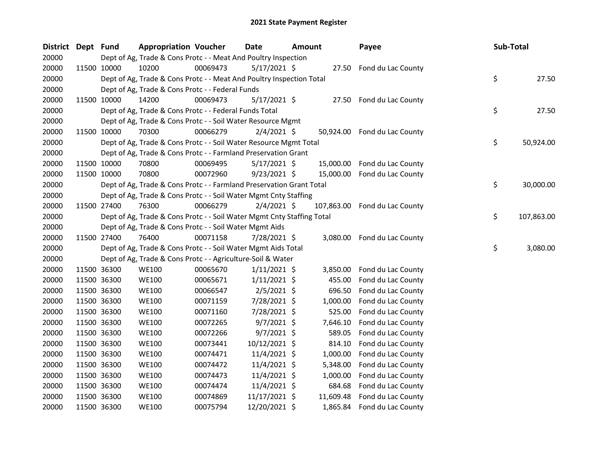| <b>District</b> | Dept Fund |             | <b>Appropriation Voucher</b>                                           |          | Date           | <b>Amount</b> |            | Payee                        | Sub-Total        |
|-----------------|-----------|-------------|------------------------------------------------------------------------|----------|----------------|---------------|------------|------------------------------|------------------|
| 20000           |           |             | Dept of Ag, Trade & Cons Protc - - Meat And Poultry Inspection         |          |                |               |            |                              |                  |
| 20000           |           | 11500 10000 | 10200                                                                  | 00069473 | $5/17/2021$ \$ |               |            | 27.50 Fond du Lac County     |                  |
| 20000           |           |             | Dept of Ag, Trade & Cons Protc - - Meat And Poultry Inspection Total   |          |                |               |            |                              | \$<br>27.50      |
| 20000           |           |             | Dept of Ag, Trade & Cons Protc - - Federal Funds                       |          |                |               |            |                              |                  |
| 20000           |           | 11500 10000 | 14200                                                                  | 00069473 | $5/17/2021$ \$ |               |            | 27.50 Fond du Lac County     |                  |
| 20000           |           |             | Dept of Ag, Trade & Cons Protc - - Federal Funds Total                 |          |                |               |            |                              | \$<br>27.50      |
| 20000           |           |             | Dept of Ag, Trade & Cons Protc - - Soil Water Resource Mgmt            |          |                |               |            |                              |                  |
| 20000           |           | 11500 10000 | 70300                                                                  | 00066279 | $2/4/2021$ \$  |               |            | 50,924.00 Fond du Lac County |                  |
| 20000           |           |             | Dept of Ag, Trade & Cons Protc - - Soil Water Resource Mgmt Total      |          |                |               |            |                              | \$<br>50,924.00  |
| 20000           |           |             | Dept of Ag, Trade & Cons Protc - - Farmland Preservation Grant         |          |                |               |            |                              |                  |
| 20000           |           | 11500 10000 | 70800                                                                  | 00069495 | $5/17/2021$ \$ |               | 15,000.00  | Fond du Lac County           |                  |
| 20000           |           | 11500 10000 | 70800                                                                  | 00072960 | $9/23/2021$ \$ |               |            | 15,000.00 Fond du Lac County |                  |
| 20000           |           |             | Dept of Ag, Trade & Cons Protc - - Farmland Preservation Grant Total   |          |                |               |            |                              | \$<br>30,000.00  |
| 20000           |           |             | Dept of Ag, Trade & Cons Protc - - Soil Water Mgmt Cnty Staffing       |          |                |               |            |                              |                  |
| 20000           |           | 11500 27400 | 76300                                                                  | 00066279 | $2/4/2021$ \$  |               | 107,863.00 | Fond du Lac County           |                  |
| 20000           |           |             | Dept of Ag, Trade & Cons Protc - - Soil Water Mgmt Cnty Staffing Total |          |                |               |            |                              | \$<br>107,863.00 |
| 20000           |           |             | Dept of Ag, Trade & Cons Protc - - Soil Water Mgmt Aids                |          |                |               |            |                              |                  |
| 20000           |           | 11500 27400 | 76400                                                                  | 00071158 | 7/28/2021 \$   |               |            | 3,080.00 Fond du Lac County  |                  |
| 20000           |           |             | Dept of Ag, Trade & Cons Protc - - Soil Water Mgmt Aids Total          |          |                |               |            |                              | \$<br>3,080.00   |
| 20000           |           |             | Dept of Ag, Trade & Cons Protc - - Agriculture-Soil & Water            |          |                |               |            |                              |                  |
| 20000           |           | 11500 36300 | <b>WE100</b>                                                           | 00065670 | $1/11/2021$ \$ |               | 3,850.00   | Fond du Lac County           |                  |
| 20000           |           | 11500 36300 | <b>WE100</b>                                                           | 00065671 | $1/11/2021$ \$ |               | 455.00     | Fond du Lac County           |                  |
| 20000           |           | 11500 36300 | <b>WE100</b>                                                           | 00066547 | $2/5/2021$ \$  |               | 696.50     | Fond du Lac County           |                  |
| 20000           |           | 11500 36300 | <b>WE100</b>                                                           | 00071159 | 7/28/2021 \$   |               | 1,000.00   | Fond du Lac County           |                  |
| 20000           |           | 11500 36300 | <b>WE100</b>                                                           | 00071160 | 7/28/2021 \$   |               | 525.00     | Fond du Lac County           |                  |
| 20000           |           | 11500 36300 | <b>WE100</b>                                                           | 00072265 | $9/7/2021$ \$  |               | 7,646.10   | Fond du Lac County           |                  |
| 20000           |           | 11500 36300 | <b>WE100</b>                                                           | 00072266 | $9/7/2021$ \$  |               | 589.05     | Fond du Lac County           |                  |
| 20000           |           | 11500 36300 | <b>WE100</b>                                                           | 00073441 | 10/12/2021 \$  |               | 814.10     | Fond du Lac County           |                  |
| 20000           |           | 11500 36300 | <b>WE100</b>                                                           | 00074471 | 11/4/2021 \$   |               | 1,000.00   | Fond du Lac County           |                  |
| 20000           |           | 11500 36300 | <b>WE100</b>                                                           | 00074472 | 11/4/2021 \$   |               | 5,348.00   | Fond du Lac County           |                  |
| 20000           |           | 11500 36300 | <b>WE100</b>                                                           | 00074473 | 11/4/2021 \$   |               | 1,000.00   | Fond du Lac County           |                  |
| 20000           |           | 11500 36300 | <b>WE100</b>                                                           | 00074474 | 11/4/2021 \$   |               | 684.68     | Fond du Lac County           |                  |
| 20000           |           | 11500 36300 | <b>WE100</b>                                                           | 00074869 | 11/17/2021 \$  |               | 11,609.48  | Fond du Lac County           |                  |
| 20000           |           | 11500 36300 | <b>WE100</b>                                                           | 00075794 | 12/20/2021 \$  |               | 1,865.84   | Fond du Lac County           |                  |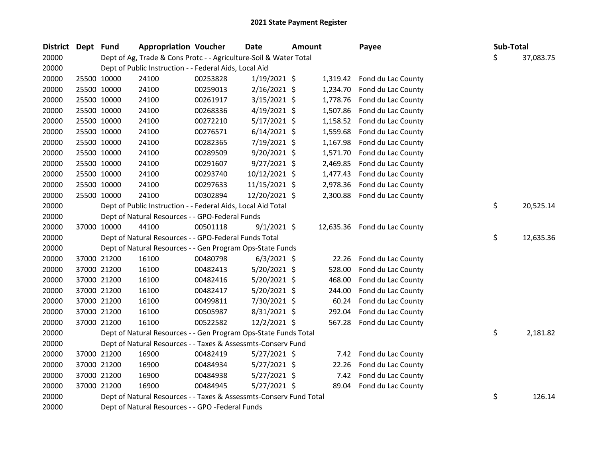| <b>District</b> | Dept Fund |             | <b>Appropriation Voucher</b>                                       |          | <b>Date</b>    | Amount |           | Payee              | Sub-Total |           |
|-----------------|-----------|-------------|--------------------------------------------------------------------|----------|----------------|--------|-----------|--------------------|-----------|-----------|
| 20000           |           |             | Dept of Ag, Trade & Cons Protc - - Agriculture-Soil & Water Total  |          |                |        |           |                    | \$        | 37,083.75 |
| 20000           |           |             | Dept of Public Instruction - - Federal Aids, Local Aid             |          |                |        |           |                    |           |           |
| 20000           |           | 25500 10000 | 24100                                                              | 00253828 | $1/19/2021$ \$ |        | 1,319.42  | Fond du Lac County |           |           |
| 20000           |           | 25500 10000 | 24100                                                              | 00259013 | 2/16/2021 \$   |        | 1,234.70  | Fond du Lac County |           |           |
| 20000           |           | 25500 10000 | 24100                                                              | 00261917 | 3/15/2021 \$   |        | 1,778.76  | Fond du Lac County |           |           |
| 20000           |           | 25500 10000 | 24100                                                              | 00268336 | $4/19/2021$ \$ |        | 1,507.86  | Fond du Lac County |           |           |
| 20000           |           | 25500 10000 | 24100                                                              | 00272210 | 5/17/2021 \$   |        | 1,158.52  | Fond du Lac County |           |           |
| 20000           |           | 25500 10000 | 24100                                                              | 00276571 | $6/14/2021$ \$ |        | 1,559.68  | Fond du Lac County |           |           |
| 20000           |           | 25500 10000 | 24100                                                              | 00282365 | 7/19/2021 \$   |        | 1,167.98  | Fond du Lac County |           |           |
| 20000           |           | 25500 10000 | 24100                                                              | 00289509 | 9/20/2021 \$   |        | 1,571.70  | Fond du Lac County |           |           |
| 20000           |           | 25500 10000 | 24100                                                              | 00291607 | $9/27/2021$ \$ |        | 2,469.85  | Fond du Lac County |           |           |
| 20000           |           | 25500 10000 | 24100                                                              | 00293740 | 10/12/2021 \$  |        | 1,477.43  | Fond du Lac County |           |           |
| 20000           |           | 25500 10000 | 24100                                                              | 00297633 | 11/15/2021 \$  |        | 2,978.36  | Fond du Lac County |           |           |
| 20000           |           | 25500 10000 | 24100                                                              | 00302894 | 12/20/2021 \$  |        | 2,300.88  | Fond du Lac County |           |           |
| 20000           |           |             | Dept of Public Instruction - - Federal Aids, Local Aid Total       |          |                |        |           |                    | \$        | 20,525.14 |
| 20000           |           |             | Dept of Natural Resources - - GPO-Federal Funds                    |          |                |        |           |                    |           |           |
| 20000           |           | 37000 10000 | 44100                                                              | 00501118 | $9/1/2021$ \$  |        | 12,635.36 | Fond du Lac County |           |           |
| 20000           |           |             | Dept of Natural Resources - - GPO-Federal Funds Total              |          |                |        |           |                    | \$        | 12,635.36 |
| 20000           |           |             | Dept of Natural Resources - - Gen Program Ops-State Funds          |          |                |        |           |                    |           |           |
| 20000           |           | 37000 21200 | 16100                                                              | 00480798 | $6/3/2021$ \$  |        | 22.26     | Fond du Lac County |           |           |
| 20000           |           | 37000 21200 | 16100                                                              | 00482413 | 5/20/2021 \$   |        | 528.00    | Fond du Lac County |           |           |
| 20000           |           | 37000 21200 | 16100                                                              | 00482416 | 5/20/2021 \$   |        | 468.00    | Fond du Lac County |           |           |
| 20000           |           | 37000 21200 | 16100                                                              | 00482417 | 5/20/2021 \$   |        | 244.00    | Fond du Lac County |           |           |
| 20000           |           | 37000 21200 | 16100                                                              | 00499811 | 7/30/2021 \$   |        | 60.24     | Fond du Lac County |           |           |
| 20000           |           | 37000 21200 | 16100                                                              | 00505987 | 8/31/2021 \$   |        | 292.04    | Fond du Lac County |           |           |
| 20000           |           | 37000 21200 | 16100                                                              | 00522582 | 12/2/2021 \$   |        | 567.28    | Fond du Lac County |           |           |
| 20000           |           |             | Dept of Natural Resources - - Gen Program Ops-State Funds Total    |          |                |        |           |                    | \$        | 2,181.82  |
| 20000           |           |             | Dept of Natural Resources - - Taxes & Assessmts-Conserv Fund       |          |                |        |           |                    |           |           |
| 20000           |           | 37000 21200 | 16900                                                              | 00482419 | $5/27/2021$ \$ |        | 7.42      | Fond du Lac County |           |           |
| 20000           |           | 37000 21200 | 16900                                                              | 00484934 | $5/27/2021$ \$ |        | 22.26     | Fond du Lac County |           |           |
| 20000           |           | 37000 21200 | 16900                                                              | 00484938 | $5/27/2021$ \$ |        | 7.42      | Fond du Lac County |           |           |
| 20000           |           | 37000 21200 | 16900                                                              | 00484945 | $5/27/2021$ \$ |        | 89.04     | Fond du Lac County |           |           |
| 20000           |           |             | Dept of Natural Resources - - Taxes & Assessmts-Conserv Fund Total |          |                |        |           |                    | \$        | 126.14    |
| 20000           |           |             | Dept of Natural Resources - - GPO -Federal Funds                   |          |                |        |           |                    |           |           |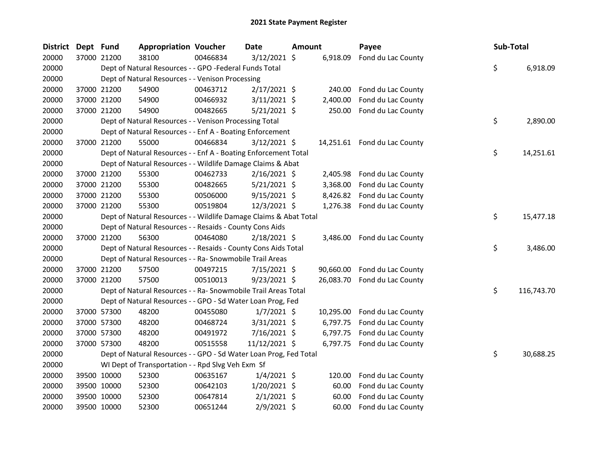| <b>District</b> | Dept Fund |             | <b>Appropriation Voucher</b>                                      |          | Date           | Amount |           | Payee                        | Sub-Total |            |
|-----------------|-----------|-------------|-------------------------------------------------------------------|----------|----------------|--------|-----------|------------------------------|-----------|------------|
| 20000           |           | 37000 21200 | 38100                                                             | 00466834 | $3/12/2021$ \$ |        | 6,918.09  | Fond du Lac County           |           |            |
| 20000           |           |             | Dept of Natural Resources - - GPO -Federal Funds Total            |          |                |        |           |                              | \$        | 6,918.09   |
| 20000           |           |             | Dept of Natural Resources - - Venison Processing                  |          |                |        |           |                              |           |            |
| 20000           |           | 37000 21200 | 54900                                                             | 00463712 | $2/17/2021$ \$ |        | 240.00    | Fond du Lac County           |           |            |
| 20000           |           | 37000 21200 | 54900                                                             | 00466932 | $3/11/2021$ \$ |        | 2,400.00  | Fond du Lac County           |           |            |
| 20000           |           | 37000 21200 | 54900                                                             | 00482665 | $5/21/2021$ \$ |        | 250.00    | Fond du Lac County           |           |            |
| 20000           |           |             | Dept of Natural Resources - - Venison Processing Total            |          |                |        |           |                              | \$        | 2,890.00   |
| 20000           |           |             | Dept of Natural Resources - - Enf A - Boating Enforcement         |          |                |        |           |                              |           |            |
| 20000           |           | 37000 21200 | 55000                                                             | 00466834 | $3/12/2021$ \$ |        |           | 14,251.61 Fond du Lac County |           |            |
| 20000           |           |             | Dept of Natural Resources - - Enf A - Boating Enforcement Total   |          |                |        |           |                              | \$        | 14,251.61  |
| 20000           |           |             | Dept of Natural Resources - - Wildlife Damage Claims & Abat       |          |                |        |           |                              |           |            |
| 20000           |           | 37000 21200 | 55300                                                             | 00462733 | $2/16/2021$ \$ |        | 2,405.98  | Fond du Lac County           |           |            |
| 20000           |           | 37000 21200 | 55300                                                             | 00482665 | 5/21/2021 \$   |        | 3,368.00  | Fond du Lac County           |           |            |
| 20000           |           | 37000 21200 | 55300                                                             | 00506000 | $9/15/2021$ \$ |        | 8,426.82  | Fond du Lac County           |           |            |
| 20000           |           | 37000 21200 | 55300                                                             | 00519804 | 12/3/2021 \$   |        | 1,276.38  | Fond du Lac County           |           |            |
| 20000           |           |             | Dept of Natural Resources - - Wildlife Damage Claims & Abat Total |          |                |        |           |                              | \$        | 15,477.18  |
| 20000           |           |             | Dept of Natural Resources - - Resaids - County Cons Aids          |          |                |        |           |                              |           |            |
| 20000           |           | 37000 21200 | 56300                                                             | 00464080 | $2/18/2021$ \$ |        |           | 3,486.00 Fond du Lac County  |           |            |
| 20000           |           |             | Dept of Natural Resources - - Resaids - County Cons Aids Total    |          |                |        |           |                              | \$        | 3,486.00   |
| 20000           |           |             | Dept of Natural Resources - - Ra- Snowmobile Trail Areas          |          |                |        |           |                              |           |            |
| 20000           |           | 37000 21200 | 57500                                                             | 00497215 | $7/15/2021$ \$ |        | 90,660.00 | Fond du Lac County           |           |            |
| 20000           |           | 37000 21200 | 57500                                                             | 00510013 | 9/23/2021 \$   |        | 26,083.70 | Fond du Lac County           |           |            |
| 20000           |           |             | Dept of Natural Resources - - Ra- Snowmobile Trail Areas Total    |          |                |        |           |                              | \$        | 116,743.70 |
| 20000           |           |             | Dept of Natural Resources - - GPO - Sd Water Loan Prog, Fed       |          |                |        |           |                              |           |            |
| 20000           |           | 37000 57300 | 48200                                                             | 00455080 | $1/7/2021$ \$  |        | 10,295.00 | Fond du Lac County           |           |            |
| 20000           |           | 37000 57300 | 48200                                                             | 00468724 | $3/31/2021$ \$ |        | 6,797.75  | Fond du Lac County           |           |            |
| 20000           |           | 37000 57300 | 48200                                                             | 00491972 | 7/16/2021 \$   |        | 6,797.75  | Fond du Lac County           |           |            |
| 20000           |           | 37000 57300 | 48200                                                             | 00515558 | 11/12/2021 \$  |        | 6,797.75  | Fond du Lac County           |           |            |
| 20000           |           |             | Dept of Natural Resources - - GPO - Sd Water Loan Prog, Fed Total |          |                |        |           |                              | \$        | 30,688.25  |
| 20000           |           |             | WI Dept of Transportation - - Rpd Slvg Veh Exm Sf                 |          |                |        |           |                              |           |            |
| 20000           |           | 39500 10000 | 52300                                                             | 00635167 | $1/4/2021$ \$  |        | 120.00    | Fond du Lac County           |           |            |
| 20000           |           | 39500 10000 | 52300                                                             | 00642103 | $1/20/2021$ \$ |        | 60.00     | Fond du Lac County           |           |            |
| 20000           |           | 39500 10000 | 52300                                                             | 00647814 | $2/1/2021$ \$  |        | 60.00     | Fond du Lac County           |           |            |
| 20000           |           | 39500 10000 | 52300                                                             | 00651244 | 2/9/2021 \$    |        | 60.00     | Fond du Lac County           |           |            |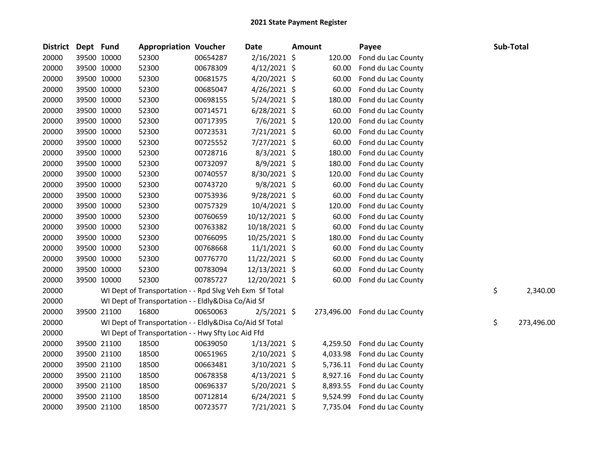| <b>District</b> | Dept Fund |             | <b>Appropriation Voucher</b>                             |          | <b>Date</b>    | <b>Amount</b> |            | Payee              | Sub-Total |            |
|-----------------|-----------|-------------|----------------------------------------------------------|----------|----------------|---------------|------------|--------------------|-----------|------------|
| 20000           |           | 39500 10000 | 52300                                                    | 00654287 | 2/16/2021 \$   |               | 120.00     | Fond du Lac County |           |            |
| 20000           |           | 39500 10000 | 52300                                                    | 00678309 | $4/12/2021$ \$ |               | 60.00      | Fond du Lac County |           |            |
| 20000           |           | 39500 10000 | 52300                                                    | 00681575 | $4/20/2021$ \$ |               | 60.00      | Fond du Lac County |           |            |
| 20000           |           | 39500 10000 | 52300                                                    | 00685047 | $4/26/2021$ \$ |               | 60.00      | Fond du Lac County |           |            |
| 20000           |           | 39500 10000 | 52300                                                    | 00698155 | $5/24/2021$ \$ |               | 180.00     | Fond du Lac County |           |            |
| 20000           |           | 39500 10000 | 52300                                                    | 00714571 | $6/28/2021$ \$ |               | 60.00      | Fond du Lac County |           |            |
| 20000           |           | 39500 10000 | 52300                                                    | 00717395 | 7/6/2021 \$    |               | 120.00     | Fond du Lac County |           |            |
| 20000           |           | 39500 10000 | 52300                                                    | 00723531 | 7/21/2021 \$   |               | 60.00      | Fond du Lac County |           |            |
| 20000           |           | 39500 10000 | 52300                                                    | 00725552 | 7/27/2021 \$   |               | 60.00      | Fond du Lac County |           |            |
| 20000           |           | 39500 10000 | 52300                                                    | 00728716 | $8/3/2021$ \$  |               | 180.00     | Fond du Lac County |           |            |
| 20000           |           | 39500 10000 | 52300                                                    | 00732097 | 8/9/2021 \$    |               | 180.00     | Fond du Lac County |           |            |
| 20000           |           | 39500 10000 | 52300                                                    | 00740557 | 8/30/2021 \$   |               | 120.00     | Fond du Lac County |           |            |
| 20000           |           | 39500 10000 | 52300                                                    | 00743720 | 9/8/2021 \$    |               | 60.00      | Fond du Lac County |           |            |
| 20000           |           | 39500 10000 | 52300                                                    | 00753936 | 9/28/2021 \$   |               | 60.00      | Fond du Lac County |           |            |
| 20000           |           | 39500 10000 | 52300                                                    | 00757329 | 10/4/2021 \$   |               | 120.00     | Fond du Lac County |           |            |
| 20000           |           | 39500 10000 | 52300                                                    | 00760659 | 10/12/2021 \$  |               | 60.00      | Fond du Lac County |           |            |
| 20000           |           | 39500 10000 | 52300                                                    | 00763382 | 10/18/2021 \$  |               | 60.00      | Fond du Lac County |           |            |
| 20000           |           | 39500 10000 | 52300                                                    | 00766095 | 10/25/2021 \$  |               | 180.00     | Fond du Lac County |           |            |
| 20000           |           | 39500 10000 | 52300                                                    | 00768668 | $11/1/2021$ \$ |               | 60.00      | Fond du Lac County |           |            |
| 20000           |           | 39500 10000 | 52300                                                    | 00776770 | 11/22/2021 \$  |               | 60.00      | Fond du Lac County |           |            |
| 20000           |           | 39500 10000 | 52300                                                    | 00783094 | 12/13/2021 \$  |               | 60.00      | Fond du Lac County |           |            |
| 20000           |           | 39500 10000 | 52300                                                    | 00785727 | 12/20/2021 \$  |               | 60.00      | Fond du Lac County |           |            |
| 20000           |           |             | WI Dept of Transportation - - Rpd Slvg Veh Exm Sf Total  |          |                |               |            |                    | \$        | 2,340.00   |
| 20000           |           |             | WI Dept of Transportation - - Eldly&Disa Co/Aid Sf       |          |                |               |            |                    |           |            |
| 20000           |           | 39500 21100 | 16800                                                    | 00650063 | $2/5/2021$ \$  |               | 273,496.00 | Fond du Lac County |           |            |
| 20000           |           |             | WI Dept of Transportation - - Eldly&Disa Co/Aid Sf Total |          |                |               |            |                    | \$        | 273,496.00 |
| 20000           |           |             | WI Dept of Transportation - - Hwy Sfty Loc Aid Ffd       |          |                |               |            |                    |           |            |
| 20000           |           | 39500 21100 | 18500                                                    | 00639050 | $1/13/2021$ \$ |               | 4,259.50   | Fond du Lac County |           |            |
| 20000           |           | 39500 21100 | 18500                                                    | 00651965 | $2/10/2021$ \$ |               | 4,033.98   | Fond du Lac County |           |            |
| 20000           |           | 39500 21100 | 18500                                                    | 00663481 | 3/10/2021 \$   |               | 5,736.11   | Fond du Lac County |           |            |
| 20000           |           | 39500 21100 | 18500                                                    | 00678358 | $4/13/2021$ \$ |               | 8,927.16   | Fond du Lac County |           |            |
| 20000           |           | 39500 21100 | 18500                                                    | 00696337 | 5/20/2021 \$   |               | 8,893.55   | Fond du Lac County |           |            |
| 20000           |           | 39500 21100 | 18500                                                    | 00712814 | $6/24/2021$ \$ |               | 9,524.99   | Fond du Lac County |           |            |
| 20000           |           | 39500 21100 | 18500                                                    | 00723577 | 7/21/2021 \$   |               | 7,735.04   | Fond du Lac County |           |            |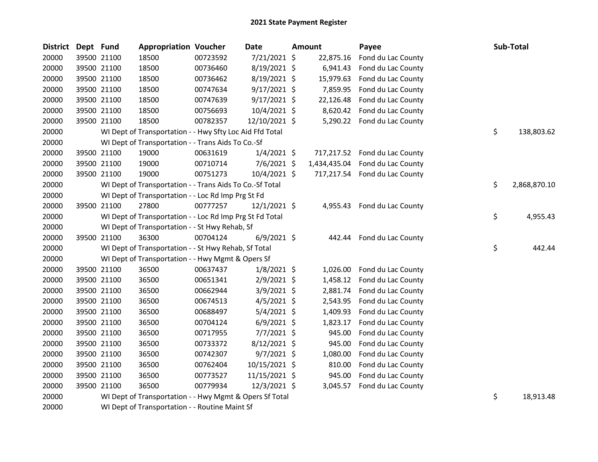| <b>District</b> | Dept Fund   |             | <b>Appropriation Voucher</b>                             |          | <b>Date</b>    | <b>Amount</b> | Payee                         | Sub-Total          |
|-----------------|-------------|-------------|----------------------------------------------------------|----------|----------------|---------------|-------------------------------|--------------------|
| 20000           |             | 39500 21100 | 18500                                                    | 00723592 | 7/21/2021 \$   | 22,875.16     | Fond du Lac County            |                    |
| 20000           |             | 39500 21100 | 18500                                                    | 00736460 | 8/19/2021 \$   | 6,941.43      | Fond du Lac County            |                    |
| 20000           |             | 39500 21100 | 18500                                                    | 00736462 | 8/19/2021 \$   | 15,979.63     | Fond du Lac County            |                    |
| 20000           |             | 39500 21100 | 18500                                                    | 00747634 | $9/17/2021$ \$ | 7,859.95      | Fond du Lac County            |                    |
| 20000           |             | 39500 21100 | 18500                                                    | 00747639 | $9/17/2021$ \$ | 22,126.48     | Fond du Lac County            |                    |
| 20000           |             | 39500 21100 | 18500                                                    | 00756693 | 10/4/2021 \$   | 8,620.42      | Fond du Lac County            |                    |
| 20000           | 39500 21100 |             | 18500                                                    | 00782357 | 12/10/2021 \$  |               | 5,290.22 Fond du Lac County   |                    |
| 20000           |             |             | WI Dept of Transportation - - Hwy Sfty Loc Aid Ffd Total |          |                |               |                               | \$<br>138,803.62   |
| 20000           |             |             | WI Dept of Transportation - - Trans Aids To Co.-Sf       |          |                |               |                               |                    |
| 20000           |             | 39500 21100 | 19000                                                    | 00631619 | $1/4/2021$ \$  |               | 717,217.52 Fond du Lac County |                    |
| 20000           |             | 39500 21100 | 19000                                                    | 00710714 | $7/6/2021$ \$  | 1,434,435.04  | Fond du Lac County            |                    |
| 20000           |             | 39500 21100 | 19000                                                    | 00751273 | 10/4/2021 \$   |               | 717,217.54 Fond du Lac County |                    |
| 20000           |             |             | WI Dept of Transportation - - Trans Aids To Co.-Sf Total |          |                |               |                               | \$<br>2,868,870.10 |
| 20000           |             |             | WI Dept of Transportation - - Loc Rd Imp Prg St Fd       |          |                |               |                               |                    |
| 20000           |             | 39500 21100 | 27800                                                    | 00777257 | $12/1/2021$ \$ |               | 4,955.43 Fond du Lac County   |                    |
| 20000           |             |             | WI Dept of Transportation - - Loc Rd Imp Prg St Fd Total |          |                |               |                               | \$<br>4,955.43     |
| 20000           |             |             | WI Dept of Transportation - - St Hwy Rehab, Sf           |          |                |               |                               |                    |
| 20000           | 39500 21100 |             | 36300                                                    | 00704124 | $6/9/2021$ \$  | 442.44        | Fond du Lac County            |                    |
| 20000           |             |             | WI Dept of Transportation - - St Hwy Rehab, Sf Total     |          |                |               |                               | \$<br>442.44       |
| 20000           |             |             | WI Dept of Transportation - - Hwy Mgmt & Opers Sf        |          |                |               |                               |                    |
| 20000           |             | 39500 21100 | 36500                                                    | 00637437 | $1/8/2021$ \$  | 1,026.00      | Fond du Lac County            |                    |
| 20000           |             | 39500 21100 | 36500                                                    | 00651341 | $2/9/2021$ \$  | 1,458.12      | Fond du Lac County            |                    |
| 20000           |             | 39500 21100 | 36500                                                    | 00662944 | $3/9/2021$ \$  | 2,881.74      | Fond du Lac County            |                    |
| 20000           |             | 39500 21100 | 36500                                                    | 00674513 | $4/5/2021$ \$  | 2,543.95      | Fond du Lac County            |                    |
| 20000           |             | 39500 21100 | 36500                                                    | 00688497 | 5/4/2021 \$    | 1,409.93      | Fond du Lac County            |                    |
| 20000           |             | 39500 21100 | 36500                                                    | 00704124 | $6/9/2021$ \$  | 1,823.17      | Fond du Lac County            |                    |
| 20000           |             | 39500 21100 | 36500                                                    | 00717955 | $7/7/2021$ \$  | 945.00        | Fond du Lac County            |                    |
| 20000           |             | 39500 21100 | 36500                                                    | 00733372 | 8/12/2021 \$   | 945.00        | Fond du Lac County            |                    |
| 20000           |             | 39500 21100 | 36500                                                    | 00742307 | 9/7/2021 \$    | 1,080.00      | Fond du Lac County            |                    |
| 20000           |             | 39500 21100 | 36500                                                    | 00762404 | 10/15/2021 \$  | 810.00        | Fond du Lac County            |                    |
| 20000           |             | 39500 21100 | 36500                                                    | 00773527 | 11/15/2021 \$  | 945.00        | Fond du Lac County            |                    |
| 20000           |             | 39500 21100 | 36500                                                    | 00779934 | 12/3/2021 \$   | 3,045.57      | Fond du Lac County            |                    |
| 20000           |             |             | WI Dept of Transportation - - Hwy Mgmt & Opers Sf Total  |          |                |               |                               | \$<br>18,913.48    |

WI Dept of Transportation - - Routine Maint Sf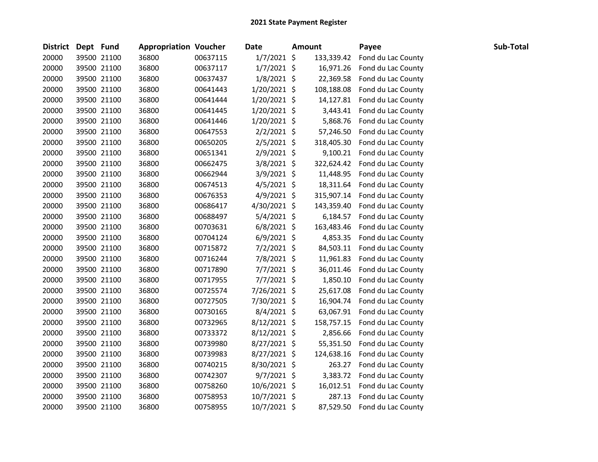| <b>District</b> | Dept Fund |             | <b>Appropriation Voucher</b> |          | <b>Date</b>    | <b>Amount</b> |            | Payee              | Sub-Total |
|-----------------|-----------|-------------|------------------------------|----------|----------------|---------------|------------|--------------------|-----------|
| 20000           |           | 39500 21100 | 36800                        | 00637115 | $1/7/2021$ \$  |               | 133,339.42 | Fond du Lac County |           |
| 20000           |           | 39500 21100 | 36800                        | 00637117 | $1/7/2021$ \$  |               | 16,971.26  | Fond du Lac County |           |
| 20000           |           | 39500 21100 | 36800                        | 00637437 | $1/8/2021$ \$  |               | 22,369.58  | Fond du Lac County |           |
| 20000           |           | 39500 21100 | 36800                        | 00641443 | $1/20/2021$ \$ |               | 108,188.08 | Fond du Lac County |           |
| 20000           |           | 39500 21100 | 36800                        | 00641444 | $1/20/2021$ \$ |               | 14,127.81  | Fond du Lac County |           |
| 20000           |           | 39500 21100 | 36800                        | 00641445 | $1/20/2021$ \$ |               | 3,443.41   | Fond du Lac County |           |
| 20000           |           | 39500 21100 | 36800                        | 00641446 | $1/20/2021$ \$ |               | 5,868.76   | Fond du Lac County |           |
| 20000           |           | 39500 21100 | 36800                        | 00647553 | $2/2/2021$ \$  |               | 57,246.50  | Fond du Lac County |           |
| 20000           |           | 39500 21100 | 36800                        | 00650205 | 2/5/2021 \$    |               | 318,405.30 | Fond du Lac County |           |
| 20000           |           | 39500 21100 | 36800                        | 00651341 | 2/9/2021 \$    |               | 9,100.21   | Fond du Lac County |           |
| 20000           |           | 39500 21100 | 36800                        | 00662475 | 3/8/2021 \$    |               | 322,624.42 | Fond du Lac County |           |
| 20000           |           | 39500 21100 | 36800                        | 00662944 | 3/9/2021 \$    |               | 11,448.95  | Fond du Lac County |           |
| 20000           |           | 39500 21100 | 36800                        | 00674513 | $4/5/2021$ \$  |               | 18,311.64  | Fond du Lac County |           |
| 20000           |           | 39500 21100 | 36800                        | 00676353 | $4/9/2021$ \$  |               | 315,907.14 | Fond du Lac County |           |
| 20000           |           | 39500 21100 | 36800                        | 00686417 | 4/30/2021 \$   |               | 143,359.40 | Fond du Lac County |           |
| 20000           |           | 39500 21100 | 36800                        | 00688497 | 5/4/2021 \$    |               | 6,184.57   | Fond du Lac County |           |
| 20000           |           | 39500 21100 | 36800                        | 00703631 | $6/8/2021$ \$  |               | 163,483.46 | Fond du Lac County |           |
| 20000           |           | 39500 21100 | 36800                        | 00704124 | $6/9/2021$ \$  |               | 4,853.35   | Fond du Lac County |           |
| 20000           |           | 39500 21100 | 36800                        | 00715872 | $7/2/2021$ \$  |               | 84,503.11  | Fond du Lac County |           |
| 20000           |           | 39500 21100 | 36800                        | 00716244 | 7/8/2021 \$    |               | 11,961.83  | Fond du Lac County |           |
| 20000           |           | 39500 21100 | 36800                        | 00717890 | $7/7/2021$ \$  |               | 36,011.46  | Fond du Lac County |           |
| 20000           |           | 39500 21100 | 36800                        | 00717955 | $7/7/2021$ \$  |               | 1,850.10   | Fond du Lac County |           |
| 20000           |           | 39500 21100 | 36800                        | 00725574 | 7/26/2021 \$   |               | 25,617.08  | Fond du Lac County |           |
| 20000           |           | 39500 21100 | 36800                        | 00727505 | 7/30/2021 \$   |               | 16,904.74  | Fond du Lac County |           |
| 20000           |           | 39500 21100 | 36800                        | 00730165 | 8/4/2021 \$    |               | 63,067.91  | Fond du Lac County |           |
| 20000           |           | 39500 21100 | 36800                        | 00732965 | $8/12/2021$ \$ |               | 158,757.15 | Fond du Lac County |           |
| 20000           |           | 39500 21100 | 36800                        | 00733372 | 8/12/2021 \$   |               | 2,856.66   | Fond du Lac County |           |
| 20000           |           | 39500 21100 | 36800                        | 00739980 | 8/27/2021 \$   |               | 55,351.50  | Fond du Lac County |           |
| 20000           |           | 39500 21100 | 36800                        | 00739983 | $8/27/2021$ \$ |               | 124,638.16 | Fond du Lac County |           |
| 20000           |           | 39500 21100 | 36800                        | 00740215 | 8/30/2021 \$   |               | 263.27     | Fond du Lac County |           |
| 20000           |           | 39500 21100 | 36800                        | 00742307 | $9/7/2021$ \$  |               | 3,383.72   | Fond du Lac County |           |
| 20000           |           | 39500 21100 | 36800                        | 00758260 | 10/6/2021 \$   |               | 16,012.51  | Fond du Lac County |           |
| 20000           |           | 39500 21100 | 36800                        | 00758953 | 10/7/2021 \$   |               | 287.13     | Fond du Lac County |           |
| 20000           |           | 39500 21100 | 36800                        | 00758955 | 10/7/2021 \$   |               | 87,529.50  | Fond du Lac County |           |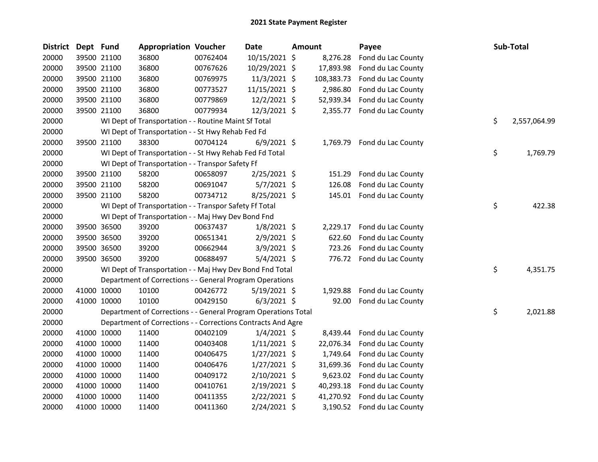| <b>District</b> | Dept Fund   |             | <b>Appropriation Voucher</b>                                   |          | Date           | Amount |            | Payee                        | Sub-Total          |
|-----------------|-------------|-------------|----------------------------------------------------------------|----------|----------------|--------|------------|------------------------------|--------------------|
| 20000           |             | 39500 21100 | 36800                                                          | 00762404 | 10/15/2021 \$  |        | 8,276.28   | Fond du Lac County           |                    |
| 20000           |             | 39500 21100 | 36800                                                          | 00767626 | 10/29/2021 \$  |        | 17,893.98  | Fond du Lac County           |                    |
| 20000           |             | 39500 21100 | 36800                                                          | 00769975 | 11/3/2021 \$   |        | 108,383.73 | Fond du Lac County           |                    |
| 20000           |             | 39500 21100 | 36800                                                          | 00773527 | 11/15/2021 \$  |        | 2,986.80   | Fond du Lac County           |                    |
| 20000           |             | 39500 21100 | 36800                                                          | 00779869 | 12/2/2021 \$   |        | 52,939.34  | Fond du Lac County           |                    |
| 20000           |             | 39500 21100 | 36800                                                          | 00779934 | 12/3/2021 \$   |        | 2,355.77   | Fond du Lac County           |                    |
| 20000           |             |             | WI Dept of Transportation - - Routine Maint Sf Total           |          |                |        |            |                              | \$<br>2,557,064.99 |
| 20000           |             |             | WI Dept of Transportation - - St Hwy Rehab Fed Fd              |          |                |        |            |                              |                    |
| 20000           |             | 39500 21100 | 38300                                                          | 00704124 | $6/9/2021$ \$  |        |            | 1,769.79 Fond du Lac County  |                    |
| 20000           |             |             | WI Dept of Transportation - - St Hwy Rehab Fed Fd Total        |          |                |        |            |                              | \$<br>1,769.79     |
| 20000           |             |             | WI Dept of Transportation - - Transpor Safety Ff               |          |                |        |            |                              |                    |
| 20000           |             | 39500 21100 | 58200                                                          | 00658097 | $2/25/2021$ \$ |        | 151.29     | Fond du Lac County           |                    |
| 20000           |             | 39500 21100 | 58200                                                          | 00691047 | $5/7/2021$ \$  |        | 126.08     | Fond du Lac County           |                    |
| 20000           |             | 39500 21100 | 58200                                                          | 00734712 | 8/25/2021 \$   |        |            | 145.01 Fond du Lac County    |                    |
| 20000           |             |             | WI Dept of Transportation - - Transpor Safety Ff Total         |          |                |        |            |                              | \$<br>422.38       |
| 20000           |             |             | WI Dept of Transportation - - Maj Hwy Dev Bond Fnd             |          |                |        |            |                              |                    |
| 20000           |             | 39500 36500 | 39200                                                          | 00637437 | $1/8/2021$ \$  |        | 2,229.17   | Fond du Lac County           |                    |
| 20000           |             | 39500 36500 | 39200                                                          | 00651341 | $2/9/2021$ \$  |        | 622.60     | Fond du Lac County           |                    |
| 20000           |             | 39500 36500 | 39200                                                          | 00662944 | $3/9/2021$ \$  |        | 723.26     | Fond du Lac County           |                    |
| 20000           |             | 39500 36500 | 39200                                                          | 00688497 | $5/4/2021$ \$  |        |            | 776.72 Fond du Lac County    |                    |
| 20000           |             |             | WI Dept of Transportation - - Maj Hwy Dev Bond Fnd Total       |          |                |        |            |                              | \$<br>4,351.75     |
| 20000           |             |             | Department of Corrections - - General Program Operations       |          |                |        |            |                              |                    |
| 20000           |             | 41000 10000 | 10100                                                          | 00426772 | $5/19/2021$ \$ |        | 1,929.88   | Fond du Lac County           |                    |
| 20000           |             | 41000 10000 | 10100                                                          | 00429150 | $6/3/2021$ \$  |        | 92.00      | Fond du Lac County           |                    |
| 20000           |             |             | Department of Corrections - - General Program Operations Total |          |                |        |            |                              | \$<br>2,021.88     |
| 20000           |             |             | Department of Corrections - - Corrections Contracts And Agre   |          |                |        |            |                              |                    |
| 20000           |             | 41000 10000 | 11400                                                          | 00402109 | $1/4/2021$ \$  |        | 8,439.44   | Fond du Lac County           |                    |
| 20000           |             | 41000 10000 | 11400                                                          | 00403408 | $1/11/2021$ \$ |        | 22,076.34  | Fond du Lac County           |                    |
| 20000           |             | 41000 10000 | 11400                                                          | 00406475 | $1/27/2021$ \$ |        | 1,749.64   | Fond du Lac County           |                    |
| 20000           |             | 41000 10000 | 11400                                                          | 00406476 | $1/27/2021$ \$ |        | 31,699.36  | Fond du Lac County           |                    |
| 20000           |             | 41000 10000 | 11400                                                          | 00409172 | 2/10/2021 \$   |        | 9,623.02   | Fond du Lac County           |                    |
| 20000           | 41000 10000 |             | 11400                                                          | 00410761 | $2/19/2021$ \$ |        | 40,293.18  | Fond du Lac County           |                    |
| 20000           | 41000 10000 |             | 11400                                                          | 00411355 | $2/22/2021$ \$ |        |            | 41,270.92 Fond du Lac County |                    |
| 20000           |             | 41000 10000 | 11400                                                          | 00411360 | 2/24/2021 \$   |        |            | 3,190.52 Fond du Lac County  |                    |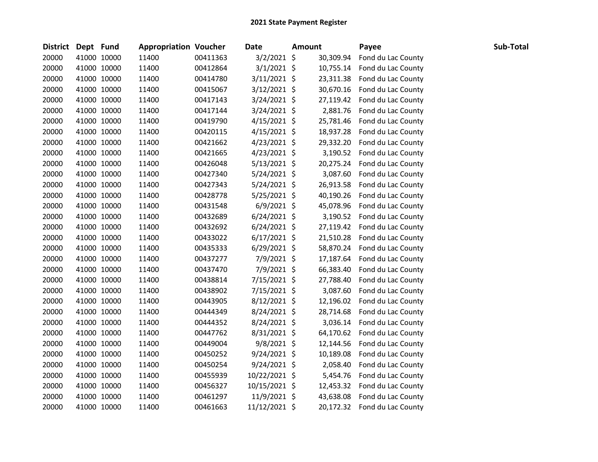| <b>District</b> | Dept Fund |             | <b>Appropriation Voucher</b> |          | <b>Date</b>    | <b>Amount</b> |           | Payee              | Sub-Total |
|-----------------|-----------|-------------|------------------------------|----------|----------------|---------------|-----------|--------------------|-----------|
| 20000           |           | 41000 10000 | 11400                        | 00411363 | $3/2/2021$ \$  |               | 30,309.94 | Fond du Lac County |           |
| 20000           |           | 41000 10000 | 11400                        | 00412864 | $3/1/2021$ \$  |               | 10,755.14 | Fond du Lac County |           |
| 20000           |           | 41000 10000 | 11400                        | 00414780 | 3/11/2021 \$   |               | 23,311.38 | Fond du Lac County |           |
| 20000           |           | 41000 10000 | 11400                        | 00415067 | 3/12/2021 \$   |               | 30,670.16 | Fond du Lac County |           |
| 20000           |           | 41000 10000 | 11400                        | 00417143 | 3/24/2021 \$   |               | 27,119.42 | Fond du Lac County |           |
| 20000           |           | 41000 10000 | 11400                        | 00417144 | 3/24/2021 \$   |               | 2,881.76  | Fond du Lac County |           |
| 20000           |           | 41000 10000 | 11400                        | 00419790 | $4/15/2021$ \$ |               | 25,781.46 | Fond du Lac County |           |
| 20000           |           | 41000 10000 | 11400                        | 00420115 | $4/15/2021$ \$ |               | 18,937.28 | Fond du Lac County |           |
| 20000           |           | 41000 10000 | 11400                        | 00421662 | $4/23/2021$ \$ |               | 29,332.20 | Fond du Lac County |           |
| 20000           |           | 41000 10000 | 11400                        | 00421665 | $4/23/2021$ \$ |               | 3,190.52  | Fond du Lac County |           |
| 20000           |           | 41000 10000 | 11400                        | 00426048 | $5/13/2021$ \$ |               | 20,275.24 | Fond du Lac County |           |
| 20000           |           | 41000 10000 | 11400                        | 00427340 | $5/24/2021$ \$ |               | 3,087.60  | Fond du Lac County |           |
| 20000           |           | 41000 10000 | 11400                        | 00427343 | $5/24/2021$ \$ |               | 26,913.58 | Fond du Lac County |           |
| 20000           |           | 41000 10000 | 11400                        | 00428778 | $5/25/2021$ \$ |               | 40,190.26 | Fond du Lac County |           |
| 20000           |           | 41000 10000 | 11400                        | 00431548 | $6/9/2021$ \$  |               | 45,078.96 | Fond du Lac County |           |
| 20000           |           | 41000 10000 | 11400                        | 00432689 | $6/24/2021$ \$ |               | 3,190.52  | Fond du Lac County |           |
| 20000           |           | 41000 10000 | 11400                        | 00432692 | $6/24/2021$ \$ |               | 27,119.42 | Fond du Lac County |           |
| 20000           |           | 41000 10000 | 11400                        | 00433022 | $6/17/2021$ \$ |               | 21,510.28 | Fond du Lac County |           |
| 20000           |           | 41000 10000 | 11400                        | 00435333 | $6/29/2021$ \$ |               | 58,870.24 | Fond du Lac County |           |
| 20000           |           | 41000 10000 | 11400                        | 00437277 | 7/9/2021 \$    |               | 17,187.64 | Fond du Lac County |           |
| 20000           |           | 41000 10000 | 11400                        | 00437470 | 7/9/2021 \$    |               | 66,383.40 | Fond du Lac County |           |
| 20000           |           | 41000 10000 | 11400                        | 00438814 | 7/15/2021 \$   |               | 27,788.40 | Fond du Lac County |           |
| 20000           |           | 41000 10000 | 11400                        | 00438902 | 7/15/2021 \$   |               | 3,087.60  | Fond du Lac County |           |
| 20000           |           | 41000 10000 | 11400                        | 00443905 | $8/12/2021$ \$ |               | 12,196.02 | Fond du Lac County |           |
| 20000           |           | 41000 10000 | 11400                        | 00444349 | $8/24/2021$ \$ |               | 28,714.68 | Fond du Lac County |           |
| 20000           |           | 41000 10000 | 11400                        | 00444352 | 8/24/2021 \$   |               | 3,036.14  | Fond du Lac County |           |
| 20000           |           | 41000 10000 | 11400                        | 00447762 | 8/31/2021 \$   |               | 64,170.62 | Fond du Lac County |           |
| 20000           |           | 41000 10000 | 11400                        | 00449004 | 9/8/2021 \$    |               | 12,144.56 | Fond du Lac County |           |
| 20000           |           | 41000 10000 | 11400                        | 00450252 | $9/24/2021$ \$ |               | 10,189.08 | Fond du Lac County |           |
| 20000           |           | 41000 10000 | 11400                        | 00450254 | $9/24/2021$ \$ |               | 2,058.40  | Fond du Lac County |           |
| 20000           |           | 41000 10000 | 11400                        | 00455939 | 10/22/2021 \$  |               | 5,454.76  | Fond du Lac County |           |
| 20000           |           | 41000 10000 | 11400                        | 00456327 | 10/15/2021 \$  |               | 12,453.32 | Fond du Lac County |           |
| 20000           |           | 41000 10000 | 11400                        | 00461297 | 11/9/2021 \$   |               | 43,638.08 | Fond du Lac County |           |
| 20000           |           | 41000 10000 | 11400                        | 00461663 | 11/12/2021 \$  |               | 20,172.32 | Fond du Lac County |           |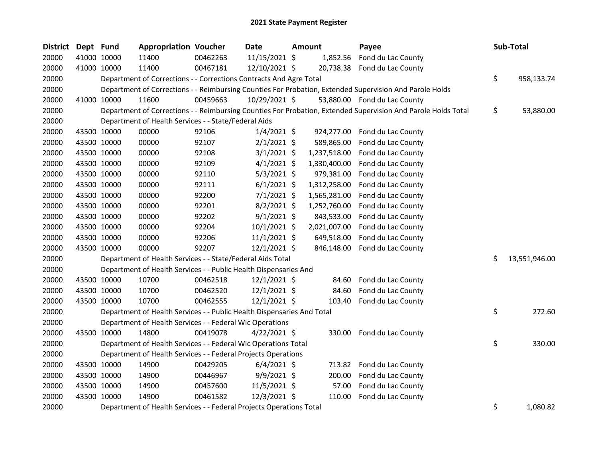| <b>District</b> | Dept Fund |             | <b>Appropriation Voucher</b>                                           |          | <b>Date</b>    | Amount       | Payee                                                                                                         |     | Sub-Total     |
|-----------------|-----------|-------------|------------------------------------------------------------------------|----------|----------------|--------------|---------------------------------------------------------------------------------------------------------------|-----|---------------|
| 20000           |           | 41000 10000 | 11400                                                                  | 00462263 | 11/15/2021 \$  | 1,852.56     | Fond du Lac County                                                                                            |     |               |
| 20000           |           | 41000 10000 | 11400                                                                  | 00467181 | 12/10/2021 \$  |              | 20,738.38 Fond du Lac County                                                                                  |     |               |
| 20000           |           |             | Department of Corrections - - Corrections Contracts And Agre Total     |          |                |              |                                                                                                               | \$  | 958,133.74    |
| 20000           |           |             |                                                                        |          |                |              | Department of Corrections - - Reimbursing Counties For Probation, Extended Supervision And Parole Holds       |     |               |
| 20000           |           | 41000 10000 | 11600                                                                  | 00459663 | 10/29/2021 \$  |              | 53,880.00 Fond du Lac County                                                                                  |     |               |
| 20000           |           |             |                                                                        |          |                |              | Department of Corrections - - Reimbursing Counties For Probation, Extended Supervision And Parole Holds Total | \$  | 53,880.00     |
| 20000           |           |             | Department of Health Services - - State/Federal Aids                   |          |                |              |                                                                                                               |     |               |
| 20000           |           | 43500 10000 | 00000                                                                  | 92106    | $1/4/2021$ \$  | 924,277.00   | Fond du Lac County                                                                                            |     |               |
| 20000           |           | 43500 10000 | 00000                                                                  | 92107    | $2/1/2021$ \$  | 589,865.00   | Fond du Lac County                                                                                            |     |               |
| 20000           |           | 43500 10000 | 00000                                                                  | 92108    | $3/1/2021$ \$  | 1,237,518.00 | Fond du Lac County                                                                                            |     |               |
| 20000           |           | 43500 10000 | 00000                                                                  | 92109    | $4/1/2021$ \$  | 1,330,400.00 | Fond du Lac County                                                                                            |     |               |
| 20000           |           | 43500 10000 | 00000                                                                  | 92110    | $5/3/2021$ \$  | 979,381.00   | Fond du Lac County                                                                                            |     |               |
| 20000           |           | 43500 10000 | 00000                                                                  | 92111    | $6/1/2021$ \$  | 1,312,258.00 | Fond du Lac County                                                                                            |     |               |
| 20000           |           | 43500 10000 | 00000                                                                  | 92200    | $7/1/2021$ \$  | 1,565,281.00 | Fond du Lac County                                                                                            |     |               |
| 20000           |           | 43500 10000 | 00000                                                                  | 92201    | 8/2/2021 \$    | 1,252,760.00 | Fond du Lac County                                                                                            |     |               |
| 20000           |           | 43500 10000 | 00000                                                                  | 92202    | $9/1/2021$ \$  | 843,533.00   | Fond du Lac County                                                                                            |     |               |
| 20000           |           | 43500 10000 | 00000                                                                  | 92204    | $10/1/2021$ \$ | 2,021,007.00 | Fond du Lac County                                                                                            |     |               |
| 20000           |           | 43500 10000 | 00000                                                                  | 92206    | $11/1/2021$ \$ | 649,518.00   | Fond du Lac County                                                                                            |     |               |
| 20000           |           | 43500 10000 | 00000                                                                  | 92207    | 12/1/2021 \$   | 846,148.00   | Fond du Lac County                                                                                            |     |               |
| 20000           |           |             | Department of Health Services - - State/Federal Aids Total             |          |                |              |                                                                                                               | \$. | 13,551,946.00 |
| 20000           |           |             | Department of Health Services - - Public Health Dispensaries And       |          |                |              |                                                                                                               |     |               |
| 20000           |           | 43500 10000 | 10700                                                                  | 00462518 | $12/1/2021$ \$ | 84.60        | Fond du Lac County                                                                                            |     |               |
| 20000           |           | 43500 10000 | 10700                                                                  | 00462520 | $12/1/2021$ \$ | 84.60        | Fond du Lac County                                                                                            |     |               |
| 20000           |           | 43500 10000 | 10700                                                                  | 00462555 | $12/1/2021$ \$ | 103.40       | Fond du Lac County                                                                                            |     |               |
| 20000           |           |             | Department of Health Services - - Public Health Dispensaries And Total |          |                |              |                                                                                                               | \$  | 272.60        |
| 20000           |           |             | Department of Health Services - - Federal Wic Operations               |          |                |              |                                                                                                               |     |               |
| 20000           |           | 43500 10000 | 14800                                                                  | 00419078 | $4/22/2021$ \$ | 330.00       | Fond du Lac County                                                                                            |     |               |
| 20000           |           |             | Department of Health Services - - Federal Wic Operations Total         |          |                |              |                                                                                                               | \$  | 330.00        |
| 20000           |           |             | Department of Health Services - - Federal Projects Operations          |          |                |              |                                                                                                               |     |               |
| 20000           |           | 43500 10000 | 14900                                                                  | 00429205 | $6/4/2021$ \$  |              | 713.82 Fond du Lac County                                                                                     |     |               |
| 20000           |           | 43500 10000 | 14900                                                                  | 00446967 | $9/9/2021$ \$  | 200.00       | Fond du Lac County                                                                                            |     |               |
| 20000           |           | 43500 10000 | 14900                                                                  | 00457600 | 11/5/2021 \$   | 57.00        | Fond du Lac County                                                                                            |     |               |
| 20000           |           | 43500 10000 | 14900                                                                  | 00461582 | 12/3/2021 \$   | 110.00       | Fond du Lac County                                                                                            |     |               |
| 20000           |           |             | Department of Health Services - - Federal Projects Operations Total    |          |                |              |                                                                                                               | \$  | 1,080.82      |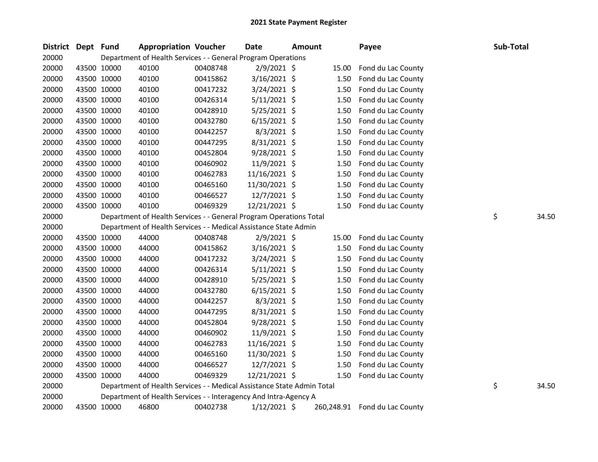| <b>District</b> | Dept Fund |             | <b>Appropriation Voucher</b>                                           |          | <b>Date</b>    | <b>Amount</b> |            | Payee              | Sub-Total |       |
|-----------------|-----------|-------------|------------------------------------------------------------------------|----------|----------------|---------------|------------|--------------------|-----------|-------|
| 20000           |           |             | Department of Health Services - - General Program Operations           |          |                |               |            |                    |           |       |
| 20000           |           | 43500 10000 | 40100                                                                  | 00408748 | $2/9/2021$ \$  |               | 15.00      | Fond du Lac County |           |       |
| 20000           |           | 43500 10000 | 40100                                                                  | 00415862 | 3/16/2021 \$   |               | 1.50       | Fond du Lac County |           |       |
| 20000           |           | 43500 10000 | 40100                                                                  | 00417232 | $3/24/2021$ \$ |               | 1.50       | Fond du Lac County |           |       |
| 20000           |           | 43500 10000 | 40100                                                                  | 00426314 | $5/11/2021$ \$ |               | 1.50       | Fond du Lac County |           |       |
| 20000           |           | 43500 10000 | 40100                                                                  | 00428910 | 5/25/2021 \$   |               | 1.50       | Fond du Lac County |           |       |
| 20000           |           | 43500 10000 | 40100                                                                  | 00432780 | $6/15/2021$ \$ |               | 1.50       | Fond du Lac County |           |       |
| 20000           |           | 43500 10000 | 40100                                                                  | 00442257 | 8/3/2021 \$    |               | 1.50       | Fond du Lac County |           |       |
| 20000           |           | 43500 10000 | 40100                                                                  | 00447295 | 8/31/2021 \$   |               | 1.50       | Fond du Lac County |           |       |
| 20000           |           | 43500 10000 | 40100                                                                  | 00452804 | $9/28/2021$ \$ |               | 1.50       | Fond du Lac County |           |       |
| 20000           |           | 43500 10000 | 40100                                                                  | 00460902 | 11/9/2021 \$   |               | 1.50       | Fond du Lac County |           |       |
| 20000           |           | 43500 10000 | 40100                                                                  | 00462783 | 11/16/2021 \$  |               | 1.50       | Fond du Lac County |           |       |
| 20000           |           | 43500 10000 | 40100                                                                  | 00465160 | 11/30/2021 \$  |               | 1.50       | Fond du Lac County |           |       |
| 20000           |           | 43500 10000 | 40100                                                                  | 00466527 | 12/7/2021 \$   |               | 1.50       | Fond du Lac County |           |       |
| 20000           |           | 43500 10000 | 40100                                                                  | 00469329 | 12/21/2021 \$  |               | 1.50       | Fond du Lac County |           |       |
| 20000           |           |             | Department of Health Services - - General Program Operations Total     |          |                |               |            |                    | \$        | 34.50 |
| 20000           |           |             | Department of Health Services - - Medical Assistance State Admin       |          |                |               |            |                    |           |       |
| 20000           |           | 43500 10000 | 44000                                                                  | 00408748 | $2/9/2021$ \$  |               | 15.00      | Fond du Lac County |           |       |
| 20000           |           | 43500 10000 | 44000                                                                  | 00415862 | $3/16/2021$ \$ |               | 1.50       | Fond du Lac County |           |       |
| 20000           |           | 43500 10000 | 44000                                                                  | 00417232 | $3/24/2021$ \$ |               | 1.50       | Fond du Lac County |           |       |
| 20000           |           | 43500 10000 | 44000                                                                  | 00426314 | $5/11/2021$ \$ |               | 1.50       | Fond du Lac County |           |       |
| 20000           |           | 43500 10000 | 44000                                                                  | 00428910 | 5/25/2021 \$   |               | 1.50       | Fond du Lac County |           |       |
| 20000           |           | 43500 10000 | 44000                                                                  | 00432780 | $6/15/2021$ \$ |               | 1.50       | Fond du Lac County |           |       |
| 20000           |           | 43500 10000 | 44000                                                                  | 00442257 | $8/3/2021$ \$  |               | 1.50       | Fond du Lac County |           |       |
| 20000           |           | 43500 10000 | 44000                                                                  | 00447295 | $8/31/2021$ \$ |               | 1.50       | Fond du Lac County |           |       |
| 20000           |           | 43500 10000 | 44000                                                                  | 00452804 | $9/28/2021$ \$ |               | 1.50       | Fond du Lac County |           |       |
| 20000           |           | 43500 10000 | 44000                                                                  | 00460902 | 11/9/2021 \$   |               | 1.50       | Fond du Lac County |           |       |
| 20000           |           | 43500 10000 | 44000                                                                  | 00462783 | 11/16/2021 \$  |               | 1.50       | Fond du Lac County |           |       |
| 20000           |           | 43500 10000 | 44000                                                                  | 00465160 | 11/30/2021 \$  |               | 1.50       | Fond du Lac County |           |       |
| 20000           |           | 43500 10000 | 44000                                                                  | 00466527 | 12/7/2021 \$   |               | 1.50       | Fond du Lac County |           |       |
| 20000           |           | 43500 10000 | 44000                                                                  | 00469329 | 12/21/2021 \$  |               | 1.50       | Fond du Lac County |           |       |
| 20000           |           |             | Department of Health Services - - Medical Assistance State Admin Total |          |                |               |            |                    | \$        | 34.50 |
| 20000           |           |             | Department of Health Services - - Interagency And Intra-Agency A       |          |                |               |            |                    |           |       |
| 20000           |           | 43500 10000 | 46800                                                                  | 00402738 | $1/12/2021$ \$ |               | 260,248.91 | Fond du Lac County |           |       |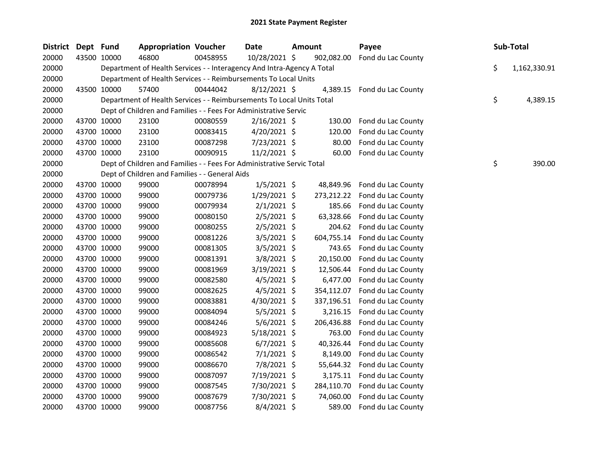| <b>District</b> | Dept Fund |             | <b>Appropriation Voucher</b>                                           |          | Date           | Amount |            | Payee                         | Sub-Total          |
|-----------------|-----------|-------------|------------------------------------------------------------------------|----------|----------------|--------|------------|-------------------------------|--------------------|
| 20000           |           | 43500 10000 | 46800                                                                  | 00458955 | 10/28/2021 \$  |        | 902,082.00 | Fond du Lac County            |                    |
| 20000           |           |             | Department of Health Services - - Interagency And Intra-Agency A Total |          |                |        |            |                               | \$<br>1,162,330.91 |
| 20000           |           |             | Department of Health Services - - Reimbursements To Local Units        |          |                |        |            |                               |                    |
| 20000           |           | 43500 10000 | 57400                                                                  | 00444042 | $8/12/2021$ \$ |        |            | 4,389.15 Fond du Lac County   |                    |
| 20000           |           |             | Department of Health Services - - Reimbursements To Local Units Total  |          |                |        |            |                               | \$<br>4,389.15     |
| 20000           |           |             | Dept of Children and Families - - Fees For Administrative Servic       |          |                |        |            |                               |                    |
| 20000           |           | 43700 10000 | 23100                                                                  | 00080559 | $2/16/2021$ \$ |        | 130.00     | Fond du Lac County            |                    |
| 20000           |           | 43700 10000 | 23100                                                                  | 00083415 | $4/20/2021$ \$ |        | 120.00     | Fond du Lac County            |                    |
| 20000           |           | 43700 10000 | 23100                                                                  | 00087298 | 7/23/2021 \$   |        | 80.00      | Fond du Lac County            |                    |
| 20000           |           | 43700 10000 | 23100                                                                  | 00090915 | $11/2/2021$ \$ |        | 60.00      | Fond du Lac County            |                    |
| 20000           |           |             | Dept of Children and Families - - Fees For Administrative Servic Total |          |                |        |            |                               | \$<br>390.00       |
| 20000           |           |             | Dept of Children and Families - - General Aids                         |          |                |        |            |                               |                    |
| 20000           |           | 43700 10000 | 99000                                                                  | 00078994 | $1/5/2021$ \$  |        | 48,849.96  | Fond du Lac County            |                    |
| 20000           |           | 43700 10000 | 99000                                                                  | 00079736 | 1/29/2021 \$   |        |            | 273,212.22 Fond du Lac County |                    |
| 20000           |           | 43700 10000 | 99000                                                                  | 00079934 | $2/1/2021$ \$  |        | 185.66     | Fond du Lac County            |                    |
| 20000           |           | 43700 10000 | 99000                                                                  | 00080150 | $2/5/2021$ \$  |        | 63,328.66  | Fond du Lac County            |                    |
| 20000           |           | 43700 10000 | 99000                                                                  | 00080255 | $2/5/2021$ \$  |        | 204.62     | Fond du Lac County            |                    |
| 20000           |           | 43700 10000 | 99000                                                                  | 00081226 | 3/5/2021 \$    |        | 604,755.14 | Fond du Lac County            |                    |
| 20000           |           | 43700 10000 | 99000                                                                  | 00081305 | $3/5/2021$ \$  |        | 743.65     | Fond du Lac County            |                    |
| 20000           |           | 43700 10000 | 99000                                                                  | 00081391 | $3/8/2021$ \$  |        |            | 20,150.00 Fond du Lac County  |                    |
| 20000           |           | 43700 10000 | 99000                                                                  | 00081969 | 3/19/2021 \$   |        | 12,506.44  | Fond du Lac County            |                    |
| 20000           |           | 43700 10000 | 99000                                                                  | 00082580 | $4/5/2021$ \$  |        | 6,477.00   | Fond du Lac County            |                    |
| 20000           |           | 43700 10000 | 99000                                                                  | 00082625 | $4/5/2021$ \$  |        | 354,112.07 | Fond du Lac County            |                    |
| 20000           |           | 43700 10000 | 99000                                                                  | 00083881 | $4/30/2021$ \$ |        | 337,196.51 | Fond du Lac County            |                    |
| 20000           |           | 43700 10000 | 99000                                                                  | 00084094 | $5/5/2021$ \$  |        | 3,216.15   | Fond du Lac County            |                    |
| 20000           |           | 43700 10000 | 99000                                                                  | 00084246 | $5/6/2021$ \$  |        | 206,436.88 | Fond du Lac County            |                    |
| 20000           |           | 43700 10000 | 99000                                                                  | 00084923 | 5/18/2021 \$   |        | 763.00     | Fond du Lac County            |                    |
| 20000           |           | 43700 10000 | 99000                                                                  | 00085608 | $6/7/2021$ \$  |        | 40,326.44  | Fond du Lac County            |                    |
| 20000           |           | 43700 10000 | 99000                                                                  | 00086542 | $7/1/2021$ \$  |        | 8,149.00   | Fond du Lac County            |                    |
| 20000           |           | 43700 10000 | 99000                                                                  | 00086670 | 7/8/2021 \$    |        | 55,644.32  | Fond du Lac County            |                    |
| 20000           |           | 43700 10000 | 99000                                                                  | 00087097 | 7/19/2021 \$   |        |            | 3,175.11 Fond du Lac County   |                    |
| 20000           |           | 43700 10000 | 99000                                                                  | 00087545 | 7/30/2021 \$   |        | 284,110.70 | Fond du Lac County            |                    |
| 20000           |           | 43700 10000 | 99000                                                                  | 00087679 | 7/30/2021 \$   |        | 74,060.00  | Fond du Lac County            |                    |
| 20000           |           | 43700 10000 | 99000                                                                  | 00087756 | 8/4/2021 \$    |        | 589.00     | Fond du Lac County            |                    |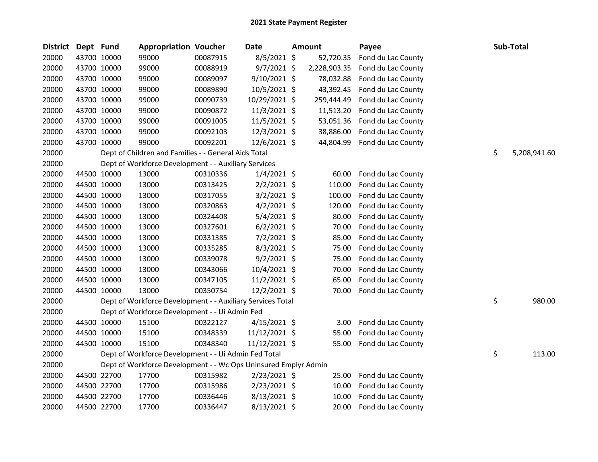| <b>District</b> | Dept Fund   |             | <b>Appropriation Voucher</b>                                    |          | Date           | Amount       | Payee              | Sub-Total          |
|-----------------|-------------|-------------|-----------------------------------------------------------------|----------|----------------|--------------|--------------------|--------------------|
| 20000           |             | 43700 10000 | 99000                                                           | 00087915 | 8/5/2021 \$    | 52,720.35    | Fond du Lac County |                    |
| 20000           |             | 43700 10000 | 99000                                                           | 00088919 | $9/7/2021$ \$  | 2,228,903.35 | Fond du Lac County |                    |
| 20000           |             | 43700 10000 | 99000                                                           | 00089097 | $9/10/2021$ \$ | 78,032.88    | Fond du Lac County |                    |
| 20000           |             | 43700 10000 | 99000                                                           | 00089890 | 10/5/2021 \$   | 43,392.45    | Fond du Lac County |                    |
| 20000           |             | 43700 10000 | 99000                                                           | 00090739 | 10/29/2021 \$  | 259,444.49   | Fond du Lac County |                    |
| 20000           |             | 43700 10000 | 99000                                                           | 00090872 | 11/3/2021 \$   | 11,513.20    | Fond du Lac County |                    |
| 20000           |             | 43700 10000 | 99000                                                           | 00091005 | 11/5/2021 \$   | 53,051.36    | Fond du Lac County |                    |
| 20000           |             | 43700 10000 | 99000                                                           | 00092103 | 12/3/2021 \$   | 38,886.00    | Fond du Lac County |                    |
| 20000           |             | 43700 10000 | 99000                                                           | 00092201 | 12/6/2021 \$   | 44,804.99    | Fond du Lac County |                    |
| 20000           |             |             | Dept of Children and Families - - General Aids Total            |          |                |              |                    | \$<br>5,208,941.60 |
| 20000           |             |             | Dept of Workforce Development - - Auxiliary Services            |          |                |              |                    |                    |
| 20000           |             | 44500 10000 | 13000                                                           | 00310336 | $1/4/2021$ \$  | 60.00        | Fond du Lac County |                    |
| 20000           |             | 44500 10000 | 13000                                                           | 00313425 | $2/2/2021$ \$  | 110.00       | Fond du Lac County |                    |
| 20000           |             | 44500 10000 | 13000                                                           | 00317055 | $3/2/2021$ \$  | 100.00       | Fond du Lac County |                    |
| 20000           |             | 44500 10000 | 13000                                                           | 00320863 | $4/2/2021$ \$  | 120.00       | Fond du Lac County |                    |
| 20000           |             | 44500 10000 | 13000                                                           | 00324408 | $5/4/2021$ \$  | 80.00        | Fond du Lac County |                    |
| 20000           |             | 44500 10000 | 13000                                                           | 00327601 | $6/2/2021$ \$  | 70.00        | Fond du Lac County |                    |
| 20000           |             | 44500 10000 | 13000                                                           | 00331385 | $7/2/2021$ \$  | 85.00        | Fond du Lac County |                    |
| 20000           |             | 44500 10000 | 13000                                                           | 00335285 | $8/3/2021$ \$  | 75.00        | Fond du Lac County |                    |
| 20000           |             | 44500 10000 | 13000                                                           | 00339078 | $9/2/2021$ \$  | 75.00        | Fond du Lac County |                    |
| 20000           |             | 44500 10000 | 13000                                                           | 00343066 | 10/4/2021 \$   | 70.00        | Fond du Lac County |                    |
| 20000           |             | 44500 10000 | 13000                                                           | 00347105 | 11/2/2021 \$   | 65.00        | Fond du Lac County |                    |
| 20000           |             | 44500 10000 | 13000                                                           | 00350754 | 12/2/2021 \$   | 70.00        | Fond du Lac County |                    |
| 20000           |             |             | Dept of Workforce Development - - Auxiliary Services Total      |          |                |              |                    | \$<br>980.00       |
| 20000           |             |             | Dept of Workforce Development - - Ui Admin Fed                  |          |                |              |                    |                    |
| 20000           |             | 44500 10000 | 15100                                                           | 00322127 | $4/15/2021$ \$ | 3.00         | Fond du Lac County |                    |
| 20000           |             | 44500 10000 | 15100                                                           | 00348339 | 11/12/2021 \$  | 55.00        | Fond du Lac County |                    |
| 20000           |             | 44500 10000 | 15100                                                           | 00348340 | 11/12/2021 \$  | 55.00        | Fond du Lac County |                    |
| 20000           |             |             | Dept of Workforce Development - - Ui Admin Fed Total            |          |                |              |                    | \$<br>113.00       |
| 20000           |             |             | Dept of Workforce Development - - Wc Ops Uninsured Emplyr Admin |          |                |              |                    |                    |
| 20000           |             | 44500 22700 | 17700                                                           | 00315982 | $2/23/2021$ \$ | 25.00        | Fond du Lac County |                    |
| 20000           |             | 44500 22700 | 17700                                                           | 00315986 | 2/23/2021 \$   | 10.00        | Fond du Lac County |                    |
| 20000           |             | 44500 22700 | 17700                                                           | 00336446 | $8/13/2021$ \$ | 10.00        | Fond du Lac County |                    |
| 20000           | 44500 22700 |             | 17700                                                           | 00336447 | 8/13/2021 \$   | 20.00        | Fond du Lac County |                    |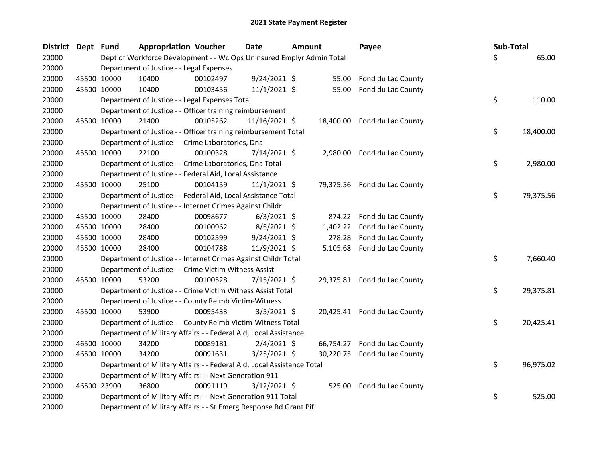| District Dept Fund |             |             | <b>Appropriation Voucher</b>                                           |          | <b>Date</b>    | <b>Amount</b> |          | Payee                        | Sub-Total |           |
|--------------------|-------------|-------------|------------------------------------------------------------------------|----------|----------------|---------------|----------|------------------------------|-----------|-----------|
| 20000              |             |             | Dept of Workforce Development - - Wc Ops Uninsured Emplyr Admin Total  |          |                |               |          |                              | Ś.        | 65.00     |
| 20000              |             |             | Department of Justice - - Legal Expenses                               |          |                |               |          |                              |           |           |
| 20000              |             | 45500 10000 | 10400                                                                  | 00102497 | $9/24/2021$ \$ |               | 55.00    | Fond du Lac County           |           |           |
| 20000              |             | 45500 10000 | 10400                                                                  | 00103456 | $11/1/2021$ \$ |               | 55.00    | Fond du Lac County           |           |           |
| 20000              |             |             | Department of Justice - - Legal Expenses Total                         |          |                |               |          |                              | \$        | 110.00    |
| 20000              |             |             | Department of Justice - - Officer training reimbursement               |          |                |               |          |                              |           |           |
| 20000              | 45500 10000 |             | 21400                                                                  | 00105262 | 11/16/2021 \$  |               |          | 18,400.00 Fond du Lac County |           |           |
| 20000              |             |             | Department of Justice - - Officer training reimbursement Total         |          |                |               |          |                              | \$        | 18,400.00 |
| 20000              |             |             | Department of Justice - - Crime Laboratories, Dna                      |          |                |               |          |                              |           |           |
| 20000              |             | 45500 10000 | 22100                                                                  | 00100328 | 7/14/2021 \$   |               | 2,980.00 | Fond du Lac County           |           |           |
| 20000              |             |             | Department of Justice - - Crime Laboratories, Dna Total                |          |                |               |          |                              | \$        | 2,980.00  |
| 20000              |             |             | Department of Justice - - Federal Aid, Local Assistance                |          |                |               |          |                              |           |           |
| 20000              | 45500 10000 |             | 25100                                                                  | 00104159 | $11/1/2021$ \$ |               |          | 79,375.56 Fond du Lac County |           |           |
| 20000              |             |             | Department of Justice - - Federal Aid, Local Assistance Total          |          |                |               |          |                              | \$        | 79,375.56 |
| 20000              |             |             | Department of Justice - - Internet Crimes Against Childr               |          |                |               |          |                              |           |           |
| 20000              |             | 45500 10000 | 28400                                                                  | 00098677 | $6/3/2021$ \$  |               |          | 874.22 Fond du Lac County    |           |           |
| 20000              |             | 45500 10000 | 28400                                                                  | 00100962 | 8/5/2021 \$    |               | 1,402.22 | Fond du Lac County           |           |           |
| 20000              | 45500 10000 |             | 28400                                                                  | 00102599 | $9/24/2021$ \$ |               | 278.28   | Fond du Lac County           |           |           |
| 20000              | 45500 10000 |             | 28400                                                                  | 00104788 | 11/9/2021 \$   |               |          | 5,105.68 Fond du Lac County  |           |           |
| 20000              |             |             | Department of Justice - - Internet Crimes Against Childr Total         |          |                |               |          |                              | \$        | 7,660.40  |
| 20000              |             |             | Department of Justice - - Crime Victim Witness Assist                  |          |                |               |          |                              |           |           |
| 20000              | 45500 10000 |             | 53200                                                                  | 00100528 | 7/15/2021 \$   |               |          | 29,375.81 Fond du Lac County |           |           |
| 20000              |             |             | Department of Justice - - Crime Victim Witness Assist Total            |          |                |               |          |                              | \$        | 29,375.81 |
| 20000              |             |             | Department of Justice - - County Reimb Victim-Witness                  |          |                |               |          |                              |           |           |
| 20000              | 45500 10000 |             | 53900                                                                  | 00095433 | $3/5/2021$ \$  |               |          | 20,425.41 Fond du Lac County |           |           |
| 20000              |             |             | Department of Justice - - County Reimb Victim-Witness Total            |          |                |               |          |                              | \$        | 20,425.41 |
| 20000              |             |             | Department of Military Affairs - - Federal Aid, Local Assistance       |          |                |               |          |                              |           |           |
| 20000              |             | 46500 10000 | 34200                                                                  | 00089181 | $2/4/2021$ \$  |               |          | 66,754.27 Fond du Lac County |           |           |
| 20000              | 46500 10000 |             | 34200                                                                  | 00091631 | 3/25/2021 \$   |               |          | 30,220.75 Fond du Lac County |           |           |
| 20000              |             |             | Department of Military Affairs - - Federal Aid, Local Assistance Total |          |                |               |          |                              | \$        | 96,975.02 |
| 20000              |             |             | Department of Military Affairs - - Next Generation 911                 |          |                |               |          |                              |           |           |
| 20000              | 46500 23900 |             | 36800                                                                  | 00091119 | $3/12/2021$ \$ |               |          | 525.00 Fond du Lac County    |           |           |
| 20000              |             |             | Department of Military Affairs - - Next Generation 911 Total           |          |                |               |          |                              | \$        | 525.00    |
| 20000              |             |             | Department of Military Affairs - - St Emerg Response Bd Grant Pif      |          |                |               |          |                              |           |           |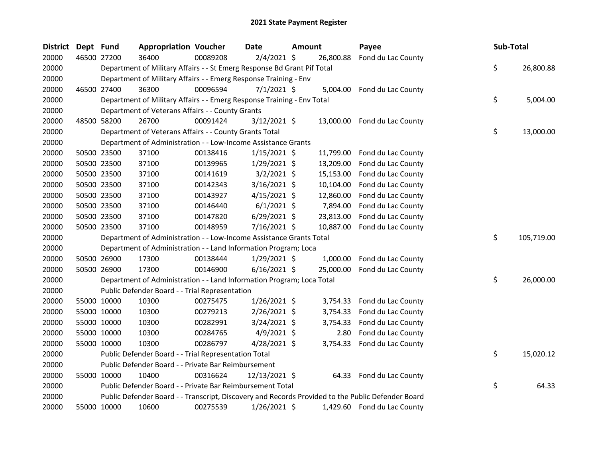| <b>District</b> | Dept Fund |             | <b>Appropriation Voucher</b>                                            |          | Date           | Amount |           | Payee                                                                                             | Sub-Total |            |
|-----------------|-----------|-------------|-------------------------------------------------------------------------|----------|----------------|--------|-----------|---------------------------------------------------------------------------------------------------|-----------|------------|
| 20000           |           | 46500 27200 | 36400                                                                   | 00089208 | $2/4/2021$ \$  |        | 26,800.88 | Fond du Lac County                                                                                |           |            |
| 20000           |           |             | Department of Military Affairs - - St Emerg Response Bd Grant Pif Total |          |                |        |           |                                                                                                   | \$        | 26,800.88  |
| 20000           |           |             | Department of Military Affairs - - Emerg Response Training - Env        |          |                |        |           |                                                                                                   |           |            |
| 20000           |           | 46500 27400 | 36300                                                                   | 00096594 | $7/1/2021$ \$  |        |           | 5,004.00 Fond du Lac County                                                                       |           |            |
| 20000           |           |             | Department of Military Affairs - - Emerg Response Training - Env Total  |          |                |        |           |                                                                                                   | \$        | 5,004.00   |
| 20000           |           |             | Department of Veterans Affairs - - County Grants                        |          |                |        |           |                                                                                                   |           |            |
| 20000           |           | 48500 58200 | 26700                                                                   | 00091424 | $3/12/2021$ \$ |        |           | 13,000.00 Fond du Lac County                                                                      |           |            |
| 20000           |           |             | Department of Veterans Affairs - - County Grants Total                  |          |                |        |           |                                                                                                   | \$        | 13,000.00  |
| 20000           |           |             | Department of Administration - - Low-Income Assistance Grants           |          |                |        |           |                                                                                                   |           |            |
| 20000           |           | 50500 23500 | 37100                                                                   | 00138416 | $1/15/2021$ \$ |        | 11,799.00 | Fond du Lac County                                                                                |           |            |
| 20000           |           | 50500 23500 | 37100                                                                   | 00139965 | $1/29/2021$ \$ |        | 13,209.00 | Fond du Lac County                                                                                |           |            |
| 20000           |           | 50500 23500 | 37100                                                                   | 00141619 | $3/2/2021$ \$  |        | 15,153.00 | Fond du Lac County                                                                                |           |            |
| 20000           |           | 50500 23500 | 37100                                                                   | 00142343 | 3/16/2021 \$   |        | 10,104.00 | Fond du Lac County                                                                                |           |            |
| 20000           |           | 50500 23500 | 37100                                                                   | 00143927 | $4/15/2021$ \$ |        | 12,860.00 | Fond du Lac County                                                                                |           |            |
| 20000           |           | 50500 23500 | 37100                                                                   | 00146440 | $6/1/2021$ \$  |        | 7,894.00  | Fond du Lac County                                                                                |           |            |
| 20000           |           | 50500 23500 | 37100                                                                   | 00147820 | $6/29/2021$ \$ |        | 23,813.00 | Fond du Lac County                                                                                |           |            |
| 20000           |           | 50500 23500 | 37100                                                                   | 00148959 | 7/16/2021 \$   |        | 10,887.00 | Fond du Lac County                                                                                |           |            |
| 20000           |           |             | Department of Administration - - Low-Income Assistance Grants Total     |          |                |        |           |                                                                                                   | \$        | 105,719.00 |
| 20000           |           |             | Department of Administration - - Land Information Program; Loca         |          |                |        |           |                                                                                                   |           |            |
| 20000           |           | 50500 26900 | 17300                                                                   | 00138444 | $1/29/2021$ \$ |        |           | 1,000.00 Fond du Lac County                                                                       |           |            |
| 20000           |           | 50500 26900 | 17300                                                                   | 00146900 | $6/16/2021$ \$ |        | 25,000.00 | Fond du Lac County                                                                                |           |            |
| 20000           |           |             | Department of Administration - - Land Information Program; Loca Total   |          |                |        |           |                                                                                                   | \$        | 26,000.00  |
| 20000           |           |             | Public Defender Board - - Trial Representation                          |          |                |        |           |                                                                                                   |           |            |
| 20000           |           | 55000 10000 | 10300                                                                   | 00275475 | $1/26/2021$ \$ |        | 3,754.33  | Fond du Lac County                                                                                |           |            |
| 20000           |           | 55000 10000 | 10300                                                                   | 00279213 | $2/26/2021$ \$ |        |           | 3,754.33 Fond du Lac County                                                                       |           |            |
| 20000           |           | 55000 10000 | 10300                                                                   | 00282991 | $3/24/2021$ \$ |        | 3,754.33  | Fond du Lac County                                                                                |           |            |
| 20000           |           | 55000 10000 | 10300                                                                   | 00284765 | $4/9/2021$ \$  |        | 2.80      | Fond du Lac County                                                                                |           |            |
| 20000           |           | 55000 10000 | 10300                                                                   | 00286797 | $4/28/2021$ \$ |        |           | 3,754.33 Fond du Lac County                                                                       |           |            |
| 20000           |           |             | Public Defender Board - - Trial Representation Total                    |          |                |        |           |                                                                                                   | \$        | 15,020.12  |
| 20000           |           |             | Public Defender Board - - Private Bar Reimbursement                     |          |                |        |           |                                                                                                   |           |            |
| 20000           |           | 55000 10000 | 10400                                                                   | 00316624 | 12/13/2021 \$  |        |           | 64.33 Fond du Lac County                                                                          |           |            |
| 20000           |           |             | Public Defender Board - - Private Bar Reimbursement Total               |          |                |        |           |                                                                                                   | \$        | 64.33      |
| 20000           |           |             |                                                                         |          |                |        |           | Public Defender Board - - Transcript, Discovery and Records Provided to the Public Defender Board |           |            |
| 20000           |           | 55000 10000 | 10600                                                                   | 00275539 | 1/26/2021 \$   |        |           | 1,429.60 Fond du Lac County                                                                       |           |            |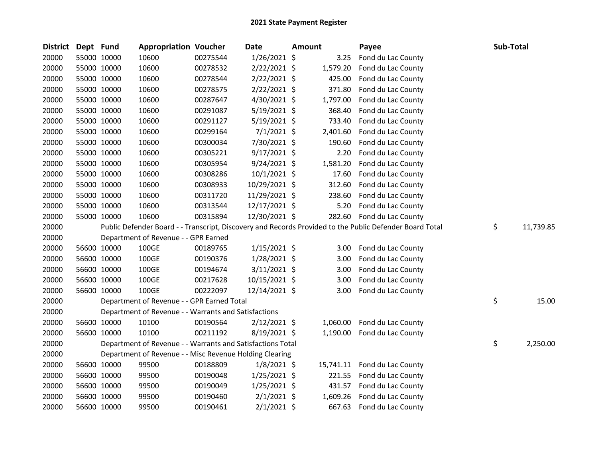| District | Dept Fund |             | <b>Appropriation Voucher</b>                               |          | Date           | Amount   | Payee                                                                                                   | Sub-Total       |
|----------|-----------|-------------|------------------------------------------------------------|----------|----------------|----------|---------------------------------------------------------------------------------------------------------|-----------------|
| 20000    |           | 55000 10000 | 10600                                                      | 00275544 | 1/26/2021 \$   | 3.25     | Fond du Lac County                                                                                      |                 |
| 20000    |           | 55000 10000 | 10600                                                      | 00278532 | 2/22/2021 \$   | 1,579.20 | Fond du Lac County                                                                                      |                 |
| 20000    |           | 55000 10000 | 10600                                                      | 00278544 | $2/22/2021$ \$ | 425.00   | Fond du Lac County                                                                                      |                 |
| 20000    |           | 55000 10000 | 10600                                                      | 00278575 | $2/22/2021$ \$ | 371.80   | Fond du Lac County                                                                                      |                 |
| 20000    |           | 55000 10000 | 10600                                                      | 00287647 | 4/30/2021 \$   | 1,797.00 | Fond du Lac County                                                                                      |                 |
| 20000    |           | 55000 10000 | 10600                                                      | 00291087 | $5/19/2021$ \$ | 368.40   | Fond du Lac County                                                                                      |                 |
| 20000    |           | 55000 10000 | 10600                                                      | 00291127 | $5/19/2021$ \$ | 733.40   | Fond du Lac County                                                                                      |                 |
| 20000    |           | 55000 10000 | 10600                                                      | 00299164 | $7/1/2021$ \$  | 2,401.60 | Fond du Lac County                                                                                      |                 |
| 20000    |           | 55000 10000 | 10600                                                      | 00300034 | 7/30/2021 \$   | 190.60   | Fond du Lac County                                                                                      |                 |
| 20000    |           | 55000 10000 | 10600                                                      | 00305221 | $9/17/2021$ \$ | 2.20     | Fond du Lac County                                                                                      |                 |
| 20000    |           | 55000 10000 | 10600                                                      | 00305954 | $9/24/2021$ \$ | 1,581.20 | Fond du Lac County                                                                                      |                 |
| 20000    |           | 55000 10000 | 10600                                                      | 00308286 | $10/1/2021$ \$ | 17.60    | Fond du Lac County                                                                                      |                 |
| 20000    |           | 55000 10000 | 10600                                                      | 00308933 | 10/29/2021 \$  | 312.60   | Fond du Lac County                                                                                      |                 |
| 20000    |           | 55000 10000 | 10600                                                      | 00311720 | 11/29/2021 \$  | 238.60   | Fond du Lac County                                                                                      |                 |
| 20000    |           | 55000 10000 | 10600                                                      | 00313544 | 12/17/2021 \$  | 5.20     | Fond du Lac County                                                                                      |                 |
| 20000    |           | 55000 10000 | 10600                                                      | 00315894 | 12/30/2021 \$  | 282.60   | Fond du Lac County                                                                                      |                 |
| 20000    |           |             |                                                            |          |                |          | Public Defender Board - - Transcript, Discovery and Records Provided to the Public Defender Board Total | \$<br>11,739.85 |
| 20000    |           |             | Department of Revenue - - GPR Earned                       |          |                |          |                                                                                                         |                 |
| 20000    |           | 56600 10000 | 100GE                                                      | 00189765 | $1/15/2021$ \$ | 3.00     | Fond du Lac County                                                                                      |                 |
| 20000    |           | 56600 10000 | 100GE                                                      | 00190376 | $1/28/2021$ \$ | 3.00     | Fond du Lac County                                                                                      |                 |
| 20000    |           | 56600 10000 | 100GE                                                      | 00194674 | $3/11/2021$ \$ | 3.00     | Fond du Lac County                                                                                      |                 |
| 20000    |           | 56600 10000 | 100GE                                                      | 00217628 | 10/15/2021 \$  | 3.00     | Fond du Lac County                                                                                      |                 |
| 20000    |           | 56600 10000 | 100GE                                                      | 00222097 | 12/14/2021 \$  | 3.00     | Fond du Lac County                                                                                      |                 |
| 20000    |           |             | Department of Revenue - - GPR Earned Total                 |          |                |          |                                                                                                         | \$<br>15.00     |
| 20000    |           |             | Department of Revenue - - Warrants and Satisfactions       |          |                |          |                                                                                                         |                 |
| 20000    |           | 56600 10000 | 10100                                                      | 00190564 | $2/12/2021$ \$ | 1,060.00 | Fond du Lac County                                                                                      |                 |
| 20000    |           | 56600 10000 | 10100                                                      | 00211192 | 8/19/2021 \$   | 1,190.00 | Fond du Lac County                                                                                      |                 |
| 20000    |           |             | Department of Revenue - - Warrants and Satisfactions Total |          |                |          |                                                                                                         | \$<br>2,250.00  |
| 20000    |           |             | Department of Revenue - - Misc Revenue Holding Clearing    |          |                |          |                                                                                                         |                 |
| 20000    |           | 56600 10000 | 99500                                                      | 00188809 | $1/8/2021$ \$  |          | 15,741.11 Fond du Lac County                                                                            |                 |
| 20000    |           | 56600 10000 | 99500                                                      | 00190048 | $1/25/2021$ \$ | 221.55   | Fond du Lac County                                                                                      |                 |
| 20000    |           | 56600 10000 | 99500                                                      | 00190049 | $1/25/2021$ \$ | 431.57   | Fond du Lac County                                                                                      |                 |
| 20000    |           | 56600 10000 | 99500                                                      | 00190460 | $2/1/2021$ \$  | 1,609.26 | Fond du Lac County                                                                                      |                 |
| 20000    |           | 56600 10000 | 99500                                                      | 00190461 | $2/1/2021$ \$  | 667.63   | Fond du Lac County                                                                                      |                 |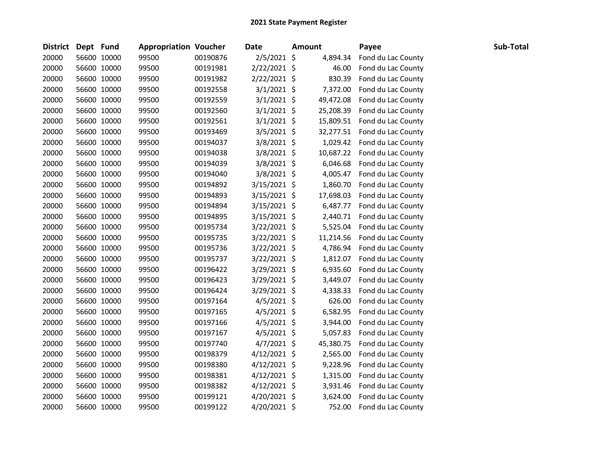| <b>District</b> | Dept Fund |             | <b>Appropriation Voucher</b> |          | <b>Date</b>    | <b>Amount</b> | Payee              | Sub-Total |
|-----------------|-----------|-------------|------------------------------|----------|----------------|---------------|--------------------|-----------|
| 20000           |           | 56600 10000 | 99500                        | 00190876 | 2/5/2021 \$    | 4,894.34      | Fond du Lac County |           |
| 20000           |           | 56600 10000 | 99500                        | 00191981 | 2/22/2021 \$   | 46.00         | Fond du Lac County |           |
| 20000           |           | 56600 10000 | 99500                        | 00191982 | $2/22/2021$ \$ | 830.39        | Fond du Lac County |           |
| 20000           |           | 56600 10000 | 99500                        | 00192558 | $3/1/2021$ \$  | 7,372.00      | Fond du Lac County |           |
| 20000           |           | 56600 10000 | 99500                        | 00192559 | $3/1/2021$ \$  | 49,472.08     | Fond du Lac County |           |
| 20000           |           | 56600 10000 | 99500                        | 00192560 | $3/1/2021$ \$  | 25,208.39     | Fond du Lac County |           |
| 20000           |           | 56600 10000 | 99500                        | 00192561 | $3/1/2021$ \$  | 15,809.51     | Fond du Lac County |           |
| 20000           |           | 56600 10000 | 99500                        | 00193469 | $3/5/2021$ \$  | 32,277.51     | Fond du Lac County |           |
| 20000           |           | 56600 10000 | 99500                        | 00194037 | 3/8/2021 \$    | 1,029.42      | Fond du Lac County |           |
| 20000           |           | 56600 10000 | 99500                        | 00194038 | 3/8/2021 \$    | 10,687.22     | Fond du Lac County |           |
| 20000           |           | 56600 10000 | 99500                        | 00194039 | $3/8/2021$ \$  | 6,046.68      | Fond du Lac County |           |
| 20000           |           | 56600 10000 | 99500                        | 00194040 | 3/8/2021 \$    | 4,005.47      | Fond du Lac County |           |
| 20000           |           | 56600 10000 | 99500                        | 00194892 | 3/15/2021 \$   | 1,860.70      | Fond du Lac County |           |
| 20000           |           | 56600 10000 | 99500                        | 00194893 | $3/15/2021$ \$ | 17,698.03     | Fond du Lac County |           |
| 20000           |           | 56600 10000 | 99500                        | 00194894 | $3/15/2021$ \$ | 6,487.77      | Fond du Lac County |           |
| 20000           |           | 56600 10000 | 99500                        | 00194895 | 3/15/2021 \$   | 2,440.71      | Fond du Lac County |           |
| 20000           |           | 56600 10000 | 99500                        | 00195734 | 3/22/2021 \$   | 5,525.04      | Fond du Lac County |           |
| 20000           |           | 56600 10000 | 99500                        | 00195735 | 3/22/2021 \$   | 11,214.56     | Fond du Lac County |           |
| 20000           |           | 56600 10000 | 99500                        | 00195736 | 3/22/2021 \$   | 4,786.94      | Fond du Lac County |           |
| 20000           |           | 56600 10000 | 99500                        | 00195737 | $3/22/2021$ \$ | 1,812.07      | Fond du Lac County |           |
| 20000           |           | 56600 10000 | 99500                        | 00196422 | $3/29/2021$ \$ | 6,935.60      | Fond du Lac County |           |
| 20000           |           | 56600 10000 | 99500                        | 00196423 | 3/29/2021 \$   | 3,449.07      | Fond du Lac County |           |
| 20000           |           | 56600 10000 | 99500                        | 00196424 | 3/29/2021 \$   | 4,338.33      | Fond du Lac County |           |
| 20000           |           | 56600 10000 | 99500                        | 00197164 | $4/5/2021$ \$  | 626.00        | Fond du Lac County |           |
| 20000           |           | 56600 10000 | 99500                        | 00197165 | 4/5/2021 \$    | 6,582.95      | Fond du Lac County |           |
| 20000           |           | 56600 10000 | 99500                        | 00197166 | 4/5/2021 \$    | 3,944.00      | Fond du Lac County |           |
| 20000           |           | 56600 10000 | 99500                        | 00197167 | $4/5/2021$ \$  | 5,057.83      | Fond du Lac County |           |
| 20000           |           | 56600 10000 | 99500                        | 00197740 | 4/7/2021 \$    | 45,380.75     | Fond du Lac County |           |
| 20000           |           | 56600 10000 | 99500                        | 00198379 | $4/12/2021$ \$ | 2,565.00      | Fond du Lac County |           |
| 20000           |           | 56600 10000 | 99500                        | 00198380 | $4/12/2021$ \$ | 9,228.96      | Fond du Lac County |           |
| 20000           |           | 56600 10000 | 99500                        | 00198381 | $4/12/2021$ \$ | 1,315.00      | Fond du Lac County |           |
| 20000           |           | 56600 10000 | 99500                        | 00198382 | $4/12/2021$ \$ | 3,931.46      | Fond du Lac County |           |
| 20000           |           | 56600 10000 | 99500                        | 00199121 | $4/20/2021$ \$ | 3,624.00      | Fond du Lac County |           |
| 20000           |           | 56600 10000 | 99500                        | 00199122 | 4/20/2021 \$   | 752.00        | Fond du Lac County |           |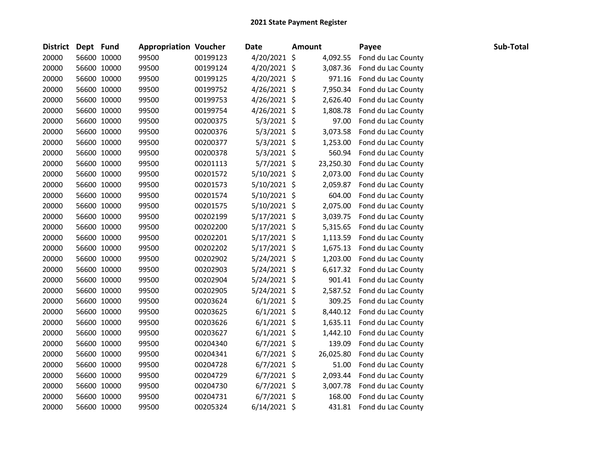| District Dept Fund |             | <b>Appropriation Voucher</b> |          | <b>Date</b>    | <b>Amount</b> |           | Payee              | Sub-Total |
|--------------------|-------------|------------------------------|----------|----------------|---------------|-----------|--------------------|-----------|
| 20000              | 56600 10000 | 99500                        | 00199123 | 4/20/2021 \$   |               | 4,092.55  | Fond du Lac County |           |
| 20000              | 56600 10000 | 99500                        | 00199124 | 4/20/2021 \$   |               | 3,087.36  | Fond du Lac County |           |
| 20000              | 56600 10000 | 99500                        | 00199125 | 4/20/2021 \$   |               | 971.16    | Fond du Lac County |           |
| 20000              | 56600 10000 | 99500                        | 00199752 | $4/26/2021$ \$ |               | 7,950.34  | Fond du Lac County |           |
| 20000              | 56600 10000 | 99500                        | 00199753 | $4/26/2021$ \$ |               | 2,626.40  | Fond du Lac County |           |
| 20000              | 56600 10000 | 99500                        | 00199754 | $4/26/2021$ \$ |               | 1,808.78  | Fond du Lac County |           |
| 20000              | 56600 10000 | 99500                        | 00200375 | $5/3/2021$ \$  |               | 97.00     | Fond du Lac County |           |
| 20000              | 56600 10000 | 99500                        | 00200376 | $5/3/2021$ \$  |               | 3,073.58  | Fond du Lac County |           |
| 20000              | 56600 10000 | 99500                        | 00200377 | $5/3/2021$ \$  |               | 1,253.00  | Fond du Lac County |           |
| 20000              | 56600 10000 | 99500                        | 00200378 | $5/3/2021$ \$  |               | 560.94    | Fond du Lac County |           |
| 20000              | 56600 10000 | 99500                        | 00201113 | $5/7/2021$ \$  |               | 23,250.30 | Fond du Lac County |           |
| 20000              | 56600 10000 | 99500                        | 00201572 | 5/10/2021 \$   |               | 2,073.00  | Fond du Lac County |           |
| 20000              | 56600 10000 | 99500                        | 00201573 | $5/10/2021$ \$ |               | 2,059.87  | Fond du Lac County |           |
| 20000              | 56600 10000 | 99500                        | 00201574 | $5/10/2021$ \$ |               | 604.00    | Fond du Lac County |           |
| 20000              | 56600 10000 | 99500                        | 00201575 | $5/10/2021$ \$ |               | 2,075.00  | Fond du Lac County |           |
| 20000              | 56600 10000 | 99500                        | 00202199 | $5/17/2021$ \$ |               | 3,039.75  | Fond du Lac County |           |
| 20000              | 56600 10000 | 99500                        | 00202200 | $5/17/2021$ \$ |               | 5,315.65  | Fond du Lac County |           |
| 20000              | 56600 10000 | 99500                        | 00202201 | $5/17/2021$ \$ |               | 1,113.59  | Fond du Lac County |           |
| 20000              | 56600 10000 | 99500                        | 00202202 | $5/17/2021$ \$ |               | 1,675.13  | Fond du Lac County |           |
| 20000              | 56600 10000 | 99500                        | 00202902 | $5/24/2021$ \$ |               | 1,203.00  | Fond du Lac County |           |
| 20000              | 56600 10000 | 99500                        | 00202903 | $5/24/2021$ \$ |               | 6,617.32  | Fond du Lac County |           |
| 20000              | 56600 10000 | 99500                        | 00202904 | $5/24/2021$ \$ |               | 901.41    | Fond du Lac County |           |
| 20000              | 56600 10000 | 99500                        | 00202905 | $5/24/2021$ \$ |               | 2,587.52  | Fond du Lac County |           |
| 20000              | 56600 10000 | 99500                        | 00203624 | $6/1/2021$ \$  |               | 309.25    | Fond du Lac County |           |
| 20000              | 56600 10000 | 99500                        | 00203625 | $6/1/2021$ \$  |               | 8,440.12  | Fond du Lac County |           |
| 20000              | 56600 10000 | 99500                        | 00203626 | $6/1/2021$ \$  |               | 1,635.11  | Fond du Lac County |           |
| 20000              | 56600 10000 | 99500                        | 00203627 | $6/1/2021$ \$  |               | 1,442.10  | Fond du Lac County |           |
| 20000              | 56600 10000 | 99500                        | 00204340 | $6/7/2021$ \$  |               | 139.09    | Fond du Lac County |           |
| 20000              | 56600 10000 | 99500                        | 00204341 | $6/7/2021$ \$  |               | 26,025.80 | Fond du Lac County |           |
| 20000              | 56600 10000 | 99500                        | 00204728 | $6/7/2021$ \$  |               | 51.00     | Fond du Lac County |           |
| 20000              | 56600 10000 | 99500                        | 00204729 | $6/7/2021$ \$  |               | 2,093.44  | Fond du Lac County |           |
| 20000              | 56600 10000 | 99500                        | 00204730 | $6/7/2021$ \$  |               | 3,007.78  | Fond du Lac County |           |
| 20000              | 56600 10000 | 99500                        | 00204731 | $6/7/2021$ \$  |               | 168.00    | Fond du Lac County |           |
| 20000              | 56600 10000 | 99500                        | 00205324 | $6/14/2021$ \$ |               | 431.81    | Fond du Lac County |           |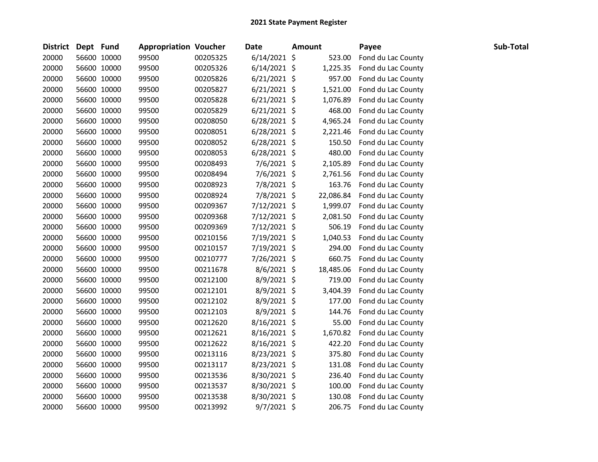| <b>District</b> | Dept Fund |             | <b>Appropriation Voucher</b> |          | <b>Date</b>    | <b>Amount</b> |           | Payee              | Sub-Total |
|-----------------|-----------|-------------|------------------------------|----------|----------------|---------------|-----------|--------------------|-----------|
| 20000           |           | 56600 10000 | 99500                        | 00205325 | $6/14/2021$ \$ |               | 523.00    | Fond du Lac County |           |
| 20000           |           | 56600 10000 | 99500                        | 00205326 | 6/14/2021 \$   |               | 1,225.35  | Fond du Lac County |           |
| 20000           |           | 56600 10000 | 99500                        | 00205826 | $6/21/2021$ \$ |               | 957.00    | Fond du Lac County |           |
| 20000           |           | 56600 10000 | 99500                        | 00205827 | $6/21/2021$ \$ |               | 1,521.00  | Fond du Lac County |           |
| 20000           |           | 56600 10000 | 99500                        | 00205828 | $6/21/2021$ \$ |               | 1,076.89  | Fond du Lac County |           |
| 20000           |           | 56600 10000 | 99500                        | 00205829 | $6/21/2021$ \$ |               | 468.00    | Fond du Lac County |           |
| 20000           |           | 56600 10000 | 99500                        | 00208050 | $6/28/2021$ \$ |               | 4,965.24  | Fond du Lac County |           |
| 20000           |           | 56600 10000 | 99500                        | 00208051 | $6/28/2021$ \$ |               | 2,221.46  | Fond du Lac County |           |
| 20000           |           | 56600 10000 | 99500                        | 00208052 | $6/28/2021$ \$ |               | 150.50    | Fond du Lac County |           |
| 20000           |           | 56600 10000 | 99500                        | 00208053 | $6/28/2021$ \$ |               | 480.00    | Fond du Lac County |           |
| 20000           |           | 56600 10000 | 99500                        | 00208493 | 7/6/2021 \$    |               | 2,105.89  | Fond du Lac County |           |
| 20000           |           | 56600 10000 | 99500                        | 00208494 | 7/6/2021 \$    |               | 2,761.56  | Fond du Lac County |           |
| 20000           |           | 56600 10000 | 99500                        | 00208923 | 7/8/2021 \$    |               | 163.76    | Fond du Lac County |           |
| 20000           |           | 56600 10000 | 99500                        | 00208924 | 7/8/2021 \$    |               | 22,086.84 | Fond du Lac County |           |
| 20000           |           | 56600 10000 | 99500                        | 00209367 | $7/12/2021$ \$ |               | 1,999.07  | Fond du Lac County |           |
| 20000           |           | 56600 10000 | 99500                        | 00209368 | 7/12/2021 \$   |               | 2,081.50  | Fond du Lac County |           |
| 20000           |           | 56600 10000 | 99500                        | 00209369 | 7/12/2021 \$   |               | 506.19    | Fond du Lac County |           |
| 20000           |           | 56600 10000 | 99500                        | 00210156 | 7/19/2021 \$   |               | 1,040.53  | Fond du Lac County |           |
| 20000           |           | 56600 10000 | 99500                        | 00210157 | 7/19/2021 \$   |               | 294.00    | Fond du Lac County |           |
| 20000           |           | 56600 10000 | 99500                        | 00210777 | 7/26/2021 \$   |               | 660.75    | Fond du Lac County |           |
| 20000           |           | 56600 10000 | 99500                        | 00211678 | $8/6/2021$ \$  |               | 18,485.06 | Fond du Lac County |           |
| 20000           |           | 56600 10000 | 99500                        | 00212100 | 8/9/2021 \$    |               | 719.00    | Fond du Lac County |           |
| 20000           |           | 56600 10000 | 99500                        | 00212101 | 8/9/2021 \$    |               | 3,404.39  | Fond du Lac County |           |
| 20000           |           | 56600 10000 | 99500                        | 00212102 | 8/9/2021 \$    |               | 177.00    | Fond du Lac County |           |
| 20000           |           | 56600 10000 | 99500                        | 00212103 | 8/9/2021 \$    |               | 144.76    | Fond du Lac County |           |
| 20000           |           | 56600 10000 | 99500                        | 00212620 | 8/16/2021 \$   |               | 55.00     | Fond du Lac County |           |
| 20000           |           | 56600 10000 | 99500                        | 00212621 | 8/16/2021 \$   |               | 1,670.82  | Fond du Lac County |           |
| 20000           |           | 56600 10000 | 99500                        | 00212622 | 8/16/2021 \$   |               | 422.20    | Fond du Lac County |           |
| 20000           |           | 56600 10000 | 99500                        | 00213116 | 8/23/2021 \$   |               | 375.80    | Fond du Lac County |           |
| 20000           |           | 56600 10000 | 99500                        | 00213117 | 8/23/2021 \$   |               | 131.08    | Fond du Lac County |           |
| 20000           |           | 56600 10000 | 99500                        | 00213536 | 8/30/2021 \$   |               | 236.40    | Fond du Lac County |           |
| 20000           |           | 56600 10000 | 99500                        | 00213537 | 8/30/2021 \$   |               | 100.00    | Fond du Lac County |           |
| 20000           |           | 56600 10000 | 99500                        | 00213538 | 8/30/2021 \$   |               | 130.08    | Fond du Lac County |           |
| 20000           |           | 56600 10000 | 99500                        | 00213992 | $9/7/2021$ \$  |               | 206.75    | Fond du Lac County |           |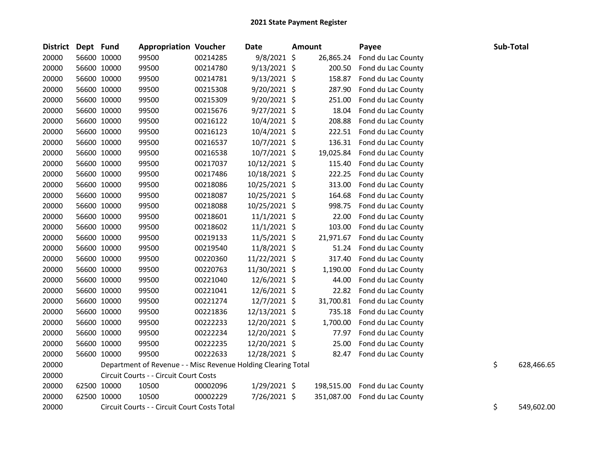| <b>District</b> | Dept Fund |             | <b>Appropriation Voucher</b>                                  |          | <b>Date</b>    | <b>Amount</b> |            | Payee              | Sub-Total        |
|-----------------|-----------|-------------|---------------------------------------------------------------|----------|----------------|---------------|------------|--------------------|------------------|
| 20000           |           | 56600 10000 | 99500                                                         | 00214285 | 9/8/2021 \$    |               | 26,865.24  | Fond du Lac County |                  |
| 20000           |           | 56600 10000 | 99500                                                         | 00214780 | $9/13/2021$ \$ |               | 200.50     | Fond du Lac County |                  |
| 20000           |           | 56600 10000 | 99500                                                         | 00214781 | $9/13/2021$ \$ |               | 158.87     | Fond du Lac County |                  |
| 20000           |           | 56600 10000 | 99500                                                         | 00215308 | $9/20/2021$ \$ |               | 287.90     | Fond du Lac County |                  |
| 20000           |           | 56600 10000 | 99500                                                         | 00215309 | 9/20/2021 \$   |               | 251.00     | Fond du Lac County |                  |
| 20000           |           | 56600 10000 | 99500                                                         | 00215676 | $9/27/2021$ \$ |               | 18.04      | Fond du Lac County |                  |
| 20000           |           | 56600 10000 | 99500                                                         | 00216122 | $10/4/2021$ \$ |               | 208.88     | Fond du Lac County |                  |
| 20000           |           | 56600 10000 | 99500                                                         | 00216123 | $10/4/2021$ \$ |               | 222.51     | Fond du Lac County |                  |
| 20000           |           | 56600 10000 | 99500                                                         | 00216537 | 10/7/2021 \$   |               | 136.31     | Fond du Lac County |                  |
| 20000           |           | 56600 10000 | 99500                                                         | 00216538 | 10/7/2021 \$   |               | 19,025.84  | Fond du Lac County |                  |
| 20000           |           | 56600 10000 | 99500                                                         | 00217037 | 10/12/2021 \$  |               | 115.40     | Fond du Lac County |                  |
| 20000           |           | 56600 10000 | 99500                                                         | 00217486 | 10/18/2021 \$  |               | 222.25     | Fond du Lac County |                  |
| 20000           |           | 56600 10000 | 99500                                                         | 00218086 | 10/25/2021 \$  |               | 313.00     | Fond du Lac County |                  |
| 20000           |           | 56600 10000 | 99500                                                         | 00218087 | 10/25/2021 \$  |               | 164.68     | Fond du Lac County |                  |
| 20000           |           | 56600 10000 | 99500                                                         | 00218088 | 10/25/2021 \$  |               | 998.75     | Fond du Lac County |                  |
| 20000           |           | 56600 10000 | 99500                                                         | 00218601 | $11/1/2021$ \$ |               | 22.00      | Fond du Lac County |                  |
| 20000           |           | 56600 10000 | 99500                                                         | 00218602 | $11/1/2021$ \$ |               | 103.00     | Fond du Lac County |                  |
| 20000           |           | 56600 10000 | 99500                                                         | 00219133 | 11/5/2021 \$   |               | 21,971.67  | Fond du Lac County |                  |
| 20000           |           | 56600 10000 | 99500                                                         | 00219540 | 11/8/2021 \$   |               | 51.24      | Fond du Lac County |                  |
| 20000           |           | 56600 10000 | 99500                                                         | 00220360 | 11/22/2021 \$  |               | 317.40     | Fond du Lac County |                  |
| 20000           |           | 56600 10000 | 99500                                                         | 00220763 | 11/30/2021 \$  |               | 1,190.00   | Fond du Lac County |                  |
| 20000           |           | 56600 10000 | 99500                                                         | 00221040 | $12/6/2021$ \$ |               | 44.00      | Fond du Lac County |                  |
| 20000           |           | 56600 10000 | 99500                                                         | 00221041 | 12/6/2021 \$   |               | 22.82      | Fond du Lac County |                  |
| 20000           |           | 56600 10000 | 99500                                                         | 00221274 | 12/7/2021 \$   |               | 31,700.81  | Fond du Lac County |                  |
| 20000           |           | 56600 10000 | 99500                                                         | 00221836 | 12/13/2021 \$  |               | 735.18     | Fond du Lac County |                  |
| 20000           |           | 56600 10000 | 99500                                                         | 00222233 | 12/20/2021 \$  |               | 1,700.00   | Fond du Lac County |                  |
| 20000           |           | 56600 10000 | 99500                                                         | 00222234 | 12/20/2021 \$  |               | 77.97      | Fond du Lac County |                  |
| 20000           |           | 56600 10000 | 99500                                                         | 00222235 | 12/20/2021 \$  |               | 25.00      | Fond du Lac County |                  |
| 20000           |           | 56600 10000 | 99500                                                         | 00222633 | 12/28/2021 \$  |               | 82.47      | Fond du Lac County |                  |
| 20000           |           |             | Department of Revenue - - Misc Revenue Holding Clearing Total |          |                |               |            |                    | \$<br>628,466.65 |
| 20000           |           |             | Circuit Courts - - Circuit Court Costs                        |          |                |               |            |                    |                  |
| 20000           |           | 62500 10000 | 10500                                                         | 00002096 | $1/29/2021$ \$ |               | 198,515.00 | Fond du Lac County |                  |
| 20000           |           | 62500 10000 | 10500                                                         | 00002229 | 7/26/2021 \$   |               | 351,087.00 | Fond du Lac County |                  |
| 20000           |           |             | Circuit Courts - - Circuit Court Costs Total                  |          |                |               |            |                    | \$<br>549,602.00 |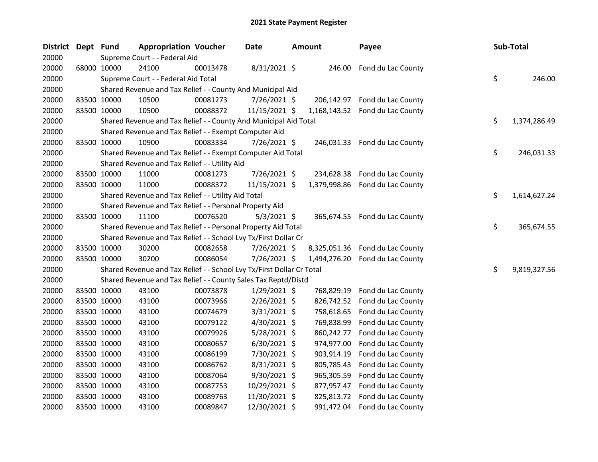| District | Dept Fund |             | <b>Appropriation Voucher</b>                                          |          | Date           | <b>Amount</b> | Payee                           |    | <b>Sub-Total</b> |
|----------|-----------|-------------|-----------------------------------------------------------------------|----------|----------------|---------------|---------------------------------|----|------------------|
| 20000    |           |             | Supreme Court - - Federal Aid                                         |          |                |               |                                 |    |                  |
| 20000    |           | 68000 10000 | 24100                                                                 | 00013478 | 8/31/2021 \$   | 246.00        | Fond du Lac County              |    |                  |
| 20000    |           |             | Supreme Court - - Federal Aid Total                                   |          |                |               |                                 | \$ | 246.00           |
| 20000    |           |             | Shared Revenue and Tax Relief - - County And Municipal Aid            |          |                |               |                                 |    |                  |
| 20000    |           | 83500 10000 | 10500                                                                 | 00081273 | 7/26/2021 \$   |               | 206,142.97 Fond du Lac County   |    |                  |
| 20000    |           | 83500 10000 | 10500                                                                 | 00088372 | 11/15/2021 \$  |               | 1,168,143.52 Fond du Lac County |    |                  |
| 20000    |           |             | Shared Revenue and Tax Relief - - County And Municipal Aid Total      |          |                |               |                                 | \$ | 1,374,286.49     |
| 20000    |           |             | Shared Revenue and Tax Relief - - Exempt Computer Aid                 |          |                |               |                                 |    |                  |
| 20000    |           | 83500 10000 | 10900                                                                 | 00083334 | 7/26/2021 \$   |               | 246,031.33 Fond du Lac County   |    |                  |
| 20000    |           |             | Shared Revenue and Tax Relief - - Exempt Computer Aid Total           |          |                |               |                                 | \$ | 246,031.33       |
| 20000    |           |             | Shared Revenue and Tax Relief - - Utility Aid                         |          |                |               |                                 |    |                  |
| 20000    |           | 83500 10000 | 11000                                                                 | 00081273 | 7/26/2021 \$   | 234,628.38    | Fond du Lac County              |    |                  |
| 20000    |           | 83500 10000 | 11000                                                                 | 00088372 | 11/15/2021 \$  | 1,379,998.86  | Fond du Lac County              |    |                  |
| 20000    |           |             | Shared Revenue and Tax Relief - - Utility Aid Total                   |          |                |               |                                 | \$ | 1,614,627.24     |
| 20000    |           |             | Shared Revenue and Tax Relief - - Personal Property Aid               |          |                |               |                                 |    |                  |
| 20000    |           | 83500 10000 | 11100                                                                 | 00076520 | $5/3/2021$ \$  |               | 365,674.55 Fond du Lac County   |    |                  |
| 20000    |           |             | Shared Revenue and Tax Relief - - Personal Property Aid Total         |          |                |               |                                 | \$ | 365,674.55       |
| 20000    |           |             | Shared Revenue and Tax Relief - - School Lvy Tx/First Dollar Cr       |          |                |               |                                 |    |                  |
| 20000    |           | 83500 10000 | 30200                                                                 | 00082658 | 7/26/2021 \$   |               | 8,325,051.36 Fond du Lac County |    |                  |
| 20000    |           | 83500 10000 | 30200                                                                 | 00086054 | 7/26/2021 \$   | 1,494,276.20  | Fond du Lac County              |    |                  |
| 20000    |           |             | Shared Revenue and Tax Relief - - School Lvy Tx/First Dollar Cr Total |          |                |               |                                 | \$ | 9,819,327.56     |
| 20000    |           |             | Shared Revenue and Tax Relief - - County Sales Tax Reptd/Distd        |          |                |               |                                 |    |                  |
| 20000    |           | 83500 10000 | 43100                                                                 | 00073878 | 1/29/2021 \$   | 768,829.19    | Fond du Lac County              |    |                  |
| 20000    |           | 83500 10000 | 43100                                                                 | 00073966 | 2/26/2021 \$   | 826,742.52    | Fond du Lac County              |    |                  |
| 20000    |           | 83500 10000 | 43100                                                                 | 00074679 | $3/31/2021$ \$ | 758,618.65    | Fond du Lac County              |    |                  |
| 20000    |           | 83500 10000 | 43100                                                                 | 00079122 | 4/30/2021 \$   | 769,838.99    | Fond du Lac County              |    |                  |
| 20000    |           | 83500 10000 | 43100                                                                 | 00079926 | 5/28/2021 \$   | 860,242.77    | Fond du Lac County              |    |                  |
| 20000    |           | 83500 10000 | 43100                                                                 | 00080657 | 6/30/2021 \$   | 974,977.00    | Fond du Lac County              |    |                  |
| 20000    |           | 83500 10000 | 43100                                                                 | 00086199 | 7/30/2021 \$   | 903,914.19    | Fond du Lac County              |    |                  |
| 20000    |           | 83500 10000 | 43100                                                                 | 00086762 | 8/31/2021 \$   | 805,785.43    | Fond du Lac County              |    |                  |
| 20000    |           | 83500 10000 | 43100                                                                 | 00087064 | 9/30/2021 \$   | 965,305.59    | Fond du Lac County              |    |                  |
| 20000    |           | 83500 10000 | 43100                                                                 | 00087753 | 10/29/2021 \$  | 877,957.47    | Fond du Lac County              |    |                  |
| 20000    |           | 83500 10000 | 43100                                                                 | 00089763 | 11/30/2021 \$  | 825,813.72    | Fond du Lac County              |    |                  |
| 20000    |           | 83500 10000 | 43100                                                                 | 00089847 | 12/30/2021 \$  | 991,472.04    | Fond du Lac County              |    |                  |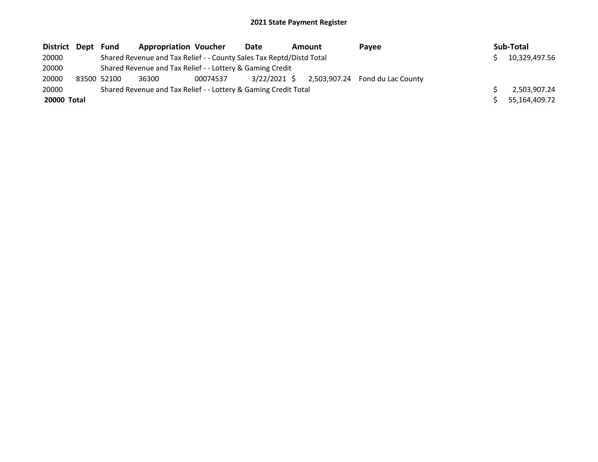| District Dept Fund |             | <b>Appropriation Voucher</b>                                         |          | Date         | Amount | Payee                           | Sub-Total     |
|--------------------|-------------|----------------------------------------------------------------------|----------|--------------|--------|---------------------------------|---------------|
| 20000              |             | Shared Revenue and Tax Relief - - County Sales Tax Reptd/Distd Total |          |              |        |                                 | 10,329,497.56 |
| 20000              |             | Shared Revenue and Tax Relief - - Lottery & Gaming Credit            |          |              |        |                                 |               |
| 20000              | 83500 52100 | 36300                                                                | 00074537 | 3/22/2021 \$ |        | 2,503,907.24 Fond du Lac County |               |
| 20000              |             | Shared Revenue and Tax Relief - - Lottery & Gaming Credit Total      |          |              |        |                                 | 2,503,907.24  |
| 20000 Total        |             |                                                                      |          |              |        |                                 | 55,164,409.72 |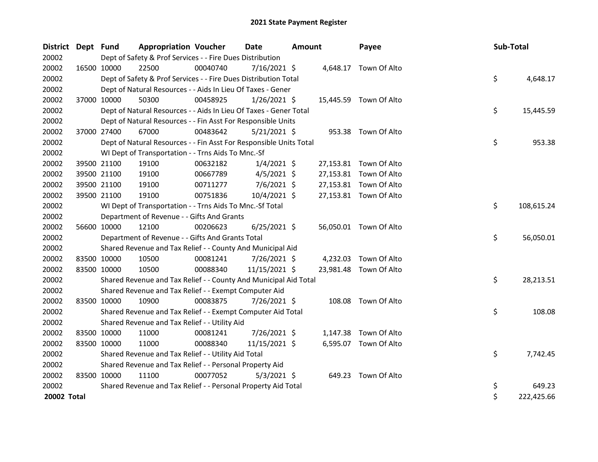| <b>District</b> | Dept Fund   |             | <b>Appropriation Voucher</b>                                       |          | <b>Date</b>    | <b>Amount</b> |          | Payee                  | Sub-Total |            |
|-----------------|-------------|-------------|--------------------------------------------------------------------|----------|----------------|---------------|----------|------------------------|-----------|------------|
| 20002           |             |             | Dept of Safety & Prof Services - - Fire Dues Distribution          |          |                |               |          |                        |           |            |
| 20002           |             | 16500 10000 | 22500                                                              | 00040740 | $7/16/2021$ \$ |               |          | 4,648.17 Town Of Alto  |           |            |
| 20002           |             |             | Dept of Safety & Prof Services - - Fire Dues Distribution Total    |          |                |               |          |                        | \$        | 4,648.17   |
| 20002           |             |             | Dept of Natural Resources - - Aids In Lieu Of Taxes - Gener        |          |                |               |          |                        |           |            |
| 20002           | 37000 10000 |             | 50300                                                              | 00458925 | 1/26/2021 \$   |               |          | 15,445.59 Town Of Alto |           |            |
| 20002           |             |             | Dept of Natural Resources - - Aids In Lieu Of Taxes - Gener Total  |          |                |               |          |                        | \$        | 15,445.59  |
| 20002           |             |             | Dept of Natural Resources - - Fin Asst For Responsible Units       |          |                |               |          |                        |           |            |
| 20002           |             | 37000 27400 | 67000                                                              | 00483642 | 5/21/2021 \$   |               |          | 953.38 Town Of Alto    |           |            |
| 20002           |             |             | Dept of Natural Resources - - Fin Asst For Responsible Units Total |          |                |               |          |                        | \$        | 953.38     |
| 20002           |             |             | WI Dept of Transportation - - Trns Aids To Mnc.-Sf                 |          |                |               |          |                        |           |            |
| 20002           |             | 39500 21100 | 19100                                                              | 00632182 | $1/4/2021$ \$  |               |          | 27,153.81 Town Of Alto |           |            |
| 20002           |             | 39500 21100 | 19100                                                              | 00667789 | $4/5/2021$ \$  |               |          | 27,153.81 Town Of Alto |           |            |
| 20002           |             | 39500 21100 | 19100                                                              | 00711277 | 7/6/2021 \$    |               |          | 27,153.81 Town Of Alto |           |            |
| 20002           | 39500 21100 |             | 19100                                                              | 00751836 | 10/4/2021 \$   |               |          | 27,153.81 Town Of Alto |           |            |
| 20002           |             |             | WI Dept of Transportation - - Trns Aids To Mnc.-Sf Total           |          |                |               |          |                        | \$        | 108,615.24 |
| 20002           |             |             | Department of Revenue - - Gifts And Grants                         |          |                |               |          |                        |           |            |
| 20002           |             | 56600 10000 | 12100                                                              | 00206623 | $6/25/2021$ \$ |               |          | 56,050.01 Town Of Alto |           |            |
| 20002           |             |             | Department of Revenue - - Gifts And Grants Total                   |          |                |               |          |                        | \$        | 56,050.01  |
| 20002           |             |             | Shared Revenue and Tax Relief - - County And Municipal Aid         |          |                |               |          |                        |           |            |
| 20002           | 83500 10000 |             | 10500                                                              | 00081241 | 7/26/2021 \$   |               | 4,232.03 | Town Of Alto           |           |            |
| 20002           | 83500 10000 |             | 10500                                                              | 00088340 | 11/15/2021 \$  |               |          | 23,981.48 Town Of Alto |           |            |
| 20002           |             |             | Shared Revenue and Tax Relief - - County And Municipal Aid Total   |          |                |               |          |                        | \$        | 28,213.51  |
| 20002           |             |             | Shared Revenue and Tax Relief - - Exempt Computer Aid              |          |                |               |          |                        |           |            |
| 20002           |             | 83500 10000 | 10900                                                              | 00083875 | 7/26/2021 \$   |               | 108.08   | Town Of Alto           |           |            |
| 20002           |             |             | Shared Revenue and Tax Relief - - Exempt Computer Aid Total        |          |                |               |          |                        | \$        | 108.08     |
| 20002           |             |             | Shared Revenue and Tax Relief - - Utility Aid                      |          |                |               |          |                        |           |            |
| 20002           | 83500 10000 |             | 11000                                                              | 00081241 | 7/26/2021 \$   |               | 1,147.38 | Town Of Alto           |           |            |
| 20002           |             | 83500 10000 | 11000                                                              | 00088340 | 11/15/2021 \$  |               |          | 6,595.07 Town Of Alto  |           |            |
| 20002           |             |             | Shared Revenue and Tax Relief - - Utility Aid Total                |          |                |               |          |                        | \$        | 7,742.45   |
| 20002           |             |             | Shared Revenue and Tax Relief - - Personal Property Aid            |          |                |               |          |                        |           |            |
| 20002           | 83500 10000 |             | 11100                                                              | 00077052 | $5/3/2021$ \$  |               |          | 649.23 Town Of Alto    |           |            |
| 20002           |             |             | Shared Revenue and Tax Relief - - Personal Property Aid Total      |          |                |               |          |                        | \$        | 649.23     |
| 20002 Total     |             |             |                                                                    |          |                |               |          |                        | \$        | 222,425.66 |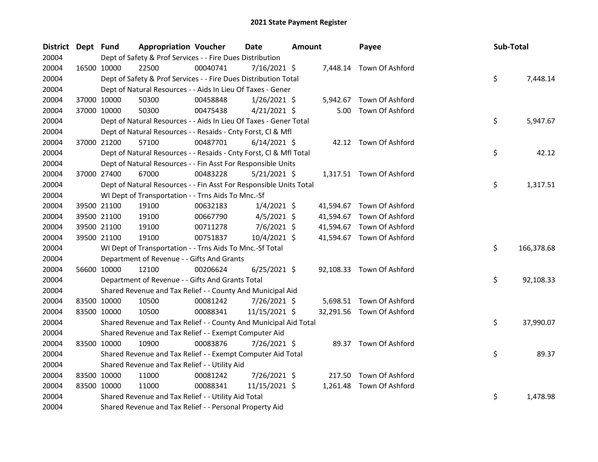| <b>District</b> | Dept Fund |             | <b>Appropriation Voucher</b>                                       |          | Date           | <b>Amount</b> |          | Payee                     | Sub-Total |            |
|-----------------|-----------|-------------|--------------------------------------------------------------------|----------|----------------|---------------|----------|---------------------------|-----------|------------|
| 20004           |           |             | Dept of Safety & Prof Services - - Fire Dues Distribution          |          |                |               |          |                           |           |            |
| 20004           |           | 16500 10000 | 22500                                                              | 00040741 | 7/16/2021 \$   |               |          | 7,448.14 Town Of Ashford  |           |            |
| 20004           |           |             | Dept of Safety & Prof Services - - Fire Dues Distribution Total    |          |                |               |          |                           | \$.       | 7,448.14   |
| 20004           |           |             | Dept of Natural Resources - - Aids In Lieu Of Taxes - Gener        |          |                |               |          |                           |           |            |
| 20004           |           | 37000 10000 | 50300                                                              | 00458848 | $1/26/2021$ \$ |               | 5,942.67 | Town Of Ashford           |           |            |
| 20004           |           | 37000 10000 | 50300                                                              | 00475438 | $4/21/2021$ \$ |               |          | 5.00 Town Of Ashford      |           |            |
| 20004           |           |             | Dept of Natural Resources - - Aids In Lieu Of Taxes - Gener Total  |          |                |               |          |                           | \$        | 5,947.67   |
| 20004           |           |             | Dept of Natural Resources - - Resaids - Cnty Forst, Cl & Mfl       |          |                |               |          |                           |           |            |
| 20004           |           | 37000 21200 | 57100                                                              | 00487701 | $6/14/2021$ \$ |               |          | 42.12 Town Of Ashford     |           |            |
| 20004           |           |             | Dept of Natural Resources - - Resaids - Cnty Forst, Cl & Mfl Total |          |                |               |          |                           | \$        | 42.12      |
| 20004           |           |             | Dept of Natural Resources - - Fin Asst For Responsible Units       |          |                |               |          |                           |           |            |
| 20004           |           | 37000 27400 | 67000                                                              | 00483228 | $5/21/2021$ \$ |               |          | 1,317.51 Town Of Ashford  |           |            |
| 20004           |           |             | Dept of Natural Resources - - Fin Asst For Responsible Units Total |          |                |               |          |                           | \$        | 1,317.51   |
| 20004           |           |             | WI Dept of Transportation - - Trns Aids To Mnc.-Sf                 |          |                |               |          |                           |           |            |
| 20004           |           | 39500 21100 | 19100                                                              | 00632183 | $1/4/2021$ \$  |               |          | 41,594.67 Town Of Ashford |           |            |
| 20004           |           | 39500 21100 | 19100                                                              | 00667790 | $4/5/2021$ \$  |               |          | 41,594.67 Town Of Ashford |           |            |
| 20004           |           | 39500 21100 | 19100                                                              | 00711278 | $7/6/2021$ \$  |               |          | 41,594.67 Town Of Ashford |           |            |
| 20004           |           | 39500 21100 | 19100                                                              | 00751837 | 10/4/2021 \$   |               |          | 41,594.67 Town Of Ashford |           |            |
| 20004           |           |             | WI Dept of Transportation - - Trns Aids To Mnc.-Sf Total           |          |                |               |          |                           | \$        | 166,378.68 |
| 20004           |           |             | Department of Revenue - - Gifts And Grants                         |          |                |               |          |                           |           |            |
| 20004           |           | 56600 10000 | 12100                                                              | 00206624 | $6/25/2021$ \$ |               |          | 92,108.33 Town Of Ashford |           |            |
| 20004           |           |             | Department of Revenue - - Gifts And Grants Total                   |          |                |               |          |                           | \$.       | 92,108.33  |
| 20004           |           |             | Shared Revenue and Tax Relief - - County And Municipal Aid         |          |                |               |          |                           |           |            |
| 20004           |           | 83500 10000 | 10500                                                              | 00081242 | 7/26/2021 \$   |               |          | 5,698.51 Town Of Ashford  |           |            |
| 20004           |           | 83500 10000 | 10500                                                              | 00088341 | 11/15/2021 \$  |               |          | 32,291.56 Town Of Ashford |           |            |
| 20004           |           |             | Shared Revenue and Tax Relief - - County And Municipal Aid Total   |          |                |               |          |                           | \$        | 37,990.07  |
| 20004           |           |             | Shared Revenue and Tax Relief - - Exempt Computer Aid              |          |                |               |          |                           |           |            |
| 20004           |           | 83500 10000 | 10900                                                              | 00083876 | 7/26/2021 \$   |               |          | 89.37 Town Of Ashford     |           |            |
| 20004           |           |             | Shared Revenue and Tax Relief - - Exempt Computer Aid Total        |          |                |               |          |                           | \$        | 89.37      |
| 20004           |           |             | Shared Revenue and Tax Relief - - Utility Aid                      |          |                |               |          |                           |           |            |
| 20004           |           | 83500 10000 | 11000                                                              | 00081242 | 7/26/2021 \$   |               |          | 217.50 Town Of Ashford    |           |            |
| 20004           |           | 83500 10000 | 11000                                                              | 00088341 | 11/15/2021 \$  |               |          | 1,261.48 Town Of Ashford  |           |            |
| 20004           |           |             | Shared Revenue and Tax Relief - - Utility Aid Total                |          |                |               |          |                           | \$        | 1,478.98   |
| 20004           |           |             | Shared Revenue and Tax Relief - - Personal Property Aid            |          |                |               |          |                           |           |            |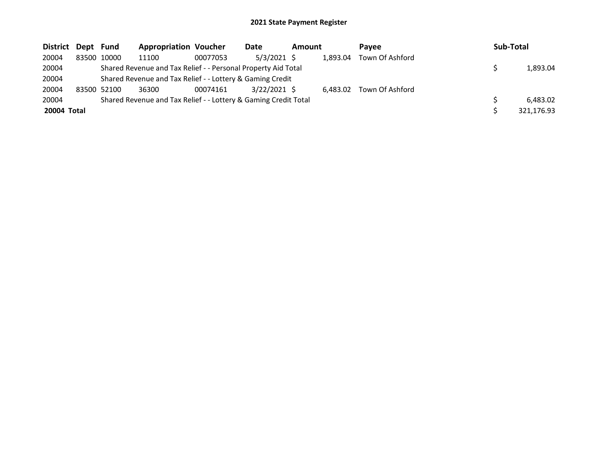| District Dept Fund |             | <b>Appropriation Voucher</b>                                    |          | Date           | Amount |          | <b>Pavee</b>    | Sub-Total  |
|--------------------|-------------|-----------------------------------------------------------------|----------|----------------|--------|----------|-----------------|------------|
| 20004              | 83500 10000 | 11100                                                           | 00077053 | $5/3/2021$ \$  |        | 1,893.04 | Town Of Ashford |            |
| 20004              |             | Shared Revenue and Tax Relief - - Personal Property Aid Total   |          |                |        |          |                 | 1,893.04   |
| 20004              |             | Shared Revenue and Tax Relief - - Lottery & Gaming Credit       |          |                |        |          |                 |            |
| 20004              | 83500 52100 | 36300                                                           | 00074161 | $3/22/2021$ \$ |        | 6,483.02 | Town Of Ashford |            |
| 20004              |             | Shared Revenue and Tax Relief - - Lottery & Gaming Credit Total |          |                |        |          |                 | 6,483.02   |
| 20004 Total        |             |                                                                 |          |                |        |          |                 | 321,176.93 |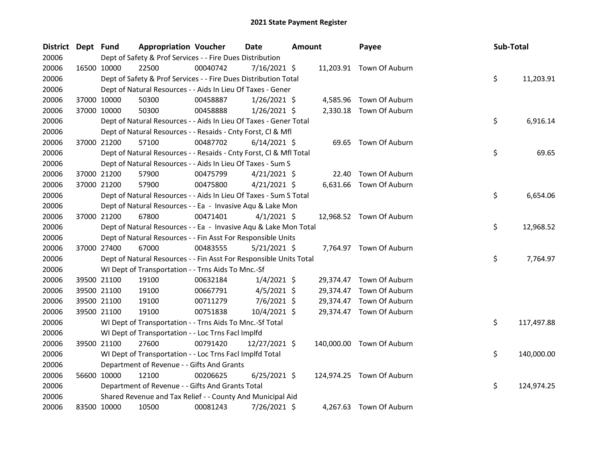| District Dept Fund |             |             | <b>Appropriation Voucher</b>                                       |          | <b>Date</b>    | <b>Amount</b> |           | Payee                     | Sub-Total |            |
|--------------------|-------------|-------------|--------------------------------------------------------------------|----------|----------------|---------------|-----------|---------------------------|-----------|------------|
| 20006              |             |             | Dept of Safety & Prof Services - - Fire Dues Distribution          |          |                |               |           |                           |           |            |
| 20006              |             | 16500 10000 | 22500                                                              | 00040742 | $7/16/2021$ \$ |               |           | 11,203.91 Town Of Auburn  |           |            |
| 20006              |             |             | Dept of Safety & Prof Services - - Fire Dues Distribution Total    |          |                |               |           |                           | \$        | 11,203.91  |
| 20006              |             |             | Dept of Natural Resources - - Aids In Lieu Of Taxes - Gener        |          |                |               |           |                           |           |            |
| 20006              |             | 37000 10000 | 50300                                                              | 00458887 | $1/26/2021$ \$ |               |           | 4,585.96 Town Of Auburn   |           |            |
| 20006              | 37000 10000 |             | 50300                                                              | 00458888 | $1/26/2021$ \$ |               |           | 2,330.18 Town Of Auburn   |           |            |
| 20006              |             |             | Dept of Natural Resources - - Aids In Lieu Of Taxes - Gener Total  |          |                |               |           |                           | \$        | 6,916.14   |
| 20006              |             |             | Dept of Natural Resources - - Resaids - Cnty Forst, Cl & Mfl       |          |                |               |           |                           |           |            |
| 20006              | 37000 21200 |             | 57100                                                              | 00487702 | $6/14/2021$ \$ |               |           | 69.65 Town Of Auburn      |           |            |
| 20006              |             |             | Dept of Natural Resources - - Resaids - Cnty Forst, CI & Mfl Total |          |                |               |           |                           | \$        | 69.65      |
| 20006              |             |             | Dept of Natural Resources - - Aids In Lieu Of Taxes - Sum S        |          |                |               |           |                           |           |            |
| 20006              |             | 37000 21200 | 57900                                                              | 00475799 | $4/21/2021$ \$ |               | 22.40     | Town Of Auburn            |           |            |
| 20006              | 37000 21200 |             | 57900                                                              | 00475800 | $4/21/2021$ \$ |               |           | 6,631.66 Town Of Auburn   |           |            |
| 20006              |             |             | Dept of Natural Resources - - Aids In Lieu Of Taxes - Sum S Total  |          |                |               |           |                           | \$        | 6,654.06   |
| 20006              |             |             | Dept of Natural Resources - - Ea - Invasive Aqu & Lake Mon         |          |                |               |           |                           |           |            |
| 20006              | 37000 21200 |             | 67800                                                              | 00471401 | $4/1/2021$ \$  |               |           | 12,968.52 Town Of Auburn  |           |            |
| 20006              |             |             | Dept of Natural Resources - - Ea - Invasive Aqu & Lake Mon Total   |          |                |               |           |                           | \$        | 12,968.52  |
| 20006              |             |             | Dept of Natural Resources - - Fin Asst For Responsible Units       |          |                |               |           |                           |           |            |
| 20006              | 37000 27400 |             | 67000                                                              | 00483555 | $5/21/2021$ \$ |               |           | 7,764.97 Town Of Auburn   |           |            |
| 20006              |             |             | Dept of Natural Resources - - Fin Asst For Responsible Units Total |          |                |               |           |                           | \$        | 7,764.97   |
| 20006              |             |             | WI Dept of Transportation - - Trns Aids To Mnc.-Sf                 |          |                |               |           |                           |           |            |
| 20006              |             | 39500 21100 | 19100                                                              | 00632184 | $1/4/2021$ \$  |               |           | 29,374.47 Town Of Auburn  |           |            |
| 20006              |             | 39500 21100 | 19100                                                              | 00667791 | $4/5/2021$ \$  |               | 29,374.47 | Town Of Auburn            |           |            |
| 20006              |             | 39500 21100 | 19100                                                              | 00711279 | 7/6/2021 \$    |               |           | 29,374.47 Town Of Auburn  |           |            |
| 20006              |             | 39500 21100 | 19100                                                              | 00751838 | $10/4/2021$ \$ |               |           | 29,374.47 Town Of Auburn  |           |            |
| 20006              |             |             | WI Dept of Transportation - - Trns Aids To Mnc.-Sf Total           |          |                |               |           |                           | \$        | 117,497.88 |
| 20006              |             |             | WI Dept of Transportation - - Loc Trns FacI Implfd                 |          |                |               |           |                           |           |            |
| 20006              | 39500 21100 |             | 27600                                                              | 00791420 | 12/27/2021 \$  |               |           | 140,000.00 Town Of Auburn |           |            |
| 20006              |             |             | WI Dept of Transportation - - Loc Trns Facl Implfd Total           |          |                |               |           |                           | \$        | 140,000.00 |
| 20006              |             |             | Department of Revenue - - Gifts And Grants                         |          |                |               |           |                           |           |            |
| 20006              | 56600 10000 |             | 12100                                                              | 00206625 | $6/25/2021$ \$ |               |           | 124,974.25 Town Of Auburn |           |            |
| 20006              |             |             | Department of Revenue - - Gifts And Grants Total                   |          |                |               |           |                           | \$        | 124,974.25 |
| 20006              |             |             | Shared Revenue and Tax Relief - - County And Municipal Aid         |          |                |               |           |                           |           |            |
| 20006              | 83500 10000 |             | 10500                                                              | 00081243 | 7/26/2021 \$   |               |           | 4,267.63 Town Of Auburn   |           |            |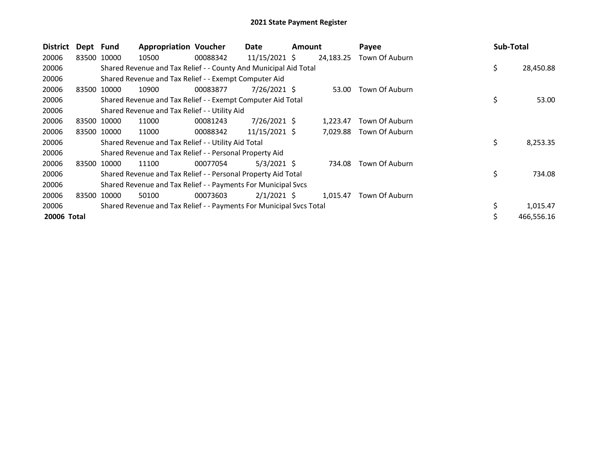| <b>District</b> | Dept Fund |             | <b>Appropriation Voucher</b>                                        |          | Date            | <b>Amount</b> |           | Payee          | Sub-Total       |
|-----------------|-----------|-------------|---------------------------------------------------------------------|----------|-----------------|---------------|-----------|----------------|-----------------|
| 20006           | 83500     | 10000       | 10500                                                               | 00088342 | $11/15/2021$ \$ |               | 24,183.25 | Town Of Auburn |                 |
| 20006           |           |             | Shared Revenue and Tax Relief - - County And Municipal Aid Total    |          |                 |               |           |                | \$<br>28,450.88 |
| 20006           |           |             | Shared Revenue and Tax Relief - - Exempt Computer Aid               |          |                 |               |           |                |                 |
| 20006           | 83500     | 10000       | 10900                                                               | 00083877 | 7/26/2021 \$    |               | 53.00     | Town Of Auburn |                 |
| 20006           |           |             | Shared Revenue and Tax Relief - - Exempt Computer Aid Total         |          |                 |               |           |                | \$<br>53.00     |
| 20006           |           |             | Shared Revenue and Tax Relief - - Utility Aid                       |          |                 |               |           |                |                 |
| 20006           | 83500     | 10000       | 11000                                                               | 00081243 | 7/26/2021 \$    |               | 1,223.47  | Town Of Auburn |                 |
| 20006           |           | 83500 10000 | 11000                                                               | 00088342 | 11/15/2021 \$   |               | 7,029.88  | Town Of Auburn |                 |
| 20006           |           |             | Shared Revenue and Tax Relief - - Utility Aid Total                 |          |                 |               |           |                | \$<br>8,253.35  |
| 20006           |           |             | Shared Revenue and Tax Relief - - Personal Property Aid             |          |                 |               |           |                |                 |
| 20006           | 83500     | 10000       | 11100                                                               | 00077054 | $5/3/2021$ \$   |               | 734.08    | Town Of Auburn |                 |
| 20006           |           |             | Shared Revenue and Tax Relief - - Personal Property Aid Total       |          |                 |               |           |                | \$<br>734.08    |
| 20006           |           |             | Shared Revenue and Tax Relief - - Payments For Municipal Svcs       |          |                 |               |           |                |                 |
| 20006           | 83500     | 10000       | 50100                                                               | 00073603 | $2/1/2021$ \$   |               | 1,015.47  | Town Of Auburn |                 |
| 20006           |           |             | Shared Revenue and Tax Relief - - Payments For Municipal Svcs Total |          |                 |               |           |                | 1,015.47        |
| 20006 Total     |           |             |                                                                     |          |                 |               |           |                | 466,556.16      |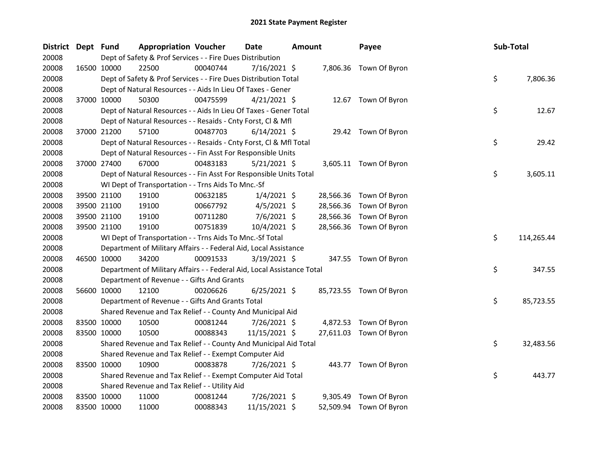| <b>District</b> | Dept Fund |             | <b>Appropriation Voucher</b>                                           |          | Date           | Amount |           | Payee                   | Sub-Total |            |
|-----------------|-----------|-------------|------------------------------------------------------------------------|----------|----------------|--------|-----------|-------------------------|-----------|------------|
| 20008           |           |             | Dept of Safety & Prof Services - - Fire Dues Distribution              |          |                |        |           |                         |           |            |
| 20008           |           | 16500 10000 | 22500                                                                  | 00040744 | 7/16/2021 \$   |        |           | 7,806.36 Town Of Byron  |           |            |
| 20008           |           |             | Dept of Safety & Prof Services - - Fire Dues Distribution Total        |          |                |        |           |                         | \$        | 7,806.36   |
| 20008           |           |             | Dept of Natural Resources - - Aids In Lieu Of Taxes - Gener            |          |                |        |           |                         |           |            |
| 20008           |           | 37000 10000 | 50300                                                                  | 00475599 | $4/21/2021$ \$ |        |           | 12.67 Town Of Byron     |           |            |
| 20008           |           |             | Dept of Natural Resources - - Aids In Lieu Of Taxes - Gener Total      |          |                |        |           |                         | \$        | 12.67      |
| 20008           |           |             | Dept of Natural Resources - - Resaids - Cnty Forst, Cl & Mfl           |          |                |        |           |                         |           |            |
| 20008           |           | 37000 21200 | 57100                                                                  | 00487703 | $6/14/2021$ \$ |        |           | 29.42 Town Of Byron     |           |            |
| 20008           |           |             | Dept of Natural Resources - - Resaids - Cnty Forst, Cl & Mfl Total     |          |                |        |           |                         | \$        | 29.42      |
| 20008           |           |             | Dept of Natural Resources - - Fin Asst For Responsible Units           |          |                |        |           |                         |           |            |
| 20008           |           | 37000 27400 | 67000                                                                  | 00483183 | $5/21/2021$ \$ |        |           | 3,605.11 Town Of Byron  |           |            |
| 20008           |           |             | Dept of Natural Resources - - Fin Asst For Responsible Units Total     |          |                |        |           |                         | \$        | 3,605.11   |
| 20008           |           |             | WI Dept of Transportation - - Trns Aids To Mnc.-Sf                     |          |                |        |           |                         |           |            |
| 20008           |           | 39500 21100 | 19100                                                                  | 00632185 | $1/4/2021$ \$  |        | 28,566.36 | Town Of Byron           |           |            |
| 20008           |           | 39500 21100 | 19100                                                                  | 00667792 | $4/5/2021$ \$  |        | 28,566.36 | Town Of Byron           |           |            |
| 20008           |           | 39500 21100 | 19100                                                                  | 00711280 | $7/6/2021$ \$  |        | 28,566.36 | Town Of Byron           |           |            |
| 20008           |           | 39500 21100 | 19100                                                                  | 00751839 | 10/4/2021 \$   |        |           | 28,566.36 Town Of Byron |           |            |
| 20008           |           |             | WI Dept of Transportation - - Trns Aids To Mnc.-Sf Total               |          |                |        |           |                         | \$        | 114,265.44 |
| 20008           |           |             | Department of Military Affairs - - Federal Aid, Local Assistance       |          |                |        |           |                         |           |            |
| 20008           |           | 46500 10000 | 34200                                                                  | 00091533 | $3/19/2021$ \$ |        |           | 347.55 Town Of Byron    |           |            |
| 20008           |           |             | Department of Military Affairs - - Federal Aid, Local Assistance Total |          |                |        |           |                         | \$        | 347.55     |
| 20008           |           |             | Department of Revenue - - Gifts And Grants                             |          |                |        |           |                         |           |            |
| 20008           |           | 56600 10000 | 12100                                                                  | 00206626 | $6/25/2021$ \$ |        |           | 85,723.55 Town Of Byron |           |            |
| 20008           |           |             | Department of Revenue - - Gifts And Grants Total                       |          |                |        |           |                         | \$        | 85,723.55  |
| 20008           |           |             | Shared Revenue and Tax Relief - - County And Municipal Aid             |          |                |        |           |                         |           |            |
| 20008           |           | 83500 10000 | 10500                                                                  | 00081244 | 7/26/2021 \$   |        |           | 4,872.53 Town Of Byron  |           |            |
| 20008           |           | 83500 10000 | 10500                                                                  | 00088343 | 11/15/2021 \$  |        |           | 27,611.03 Town Of Byron |           |            |
| 20008           |           |             | Shared Revenue and Tax Relief - - County And Municipal Aid Total       |          |                |        |           |                         | \$        | 32,483.56  |
| 20008           |           |             | Shared Revenue and Tax Relief - - Exempt Computer Aid                  |          |                |        |           |                         |           |            |
| 20008           |           | 83500 10000 | 10900                                                                  | 00083878 | 7/26/2021 \$   |        |           | 443.77 Town Of Byron    |           |            |
| 20008           |           |             | Shared Revenue and Tax Relief - - Exempt Computer Aid Total            |          |                |        |           |                         | \$        | 443.77     |
| 20008           |           |             | Shared Revenue and Tax Relief - - Utility Aid                          |          |                |        |           |                         |           |            |
| 20008           |           | 83500 10000 | 11000                                                                  | 00081244 | 7/26/2021 \$   |        | 9,305.49  | Town Of Byron           |           |            |
| 20008           |           | 83500 10000 | 11000                                                                  | 00088343 | 11/15/2021 \$  |        | 52,509.94 | Town Of Byron           |           |            |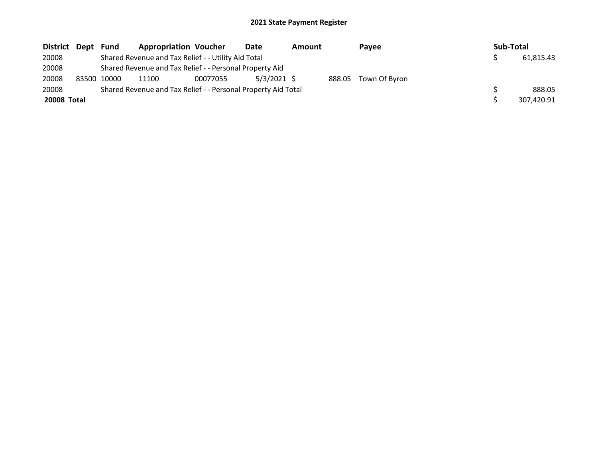| District Dept | Fund        | <b>Appropriation Voucher</b>                                  |          | Date          | Amount |        | Payee         | Sub-Total |            |
|---------------|-------------|---------------------------------------------------------------|----------|---------------|--------|--------|---------------|-----------|------------|
| 20008         |             | Shared Revenue and Tax Relief - - Utility Aid Total           |          |               |        |        |               |           | 61.815.43  |
| 20008         |             | Shared Revenue and Tax Relief - - Personal Property Aid       |          |               |        |        |               |           |            |
| 20008         | 83500 10000 | 11100                                                         | 00077055 | $5/3/2021$ \$ |        | 888.05 | Town Of Byron |           |            |
| 20008         |             | Shared Revenue and Tax Relief - - Personal Property Aid Total |          |               |        |        |               |           | 888.05     |
| 20008 Total   |             |                                                               |          |               |        |        |               |           | 307.420.91 |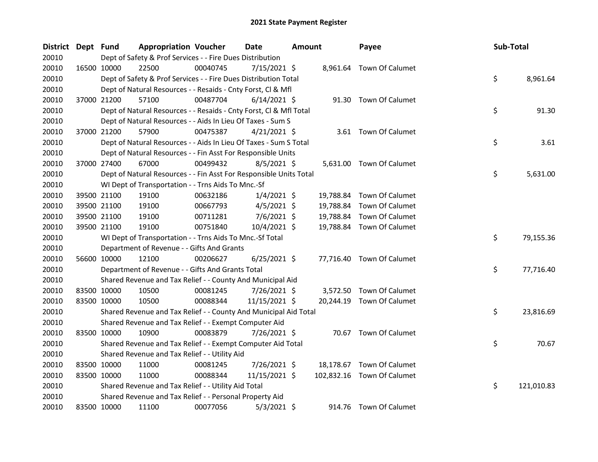| District Dept Fund |             | <b>Appropriation Voucher</b>                                       |          | Date           | Amount |           | Payee                      | Sub-Total |            |
|--------------------|-------------|--------------------------------------------------------------------|----------|----------------|--------|-----------|----------------------------|-----------|------------|
| 20010              |             | Dept of Safety & Prof Services - - Fire Dues Distribution          |          |                |        |           |                            |           |            |
| 20010              | 16500 10000 | 22500                                                              | 00040745 | 7/15/2021 \$   |        |           | 8,961.64 Town Of Calumet   |           |            |
| 20010              |             | Dept of Safety & Prof Services - - Fire Dues Distribution Total    |          |                |        |           |                            | \$        | 8,961.64   |
| 20010              |             | Dept of Natural Resources - - Resaids - Cnty Forst, Cl & Mfl       |          |                |        |           |                            |           |            |
| 20010              | 37000 21200 | 57100                                                              | 00487704 | $6/14/2021$ \$ |        |           | 91.30 Town Of Calumet      |           |            |
| 20010              |             | Dept of Natural Resources - - Resaids - Cnty Forst, Cl & Mfl Total |          |                |        |           |                            | \$        | 91.30      |
| 20010              |             | Dept of Natural Resources - - Aids In Lieu Of Taxes - Sum S        |          |                |        |           |                            |           |            |
| 20010              | 37000 21200 | 57900                                                              | 00475387 | $4/21/2021$ \$ |        |           | 3.61 Town Of Calumet       |           |            |
| 20010              |             | Dept of Natural Resources - - Aids In Lieu Of Taxes - Sum S Total  |          |                |        |           |                            | \$        | 3.61       |
| 20010              |             | Dept of Natural Resources - - Fin Asst For Responsible Units       |          |                |        |           |                            |           |            |
| 20010              | 37000 27400 | 67000                                                              | 00499432 | $8/5/2021$ \$  |        |           | 5,631.00 Town Of Calumet   |           |            |
| 20010              |             | Dept of Natural Resources - - Fin Asst For Responsible Units Total |          |                |        |           |                            | \$        | 5,631.00   |
| 20010              |             | WI Dept of Transportation - - Trns Aids To Mnc.-Sf                 |          |                |        |           |                            |           |            |
| 20010              | 39500 21100 | 19100                                                              | 00632186 | $1/4/2021$ \$  |        | 19,788.84 | Town Of Calumet            |           |            |
| 20010              | 39500 21100 | 19100                                                              | 00667793 | $4/5/2021$ \$  |        | 19,788.84 | Town Of Calumet            |           |            |
| 20010              | 39500 21100 | 19100                                                              | 00711281 | $7/6/2021$ \$  |        | 19,788.84 | Town Of Calumet            |           |            |
| 20010              | 39500 21100 | 19100                                                              | 00751840 | 10/4/2021 \$   |        |           | 19,788.84 Town Of Calumet  |           |            |
| 20010              |             | WI Dept of Transportation - - Trns Aids To Mnc.-Sf Total           |          |                |        |           |                            | \$        | 79,155.36  |
| 20010              |             | Department of Revenue - - Gifts And Grants                         |          |                |        |           |                            |           |            |
| 20010              | 56600 10000 | 12100                                                              | 00206627 | $6/25/2021$ \$ |        |           | 77,716.40 Town Of Calumet  |           |            |
| 20010              |             | Department of Revenue - - Gifts And Grants Total                   |          |                |        |           |                            | \$        | 77,716.40  |
| 20010              |             | Shared Revenue and Tax Relief - - County And Municipal Aid         |          |                |        |           |                            |           |            |
| 20010              | 83500 10000 | 10500                                                              | 00081245 | 7/26/2021 \$   |        |           | 3,572.50 Town Of Calumet   |           |            |
| 20010              | 83500 10000 | 10500                                                              | 00088344 | 11/15/2021 \$  |        |           | 20,244.19 Town Of Calumet  |           |            |
| 20010              |             | Shared Revenue and Tax Relief - - County And Municipal Aid Total   |          |                |        |           |                            | \$        | 23,816.69  |
| 20010              |             | Shared Revenue and Tax Relief - - Exempt Computer Aid              |          |                |        |           |                            |           |            |
| 20010              | 83500 10000 | 10900                                                              | 00083879 | 7/26/2021 \$   |        |           | 70.67 Town Of Calumet      |           |            |
| 20010              |             | Shared Revenue and Tax Relief - - Exempt Computer Aid Total        |          |                |        |           |                            | \$        | 70.67      |
| 20010              |             | Shared Revenue and Tax Relief - - Utility Aid                      |          |                |        |           |                            |           |            |
| 20010              | 83500 10000 | 11000                                                              | 00081245 | 7/26/2021 \$   |        |           | 18,178.67 Town Of Calumet  |           |            |
| 20010              | 83500 10000 | 11000                                                              | 00088344 | 11/15/2021 \$  |        |           | 102,832.16 Town Of Calumet |           |            |
| 20010              |             | Shared Revenue and Tax Relief - - Utility Aid Total                |          |                |        |           |                            | \$        | 121,010.83 |
| 20010              |             | Shared Revenue and Tax Relief - - Personal Property Aid            |          |                |        |           |                            |           |            |
| 20010              | 83500 10000 | 11100                                                              | 00077056 | $5/3/2021$ \$  |        |           | 914.76 Town Of Calumet     |           |            |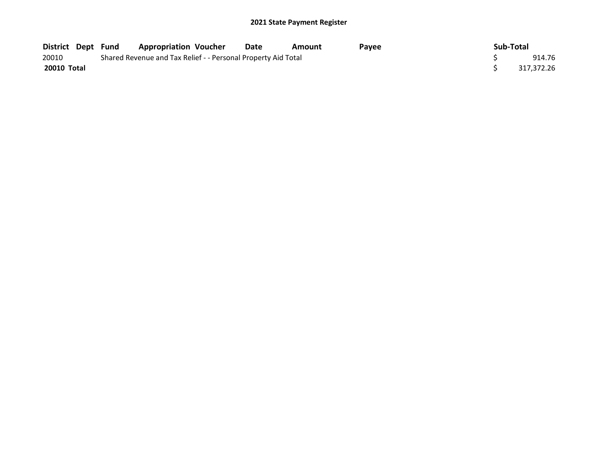| District Dept Fund |  | <b>Appropriation Voucher</b>                                  | Date | Amount | <b>Pavee</b> | Sub-Total |            |
|--------------------|--|---------------------------------------------------------------|------|--------|--------------|-----------|------------|
| 20010              |  | Shared Revenue and Tax Relief - - Personal Property Aid Total |      |        |              |           | 914.76     |
| 20010 Total        |  |                                                               |      |        |              |           | 317.372.26 |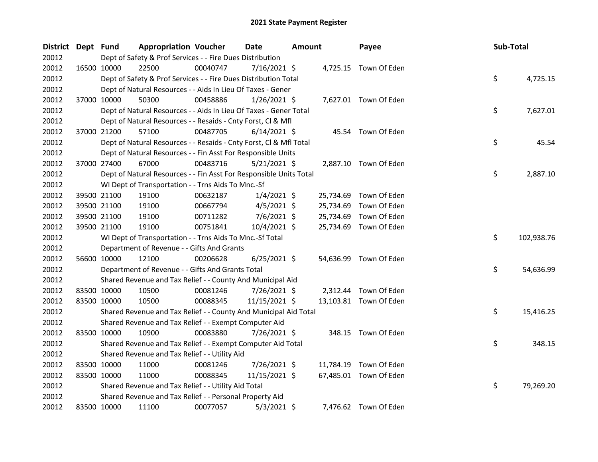| District Dept Fund |             | <b>Appropriation Voucher</b>                                       |          | Date           | <b>Amount</b> |           | Payee                  | Sub-Total |            |
|--------------------|-------------|--------------------------------------------------------------------|----------|----------------|---------------|-----------|------------------------|-----------|------------|
| 20012              |             | Dept of Safety & Prof Services - - Fire Dues Distribution          |          |                |               |           |                        |           |            |
| 20012              | 16500 10000 | 22500                                                              | 00040747 | $7/16/2021$ \$ |               |           | 4,725.15 Town Of Eden  |           |            |
| 20012              |             | Dept of Safety & Prof Services - - Fire Dues Distribution Total    |          |                |               |           |                        | \$        | 4,725.15   |
| 20012              |             | Dept of Natural Resources - - Aids In Lieu Of Taxes - Gener        |          |                |               |           |                        |           |            |
| 20012              | 37000 10000 | 50300                                                              | 00458886 | $1/26/2021$ \$ |               |           | 7,627.01 Town Of Eden  |           |            |
| 20012              |             | Dept of Natural Resources - - Aids In Lieu Of Taxes - Gener Total  |          |                |               |           |                        | \$        | 7,627.01   |
| 20012              |             | Dept of Natural Resources - - Resaids - Cnty Forst, Cl & Mfl       |          |                |               |           |                        |           |            |
| 20012              | 37000 21200 | 57100                                                              | 00487705 | $6/14/2021$ \$ |               |           | 45.54 Town Of Eden     |           |            |
| 20012              |             | Dept of Natural Resources - - Resaids - Cnty Forst, Cl & Mfl Total |          |                |               |           |                        | \$        | 45.54      |
| 20012              |             | Dept of Natural Resources - - Fin Asst For Responsible Units       |          |                |               |           |                        |           |            |
| 20012              | 37000 27400 | 67000                                                              | 00483716 | $5/21/2021$ \$ |               |           | 2,887.10 Town Of Eden  |           |            |
| 20012              |             | Dept of Natural Resources - - Fin Asst For Responsible Units Total |          |                |               |           |                        | \$        | 2,887.10   |
| 20012              |             | WI Dept of Transportation - - Trns Aids To Mnc.-Sf                 |          |                |               |           |                        |           |            |
| 20012              | 39500 21100 | 19100                                                              | 00632187 | $1/4/2021$ \$  |               | 25,734.69 | Town Of Eden           |           |            |
| 20012              | 39500 21100 | 19100                                                              | 00667794 | $4/5/2021$ \$  |               | 25,734.69 | Town Of Eden           |           |            |
| 20012              | 39500 21100 | 19100                                                              | 00711282 | $7/6/2021$ \$  |               | 25,734.69 | Town Of Eden           |           |            |
| 20012              | 39500 21100 | 19100                                                              | 00751841 | 10/4/2021 \$   |               | 25,734.69 | Town Of Eden           |           |            |
| 20012              |             | WI Dept of Transportation - - Trns Aids To Mnc.-Sf Total           |          |                |               |           |                        | \$        | 102,938.76 |
| 20012              |             | Department of Revenue - - Gifts And Grants                         |          |                |               |           |                        |           |            |
| 20012              | 56600 10000 | 12100                                                              | 00206628 | $6/25/2021$ \$ |               |           | 54,636.99 Town Of Eden |           |            |
| 20012              |             | Department of Revenue - - Gifts And Grants Total                   |          |                |               |           |                        | \$        | 54,636.99  |
| 20012              |             | Shared Revenue and Tax Relief - - County And Municipal Aid         |          |                |               |           |                        |           |            |
| 20012              | 83500 10000 | 10500                                                              | 00081246 | 7/26/2021 \$   |               |           | 2,312.44 Town Of Eden  |           |            |
| 20012              | 83500 10000 | 10500                                                              | 00088345 | 11/15/2021 \$  |               |           | 13,103.81 Town Of Eden |           |            |
| 20012              |             | Shared Revenue and Tax Relief - - County And Municipal Aid Total   |          |                |               |           |                        | \$        | 15,416.25  |
| 20012              |             | Shared Revenue and Tax Relief - - Exempt Computer Aid              |          |                |               |           |                        |           |            |
| 20012              | 83500 10000 | 10900                                                              | 00083880 | 7/26/2021 \$   |               |           | 348.15 Town Of Eden    |           |            |
| 20012              |             | Shared Revenue and Tax Relief - - Exempt Computer Aid Total        |          |                |               |           |                        | \$        | 348.15     |
| 20012              |             | Shared Revenue and Tax Relief - - Utility Aid                      |          |                |               |           |                        |           |            |
| 20012              | 83500 10000 | 11000                                                              | 00081246 | 7/26/2021 \$   |               | 11,784.19 | Town Of Eden           |           |            |
| 20012              | 83500 10000 | 11000                                                              | 00088345 | 11/15/2021 \$  |               |           | 67,485.01 Town Of Eden |           |            |
| 20012              |             | Shared Revenue and Tax Relief - - Utility Aid Total                |          |                |               |           |                        | \$        | 79,269.20  |
| 20012              |             | Shared Revenue and Tax Relief - - Personal Property Aid            |          |                |               |           |                        |           |            |
| 20012              | 83500 10000 | 11100                                                              | 00077057 | $5/3/2021$ \$  |               |           | 7,476.62 Town Of Eden  |           |            |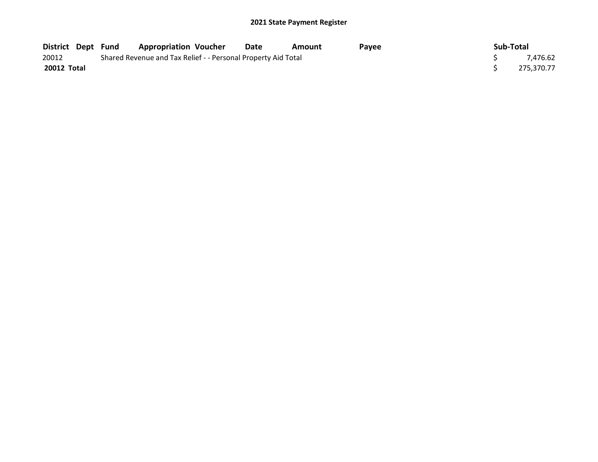|                    |  | District Dept Fund Appropriation Voucher                      | Date | Amount | <b>Pavee</b> | Sub-Total  |
|--------------------|--|---------------------------------------------------------------|------|--------|--------------|------------|
| 20012              |  | Shared Revenue and Tax Relief - - Personal Property Aid Total |      |        |              | 7.476.62   |
| <b>20012 Total</b> |  |                                                               |      |        |              | 275,370.77 |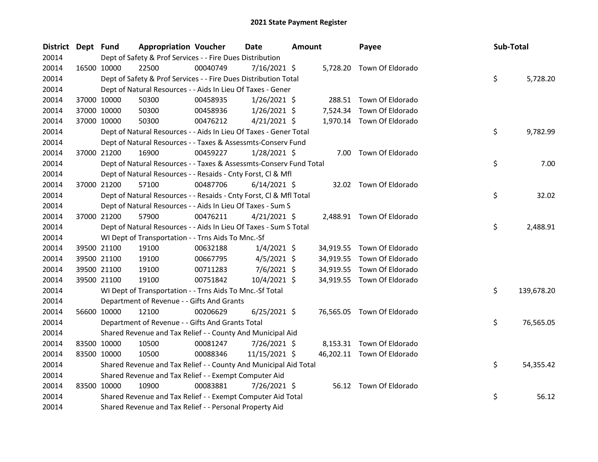| District Dept Fund |             | <b>Appropriation Voucher</b>                                       |          | <b>Date</b>    | <b>Amount</b> |           | Payee                      | Sub-Total |            |
|--------------------|-------------|--------------------------------------------------------------------|----------|----------------|---------------|-----------|----------------------------|-----------|------------|
| 20014              |             | Dept of Safety & Prof Services - - Fire Dues Distribution          |          |                |               |           |                            |           |            |
| 20014              | 16500 10000 | 22500                                                              | 00040749 | $7/16/2021$ \$ |               |           | 5,728.20 Town Of Eldorado  |           |            |
| 20014              |             | Dept of Safety & Prof Services - - Fire Dues Distribution Total    |          |                |               |           |                            | \$        | 5,728.20   |
| 20014              |             | Dept of Natural Resources - - Aids In Lieu Of Taxes - Gener        |          |                |               |           |                            |           |            |
| 20014              | 37000 10000 | 50300                                                              | 00458935 | $1/26/2021$ \$ |               |           | 288.51 Town Of Eldorado    |           |            |
| 20014              | 37000 10000 | 50300                                                              | 00458936 | $1/26/2021$ \$ |               | 7,524.34  | Town Of Eldorado           |           |            |
| 20014              | 37000 10000 | 50300                                                              | 00476212 | $4/21/2021$ \$ |               |           | 1,970.14 Town Of Eldorado  |           |            |
| 20014              |             | Dept of Natural Resources - - Aids In Lieu Of Taxes - Gener Total  |          |                |               |           |                            | \$        | 9,782.99   |
| 20014              |             | Dept of Natural Resources - - Taxes & Assessmts-Conserv Fund       |          |                |               |           |                            |           |            |
| 20014              | 37000 21200 | 16900                                                              | 00459227 | $1/28/2021$ \$ |               | 7.00      | Town Of Eldorado           |           |            |
| 20014              |             | Dept of Natural Resources - - Taxes & Assessmts-Conserv Fund Total |          |                |               |           |                            | \$        | 7.00       |
| 20014              |             | Dept of Natural Resources - - Resaids - Cnty Forst, Cl & Mfl       |          |                |               |           |                            |           |            |
| 20014              | 37000 21200 | 57100                                                              | 00487706 | $6/14/2021$ \$ |               |           | 32.02 Town Of Eldorado     |           |            |
| 20014              |             | Dept of Natural Resources - - Resaids - Cnty Forst, Cl & Mfl Total |          |                |               |           |                            | \$        | 32.02      |
| 20014              |             | Dept of Natural Resources - - Aids In Lieu Of Taxes - Sum S        |          |                |               |           |                            |           |            |
| 20014              | 37000 21200 | 57900                                                              | 00476211 | $4/21/2021$ \$ |               |           | 2,488.91 Town Of Eldorado  |           |            |
| 20014              |             | Dept of Natural Resources - - Aids In Lieu Of Taxes - Sum S Total  |          |                |               |           |                            | \$        | 2,488.91   |
| 20014              |             | WI Dept of Transportation - - Trns Aids To Mnc.-Sf                 |          |                |               |           |                            |           |            |
| 20014              | 39500 21100 | 19100                                                              | 00632188 | $1/4/2021$ \$  |               |           | 34,919.55 Town Of Eldorado |           |            |
| 20014              | 39500 21100 | 19100                                                              | 00667795 | $4/5/2021$ \$  |               |           | 34,919.55 Town Of Eldorado |           |            |
| 20014              | 39500 21100 | 19100                                                              | 00711283 | $7/6/2021$ \$  |               | 34,919.55 | Town Of Eldorado           |           |            |
| 20014              | 39500 21100 | 19100                                                              | 00751842 | 10/4/2021 \$   |               |           | 34,919.55 Town Of Eldorado |           |            |
| 20014              |             | WI Dept of Transportation - - Trns Aids To Mnc.-Sf Total           |          |                |               |           |                            | \$        | 139,678.20 |
| 20014              |             | Department of Revenue - - Gifts And Grants                         |          |                |               |           |                            |           |            |
| 20014              | 56600 10000 | 12100                                                              | 00206629 | $6/25/2021$ \$ |               |           | 76,565.05 Town Of Eldorado |           |            |
| 20014              |             | Department of Revenue - - Gifts And Grants Total                   |          |                |               |           |                            | \$        | 76,565.05  |
| 20014              |             | Shared Revenue and Tax Relief - - County And Municipal Aid         |          |                |               |           |                            |           |            |
| 20014              | 83500 10000 | 10500                                                              | 00081247 | 7/26/2021 \$   |               |           | 8,153.31 Town Of Eldorado  |           |            |
| 20014              | 83500 10000 | 10500                                                              | 00088346 | 11/15/2021 \$  |               |           | 46,202.11 Town Of Eldorado |           |            |
| 20014              |             | Shared Revenue and Tax Relief - - County And Municipal Aid Total   |          |                |               |           |                            | \$        | 54,355.42  |
| 20014              |             | Shared Revenue and Tax Relief - - Exempt Computer Aid              |          |                |               |           |                            |           |            |
| 20014              | 83500 10000 | 10900                                                              | 00083881 | 7/26/2021 \$   |               |           | 56.12 Town Of Eldorado     |           |            |
| 20014              |             | Shared Revenue and Tax Relief - - Exempt Computer Aid Total        |          |                |               |           |                            | \$        | 56.12      |
| 20014              |             | Shared Revenue and Tax Relief - - Personal Property Aid            |          |                |               |           |                            |           |            |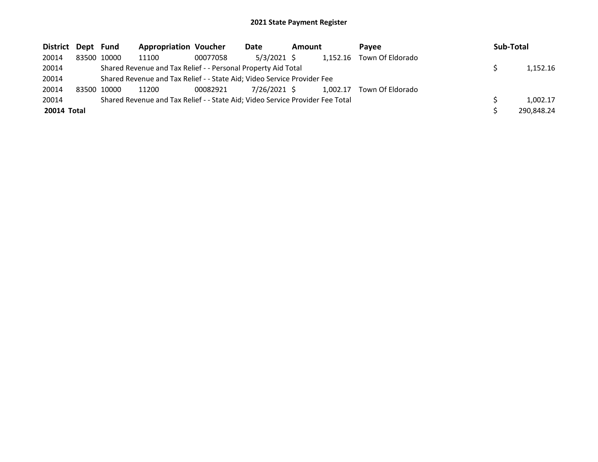| District Dept Fund |             | <b>Appropriation Voucher</b>                                                  |          | Date         | Amount |          | <b>Pavee</b>     | Sub-Total  |
|--------------------|-------------|-------------------------------------------------------------------------------|----------|--------------|--------|----------|------------------|------------|
| 20014              | 83500 10000 | 11100                                                                         | 00077058 | 5/3/2021 \$  |        | 1,152.16 | Town Of Eldorado |            |
| 20014              |             | Shared Revenue and Tax Relief - - Personal Property Aid Total                 |          |              |        |          |                  | 1,152.16   |
| 20014              |             | Shared Revenue and Tax Relief - - State Aid; Video Service Provider Fee       |          |              |        |          |                  |            |
| 20014              | 83500 10000 | 11200                                                                         | 00082921 | 7/26/2021 \$ |        | 1.002.17 | Town Of Eldorado |            |
| 20014              |             | Shared Revenue and Tax Relief - - State Aid; Video Service Provider Fee Total |          |              |        |          |                  | 1.002.17   |
| 20014 Total        |             |                                                                               |          |              |        |          |                  | 290,848.24 |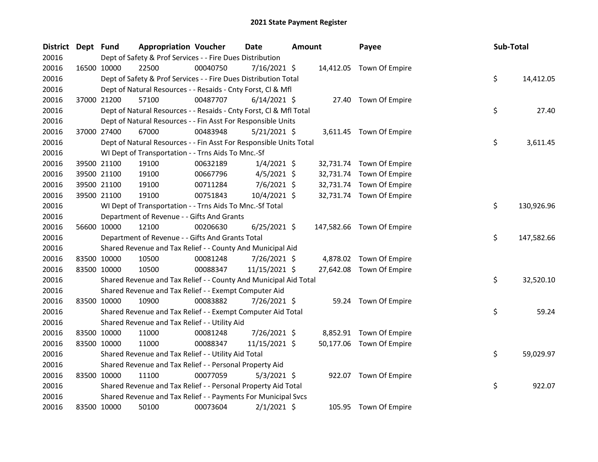| District Dept Fund |             | <b>Appropriation Voucher</b>                                       |          | Date           | <b>Amount</b> |           | Payee                     | <b>Sub-Total</b> |            |
|--------------------|-------------|--------------------------------------------------------------------|----------|----------------|---------------|-----------|---------------------------|------------------|------------|
| 20016              |             | Dept of Safety & Prof Services - - Fire Dues Distribution          |          |                |               |           |                           |                  |            |
| 20016              | 16500 10000 | 22500                                                              | 00040750 | 7/16/2021 \$   |               |           | 14,412.05 Town Of Empire  |                  |            |
| 20016              |             | Dept of Safety & Prof Services - - Fire Dues Distribution Total    |          |                |               |           |                           | \$               | 14,412.05  |
| 20016              |             | Dept of Natural Resources - - Resaids - Cnty Forst, Cl & Mfl       |          |                |               |           |                           |                  |            |
| 20016              | 37000 21200 | 57100                                                              | 00487707 | $6/14/2021$ \$ |               |           | 27.40 Town Of Empire      |                  |            |
| 20016              |             | Dept of Natural Resources - - Resaids - Cnty Forst, Cl & Mfl Total |          |                |               |           |                           | \$               | 27.40      |
| 20016              |             | Dept of Natural Resources - - Fin Asst For Responsible Units       |          |                |               |           |                           |                  |            |
| 20016              | 37000 27400 | 67000                                                              | 00483948 | $5/21/2021$ \$ |               |           | 3,611.45 Town Of Empire   |                  |            |
| 20016              |             | Dept of Natural Resources - - Fin Asst For Responsible Units Total |          |                |               |           |                           | \$               | 3,611.45   |
| 20016              |             | WI Dept of Transportation - - Trns Aids To Mnc.-Sf                 |          |                |               |           |                           |                  |            |
| 20016              | 39500 21100 | 19100                                                              | 00632189 | $1/4/2021$ \$  |               | 32,731.74 | Town Of Empire            |                  |            |
| 20016              | 39500 21100 | 19100                                                              | 00667796 | $4/5/2021$ \$  |               | 32,731.74 | Town Of Empire            |                  |            |
| 20016              | 39500 21100 | 19100                                                              | 00711284 | 7/6/2021 \$    |               | 32,731.74 | Town Of Empire            |                  |            |
| 20016              | 39500 21100 | 19100                                                              | 00751843 | 10/4/2021 \$   |               |           | 32,731.74 Town Of Empire  |                  |            |
| 20016              |             | WI Dept of Transportation - - Trns Aids To Mnc.-Sf Total           |          |                |               |           |                           | \$               | 130,926.96 |
| 20016              |             | Department of Revenue - - Gifts And Grants                         |          |                |               |           |                           |                  |            |
| 20016              | 56600 10000 | 12100                                                              | 00206630 | $6/25/2021$ \$ |               |           | 147,582.66 Town Of Empire |                  |            |
| 20016              |             | Department of Revenue - - Gifts And Grants Total                   |          |                |               |           |                           | \$               | 147,582.66 |
| 20016              |             | Shared Revenue and Tax Relief - - County And Municipal Aid         |          |                |               |           |                           |                  |            |
| 20016              | 83500 10000 | 10500                                                              | 00081248 | 7/26/2021 \$   |               |           | 4,878.02 Town Of Empire   |                  |            |
| 20016              | 83500 10000 | 10500                                                              | 00088347 | 11/15/2021 \$  |               |           | 27,642.08 Town Of Empire  |                  |            |
| 20016              |             | Shared Revenue and Tax Relief - - County And Municipal Aid Total   |          |                |               |           |                           | \$               | 32,520.10  |
| 20016              |             | Shared Revenue and Tax Relief - - Exempt Computer Aid              |          |                |               |           |                           |                  |            |
| 20016              | 83500 10000 | 10900                                                              | 00083882 | 7/26/2021 \$   |               |           | 59.24 Town Of Empire      |                  |            |
| 20016              |             | Shared Revenue and Tax Relief - - Exempt Computer Aid Total        |          |                |               |           |                           | \$               | 59.24      |
| 20016              |             | Shared Revenue and Tax Relief - - Utility Aid                      |          |                |               |           |                           |                  |            |
| 20016              | 83500 10000 | 11000                                                              | 00081248 | 7/26/2021 \$   |               |           | 8,852.91 Town Of Empire   |                  |            |
| 20016              | 83500 10000 | 11000                                                              | 00088347 | 11/15/2021 \$  |               |           | 50,177.06 Town Of Empire  |                  |            |
| 20016              |             | Shared Revenue and Tax Relief - - Utility Aid Total                |          |                |               |           |                           | \$               | 59,029.97  |
| 20016              |             | Shared Revenue and Tax Relief - - Personal Property Aid            |          |                |               |           |                           |                  |            |
| 20016              | 83500 10000 | 11100                                                              | 00077059 | $5/3/2021$ \$  |               |           | 922.07 Town Of Empire     |                  |            |
| 20016              |             | Shared Revenue and Tax Relief - - Personal Property Aid Total      |          |                |               |           |                           | \$               | 922.07     |
| 20016              |             | Shared Revenue and Tax Relief - - Payments For Municipal Svcs      |          |                |               |           |                           |                  |            |
| 20016              | 83500 10000 | 50100                                                              | 00073604 | $2/1/2021$ \$  |               |           | 105.95 Town Of Empire     |                  |            |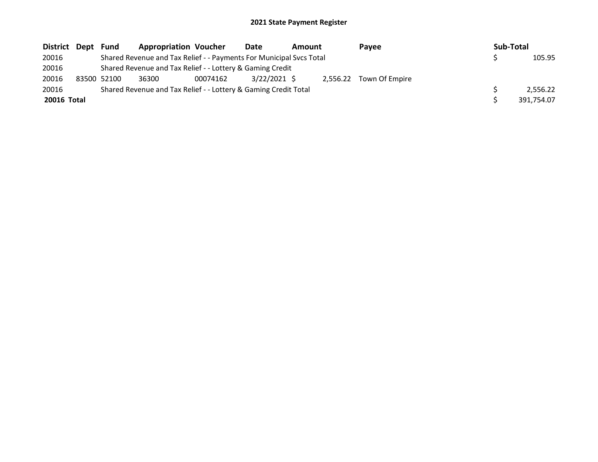| District Dept | Fund        | <b>Appropriation Voucher</b>                                        |          | Date         | Amount | <b>Pavee</b>            | Sub-Total  |
|---------------|-------------|---------------------------------------------------------------------|----------|--------------|--------|-------------------------|------------|
| 20016         |             | Shared Revenue and Tax Relief - - Payments For Municipal Svcs Total |          |              |        |                         | 105.95     |
| 20016         |             | Shared Revenue and Tax Relief - - Lottery & Gaming Credit           |          |              |        |                         |            |
| 20016         | 83500 52100 | 36300                                                               | 00074162 | 3/22/2021 \$ |        | 2,556.22 Town Of Empire |            |
| 20016         |             | Shared Revenue and Tax Relief - - Lottery & Gaming Credit Total     |          |              |        |                         | 2.556.22   |
| 20016 Total   |             |                                                                     |          |              |        |                         | 391,754.07 |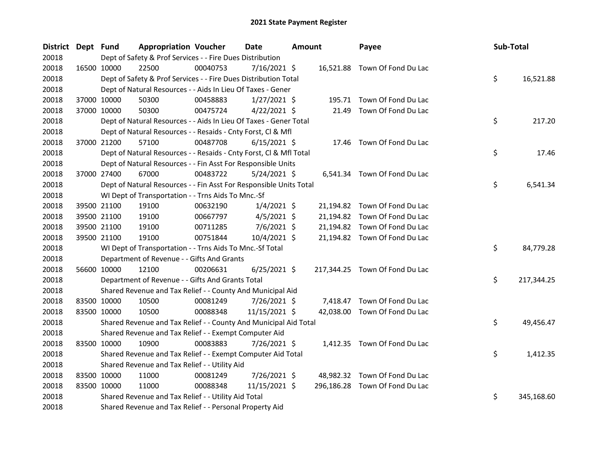| <b>District</b> | Dept Fund |             | <b>Appropriation Voucher</b>                                       |          | Date           | <b>Amount</b> |       | Payee                          | Sub-Total |            |
|-----------------|-----------|-------------|--------------------------------------------------------------------|----------|----------------|---------------|-------|--------------------------------|-----------|------------|
| 20018           |           |             | Dept of Safety & Prof Services - - Fire Dues Distribution          |          |                |               |       |                                |           |            |
| 20018           |           | 16500 10000 | 22500                                                              | 00040753 | 7/16/2021 \$   |               |       | 16,521.88 Town Of Fond Du Lac  |           |            |
| 20018           |           |             | Dept of Safety & Prof Services - - Fire Dues Distribution Total    |          |                |               |       |                                | \$        | 16,521.88  |
| 20018           |           |             | Dept of Natural Resources - - Aids In Lieu Of Taxes - Gener        |          |                |               |       |                                |           |            |
| 20018           |           | 37000 10000 | 50300                                                              | 00458883 | $1/27/2021$ \$ |               |       | 195.71 Town Of Fond Du Lac     |           |            |
| 20018           |           | 37000 10000 | 50300                                                              | 00475724 | $4/22/2021$ \$ |               | 21.49 | Town Of Fond Du Lac            |           |            |
| 20018           |           |             | Dept of Natural Resources - - Aids In Lieu Of Taxes - Gener Total  |          |                |               |       |                                | \$        | 217.20     |
| 20018           |           |             | Dept of Natural Resources - - Resaids - Cnty Forst, Cl & Mfl       |          |                |               |       |                                |           |            |
| 20018           |           | 37000 21200 | 57100                                                              | 00487708 | $6/15/2021$ \$ |               |       | 17.46 Town Of Fond Du Lac      |           |            |
| 20018           |           |             | Dept of Natural Resources - - Resaids - Cnty Forst, CI & Mfl Total |          |                |               |       |                                | \$        | 17.46      |
| 20018           |           |             | Dept of Natural Resources - - Fin Asst For Responsible Units       |          |                |               |       |                                |           |            |
| 20018           |           | 37000 27400 | 67000                                                              | 00483722 | $5/24/2021$ \$ |               |       | 6,541.34 Town Of Fond Du Lac   |           |            |
| 20018           |           |             | Dept of Natural Resources - - Fin Asst For Responsible Units Total |          |                |               |       |                                | \$        | 6,541.34   |
| 20018           |           |             | WI Dept of Transportation - - Trns Aids To Mnc.-Sf                 |          |                |               |       |                                |           |            |
| 20018           |           | 39500 21100 | 19100                                                              | 00632190 | $1/4/2021$ \$  |               |       | 21,194.82 Town Of Fond Du Lac  |           |            |
| 20018           |           | 39500 21100 | 19100                                                              | 00667797 | $4/5/2021$ \$  |               |       | 21,194.82 Town Of Fond Du Lac  |           |            |
| 20018           |           | 39500 21100 | 19100                                                              | 00711285 | $7/6/2021$ \$  |               |       | 21,194.82 Town Of Fond Du Lac  |           |            |
| 20018           |           | 39500 21100 | 19100                                                              | 00751844 | 10/4/2021 \$   |               |       | 21,194.82 Town Of Fond Du Lac  |           |            |
| 20018           |           |             | WI Dept of Transportation - - Trns Aids To Mnc.-Sf Total           |          |                |               |       |                                | \$        | 84,779.28  |
| 20018           |           |             | Department of Revenue - - Gifts And Grants                         |          |                |               |       |                                |           |            |
| 20018           |           | 56600 10000 | 12100                                                              | 00206631 | $6/25/2021$ \$ |               |       | 217,344.25 Town Of Fond Du Lac |           |            |
| 20018           |           |             | Department of Revenue - - Gifts And Grants Total                   |          |                |               |       |                                | \$        | 217,344.25 |
| 20018           |           |             | Shared Revenue and Tax Relief - - County And Municipal Aid         |          |                |               |       |                                |           |            |
| 20018           |           | 83500 10000 | 10500                                                              | 00081249 | 7/26/2021 \$   |               |       | 7,418.47 Town Of Fond Du Lac   |           |            |
| 20018           |           | 83500 10000 | 10500                                                              | 00088348 | 11/15/2021 \$  |               |       | 42,038.00 Town Of Fond Du Lac  |           |            |
| 20018           |           |             | Shared Revenue and Tax Relief - - County And Municipal Aid Total   |          |                |               |       |                                | \$.       | 49,456.47  |
| 20018           |           |             | Shared Revenue and Tax Relief - - Exempt Computer Aid              |          |                |               |       |                                |           |            |
| 20018           |           | 83500 10000 | 10900                                                              | 00083883 | 7/26/2021 \$   |               |       | 1,412.35 Town Of Fond Du Lac   |           |            |
| 20018           |           |             | Shared Revenue and Tax Relief - - Exempt Computer Aid Total        |          |                |               |       |                                | \$        | 1,412.35   |
| 20018           |           |             | Shared Revenue and Tax Relief - - Utility Aid                      |          |                |               |       |                                |           |            |
| 20018           |           | 83500 10000 | 11000                                                              | 00081249 | 7/26/2021 \$   |               |       | 48,982.32 Town Of Fond Du Lac  |           |            |
| 20018           |           | 83500 10000 | 11000                                                              | 00088348 | 11/15/2021 \$  |               |       | 296,186.28 Town Of Fond Du Lac |           |            |
| 20018           |           |             | Shared Revenue and Tax Relief - - Utility Aid Total                |          |                |               |       |                                | \$        | 345,168.60 |
| 20018           |           |             | Shared Revenue and Tax Relief - - Personal Property Aid            |          |                |               |       |                                |           |            |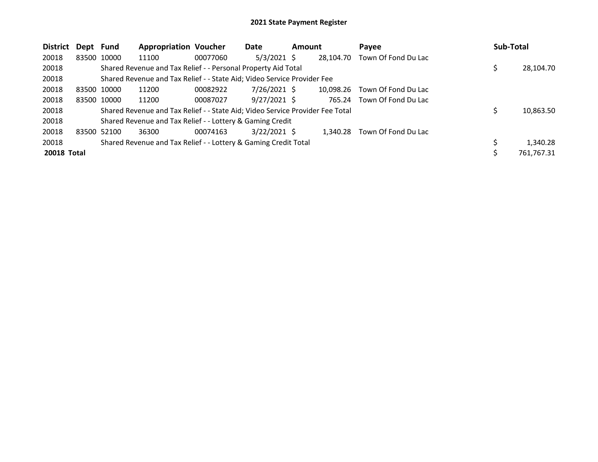| <b>District</b> | Dept Fund   |             | <b>Appropriation Voucher</b>                                                  |          | Date           | <b>Amount</b> |           | Payee               |    | Sub-Total  |  |
|-----------------|-------------|-------------|-------------------------------------------------------------------------------|----------|----------------|---------------|-----------|---------------------|----|------------|--|
| 20018           |             | 83500 10000 | 11100                                                                         | 00077060 | $5/3/2021$ \$  |               | 28,104.70 | Town Of Fond Du Lac |    |            |  |
| 20018           |             |             | Shared Revenue and Tax Relief - - Personal Property Aid Total                 |          |                |               |           |                     |    | 28,104.70  |  |
| 20018           |             |             | Shared Revenue and Tax Relief - - State Aid; Video Service Provider Fee       |          |                |               |           |                     |    |            |  |
| 20018           | 83500 10000 |             | 11200                                                                         | 00082922 | $7/26/2021$ \$ |               | 10.098.26 | Town Of Fond Du Lac |    |            |  |
| 20018           |             | 83500 10000 | 11200                                                                         | 00087027 | $9/27/2021$ \$ |               | 765.24    | Town Of Fond Du Lac |    |            |  |
| 20018           |             |             | Shared Revenue and Tax Relief - - State Aid; Video Service Provider Fee Total |          |                |               |           |                     | S. | 10,863.50  |  |
| 20018           |             |             | Shared Revenue and Tax Relief - - Lottery & Gaming Credit                     |          |                |               |           |                     |    |            |  |
| 20018           | 83500 52100 |             | 36300                                                                         | 00074163 | $3/22/2021$ \$ |               | 1.340.28  | Town Of Fond Du Lac |    |            |  |
| 20018           |             |             | Shared Revenue and Tax Relief - - Lottery & Gaming Credit Total               |          |                |               |           |                     |    | 1,340.28   |  |
| 20018 Total     |             |             |                                                                               |          |                |               |           |                     |    | 761,767.31 |  |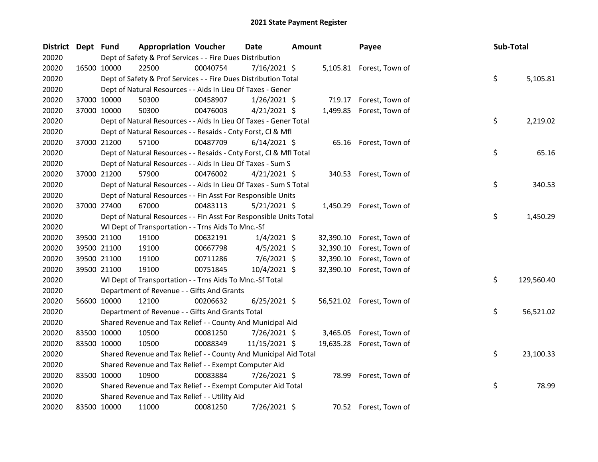| District Dept Fund |             | <b>Appropriation Voucher</b>                                       |          | <b>Date</b><br><b>Amount</b> |  | Payee     | Sub-Total                 |    |            |
|--------------------|-------------|--------------------------------------------------------------------|----------|------------------------------|--|-----------|---------------------------|----|------------|
| 20020              |             | Dept of Safety & Prof Services - - Fire Dues Distribution          |          |                              |  |           |                           |    |            |
| 20020              | 16500 10000 | 22500                                                              | 00040754 | $7/16/2021$ \$               |  |           | 5,105.81 Forest, Town of  |    |            |
| 20020              |             | Dept of Safety & Prof Services - - Fire Dues Distribution Total    |          |                              |  |           |                           | \$ | 5,105.81   |
| 20020              |             | Dept of Natural Resources - - Aids In Lieu Of Taxes - Gener        |          |                              |  |           |                           |    |            |
| 20020              | 37000 10000 | 50300                                                              | 00458907 | $1/26/2021$ \$               |  |           | 719.17 Forest, Town of    |    |            |
| 20020              | 37000 10000 | 50300                                                              | 00476003 | $4/21/2021$ \$               |  |           | 1,499.85 Forest, Town of  |    |            |
| 20020              |             | Dept of Natural Resources - - Aids In Lieu Of Taxes - Gener Total  |          |                              |  |           |                           | \$ | 2,219.02   |
| 20020              |             | Dept of Natural Resources - - Resaids - Cnty Forst, Cl & Mfl       |          |                              |  |           |                           |    |            |
| 20020              | 37000 21200 | 57100                                                              | 00487709 | $6/14/2021$ \$               |  |           | 65.16 Forest, Town of     |    |            |
| 20020              |             | Dept of Natural Resources - - Resaids - Cnty Forst, CI & Mfl Total |          |                              |  |           |                           | \$ | 65.16      |
| 20020              |             | Dept of Natural Resources - - Aids In Lieu Of Taxes - Sum S        |          |                              |  |           |                           |    |            |
| 20020              | 37000 21200 | 57900                                                              | 00476002 | $4/21/2021$ \$               |  |           | 340.53 Forest, Town of    |    |            |
| 20020              |             | Dept of Natural Resources - - Aids In Lieu Of Taxes - Sum S Total  |          |                              |  |           |                           | \$ | 340.53     |
| 20020              |             | Dept of Natural Resources - - Fin Asst For Responsible Units       |          |                              |  |           |                           |    |            |
| 20020              | 37000 27400 | 67000                                                              | 00483113 | $5/21/2021$ \$               |  |           | 1,450.29 Forest, Town of  |    |            |
| 20020              |             | Dept of Natural Resources - - Fin Asst For Responsible Units Total |          |                              |  |           |                           | \$ | 1,450.29   |
| 20020              |             | WI Dept of Transportation - - Trns Aids To Mnc.-Sf                 |          |                              |  |           |                           |    |            |
| 20020              | 39500 21100 | 19100                                                              | 00632191 | $1/4/2021$ \$                |  |           | 32,390.10 Forest, Town of |    |            |
| 20020              | 39500 21100 | 19100                                                              | 00667798 | $4/5/2021$ \$                |  | 32,390.10 | Forest, Town of           |    |            |
| 20020              | 39500 21100 | 19100                                                              | 00711286 | $7/6/2021$ \$                |  | 32,390.10 | Forest, Town of           |    |            |
| 20020              | 39500 21100 | 19100                                                              | 00751845 | 10/4/2021 \$                 |  | 32,390.10 | Forest, Town of           |    |            |
| 20020              |             | WI Dept of Transportation - - Trns Aids To Mnc.-Sf Total           |          |                              |  |           |                           | \$ | 129,560.40 |
| 20020              |             | Department of Revenue - - Gifts And Grants                         |          |                              |  |           |                           |    |            |
| 20020              | 56600 10000 | 12100                                                              | 00206632 | $6/25/2021$ \$               |  |           | 56,521.02 Forest, Town of |    |            |
| 20020              |             | Department of Revenue - - Gifts And Grants Total                   |          |                              |  |           |                           | \$ | 56,521.02  |
| 20020              |             | Shared Revenue and Tax Relief - - County And Municipal Aid         |          |                              |  |           |                           |    |            |
| 20020              | 83500 10000 | 10500                                                              | 00081250 | 7/26/2021 \$                 |  |           | 3,465.05 Forest, Town of  |    |            |
| 20020              | 83500 10000 | 10500                                                              | 00088349 | 11/15/2021 \$                |  |           | 19,635.28 Forest, Town of |    |            |
| 20020              |             | Shared Revenue and Tax Relief - - County And Municipal Aid Total   |          |                              |  |           |                           | \$ | 23,100.33  |
| 20020              |             | Shared Revenue and Tax Relief - - Exempt Computer Aid              |          |                              |  |           |                           |    |            |
| 20020              | 83500 10000 | 10900                                                              | 00083884 | 7/26/2021 \$                 |  | 78.99     | Forest, Town of           |    |            |
| 20020              |             | Shared Revenue and Tax Relief - - Exempt Computer Aid Total        |          |                              |  |           |                           | \$ | 78.99      |
| 20020              |             | Shared Revenue and Tax Relief - - Utility Aid                      |          |                              |  |           |                           |    |            |
| 20020              | 83500 10000 | 11000                                                              | 00081250 | 7/26/2021 \$                 |  |           | 70.52 Forest, Town of     |    |            |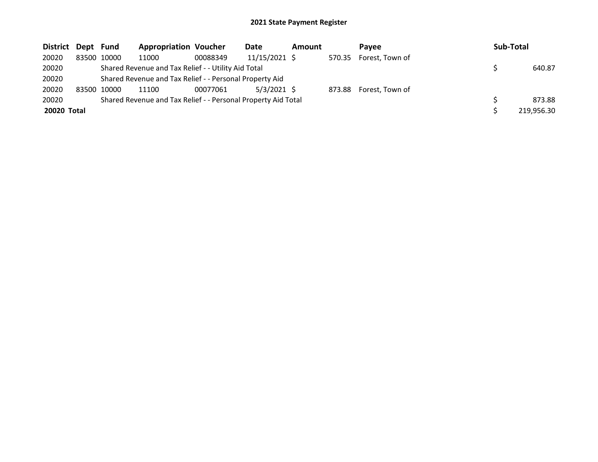| District Dept Fund |             | <b>Appropriation Voucher</b>                                  |          | Date          | Amount | Pavee                  | Sub-Total  |
|--------------------|-------------|---------------------------------------------------------------|----------|---------------|--------|------------------------|------------|
| 20020              | 83500 10000 | 11000                                                         | 00088349 | 11/15/2021 \$ |        | 570.35 Forest, Town of |            |
| 20020              |             | Shared Revenue and Tax Relief - - Utility Aid Total           |          |               |        |                        | 640.87     |
| 20020              |             | Shared Revenue and Tax Relief - - Personal Property Aid       |          |               |        |                        |            |
| 20020              | 83500 10000 | 11100                                                         | 00077061 | $5/3/2021$ \$ |        | 873.88 Forest, Town of |            |
| 20020              |             | Shared Revenue and Tax Relief - - Personal Property Aid Total |          |               |        |                        | 873.88     |
| 20020 Total        |             |                                                               |          |               |        |                        | 219,956.30 |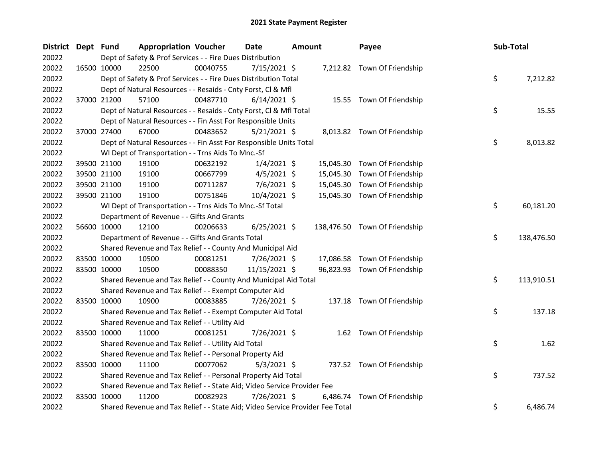| <b>District</b> | Dept Fund |                                                                               | <b>Appropriation Voucher</b>                             |          | Date<br>Amount |  | Payee     |                               | Sub-Total |    |            |
|-----------------|-----------|-------------------------------------------------------------------------------|----------------------------------------------------------|----------|----------------|--|-----------|-------------------------------|-----------|----|------------|
| 20022           |           | Dept of Safety & Prof Services - - Fire Dues Distribution                     |                                                          |          |                |  |           |                               |           |    |            |
| 20022           |           | 16500 10000<br>22500                                                          |                                                          | 00040755 | 7/15/2021 \$   |  |           | 7,212.82 Town Of Friendship   |           |    |            |
| 20022           |           | Dept of Safety & Prof Services - - Fire Dues Distribution Total               |                                                          |          |                |  |           |                               |           | \$ | 7,212.82   |
| 20022           |           | Dept of Natural Resources - - Resaids - Cnty Forst, Cl & Mfl                  |                                                          |          |                |  |           |                               |           |    |            |
| 20022           |           | 57100<br>37000 21200                                                          |                                                          | 00487710 | $6/14/2021$ \$ |  |           | 15.55 Town Of Friendship      |           |    |            |
| 20022           |           | Dept of Natural Resources - - Resaids - Cnty Forst, Cl & Mfl Total            |                                                          |          |                |  |           |                               |           | \$ | 15.55      |
| 20022           |           | Dept of Natural Resources - - Fin Asst For Responsible Units                  |                                                          |          |                |  |           |                               |           |    |            |
| 20022           |           | 67000<br>37000 27400                                                          |                                                          | 00483652 | $5/21/2021$ \$ |  |           | 8,013.82 Town Of Friendship   |           |    |            |
| 20022           |           | Dept of Natural Resources - - Fin Asst For Responsible Units Total            |                                                          |          |                |  |           |                               |           | \$ | 8,013.82   |
| 20022           |           | WI Dept of Transportation - - Trns Aids To Mnc.-Sf                            |                                                          |          |                |  |           |                               |           |    |            |
| 20022           |           | 39500 21100<br>19100                                                          |                                                          | 00632192 | $1/4/2021$ \$  |  | 15,045.30 | Town Of Friendship            |           |    |            |
| 20022           |           | 39500 21100<br>19100                                                          |                                                          | 00667799 | $4/5/2021$ \$  |  | 15,045.30 | Town Of Friendship            |           |    |            |
| 20022           |           | 39500 21100<br>19100                                                          |                                                          | 00711287 | 7/6/2021 \$    |  | 15,045.30 | Town Of Friendship            |           |    |            |
| 20022           |           | 39500 21100<br>19100                                                          |                                                          | 00751846 | 10/4/2021 \$   |  |           | 15,045.30 Town Of Friendship  |           |    |            |
| 20022           |           |                                                                               | WI Dept of Transportation - - Trns Aids To Mnc.-Sf Total |          |                |  |           |                               |           | \$ | 60,181.20  |
| 20022           |           | Department of Revenue - - Gifts And Grants                                    |                                                          |          |                |  |           |                               |           |    |            |
| 20022           |           | 56600 10000<br>12100                                                          |                                                          | 00206633 | $6/25/2021$ \$ |  |           | 138,476.50 Town Of Friendship |           |    |            |
| 20022           |           | Department of Revenue - - Gifts And Grants Total                              |                                                          |          |                |  |           |                               |           | \$ | 138,476.50 |
| 20022           |           | Shared Revenue and Tax Relief - - County And Municipal Aid                    |                                                          |          |                |  |           |                               |           |    |            |
| 20022           |           | 83500 10000<br>10500                                                          |                                                          | 00081251 | $7/26/2021$ \$ |  |           | 17,086.58 Town Of Friendship  |           |    |            |
| 20022           |           | 83500 10000<br>10500                                                          |                                                          | 00088350 | 11/15/2021 \$  |  |           | 96,823.93 Town Of Friendship  |           |    |            |
| 20022           |           | Shared Revenue and Tax Relief - - County And Municipal Aid Total              |                                                          |          |                |  |           |                               |           | \$ | 113,910.51 |
| 20022           |           | Shared Revenue and Tax Relief - - Exempt Computer Aid                         |                                                          |          |                |  |           |                               |           |    |            |
| 20022           |           | 83500 10000<br>10900                                                          |                                                          | 00083885 | 7/26/2021 \$   |  |           | 137.18 Town Of Friendship     |           |    |            |
| 20022           |           | Shared Revenue and Tax Relief - - Exempt Computer Aid Total                   |                                                          |          |                |  |           |                               |           | \$ | 137.18     |
| 20022           |           | Shared Revenue and Tax Relief - - Utility Aid                                 |                                                          |          |                |  |           |                               |           |    |            |
| 20022           |           | 83500 10000<br>11000                                                          |                                                          | 00081251 | 7/26/2021 \$   |  |           | 1.62 Town Of Friendship       |           |    |            |
| 20022           |           | Shared Revenue and Tax Relief - - Utility Aid Total                           |                                                          |          |                |  |           |                               |           | \$ | 1.62       |
| 20022           |           | Shared Revenue and Tax Relief - - Personal Property Aid                       |                                                          |          |                |  |           |                               |           |    |            |
| 20022           |           | 83500 10000<br>11100                                                          |                                                          | 00077062 | $5/3/2021$ \$  |  |           | 737.52 Town Of Friendship     |           |    |            |
| 20022           |           | Shared Revenue and Tax Relief - - Personal Property Aid Total                 |                                                          |          |                |  |           |                               |           | \$ | 737.52     |
| 20022           |           | Shared Revenue and Tax Relief - - State Aid; Video Service Provider Fee       |                                                          |          |                |  |           |                               |           |    |            |
| 20022           |           | 83500 10000<br>11200                                                          |                                                          | 00082923 | 7/26/2021 \$   |  | 6,486.74  | Town Of Friendship            |           |    |            |
| 20022           |           | Shared Revenue and Tax Relief - - State Aid; Video Service Provider Fee Total |                                                          |          |                |  |           |                               |           | \$ | 6,486.74   |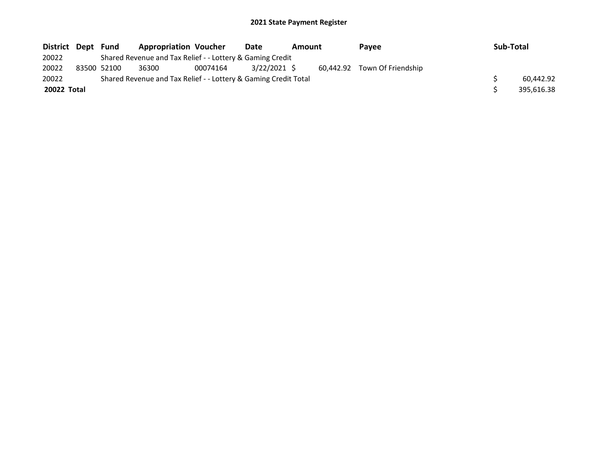| District Dept | Fund        | <b>Appropriation Voucher</b>                                    |          | Date         | Amount |  | Pavee                        |  | Sub-Total  |  |
|---------------|-------------|-----------------------------------------------------------------|----------|--------------|--------|--|------------------------------|--|------------|--|
| 20022         |             | Shared Revenue and Tax Relief - - Lottery & Gaming Credit       |          |              |        |  |                              |  |            |  |
| 20022         | 83500 52100 | 36300                                                           | 00074164 | 3/22/2021 \$ |        |  | 60.442.92 Town Of Friendship |  |            |  |
| 20022         |             | Shared Revenue and Tax Relief - - Lottery & Gaming Credit Total |          |              |        |  |                              |  | 60.442.92  |  |
| 20022 Total   |             |                                                                 |          |              |        |  |                              |  | 395.616.38 |  |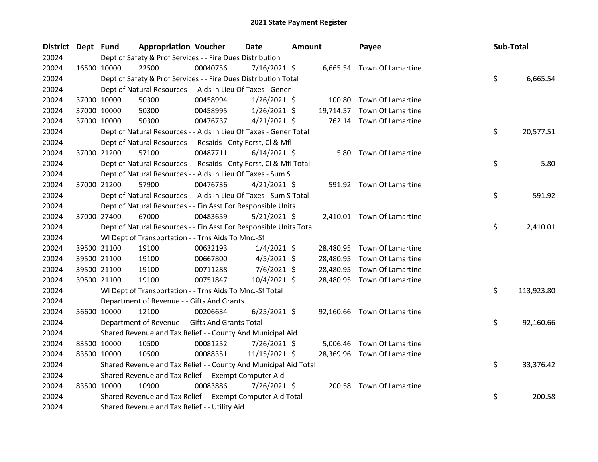| <b>District</b> | Dept Fund |             | <b>Appropriation Voucher</b>                                       |          | <b>Date</b><br>Amount |  | Payee     | Sub-Total                   |    |            |
|-----------------|-----------|-------------|--------------------------------------------------------------------|----------|-----------------------|--|-----------|-----------------------------|----|------------|
| 20024           |           |             | Dept of Safety & Prof Services - - Fire Dues Distribution          |          |                       |  |           |                             |    |            |
| 20024           |           | 16500 10000 | 22500                                                              | 00040756 | $7/16/2021$ \$        |  |           | 6,665.54 Town Of Lamartine  |    |            |
| 20024           |           |             | Dept of Safety & Prof Services - - Fire Dues Distribution Total    |          |                       |  |           |                             | \$ | 6,665.54   |
| 20024           |           |             | Dept of Natural Resources - - Aids In Lieu Of Taxes - Gener        |          |                       |  |           |                             |    |            |
| 20024           |           | 37000 10000 | 50300                                                              | 00458994 | $1/26/2021$ \$        |  |           | 100.80 Town Of Lamartine    |    |            |
| 20024           |           | 37000 10000 | 50300                                                              | 00458995 | $1/26/2021$ \$        |  | 19,714.57 | Town Of Lamartine           |    |            |
| 20024           |           | 37000 10000 | 50300                                                              | 00476737 | $4/21/2021$ \$        |  |           | 762.14 Town Of Lamartine    |    |            |
| 20024           |           |             | Dept of Natural Resources - - Aids In Lieu Of Taxes - Gener Total  |          |                       |  |           |                             | \$ | 20,577.51  |
| 20024           |           |             | Dept of Natural Resources - - Resaids - Cnty Forst, Cl & Mfl       |          |                       |  |           |                             |    |            |
| 20024           |           | 37000 21200 | 57100                                                              | 00487711 | $6/14/2021$ \$        |  | 5.80      | Town Of Lamartine           |    |            |
| 20024           |           |             | Dept of Natural Resources - - Resaids - Cnty Forst, Cl & Mfl Total |          |                       |  |           |                             | \$ | 5.80       |
| 20024           |           |             | Dept of Natural Resources - - Aids In Lieu Of Taxes - Sum S        |          |                       |  |           |                             |    |            |
| 20024           |           | 37000 21200 | 57900                                                              | 00476736 | $4/21/2021$ \$        |  |           | 591.92 Town Of Lamartine    |    |            |
| 20024           |           |             | Dept of Natural Resources - - Aids In Lieu Of Taxes - Sum S Total  |          |                       |  |           |                             | \$ | 591.92     |
| 20024           |           |             | Dept of Natural Resources - - Fin Asst For Responsible Units       |          |                       |  |           |                             |    |            |
| 20024           |           | 37000 27400 | 67000                                                              | 00483659 | $5/21/2021$ \$        |  |           | 2,410.01 Town Of Lamartine  |    |            |
| 20024           |           |             | Dept of Natural Resources - - Fin Asst For Responsible Units Total |          |                       |  |           |                             | \$ | 2,410.01   |
| 20024           |           |             | WI Dept of Transportation - - Trns Aids To Mnc.-Sf                 |          |                       |  |           |                             |    |            |
| 20024           |           | 39500 21100 | 19100                                                              | 00632193 | $1/4/2021$ \$         |  |           | 28,480.95 Town Of Lamartine |    |            |
| 20024           |           | 39500 21100 | 19100                                                              | 00667800 | $4/5/2021$ \$         |  | 28,480.95 | Town Of Lamartine           |    |            |
| 20024           |           | 39500 21100 | 19100                                                              | 00711288 | 7/6/2021 \$           |  | 28,480.95 | Town Of Lamartine           |    |            |
| 20024           |           | 39500 21100 | 19100                                                              | 00751847 | 10/4/2021 \$          |  |           | 28,480.95 Town Of Lamartine |    |            |
| 20024           |           |             | WI Dept of Transportation - - Trns Aids To Mnc.-Sf Total           |          |                       |  |           |                             | \$ | 113,923.80 |
| 20024           |           |             | Department of Revenue - - Gifts And Grants                         |          |                       |  |           |                             |    |            |
| 20024           |           | 56600 10000 | 12100                                                              | 00206634 | $6/25/2021$ \$        |  |           | 92,160.66 Town Of Lamartine |    |            |
| 20024           |           |             | Department of Revenue - - Gifts And Grants Total                   |          |                       |  |           |                             | \$ | 92,160.66  |
| 20024           |           |             | Shared Revenue and Tax Relief - - County And Municipal Aid         |          |                       |  |           |                             |    |            |
| 20024           |           | 83500 10000 | 10500                                                              | 00081252 | 7/26/2021 \$          |  | 5,006.46  | Town Of Lamartine           |    |            |
| 20024           |           | 83500 10000 | 10500                                                              | 00088351 | 11/15/2021 \$         |  |           | 28,369.96 Town Of Lamartine |    |            |
| 20024           |           |             | Shared Revenue and Tax Relief - - County And Municipal Aid Total   |          |                       |  |           |                             | \$ | 33,376.42  |
| 20024           |           |             | Shared Revenue and Tax Relief - - Exempt Computer Aid              |          |                       |  |           |                             |    |            |
| 20024           |           | 83500 10000 | 10900                                                              | 00083886 | 7/26/2021 \$          |  |           | 200.58 Town Of Lamartine    |    |            |
| 20024           |           |             | Shared Revenue and Tax Relief - - Exempt Computer Aid Total        |          |                       |  |           |                             | \$ | 200.58     |
| 20024           |           |             | Shared Revenue and Tax Relief - - Utility Aid                      |          |                       |  |           |                             |    |            |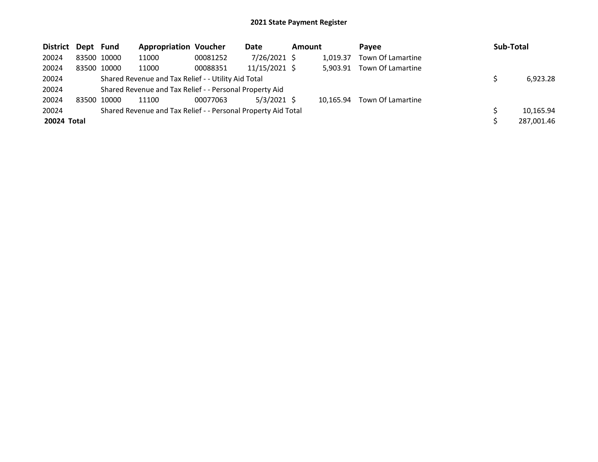| District Dept Fund |             |             | <b>Appropriation Voucher</b>                                  |          | <b>Date</b>     | <b>Amount</b> |           | Pavee             | Sub-Total |            |
|--------------------|-------------|-------------|---------------------------------------------------------------|----------|-----------------|---------------|-----------|-------------------|-----------|------------|
| 20024              |             | 83500 10000 | 11000                                                         | 00081252 | 7/26/2021 \$    |               | 1.019.37  | Town Of Lamartine |           |            |
| 20024              |             | 83500 10000 | 11000                                                         | 00088351 | $11/15/2021$ \$ |               | 5.903.91  | Town Of Lamartine |           |            |
| 20024              |             |             | Shared Revenue and Tax Relief - - Utility Aid Total           |          |                 |               |           |                   |           | 6,923.28   |
| 20024              |             |             | Shared Revenue and Tax Relief - - Personal Property Aid       |          |                 |               |           |                   |           |            |
| 20024              | 83500 10000 |             | 11100                                                         | 00077063 | $5/3/2021$ \$   |               | 10.165.94 | Town Of Lamartine |           |            |
| 20024              |             |             | Shared Revenue and Tax Relief - - Personal Property Aid Total |          |                 |               |           |                   |           | 10,165.94  |
| 20024 Total        |             |             |                                                               |          |                 |               |           |                   |           | 287,001.46 |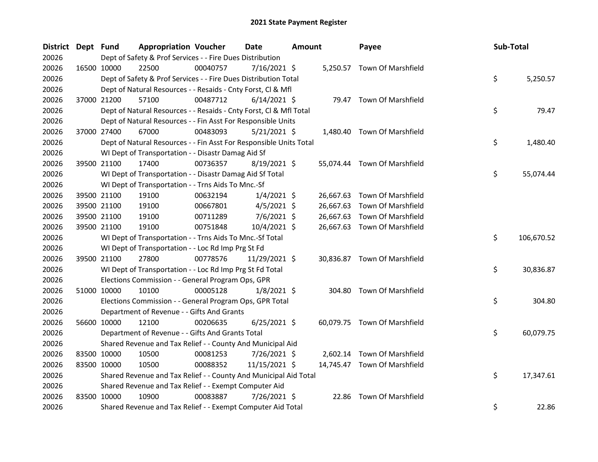| District Dept Fund |             | <b>Appropriation Voucher</b>                                       |          | Date           | <b>Amount</b> |           | Payee                        | Sub-Total |            |
|--------------------|-------------|--------------------------------------------------------------------|----------|----------------|---------------|-----------|------------------------------|-----------|------------|
| 20026              |             | Dept of Safety & Prof Services - - Fire Dues Distribution          |          |                |               |           |                              |           |            |
| 20026              | 16500 10000 | 22500                                                              | 00040757 | $7/16/2021$ \$ |               |           | 5,250.57 Town Of Marshfield  |           |            |
| 20026              |             | Dept of Safety & Prof Services - - Fire Dues Distribution Total    |          |                |               |           |                              | \$        | 5,250.57   |
| 20026              |             | Dept of Natural Resources - - Resaids - Cnty Forst, Cl & Mfl       |          |                |               |           |                              |           |            |
| 20026              | 37000 21200 | 57100                                                              | 00487712 | $6/14/2021$ \$ |               |           | 79.47 Town Of Marshfield     |           |            |
| 20026              |             | Dept of Natural Resources - - Resaids - Cnty Forst, Cl & Mfl Total |          |                |               |           |                              | \$        | 79.47      |
| 20026              |             | Dept of Natural Resources - - Fin Asst For Responsible Units       |          |                |               |           |                              |           |            |
| 20026              | 37000 27400 | 67000                                                              | 00483093 | $5/21/2021$ \$ |               |           | 1,480.40 Town Of Marshfield  |           |            |
| 20026              |             | Dept of Natural Resources - - Fin Asst For Responsible Units Total |          |                |               |           |                              | \$        | 1,480.40   |
| 20026              |             | WI Dept of Transportation - - Disastr Damag Aid Sf                 |          |                |               |           |                              |           |            |
| 20026              | 39500 21100 | 17400                                                              | 00736357 | $8/19/2021$ \$ |               |           | 55,074.44 Town Of Marshfield |           |            |
| 20026              |             | WI Dept of Transportation - - Disastr Damag Aid Sf Total           |          |                |               |           |                              | \$        | 55,074.44  |
| 20026              |             | WI Dept of Transportation - - Trns Aids To Mnc.-Sf                 |          |                |               |           |                              |           |            |
| 20026              | 39500 21100 | 19100                                                              | 00632194 | $1/4/2021$ \$  |               | 26,667.63 | Town Of Marshfield           |           |            |
| 20026              | 39500 21100 | 19100                                                              | 00667801 | $4/5/2021$ \$  |               | 26,667.63 | Town Of Marshfield           |           |            |
| 20026              | 39500 21100 | 19100                                                              | 00711289 | $7/6/2021$ \$  |               | 26,667.63 | Town Of Marshfield           |           |            |
| 20026              | 39500 21100 | 19100                                                              | 00751848 | 10/4/2021 \$   |               |           | 26,667.63 Town Of Marshfield |           |            |
| 20026              |             | WI Dept of Transportation - - Trns Aids To Mnc.-Sf Total           |          |                |               |           |                              | \$        | 106,670.52 |
| 20026              |             | WI Dept of Transportation - - Loc Rd Imp Prg St Fd                 |          |                |               |           |                              |           |            |
| 20026              | 39500 21100 | 27800                                                              | 00778576 | 11/29/2021 \$  |               |           | 30,836.87 Town Of Marshfield |           |            |
| 20026              |             | WI Dept of Transportation - - Loc Rd Imp Prg St Fd Total           |          |                |               |           |                              | \$        | 30,836.87  |
| 20026              |             | Elections Commission - - General Program Ops, GPR                  |          |                |               |           |                              |           |            |
| 20026              | 51000 10000 | 10100                                                              | 00005128 | $1/8/2021$ \$  |               |           | 304.80 Town Of Marshfield    |           |            |
| 20026              |             | Elections Commission - - General Program Ops, GPR Total            |          |                |               |           |                              | \$        | 304.80     |
| 20026              |             | Department of Revenue - - Gifts And Grants                         |          |                |               |           |                              |           |            |
| 20026              | 56600 10000 | 12100                                                              | 00206635 | $6/25/2021$ \$ |               |           | 60,079.75 Town Of Marshfield |           |            |
| 20026              |             | Department of Revenue - - Gifts And Grants Total                   |          |                |               |           |                              | \$        | 60,079.75  |
| 20026              |             | Shared Revenue and Tax Relief - - County And Municipal Aid         |          |                |               |           |                              |           |            |
| 20026              | 83500 10000 | 10500                                                              | 00081253 | 7/26/2021 \$   |               | 2,602.14  | Town Of Marshfield           |           |            |
| 20026              | 83500 10000 | 10500                                                              | 00088352 | 11/15/2021 \$  |               |           | 14,745.47 Town Of Marshfield |           |            |
| 20026              |             | Shared Revenue and Tax Relief - - County And Municipal Aid Total   |          |                |               |           |                              | \$        | 17,347.61  |
| 20026              |             | Shared Revenue and Tax Relief - - Exempt Computer Aid              |          |                |               |           |                              |           |            |
| 20026              | 83500 10000 | 10900                                                              | 00083887 | 7/26/2021 \$   |               | 22.86     | <b>Town Of Marshfield</b>    |           |            |
| 20026              |             | Shared Revenue and Tax Relief - - Exempt Computer Aid Total        |          |                |               |           |                              | \$        | 22.86      |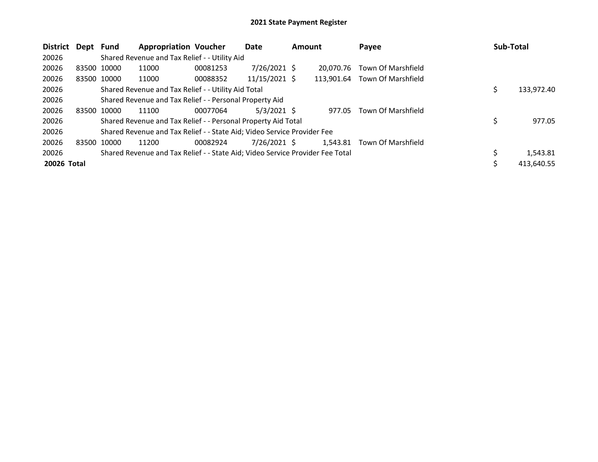| <b>District</b> | Dept | Fund        | <b>Appropriation Voucher</b>                                                  |          | Date            | <b>Amount</b> |            | Payee              |  | Sub-Total  |  |  |
|-----------------|------|-------------|-------------------------------------------------------------------------------|----------|-----------------|---------------|------------|--------------------|--|------------|--|--|
| 20026           |      |             | Shared Revenue and Tax Relief - - Utility Aid                                 |          |                 |               |            |                    |  |            |  |  |
| 20026           |      | 83500 10000 | 11000                                                                         | 00081253 | $7/26/2021$ \$  |               | 20.070.76  | Town Of Marshfield |  |            |  |  |
| 20026           |      | 83500 10000 | 11000                                                                         | 00088352 | $11/15/2021$ \$ |               | 113.901.64 | Town Of Marshfield |  |            |  |  |
| 20026           |      |             | Shared Revenue and Tax Relief - - Utility Aid Total                           |          | 133,972.40      |               |            |                    |  |            |  |  |
| 20026           |      |             | Shared Revenue and Tax Relief - - Personal Property Aid                       |          |                 |               |            |                    |  |            |  |  |
| 20026           |      | 83500 10000 | 11100                                                                         | 00077064 | $5/3/2021$ \$   |               | 977.05     | Town Of Marshfield |  |            |  |  |
| 20026           |      |             | Shared Revenue and Tax Relief - - Personal Property Aid Total                 |          |                 |               |            |                    |  | 977.05     |  |  |
| 20026           |      |             | Shared Revenue and Tax Relief - - State Aid; Video Service Provider Fee       |          |                 |               |            |                    |  |            |  |  |
| 20026           |      | 83500 10000 | 11200                                                                         | 00082924 | 7/26/2021 \$    |               | 1,543.81   | Town Of Marshfield |  |            |  |  |
| 20026           |      |             | Shared Revenue and Tax Relief - - State Aid; Video Service Provider Fee Total |          |                 |               |            |                    |  | 1,543.81   |  |  |
| 20026 Total     |      |             |                                                                               |          |                 |               |            |                    |  | 413,640.55 |  |  |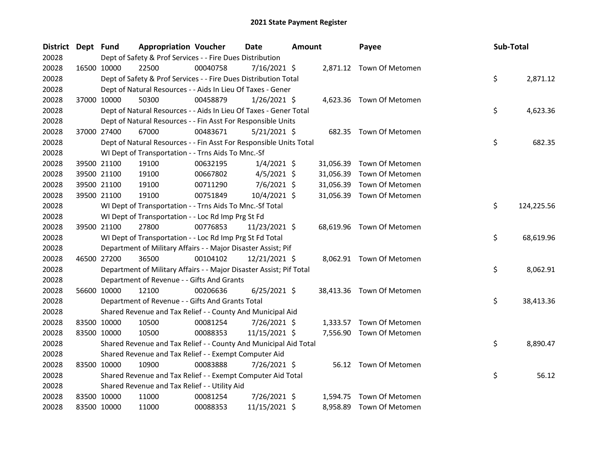| District Dept Fund |             | <b>Appropriation Voucher</b>                                        |          | <b>Date</b>    | <b>Amount</b> |           | Payee                     | Sub-Total |            |
|--------------------|-------------|---------------------------------------------------------------------|----------|----------------|---------------|-----------|---------------------------|-----------|------------|
| 20028              |             | Dept of Safety & Prof Services - - Fire Dues Distribution           |          |                |               |           |                           |           |            |
| 20028              | 16500 10000 | 22500                                                               | 00040758 | $7/16/2021$ \$ |               |           | 2,871.12 Town Of Metomen  |           |            |
| 20028              |             | Dept of Safety & Prof Services - - Fire Dues Distribution Total     |          |                |               |           |                           | \$        | 2,871.12   |
| 20028              |             | Dept of Natural Resources - - Aids In Lieu Of Taxes - Gener         |          |                |               |           |                           |           |            |
| 20028              | 37000 10000 | 50300                                                               | 00458879 | $1/26/2021$ \$ |               |           | 4,623.36 Town Of Metomen  |           |            |
| 20028              |             | Dept of Natural Resources - - Aids In Lieu Of Taxes - Gener Total   |          |                |               |           |                           | \$        | 4,623.36   |
| 20028              |             | Dept of Natural Resources - - Fin Asst For Responsible Units        |          |                |               |           |                           |           |            |
| 20028              | 37000 27400 | 67000                                                               | 00483671 | $5/21/2021$ \$ |               |           | 682.35 Town Of Metomen    |           |            |
| 20028              |             | Dept of Natural Resources - - Fin Asst For Responsible Units Total  |          |                |               |           |                           | \$        | 682.35     |
| 20028              |             | WI Dept of Transportation - - Trns Aids To Mnc.-Sf                  |          |                |               |           |                           |           |            |
| 20028              | 39500 21100 | 19100                                                               | 00632195 | $1/4/2021$ \$  |               | 31,056.39 | Town Of Metomen           |           |            |
| 20028              | 39500 21100 | 19100                                                               | 00667802 | $4/5/2021$ \$  |               | 31,056.39 | Town Of Metomen           |           |            |
| 20028              | 39500 21100 | 19100                                                               | 00711290 | $7/6/2021$ \$  |               | 31,056.39 | Town Of Metomen           |           |            |
| 20028              | 39500 21100 | 19100                                                               | 00751849 | 10/4/2021 \$   |               |           | 31,056.39 Town Of Metomen |           |            |
| 20028              |             | WI Dept of Transportation - - Trns Aids To Mnc.-Sf Total            |          |                |               |           |                           | \$        | 124,225.56 |
| 20028              |             | WI Dept of Transportation - - Loc Rd Imp Prg St Fd                  |          |                |               |           |                           |           |            |
| 20028              | 39500 21100 | 27800                                                               | 00776853 | 11/23/2021 \$  |               |           | 68,619.96 Town Of Metomen |           |            |
| 20028              |             | WI Dept of Transportation - - Loc Rd Imp Prg St Fd Total            |          |                |               |           |                           | \$        | 68,619.96  |
| 20028              |             | Department of Military Affairs - - Major Disaster Assist; Pif       |          |                |               |           |                           |           |            |
| 20028              | 46500 27200 | 36500                                                               | 00104102 | 12/21/2021 \$  |               |           | 8,062.91 Town Of Metomen  |           |            |
| 20028              |             | Department of Military Affairs - - Major Disaster Assist; Pif Total |          |                |               |           |                           | \$        | 8,062.91   |
| 20028              |             | Department of Revenue - - Gifts And Grants                          |          |                |               |           |                           |           |            |
| 20028              | 56600 10000 | 12100                                                               | 00206636 | $6/25/2021$ \$ |               |           | 38,413.36 Town Of Metomen |           |            |
| 20028              |             | Department of Revenue - - Gifts And Grants Total                    |          |                |               |           |                           | \$        | 38,413.36  |
| 20028              |             | Shared Revenue and Tax Relief - - County And Municipal Aid          |          |                |               |           |                           |           |            |
| 20028              | 83500 10000 | 10500                                                               | 00081254 | 7/26/2021 \$   |               |           | 1,333.57 Town Of Metomen  |           |            |
| 20028              | 83500 10000 | 10500                                                               | 00088353 | 11/15/2021 \$  |               |           | 7,556.90 Town Of Metomen  |           |            |
| 20028              |             | Shared Revenue and Tax Relief - - County And Municipal Aid Total    |          |                |               |           |                           | \$        | 8,890.47   |
| 20028              |             | Shared Revenue and Tax Relief - - Exempt Computer Aid               |          |                |               |           |                           |           |            |
| 20028              | 83500 10000 | 10900                                                               | 00083888 | 7/26/2021 \$   |               |           | 56.12 Town Of Metomen     |           |            |
| 20028              |             | Shared Revenue and Tax Relief - - Exempt Computer Aid Total         |          |                |               |           |                           | \$        | 56.12      |
| 20028              |             | Shared Revenue and Tax Relief - - Utility Aid                       |          |                |               |           |                           |           |            |
| 20028              | 83500 10000 | 11000                                                               | 00081254 | 7/26/2021 \$   |               | 1,594.75  | Town Of Metomen           |           |            |
| 20028              | 83500 10000 | 11000                                                               | 00088353 | 11/15/2021 \$  |               | 8,958.89  | Town Of Metomen           |           |            |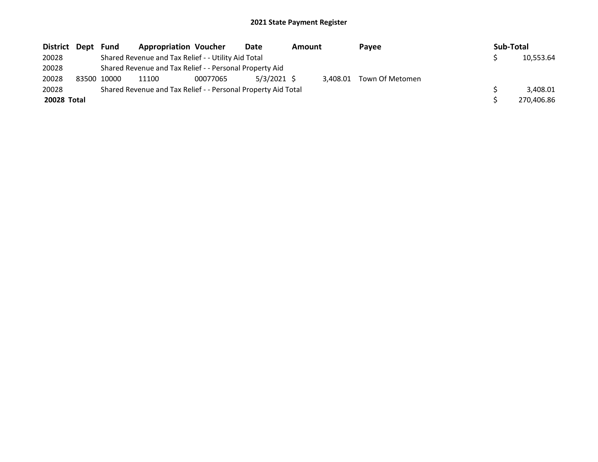| District Dept | Fund        | <b>Appropriation Voucher</b>                                  |          | <b>Date</b>   | Amount |          | Payee           | Sub-Total |            |
|---------------|-------------|---------------------------------------------------------------|----------|---------------|--------|----------|-----------------|-----------|------------|
| 20028         |             | Shared Revenue and Tax Relief - - Utility Aid Total           |          |               |        |          |                 |           | 10,553.64  |
| 20028         |             | Shared Revenue and Tax Relief - - Personal Property Aid       |          |               |        |          |                 |           |            |
| 20028         | 83500 10000 | 11100                                                         | 00077065 | $5/3/2021$ \$ |        | 3.408.01 | Town Of Metomen |           |            |
| 20028         |             | Shared Revenue and Tax Relief - - Personal Property Aid Total |          |               |        |          |                 |           | 3.408.01   |
| 20028 Total   |             |                                                               |          |               |        |          |                 |           | 270.406.86 |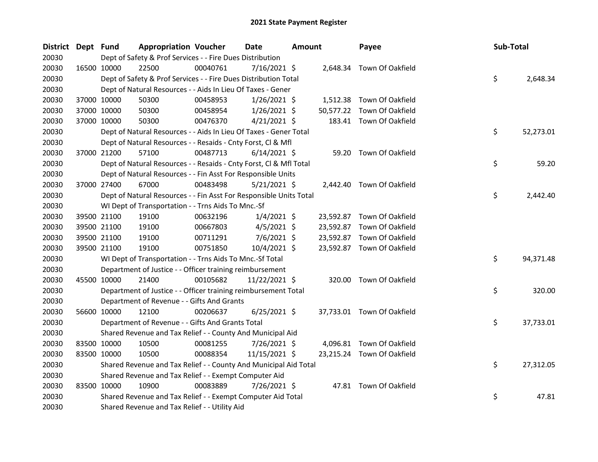| District Dept Fund |             |             | <b>Appropriation Voucher</b>                                       |          | <b>Date</b>    | <b>Amount</b> |           | Payee                      | Sub-Total |           |
|--------------------|-------------|-------------|--------------------------------------------------------------------|----------|----------------|---------------|-----------|----------------------------|-----------|-----------|
| 20030              |             |             | Dept of Safety & Prof Services - - Fire Dues Distribution          |          |                |               |           |                            |           |           |
| 20030              |             | 16500 10000 | 22500                                                              | 00040761 | $7/16/2021$ \$ |               |           | 2,648.34 Town Of Oakfield  |           |           |
| 20030              |             |             | Dept of Safety & Prof Services - - Fire Dues Distribution Total    |          |                |               |           |                            | \$        | 2,648.34  |
| 20030              |             |             | Dept of Natural Resources - - Aids In Lieu Of Taxes - Gener        |          |                |               |           |                            |           |           |
| 20030              |             | 37000 10000 | 50300                                                              | 00458953 | $1/26/2021$ \$ |               |           | 1,512.38 Town Of Oakfield  |           |           |
| 20030              |             | 37000 10000 | 50300                                                              | 00458954 | $1/26/2021$ \$ |               | 50,577.22 | Town Of Oakfield           |           |           |
| 20030              |             | 37000 10000 | 50300                                                              | 00476370 | $4/21/2021$ \$ |               |           | 183.41 Town Of Oakfield    |           |           |
| 20030              |             |             | Dept of Natural Resources - - Aids In Lieu Of Taxes - Gener Total  |          |                |               |           |                            | \$        | 52,273.01 |
| 20030              |             |             | Dept of Natural Resources - - Resaids - Cnty Forst, Cl & Mfl       |          |                |               |           |                            |           |           |
| 20030              |             | 37000 21200 | 57100                                                              | 00487713 | $6/14/2021$ \$ |               |           | 59.20 Town Of Oakfield     |           |           |
| 20030              |             |             | Dept of Natural Resources - - Resaids - Cnty Forst, Cl & Mfl Total |          |                |               |           |                            | \$        | 59.20     |
| 20030              |             |             | Dept of Natural Resources - - Fin Asst For Responsible Units       |          |                |               |           |                            |           |           |
| 20030              |             | 37000 27400 | 67000                                                              | 00483498 | $5/21/2021$ \$ |               |           | 2,442.40 Town Of Oakfield  |           |           |
| 20030              |             |             | Dept of Natural Resources - - Fin Asst For Responsible Units Total |          |                |               |           |                            | \$        | 2,442.40  |
| 20030              |             |             | WI Dept of Transportation - - Trns Aids To Mnc.-Sf                 |          |                |               |           |                            |           |           |
| 20030              |             | 39500 21100 | 19100                                                              | 00632196 | $1/4/2021$ \$  |               |           | 23,592.87 Town Of Oakfield |           |           |
| 20030              |             | 39500 21100 | 19100                                                              | 00667803 | $4/5/2021$ \$  |               |           | 23,592.87 Town Of Oakfield |           |           |
| 20030              |             | 39500 21100 | 19100                                                              | 00711291 | $7/6/2021$ \$  |               |           | 23,592.87 Town Of Oakfield |           |           |
| 20030              |             | 39500 21100 | 19100                                                              | 00751850 | 10/4/2021 \$   |               |           | 23,592.87 Town Of Oakfield |           |           |
| 20030              |             |             | WI Dept of Transportation - - Trns Aids To Mnc.-Sf Total           |          |                |               |           |                            | \$        | 94,371.48 |
| 20030              |             |             | Department of Justice - - Officer training reimbursement           |          |                |               |           |                            |           |           |
| 20030              |             | 45500 10000 | 21400                                                              | 00105682 | 11/22/2021 \$  |               |           | 320.00 Town Of Oakfield    |           |           |
| 20030              |             |             | Department of Justice - - Officer training reimbursement Total     |          |                |               |           |                            | \$        | 320.00    |
| 20030              |             |             | Department of Revenue - - Gifts And Grants                         |          |                |               |           |                            |           |           |
| 20030              |             | 56600 10000 | 12100                                                              | 00206637 | $6/25/2021$ \$ |               |           | 37,733.01 Town Of Oakfield |           |           |
| 20030              |             |             | Department of Revenue - - Gifts And Grants Total                   |          |                |               |           |                            | \$        | 37,733.01 |
| 20030              |             |             | Shared Revenue and Tax Relief - - County And Municipal Aid         |          |                |               |           |                            |           |           |
| 20030              | 83500 10000 |             | 10500                                                              | 00081255 | 7/26/2021 \$   |               |           | 4,096.81 Town Of Oakfield  |           |           |
| 20030              |             | 83500 10000 | 10500                                                              | 00088354 | 11/15/2021 \$  |               |           | 23,215.24 Town Of Oakfield |           |           |
| 20030              |             |             | Shared Revenue and Tax Relief - - County And Municipal Aid Total   |          |                |               |           |                            | \$        | 27,312.05 |
| 20030              |             |             | Shared Revenue and Tax Relief - - Exempt Computer Aid              |          |                |               |           |                            |           |           |
| 20030              |             | 83500 10000 | 10900                                                              | 00083889 | 7/26/2021 \$   |               |           | 47.81 Town Of Oakfield     |           |           |
| 20030              |             |             | Shared Revenue and Tax Relief - - Exempt Computer Aid Total        |          |                |               |           |                            | \$        | 47.81     |
| 20030              |             |             | Shared Revenue and Tax Relief - - Utility Aid                      |          |                |               |           |                            |           |           |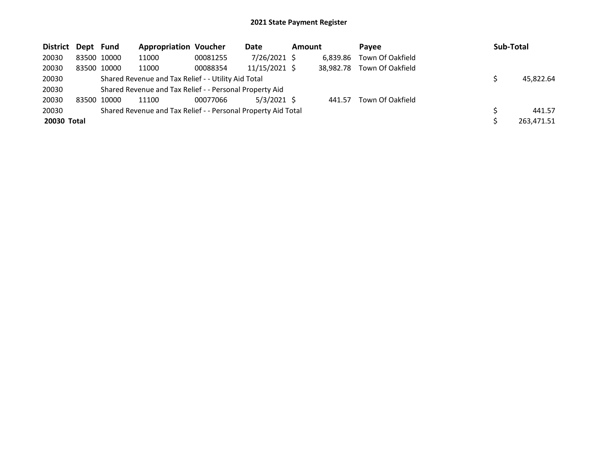| District Dept Fund |             | <b>Appropriation Voucher</b>                                  |          | Date            | <b>Amount</b> |           | <b>Pavee</b>     | <b>Sub-Total</b> |
|--------------------|-------------|---------------------------------------------------------------|----------|-----------------|---------------|-----------|------------------|------------------|
| 20030              | 83500 10000 | 11000                                                         | 00081255 | 7/26/2021 \$    |               | 6,839.86  | Town Of Oakfield |                  |
| 20030              | 83500 10000 | 11000                                                         | 00088354 | $11/15/2021$ \$ |               | 38.982.78 | Town Of Oakfield |                  |
| 20030              |             | Shared Revenue and Tax Relief - - Utility Aid Total           |          |                 |               |           |                  | 45.822.64        |
| 20030              |             | Shared Revenue and Tax Relief - - Personal Property Aid       |          |                 |               |           |                  |                  |
| 20030              | 83500 10000 | 11100                                                         | 00077066 | $5/3/2021$ \$   |               | 441.57    | Town Of Oakfield |                  |
| 20030              |             | Shared Revenue and Tax Relief - - Personal Property Aid Total |          |                 |               |           |                  | 441.57           |
| 20030 Total        |             |                                                               |          |                 |               |           |                  | 263,471.51       |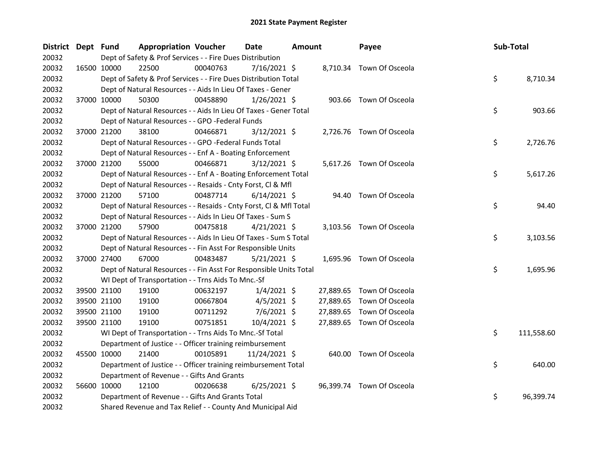| District Dept Fund |             | <b>Appropriation Voucher</b>                                       |          | <b>Date</b>    | Amount |           | Payee                     | Sub-Total |            |
|--------------------|-------------|--------------------------------------------------------------------|----------|----------------|--------|-----------|---------------------------|-----------|------------|
| 20032              |             | Dept of Safety & Prof Services - - Fire Dues Distribution          |          |                |        |           |                           |           |            |
| 20032              |             | 16500 10000<br>22500                                               | 00040763 | $7/16/2021$ \$ |        |           | 8,710.34 Town Of Osceola  |           |            |
| 20032              |             | Dept of Safety & Prof Services - - Fire Dues Distribution Total    |          |                |        |           |                           | \$        | 8,710.34   |
| 20032              |             | Dept of Natural Resources - - Aids In Lieu Of Taxes - Gener        |          |                |        |           |                           |           |            |
| 20032              |             | 50300<br>37000 10000                                               | 00458890 | 1/26/2021 \$   |        |           | 903.66 Town Of Osceola    |           |            |
| 20032              |             | Dept of Natural Resources - - Aids In Lieu Of Taxes - Gener Total  |          |                |        |           |                           | \$        | 903.66     |
| 20032              |             | Dept of Natural Resources - - GPO -Federal Funds                   |          |                |        |           |                           |           |            |
| 20032              |             | 38100<br>37000 21200                                               | 00466871 | $3/12/2021$ \$ |        |           | 2,726.76 Town Of Osceola  |           |            |
| 20032              |             | Dept of Natural Resources - - GPO -Federal Funds Total             |          |                |        |           |                           | \$        | 2,726.76   |
| 20032              |             | Dept of Natural Resources - - Enf A - Boating Enforcement          |          |                |        |           |                           |           |            |
| 20032              |             | 37000 21200<br>55000                                               | 00466871 | $3/12/2021$ \$ |        |           | 5,617.26 Town Of Osceola  |           |            |
| 20032              |             | Dept of Natural Resources - - Enf A - Boating Enforcement Total    |          |                |        |           |                           | \$        | 5,617.26   |
| 20032              |             | Dept of Natural Resources - - Resaids - Cnty Forst, Cl & Mfl       |          |                |        |           |                           |           |            |
| 20032              |             | 37000 21200<br>57100                                               | 00487714 | $6/14/2021$ \$ |        |           | 94.40 Town Of Osceola     |           |            |
| 20032              |             | Dept of Natural Resources - - Resaids - Cnty Forst, Cl & Mfl Total |          |                |        |           |                           | \$        | 94.40      |
| 20032              |             | Dept of Natural Resources - - Aids In Lieu Of Taxes - Sum S        |          |                |        |           |                           |           |            |
| 20032              |             | 37000 21200<br>57900                                               | 00475818 | $4/21/2021$ \$ |        |           | 3,103.56 Town Of Osceola  |           |            |
| 20032              |             | Dept of Natural Resources - - Aids In Lieu Of Taxes - Sum S Total  |          |                |        |           |                           | \$        | 3,103.56   |
| 20032              |             | Dept of Natural Resources - - Fin Asst For Responsible Units       |          |                |        |           |                           |           |            |
| 20032              |             | 37000 27400<br>67000                                               | 00483487 | $5/21/2021$ \$ |        |           | 1,695.96 Town Of Osceola  |           |            |
| 20032              |             | Dept of Natural Resources - - Fin Asst For Responsible Units Total |          |                |        |           |                           | \$        | 1,695.96   |
| 20032              |             | WI Dept of Transportation - - Trns Aids To Mnc.-Sf                 |          |                |        |           |                           |           |            |
| 20032              |             | 39500 21100<br>19100                                               | 00632197 | $1/4/2021$ \$  |        | 27,889.65 | Town Of Osceola           |           |            |
| 20032              |             | 39500 21100<br>19100                                               | 00667804 | $4/5/2021$ \$  |        | 27,889.65 | Town Of Osceola           |           |            |
| 20032              |             | 39500 21100<br>19100                                               | 00711292 | 7/6/2021 \$    |        | 27,889.65 | Town Of Osceola           |           |            |
| 20032              |             | 19100<br>39500 21100                                               | 00751851 | 10/4/2021 \$   |        |           | 27,889.65 Town Of Osceola |           |            |
| 20032              |             | WI Dept of Transportation - - Trns Aids To Mnc.-Sf Total           |          |                |        |           |                           | \$        | 111,558.60 |
| 20032              |             | Department of Justice - - Officer training reimbursement           |          |                |        |           |                           |           |            |
| 20032              |             | 45500 10000<br>21400                                               | 00105891 | 11/24/2021 \$  |        |           | 640.00 Town Of Osceola    |           |            |
| 20032              |             | Department of Justice - - Officer training reimbursement Total     |          |                |        |           |                           | \$        | 640.00     |
| 20032              |             | Department of Revenue - - Gifts And Grants                         |          |                |        |           |                           |           |            |
| 20032              | 56600 10000 | 12100                                                              | 00206638 | $6/25/2021$ \$ |        |           | 96,399.74 Town Of Osceola |           |            |
| 20032              |             | Department of Revenue - - Gifts And Grants Total                   |          |                |        |           |                           | \$        | 96,399.74  |
| 20032              |             | Shared Revenue and Tax Relief - - County And Municipal Aid         |          |                |        |           |                           |           |            |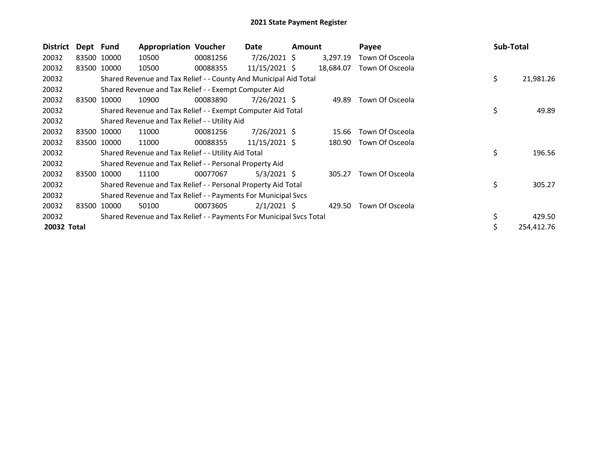| <b>District</b> | Dept Fund |             | <b>Appropriation Voucher</b>                                        |          | Date            | <b>Amount</b> |           | Payee           | <b>Sub-Total</b> |
|-----------------|-----------|-------------|---------------------------------------------------------------------|----------|-----------------|---------------|-----------|-----------------|------------------|
| 20032           |           | 83500 10000 | 10500                                                               | 00081256 | $7/26/2021$ \$  |               | 3,297.19  | Town Of Osceola |                  |
| 20032           |           | 83500 10000 | 10500                                                               | 00088355 | 11/15/2021 \$   |               | 18,684.07 | Town Of Osceola |                  |
| 20032           |           |             | Shared Revenue and Tax Relief - - County And Municipal Aid Total    |          |                 |               |           |                 | \$<br>21,981.26  |
| 20032           |           |             | Shared Revenue and Tax Relief - - Exempt Computer Aid               |          |                 |               |           |                 |                  |
| 20032           |           | 83500 10000 | 10900                                                               | 00083890 | $7/26/2021$ \$  |               | 49.89     | Town Of Osceola |                  |
| 20032           |           |             | Shared Revenue and Tax Relief - - Exempt Computer Aid Total         |          |                 |               |           |                 | \$<br>49.89      |
| 20032           |           |             | Shared Revenue and Tax Relief - - Utility Aid                       |          |                 |               |           |                 |                  |
| 20032           |           | 83500 10000 | 11000                                                               | 00081256 | $7/26/2021$ \$  |               | 15.66     | Town Of Osceola |                  |
| 20032           |           | 83500 10000 | 11000                                                               | 00088355 | $11/15/2021$ \$ |               | 180.90    | Town Of Osceola |                  |
| 20032           |           |             | Shared Revenue and Tax Relief - - Utility Aid Total                 |          |                 |               |           |                 | \$<br>196.56     |
| 20032           |           |             | Shared Revenue and Tax Relief - - Personal Property Aid             |          |                 |               |           |                 |                  |
| 20032           | 83500     | 10000       | 11100                                                               | 00077067 | $5/3/2021$ \$   |               | 305.27    | Town Of Osceola |                  |
| 20032           |           |             | Shared Revenue and Tax Relief - - Personal Property Aid Total       |          |                 |               |           |                 | \$<br>305.27     |
| 20032           |           |             | Shared Revenue and Tax Relief - - Payments For Municipal Svcs       |          |                 |               |           |                 |                  |
| 20032           |           | 83500 10000 | 50100                                                               | 00073605 | $2/1/2021$ \$   |               | 429.50    | Town Of Osceola |                  |
| 20032           |           |             | Shared Revenue and Tax Relief - - Payments For Municipal Svcs Total |          |                 |               |           |                 | 429.50           |
| 20032 Total     |           |             |                                                                     |          |                 |               |           |                 | 254,412.76       |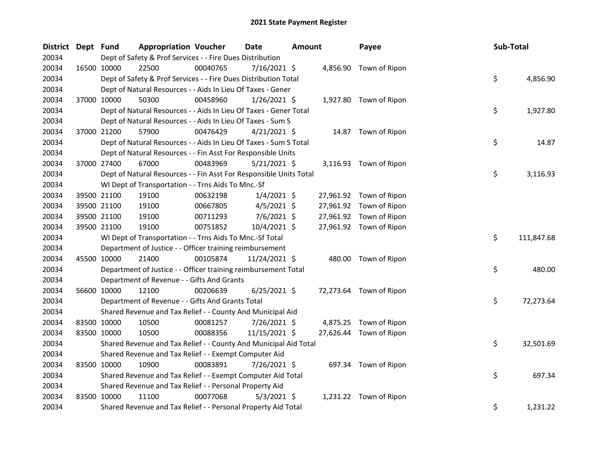| <b>District</b> | Dept Fund |             | <b>Appropriation Voucher</b>                                       |          | Date           | <b>Amount</b> |           | Payee                   | Sub-Total |            |
|-----------------|-----------|-------------|--------------------------------------------------------------------|----------|----------------|---------------|-----------|-------------------------|-----------|------------|
| 20034           |           |             | Dept of Safety & Prof Services - - Fire Dues Distribution          |          |                |               |           |                         |           |            |
| 20034           |           | 16500 10000 | 22500                                                              | 00040765 | 7/16/2021 \$   |               |           | 4,856.90 Town of Ripon  |           |            |
| 20034           |           |             | Dept of Safety & Prof Services - - Fire Dues Distribution Total    |          |                |               |           |                         | \$        | 4,856.90   |
| 20034           |           |             | Dept of Natural Resources - - Aids In Lieu Of Taxes - Gener        |          |                |               |           |                         |           |            |
| 20034           |           | 37000 10000 | 50300                                                              | 00458960 | $1/26/2021$ \$ |               |           | 1,927.80 Town of Ripon  |           |            |
| 20034           |           |             | Dept of Natural Resources - - Aids In Lieu Of Taxes - Gener Total  |          |                |               |           |                         | \$        | 1,927.80   |
| 20034           |           |             | Dept of Natural Resources - - Aids In Lieu Of Taxes - Sum S        |          |                |               |           |                         |           |            |
| 20034           |           | 37000 21200 | 57900                                                              | 00476429 | $4/21/2021$ \$ |               |           | 14.87 Town of Ripon     |           |            |
| 20034           |           |             | Dept of Natural Resources - - Aids In Lieu Of Taxes - Sum S Total  |          |                |               |           |                         | \$        | 14.87      |
| 20034           |           |             | Dept of Natural Resources - - Fin Asst For Responsible Units       |          |                |               |           |                         |           |            |
| 20034           |           | 37000 27400 | 67000                                                              | 00483969 | 5/21/2021 \$   |               |           | 3,116.93 Town of Ripon  |           |            |
| 20034           |           |             | Dept of Natural Resources - - Fin Asst For Responsible Units Total |          |                |               |           |                         | \$        | 3,116.93   |
| 20034           |           |             | WI Dept of Transportation - - Trns Aids To Mnc.-Sf                 |          |                |               |           |                         |           |            |
| 20034           |           | 39500 21100 | 19100                                                              | 00632198 | $1/4/2021$ \$  |               |           | 27,961.92 Town of Ripon |           |            |
| 20034           |           | 39500 21100 | 19100                                                              | 00667805 | $4/5/2021$ \$  |               |           | 27,961.92 Town of Ripon |           |            |
| 20034           |           | 39500 21100 | 19100                                                              | 00711293 | $7/6/2021$ \$  |               |           | 27,961.92 Town of Ripon |           |            |
| 20034           |           | 39500 21100 | 19100                                                              | 00751852 | 10/4/2021 \$   |               |           | 27,961.92 Town of Ripon |           |            |
| 20034           |           |             | WI Dept of Transportation - - Trns Aids To Mnc.-Sf Total           |          |                |               |           |                         | \$        | 111,847.68 |
| 20034           |           |             | Department of Justice - - Officer training reimbursement           |          |                |               |           |                         |           |            |
| 20034           |           | 45500 10000 | 21400                                                              | 00105874 | 11/24/2021 \$  |               |           | 480.00 Town of Ripon    |           |            |
| 20034           |           |             | Department of Justice - - Officer training reimbursement Total     |          |                |               |           |                         | \$        | 480.00     |
| 20034           |           |             | Department of Revenue - - Gifts And Grants                         |          |                |               |           |                         |           |            |
| 20034           |           | 56600 10000 | 12100                                                              | 00206639 | $6/25/2021$ \$ |               |           | 72,273.64 Town of Ripon |           |            |
| 20034           |           |             | Department of Revenue - - Gifts And Grants Total                   |          |                |               |           |                         | \$        | 72,273.64  |
| 20034           |           |             | Shared Revenue and Tax Relief - - County And Municipal Aid         |          |                |               |           |                         |           |            |
| 20034           |           | 83500 10000 | 10500                                                              | 00081257 | 7/26/2021 \$   |               |           | 4,875.25 Town of Ripon  |           |            |
| 20034           |           | 83500 10000 | 10500                                                              | 00088356 | 11/15/2021 \$  |               | 27,626.44 | Town of Ripon           |           |            |
| 20034           |           |             | Shared Revenue and Tax Relief - - County And Municipal Aid Total   |          |                |               |           |                         | \$        | 32,501.69  |
| 20034           |           |             | Shared Revenue and Tax Relief - - Exempt Computer Aid              |          |                |               |           |                         |           |            |
| 20034           |           | 83500 10000 | 10900                                                              | 00083891 | 7/26/2021 \$   |               |           | 697.34 Town of Ripon    |           |            |
| 20034           |           |             | Shared Revenue and Tax Relief - - Exempt Computer Aid Total        |          |                |               |           |                         | \$        | 697.34     |
| 20034           |           |             | Shared Revenue and Tax Relief - - Personal Property Aid            |          |                |               |           |                         |           |            |
| 20034           |           | 83500 10000 | 11100                                                              | 00077068 | $5/3/2021$ \$  |               |           | 1,231.22 Town of Ripon  |           |            |
| 20034           |           |             | Shared Revenue and Tax Relief - - Personal Property Aid Total      |          |                |               |           |                         | \$        | 1,231.22   |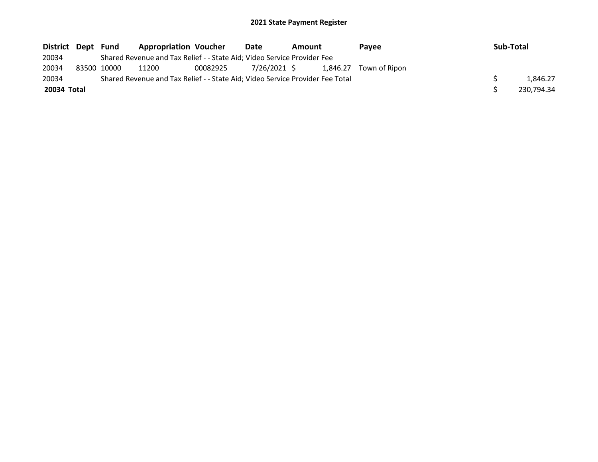| District Dept Fund |             | <b>Appropriation Voucher</b>                                                  |          | Date         | Amount |          | Pavee         | Sub-Total |            |
|--------------------|-------------|-------------------------------------------------------------------------------|----------|--------------|--------|----------|---------------|-----------|------------|
| 20034              |             | Shared Revenue and Tax Relief - - State Aid; Video Service Provider Fee       |          |              |        |          |               |           |            |
| 20034              | 83500 10000 | 11200                                                                         | 00082925 | 7/26/2021 \$ |        | 1.846.27 | Town of Ripon |           |            |
| 20034              |             | Shared Revenue and Tax Relief - - State Aid; Video Service Provider Fee Total |          |              |        |          |               |           | 1.846.27   |
| 20034 Total        |             |                                                                               |          |              |        |          |               |           | 230.794.34 |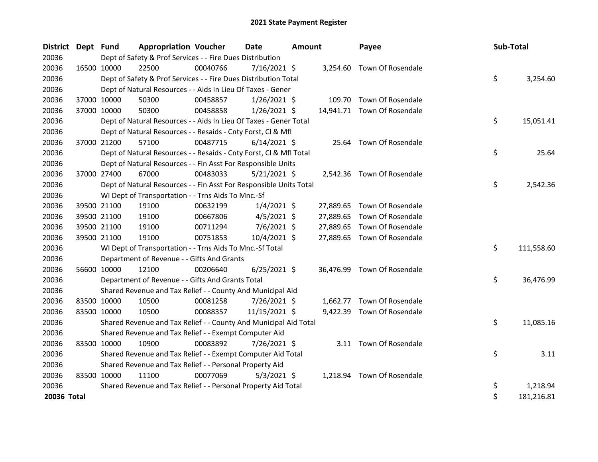| District Dept Fund |             | <b>Appropriation Voucher</b>                                       |          | <b>Date</b>    | <b>Amount</b> |           | Payee                       | Sub-Total |            |
|--------------------|-------------|--------------------------------------------------------------------|----------|----------------|---------------|-----------|-----------------------------|-----------|------------|
| 20036              |             | Dept of Safety & Prof Services - - Fire Dues Distribution          |          |                |               |           |                             |           |            |
| 20036              | 16500 10000 | 22500                                                              | 00040766 | $7/16/2021$ \$ |               |           | 3,254.60 Town Of Rosendale  |           |            |
| 20036              |             | Dept of Safety & Prof Services - - Fire Dues Distribution Total    |          |                |               |           |                             | \$        | 3,254.60   |
| 20036              |             | Dept of Natural Resources - - Aids In Lieu Of Taxes - Gener        |          |                |               |           |                             |           |            |
| 20036              | 37000 10000 | 50300                                                              | 00458857 | $1/26/2021$ \$ |               |           | 109.70 Town Of Rosendale    |           |            |
| 20036              | 37000 10000 | 50300                                                              | 00458858 | $1/26/2021$ \$ |               |           | 14,941.71 Town Of Rosendale |           |            |
| 20036              |             | Dept of Natural Resources - - Aids In Lieu Of Taxes - Gener Total  |          |                |               |           |                             | \$        | 15,051.41  |
| 20036              |             | Dept of Natural Resources - - Resaids - Cnty Forst, Cl & Mfl       |          |                |               |           |                             |           |            |
| 20036              | 37000 21200 | 57100                                                              | 00487715 | $6/14/2021$ \$ |               | 25.64     | Town Of Rosendale           |           |            |
| 20036              |             | Dept of Natural Resources - - Resaids - Cnty Forst, CI & Mfl Total |          |                |               |           |                             | \$        | 25.64      |
| 20036              |             | Dept of Natural Resources - - Fin Asst For Responsible Units       |          |                |               |           |                             |           |            |
| 20036              | 37000 27400 | 67000                                                              | 00483033 | $5/21/2021$ \$ |               |           | 2,542.36 Town Of Rosendale  |           |            |
| 20036              |             | Dept of Natural Resources - - Fin Asst For Responsible Units Total |          |                |               |           |                             | \$        | 2,542.36   |
| 20036              |             | WI Dept of Transportation - - Trns Aids To Mnc.-Sf                 |          |                |               |           |                             |           |            |
| 20036              | 39500 21100 | 19100                                                              | 00632199 | $1/4/2021$ \$  |               | 27,889.65 | Town Of Rosendale           |           |            |
| 20036              | 39500 21100 | 19100                                                              | 00667806 | $4/5/2021$ \$  |               | 27,889.65 | Town Of Rosendale           |           |            |
| 20036              | 39500 21100 | 19100                                                              | 00711294 | 7/6/2021 \$    |               | 27,889.65 | Town Of Rosendale           |           |            |
| 20036              | 39500 21100 | 19100                                                              | 00751853 | 10/4/2021 \$   |               |           | 27,889.65 Town Of Rosendale |           |            |
| 20036              |             | WI Dept of Transportation - - Trns Aids To Mnc.-Sf Total           |          |                |               |           |                             | \$        | 111,558.60 |
| 20036              |             | Department of Revenue - - Gifts And Grants                         |          |                |               |           |                             |           |            |
| 20036              | 56600 10000 | 12100                                                              | 00206640 | $6/25/2021$ \$ |               |           | 36,476.99 Town Of Rosendale |           |            |
| 20036              |             | Department of Revenue - - Gifts And Grants Total                   |          |                |               |           |                             | \$        | 36,476.99  |
| 20036              |             | Shared Revenue and Tax Relief - - County And Municipal Aid         |          |                |               |           |                             |           |            |
| 20036              | 83500 10000 | 10500                                                              | 00081258 | 7/26/2021 \$   |               |           | 1,662.77 Town Of Rosendale  |           |            |
| 20036              | 83500 10000 | 10500                                                              | 00088357 | 11/15/2021 \$  |               |           | 9,422.39 Town Of Rosendale  |           |            |
| 20036              |             | Shared Revenue and Tax Relief - - County And Municipal Aid Total   |          |                |               |           |                             | \$        | 11,085.16  |
| 20036              |             | Shared Revenue and Tax Relief - - Exempt Computer Aid              |          |                |               |           |                             |           |            |
| 20036              | 83500 10000 | 10900                                                              | 00083892 | 7/26/2021 \$   |               |           | 3.11 Town Of Rosendale      |           |            |
| 20036              |             | Shared Revenue and Tax Relief - - Exempt Computer Aid Total        |          |                |               |           |                             | \$        | 3.11       |
| 20036              |             | Shared Revenue and Tax Relief - - Personal Property Aid            |          |                |               |           |                             |           |            |
| 20036              | 83500 10000 | 11100                                                              | 00077069 | $5/3/2021$ \$  |               |           | 1,218.94 Town Of Rosendale  |           |            |
| 20036              |             | Shared Revenue and Tax Relief - - Personal Property Aid Total      |          |                |               |           |                             | \$        | 1,218.94   |
| 20036 Total        |             |                                                                    |          |                |               |           |                             | \$        | 181,216.81 |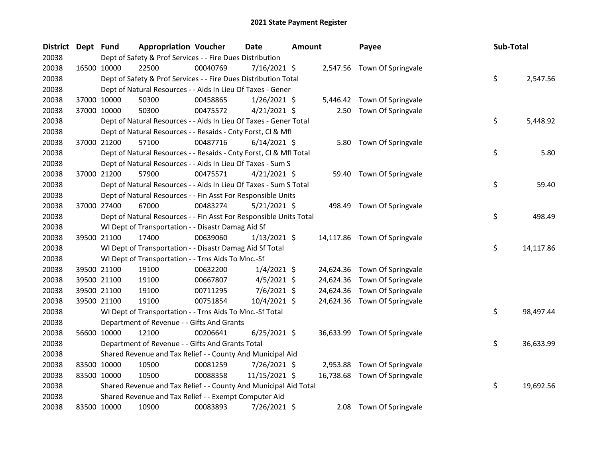| District Dept Fund |             | <b>Appropriation Voucher</b>                                       |          | <b>Date</b>    | <b>Amount</b> |           | Payee                        | Sub-Total |           |
|--------------------|-------------|--------------------------------------------------------------------|----------|----------------|---------------|-----------|------------------------------|-----------|-----------|
| 20038              |             | Dept of Safety & Prof Services - - Fire Dues Distribution          |          |                |               |           |                              |           |           |
| 20038              | 16500 10000 | 22500                                                              | 00040769 | $7/16/2021$ \$ |               |           | 2,547.56 Town Of Springvale  |           |           |
| 20038              |             | Dept of Safety & Prof Services - - Fire Dues Distribution Total    |          |                |               |           |                              | \$        | 2,547.56  |
| 20038              |             | Dept of Natural Resources - - Aids In Lieu Of Taxes - Gener        |          |                |               |           |                              |           |           |
| 20038              | 37000 10000 | 50300                                                              | 00458865 | $1/26/2021$ \$ |               |           | 5,446.42 Town Of Springvale  |           |           |
| 20038              | 37000 10000 | 50300                                                              | 00475572 | $4/21/2021$ \$ |               |           | 2.50 Town Of Springvale      |           |           |
| 20038              |             | Dept of Natural Resources - - Aids In Lieu Of Taxes - Gener Total  |          |                |               |           |                              | \$        | 5,448.92  |
| 20038              |             | Dept of Natural Resources - - Resaids - Cnty Forst, Cl & Mfl       |          |                |               |           |                              |           |           |
| 20038              | 37000 21200 | 57100                                                              | 00487716 | $6/14/2021$ \$ |               | 5.80      | Town Of Springvale           |           |           |
| 20038              |             | Dept of Natural Resources - - Resaids - Cnty Forst, Cl & Mfl Total |          |                |               |           |                              | \$        | 5.80      |
| 20038              |             | Dept of Natural Resources - - Aids In Lieu Of Taxes - Sum S        |          |                |               |           |                              |           |           |
| 20038              | 37000 21200 | 57900                                                              | 00475571 | $4/21/2021$ \$ |               |           | 59.40 Town Of Springvale     |           |           |
| 20038              |             | Dept of Natural Resources - - Aids In Lieu Of Taxes - Sum S Total  |          |                |               |           |                              | \$        | 59.40     |
| 20038              |             | Dept of Natural Resources - - Fin Asst For Responsible Units       |          |                |               |           |                              |           |           |
| 20038              | 37000 27400 | 67000                                                              | 00483274 | $5/21/2021$ \$ |               | 498.49    | Town Of Springvale           |           |           |
| 20038              |             | Dept of Natural Resources - - Fin Asst For Responsible Units Total |          |                |               |           |                              | \$        | 498.49    |
| 20038              |             | WI Dept of Transportation - - Disastr Damag Aid Sf                 |          |                |               |           |                              |           |           |
| 20038              | 39500 21100 | 17400                                                              | 00639060 | $1/13/2021$ \$ |               |           | 14,117.86 Town Of Springvale |           |           |
| 20038              |             | WI Dept of Transportation - - Disastr Damag Aid Sf Total           |          |                |               |           |                              | \$        | 14,117.86 |
| 20038              |             | WI Dept of Transportation - - Trns Aids To Mnc.-Sf                 |          |                |               |           |                              |           |           |
| 20038              | 39500 21100 | 19100                                                              | 00632200 | $1/4/2021$ \$  |               | 24,624.36 | Town Of Springvale           |           |           |
| 20038              | 39500 21100 | 19100                                                              | 00667807 | $4/5/2021$ \$  |               | 24,624.36 | Town Of Springvale           |           |           |
| 20038              | 39500 21100 | 19100                                                              | 00711295 | 7/6/2021 \$    |               | 24,624.36 | Town Of Springvale           |           |           |
| 20038              | 39500 21100 | 19100                                                              | 00751854 | 10/4/2021 \$   |               |           | 24,624.36 Town Of Springvale |           |           |
| 20038              |             | WI Dept of Transportation - - Trns Aids To Mnc.-Sf Total           |          |                |               |           |                              | \$        | 98,497.44 |
| 20038              |             | Department of Revenue - - Gifts And Grants                         |          |                |               |           |                              |           |           |
| 20038              | 56600 10000 | 12100                                                              | 00206641 | $6/25/2021$ \$ |               |           | 36,633.99 Town Of Springvale |           |           |
| 20038              |             | Department of Revenue - - Gifts And Grants Total                   |          |                |               |           |                              | \$        | 36,633.99 |
| 20038              |             | Shared Revenue and Tax Relief - - County And Municipal Aid         |          |                |               |           |                              |           |           |
| 20038              | 83500 10000 | 10500                                                              | 00081259 | 7/26/2021 \$   |               | 2,953.88  | Town Of Springvale           |           |           |
| 20038              | 83500 10000 | 10500                                                              | 00088358 | 11/15/2021 \$  |               | 16,738.68 | Town Of Springvale           |           |           |
| 20038              |             | Shared Revenue and Tax Relief - - County And Municipal Aid Total   |          |                |               |           |                              | \$        | 19,692.56 |
| 20038              |             | Shared Revenue and Tax Relief - - Exempt Computer Aid              |          |                |               |           |                              |           |           |
| 20038              | 83500 10000 | 10900                                                              | 00083893 | 7/26/2021 \$   |               | 2.08      | Town Of Springvale           |           |           |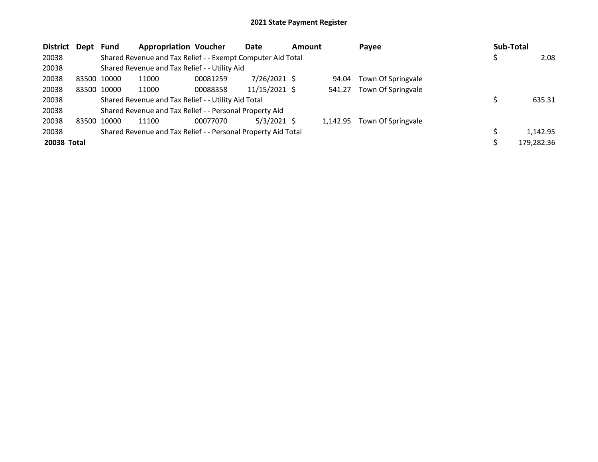| <b>District</b> | Dept        | <b>Fund</b> | <b>Appropriation Voucher</b>                                  |          | <b>Date</b>     | <b>Amount</b> |          | Payee              | Sub-Total |            |
|-----------------|-------------|-------------|---------------------------------------------------------------|----------|-----------------|---------------|----------|--------------------|-----------|------------|
| 20038           |             |             | Shared Revenue and Tax Relief - - Exempt Computer Aid Total   |          |                 |               |          |                    |           | 2.08       |
| 20038           |             |             | Shared Revenue and Tax Relief - - Utility Aid                 |          |                 |               |          |                    |           |            |
| 20038           | 83500 10000 |             | 11000                                                         | 00081259 | 7/26/2021 \$    |               | 94.04    | Town Of Springvale |           |            |
| 20038           |             | 83500 10000 | 11000                                                         | 00088358 | $11/15/2021$ \$ |               | 541.27   | Town Of Springvale |           |            |
| 20038           |             |             | Shared Revenue and Tax Relief - - Utility Aid Total           |          |                 |               |          |                    |           | 635.31     |
| 20038           |             |             | Shared Revenue and Tax Relief - - Personal Property Aid       |          |                 |               |          |                    |           |            |
| 20038           | 83500 10000 |             | 11100                                                         | 00077070 | $5/3/2021$ \$   |               | 1.142.95 | Town Of Springvale |           |            |
| 20038           |             |             | Shared Revenue and Tax Relief - - Personal Property Aid Total |          |                 |               |          |                    |           | 1.142.95   |
| 20038 Total     |             |             |                                                               |          |                 |               |          |                    |           | 179,282.36 |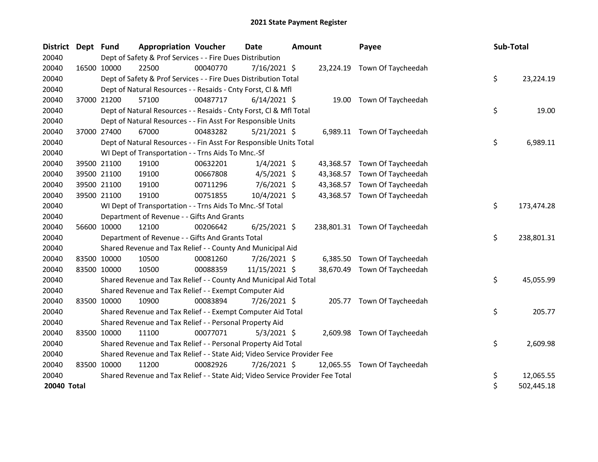| <b>District</b> | Dept Fund   |             | <b>Appropriation Voucher</b>                                                  |          | <b>Date</b>    | Amount |           | Payee                         | Sub-Total |            |
|-----------------|-------------|-------------|-------------------------------------------------------------------------------|----------|----------------|--------|-----------|-------------------------------|-----------|------------|
| 20040           |             |             | Dept of Safety & Prof Services - - Fire Dues Distribution                     |          |                |        |           |                               |           |            |
| 20040           | 16500 10000 |             | 22500                                                                         | 00040770 | $7/16/2021$ \$ |        |           | 23,224.19 Town Of Taycheedah  |           |            |
| 20040           |             |             | Dept of Safety & Prof Services - - Fire Dues Distribution Total               |          |                |        |           |                               | \$        | 23,224.19  |
| 20040           |             |             | Dept of Natural Resources - - Resaids - Cnty Forst, Cl & Mfl                  |          |                |        |           |                               |           |            |
| 20040           |             | 37000 21200 | 57100                                                                         | 00487717 | $6/14/2021$ \$ |        | 19.00     | Town Of Taycheedah            |           |            |
| 20040           |             |             | Dept of Natural Resources - - Resaids - Cnty Forst, CI & Mfl Total            |          |                |        |           |                               | \$        | 19.00      |
| 20040           |             |             | Dept of Natural Resources - - Fin Asst For Responsible Units                  |          |                |        |           |                               |           |            |
| 20040           | 37000 27400 |             | 67000                                                                         | 00483282 | $5/21/2021$ \$ |        |           | 6,989.11 Town Of Taycheedah   |           |            |
| 20040           |             |             | Dept of Natural Resources - - Fin Asst For Responsible Units Total            |          |                |        |           |                               | \$        | 6,989.11   |
| 20040           |             |             | WI Dept of Transportation - - Trns Aids To Mnc.-Sf                            |          |                |        |           |                               |           |            |
| 20040           |             | 39500 21100 | 19100                                                                         | 00632201 | $1/4/2021$ \$  |        | 43,368.57 | Town Of Taycheedah            |           |            |
| 20040           |             | 39500 21100 | 19100                                                                         | 00667808 | $4/5/2021$ \$  |        | 43,368.57 | Town Of Taycheedah            |           |            |
| 20040           |             | 39500 21100 | 19100                                                                         | 00711296 | 7/6/2021 \$    |        | 43,368.57 | Town Of Taycheedah            |           |            |
| 20040           | 39500 21100 |             | 19100                                                                         | 00751855 | 10/4/2021 \$   |        |           | 43,368.57 Town Of Taycheedah  |           |            |
| 20040           |             |             | WI Dept of Transportation - - Trns Aids To Mnc.-Sf Total                      |          |                |        |           |                               | \$        | 173,474.28 |
| 20040           |             |             | Department of Revenue - - Gifts And Grants                                    |          |                |        |           |                               |           |            |
| 20040           | 56600 10000 |             | 12100                                                                         | 00206642 | $6/25/2021$ \$ |        |           | 238,801.31 Town Of Taycheedah |           |            |
| 20040           |             |             | Department of Revenue - - Gifts And Grants Total                              |          |                |        |           |                               | \$        | 238,801.31 |
| 20040           |             |             | Shared Revenue and Tax Relief - - County And Municipal Aid                    |          |                |        |           |                               |           |            |
| 20040           | 83500 10000 |             | 10500                                                                         | 00081260 | 7/26/2021 \$   |        |           | 6,385.50 Town Of Taycheedah   |           |            |
| 20040           | 83500 10000 |             | 10500                                                                         | 00088359 | 11/15/2021 \$  |        | 38,670.49 | Town Of Taycheedah            |           |            |
| 20040           |             |             | Shared Revenue and Tax Relief - - County And Municipal Aid Total              |          |                |        |           |                               | \$        | 45,055.99  |
| 20040           |             |             | Shared Revenue and Tax Relief - - Exempt Computer Aid                         |          |                |        |           |                               |           |            |
| 20040           | 83500 10000 |             | 10900                                                                         | 00083894 | $7/26/2021$ \$ |        |           | 205.77 Town Of Taycheedah     |           |            |
| 20040           |             |             | Shared Revenue and Tax Relief - - Exempt Computer Aid Total                   |          |                |        |           |                               | \$        | 205.77     |
| 20040           |             |             | Shared Revenue and Tax Relief - - Personal Property Aid                       |          |                |        |           |                               |           |            |
| 20040           | 83500 10000 |             | 11100                                                                         | 00077071 | $5/3/2021$ \$  |        | 2,609.98  | Town Of Taycheedah            |           |            |
| 20040           |             |             | Shared Revenue and Tax Relief - - Personal Property Aid Total                 |          |                |        |           |                               | \$        | 2,609.98   |
| 20040           |             |             | Shared Revenue and Tax Relief - - State Aid; Video Service Provider Fee       |          |                |        |           |                               |           |            |
| 20040           | 83500 10000 |             | 11200                                                                         | 00082926 | $7/26/2021$ \$ |        | 12,065.55 | Town Of Taycheedah            |           |            |
| 20040           |             |             | Shared Revenue and Tax Relief - - State Aid; Video Service Provider Fee Total |          |                |        |           |                               | \$        | 12,065.55  |
| 20040 Total     |             |             |                                                                               |          |                |        |           |                               | \$        | 502,445.18 |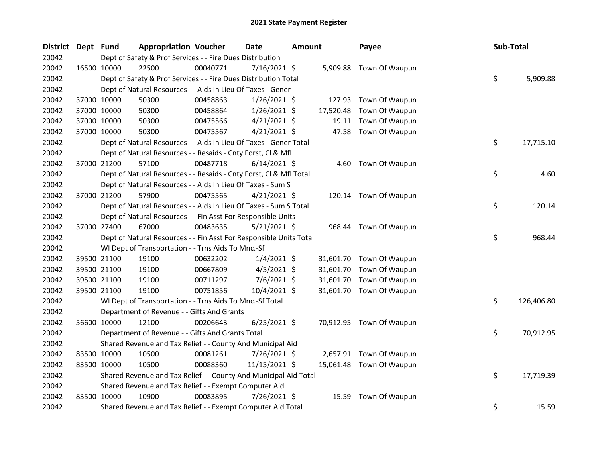| <b>District</b> | Dept Fund |             | <b>Appropriation Voucher</b>                                       |          | <b>Date</b>    | <b>Amount</b> |           | Payee                    | Sub-Total |            |
|-----------------|-----------|-------------|--------------------------------------------------------------------|----------|----------------|---------------|-----------|--------------------------|-----------|------------|
| 20042           |           |             | Dept of Safety & Prof Services - - Fire Dues Distribution          |          |                |               |           |                          |           |            |
| 20042           |           | 16500 10000 | 22500                                                              | 00040771 | 7/16/2021 \$   |               |           | 5,909.88 Town Of Waupun  |           |            |
| 20042           |           |             | Dept of Safety & Prof Services - - Fire Dues Distribution Total    |          |                |               |           |                          | \$        | 5,909.88   |
| 20042           |           |             | Dept of Natural Resources - - Aids In Lieu Of Taxes - Gener        |          |                |               |           |                          |           |            |
| 20042           |           | 37000 10000 | 50300                                                              | 00458863 | $1/26/2021$ \$ |               | 127.93    | Town Of Waupun           |           |            |
| 20042           |           | 37000 10000 | 50300                                                              | 00458864 | $1/26/2021$ \$ |               | 17,520.48 | Town Of Waupun           |           |            |
| 20042           |           | 37000 10000 | 50300                                                              | 00475566 | $4/21/2021$ \$ |               | 19.11     | Town Of Waupun           |           |            |
| 20042           |           | 37000 10000 | 50300                                                              | 00475567 | $4/21/2021$ \$ |               | 47.58     | Town Of Waupun           |           |            |
| 20042           |           |             | Dept of Natural Resources - - Aids In Lieu Of Taxes - Gener Total  |          |                |               |           |                          | \$        | 17,715.10  |
| 20042           |           |             | Dept of Natural Resources - - Resaids - Cnty Forst, Cl & Mfl       |          |                |               |           |                          |           |            |
| 20042           |           | 37000 21200 | 57100                                                              | 00487718 | $6/14/2021$ \$ |               |           | 4.60 Town Of Waupun      |           |            |
| 20042           |           |             | Dept of Natural Resources - - Resaids - Cnty Forst, Cl & Mfl Total |          |                |               |           |                          | \$        | 4.60       |
| 20042           |           |             | Dept of Natural Resources - - Aids In Lieu Of Taxes - Sum S        |          |                |               |           |                          |           |            |
| 20042           |           | 37000 21200 | 57900                                                              | 00475565 | $4/21/2021$ \$ |               |           | 120.14 Town Of Waupun    |           |            |
| 20042           |           |             | Dept of Natural Resources - - Aids In Lieu Of Taxes - Sum S Total  |          |                |               |           |                          | \$        | 120.14     |
| 20042           |           |             | Dept of Natural Resources - - Fin Asst For Responsible Units       |          |                |               |           |                          |           |            |
| 20042           |           | 37000 27400 | 67000                                                              | 00483635 | 5/21/2021 \$   |               | 968.44    | Town Of Waupun           |           |            |
| 20042           |           |             | Dept of Natural Resources - - Fin Asst For Responsible Units Total |          |                |               |           |                          | \$        | 968.44     |
| 20042           |           |             | WI Dept of Transportation - - Trns Aids To Mnc.-Sf                 |          |                |               |           |                          |           |            |
| 20042           |           | 39500 21100 | 19100                                                              | 00632202 | $1/4/2021$ \$  |               |           | 31,601.70 Town Of Waupun |           |            |
| 20042           |           | 39500 21100 | 19100                                                              | 00667809 | $4/5/2021$ \$  |               | 31,601.70 | Town Of Waupun           |           |            |
| 20042           |           | 39500 21100 | 19100                                                              | 00711297 | $7/6/2021$ \$  |               | 31,601.70 | Town Of Waupun           |           |            |
| 20042           |           | 39500 21100 | 19100                                                              | 00751856 | 10/4/2021 \$   |               |           | 31,601.70 Town Of Waupun |           |            |
| 20042           |           |             | WI Dept of Transportation - - Trns Aids To Mnc.-Sf Total           |          |                |               |           |                          | \$        | 126,406.80 |
| 20042           |           |             | Department of Revenue - - Gifts And Grants                         |          |                |               |           |                          |           |            |
| 20042           |           | 56600 10000 | 12100                                                              | 00206643 | $6/25/2021$ \$ |               |           | 70,912.95 Town Of Waupun |           |            |
| 20042           |           |             | Department of Revenue - - Gifts And Grants Total                   |          |                |               |           |                          | \$        | 70,912.95  |
| 20042           |           |             | Shared Revenue and Tax Relief - - County And Municipal Aid         |          |                |               |           |                          |           |            |
| 20042           |           | 83500 10000 | 10500                                                              | 00081261 | $7/26/2021$ \$ |               |           | 2,657.91 Town Of Waupun  |           |            |
| 20042           |           | 83500 10000 | 10500                                                              | 00088360 | 11/15/2021 \$  |               |           | 15,061.48 Town Of Waupun |           |            |
| 20042           |           |             | Shared Revenue and Tax Relief - - County And Municipal Aid Total   |          |                |               |           |                          | \$        | 17,719.39  |
| 20042           |           |             | Shared Revenue and Tax Relief - - Exempt Computer Aid              |          |                |               |           |                          |           |            |
| 20042           |           | 83500 10000 | 10900                                                              | 00083895 | 7/26/2021 \$   |               | 15.59     | Town Of Waupun           |           |            |
| 20042           |           |             | Shared Revenue and Tax Relief - - Exempt Computer Aid Total        |          |                |               |           |                          | \$        | 15.59      |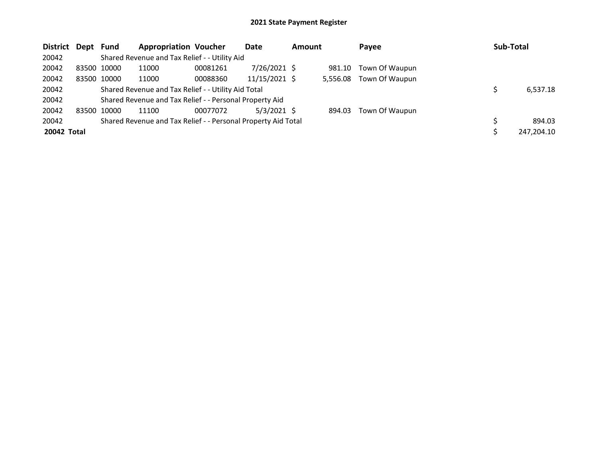| District Dept Fund |             |             | <b>Appropriation Voucher</b>                                  |          | Date            | <b>Amount</b> |          | Payee          | Sub-Total  |
|--------------------|-------------|-------------|---------------------------------------------------------------|----------|-----------------|---------------|----------|----------------|------------|
| 20042              |             |             | Shared Revenue and Tax Relief - - Utility Aid                 |          |                 |               |          |                |            |
| 20042              |             | 83500 10000 | 11000                                                         | 00081261 | $7/26/2021$ \$  |               | 981.10   | Town Of Waupun |            |
| 20042              |             | 83500 10000 | 11000                                                         | 00088360 | $11/15/2021$ \$ |               | 5,556.08 | Town Of Waupun |            |
| 20042              |             |             | Shared Revenue and Tax Relief - - Utility Aid Total           |          |                 |               |          |                | 6,537.18   |
| 20042              |             |             | Shared Revenue and Tax Relief - - Personal Property Aid       |          |                 |               |          |                |            |
| 20042              | 83500 10000 |             | 11100                                                         | 00077072 | $5/3/2021$ \$   |               | 894.03   | Town Of Waupun |            |
| 20042              |             |             | Shared Revenue and Tax Relief - - Personal Property Aid Total |          |                 |               |          |                | 894.03     |
| 20042 Total        |             |             |                                                               |          |                 |               |          |                | 247,204.10 |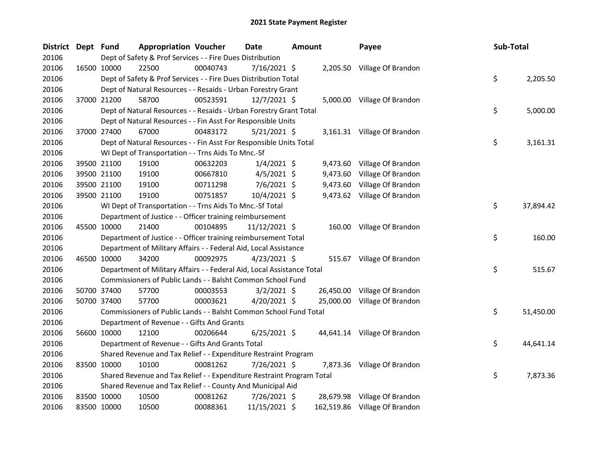| District Dept Fund |             |             | <b>Appropriation Voucher</b>                                           |          | Date           | <b>Amount</b> |  | Payee                         | Sub-Total |           |
|--------------------|-------------|-------------|------------------------------------------------------------------------|----------|----------------|---------------|--|-------------------------------|-----------|-----------|
| 20106              |             |             | Dept of Safety & Prof Services - - Fire Dues Distribution              |          |                |               |  |                               |           |           |
| 20106              |             | 16500 10000 | 22500                                                                  | 00040743 | $7/16/2021$ \$ |               |  | 2,205.50 Village Of Brandon   |           |           |
| 20106              |             |             | Dept of Safety & Prof Services - - Fire Dues Distribution Total        |          |                |               |  |                               | \$        | 2,205.50  |
| 20106              |             |             | Dept of Natural Resources - - Resaids - Urban Forestry Grant           |          |                |               |  |                               |           |           |
| 20106              |             | 37000 21200 | 58700                                                                  | 00523591 | $12/7/2021$ \$ |               |  | 5,000.00 Village Of Brandon   |           |           |
| 20106              |             |             | Dept of Natural Resources - - Resaids - Urban Forestry Grant Total     |          |                |               |  |                               | \$        | 5,000.00  |
| 20106              |             |             | Dept of Natural Resources - - Fin Asst For Responsible Units           |          |                |               |  |                               |           |           |
| 20106              |             | 37000 27400 | 67000                                                                  | 00483172 | $5/21/2021$ \$ |               |  | 3,161.31 Village Of Brandon   |           |           |
| 20106              |             |             | Dept of Natural Resources - - Fin Asst For Responsible Units Total     |          |                |               |  |                               | \$        | 3,161.31  |
| 20106              |             |             | WI Dept of Transportation - - Trns Aids To Mnc.-Sf                     |          |                |               |  |                               |           |           |
| 20106              |             | 39500 21100 | 19100                                                                  | 00632203 | $1/4/2021$ \$  |               |  | 9,473.60 Village Of Brandon   |           |           |
| 20106              |             | 39500 21100 | 19100                                                                  | 00667810 | $4/5/2021$ \$  |               |  | 9,473.60 Village Of Brandon   |           |           |
| 20106              |             | 39500 21100 | 19100                                                                  | 00711298 | $7/6/2021$ \$  |               |  | 9,473.60 Village Of Brandon   |           |           |
| 20106              |             | 39500 21100 | 19100                                                                  | 00751857 | 10/4/2021 \$   |               |  | 9,473.62 Village Of Brandon   |           |           |
| 20106              |             |             | WI Dept of Transportation - - Trns Aids To Mnc.-Sf Total               |          |                |               |  |                               | \$        | 37,894.42 |
| 20106              |             |             | Department of Justice - - Officer training reimbursement               |          |                |               |  |                               |           |           |
| 20106              |             | 45500 10000 | 21400                                                                  | 00104895 | 11/12/2021 \$  |               |  | 160.00 Village Of Brandon     |           |           |
| 20106              |             |             | Department of Justice - - Officer training reimbursement Total         |          |                |               |  |                               | \$        | 160.00    |
| 20106              |             |             | Department of Military Affairs - - Federal Aid, Local Assistance       |          |                |               |  |                               |           |           |
| 20106              |             | 46500 10000 | 34200                                                                  | 00092975 | $4/23/2021$ \$ |               |  | 515.67 Village Of Brandon     |           |           |
| 20106              |             |             | Department of Military Affairs - - Federal Aid, Local Assistance Total |          |                |               |  |                               | \$        | 515.67    |
| 20106              |             |             | Commissioners of Public Lands - - Balsht Common School Fund            |          |                |               |  |                               |           |           |
| 20106              |             | 50700 37400 | 57700                                                                  | 00003553 | $3/2/2021$ \$  |               |  | 26,450.00 Village Of Brandon  |           |           |
| 20106              |             | 50700 37400 | 57700                                                                  | 00003621 | $4/20/2021$ \$ |               |  | 25,000.00 Village Of Brandon  |           |           |
| 20106              |             |             | Commissioners of Public Lands - - Balsht Common School Fund Total      |          |                |               |  |                               | \$        | 51,450.00 |
| 20106              |             |             | Department of Revenue - - Gifts And Grants                             |          |                |               |  |                               |           |           |
| 20106              |             | 56600 10000 | 12100                                                                  | 00206644 | $6/25/2021$ \$ |               |  | 44,641.14 Village Of Brandon  |           |           |
| 20106              |             |             | Department of Revenue - - Gifts And Grants Total                       |          |                |               |  |                               | \$        | 44,641.14 |
| 20106              |             |             | Shared Revenue and Tax Relief - - Expenditure Restraint Program        |          |                |               |  |                               |           |           |
| 20106              |             | 83500 10000 | 10100                                                                  | 00081262 | 7/26/2021 \$   |               |  | 7,873.36 Village Of Brandon   |           |           |
| 20106              |             |             | Shared Revenue and Tax Relief - - Expenditure Restraint Program Total  |          |                |               |  |                               | \$        | 7,873.36  |
| 20106              |             |             | Shared Revenue and Tax Relief - - County And Municipal Aid             |          |                |               |  |                               |           |           |
| 20106              |             | 83500 10000 | 10500                                                                  | 00081262 | $7/26/2021$ \$ |               |  | 28,679.98 Village Of Brandon  |           |           |
| 20106              | 83500 10000 |             | 10500                                                                  | 00088361 | 11/15/2021 \$  |               |  | 162,519.86 Village Of Brandon |           |           |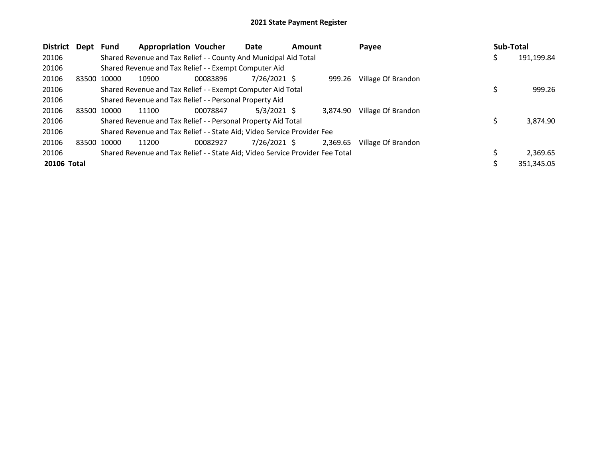| District<br>Dept | <b>Fund</b> | <b>Appropriation Voucher</b>                                                  |          | <b>Date</b>    | <b>Amount</b> |          | Payee              | Sub-Total |            |
|------------------|-------------|-------------------------------------------------------------------------------|----------|----------------|---------------|----------|--------------------|-----------|------------|
| 20106            |             | Shared Revenue and Tax Relief - - County And Municipal Aid Total              |          |                |               |          |                    | \$.       | 191,199.84 |
| 20106            |             | Shared Revenue and Tax Relief - - Exempt Computer Aid                         |          |                |               |          |                    |           |            |
| 20106            | 83500 10000 | 10900                                                                         | 00083896 | 7/26/2021 \$   |               | 999.26   | Village Of Brandon |           |            |
| 20106            |             | Shared Revenue and Tax Relief - - Exempt Computer Aid Total                   |          |                |               |          |                    |           | 999.26     |
| 20106            |             | Shared Revenue and Tax Relief - - Personal Property Aid                       |          |                |               |          |                    |           |            |
| 20106            | 83500 10000 | 11100                                                                         | 00078847 | $5/3/2021$ \$  |               | 3.874.90 | Village Of Brandon |           |            |
| 20106            |             | Shared Revenue and Tax Relief - - Personal Property Aid Total                 |          |                |               |          |                    | Ś         | 3,874.90   |
| 20106            |             | Shared Revenue and Tax Relief - - State Aid; Video Service Provider Fee       |          |                |               |          |                    |           |            |
| 20106            | 83500 10000 | 11200                                                                         | 00082927 | $7/26/2021$ \$ |               | 2,369.65 | Village Of Brandon |           |            |
| 20106            |             | Shared Revenue and Tax Relief - - State Aid; Video Service Provider Fee Total |          |                |               |          |                    |           | 2,369.65   |
| 20106 Total      |             |                                                                               |          |                |               |          |                    |           | 351,345.05 |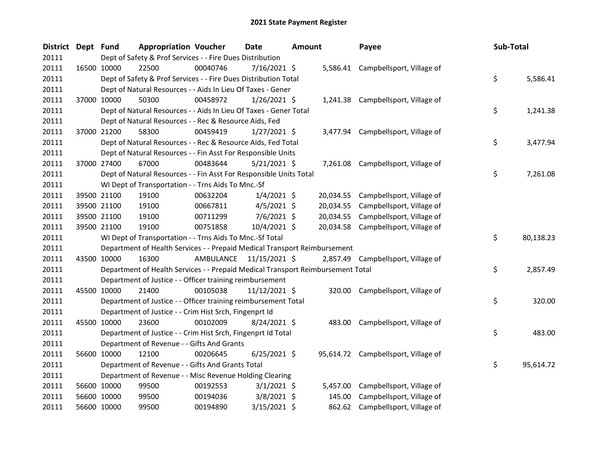| District Dept Fund |             |             | <b>Appropriation Voucher</b>                                                    |           | <b>Date</b>    | <b>Amount</b> |           | Payee                               | Sub-Total       |
|--------------------|-------------|-------------|---------------------------------------------------------------------------------|-----------|----------------|---------------|-----------|-------------------------------------|-----------------|
| 20111              |             |             | Dept of Safety & Prof Services - - Fire Dues Distribution                       |           |                |               |           |                                     |                 |
| 20111              | 16500 10000 |             | 22500                                                                           | 00040746  | 7/16/2021 \$   |               |           | 5,586.41 Campbellsport, Village of  |                 |
| 20111              |             |             | Dept of Safety & Prof Services - - Fire Dues Distribution Total                 |           |                |               |           |                                     | \$<br>5,586.41  |
| 20111              |             |             | Dept of Natural Resources - - Aids In Lieu Of Taxes - Gener                     |           |                |               |           |                                     |                 |
| 20111              | 37000 10000 |             | 50300                                                                           | 00458972  | $1/26/2021$ \$ |               |           | 1,241.38 Campbellsport, Village of  |                 |
| 20111              |             |             | Dept of Natural Resources - - Aids In Lieu Of Taxes - Gener Total               |           |                |               |           |                                     | \$<br>1,241.38  |
| 20111              |             |             | Dept of Natural Resources - - Rec & Resource Aids, Fed                          |           |                |               |           |                                     |                 |
| 20111              | 37000 21200 |             | 58300                                                                           | 00459419  | $1/27/2021$ \$ |               |           | 3,477.94 Campbellsport, Village of  |                 |
| 20111              |             |             | Dept of Natural Resources - - Rec & Resource Aids, Fed Total                    |           |                |               |           |                                     | \$<br>3,477.94  |
| 20111              |             |             | Dept of Natural Resources - - Fin Asst For Responsible Units                    |           |                |               |           |                                     |                 |
| 20111              | 37000 27400 |             | 67000                                                                           | 00483644  | $5/21/2021$ \$ |               |           | 7,261.08 Campbellsport, Village of  |                 |
| 20111              |             |             | Dept of Natural Resources - - Fin Asst For Responsible Units Total              |           |                |               |           |                                     | \$<br>7,261.08  |
| 20111              |             |             | WI Dept of Transportation - - Trns Aids To Mnc.-Sf                              |           |                |               |           |                                     |                 |
| 20111              |             | 39500 21100 | 19100                                                                           | 00632204  | $1/4/2021$ \$  |               | 20,034.55 | Campbellsport, Village of           |                 |
| 20111              | 39500 21100 |             | 19100                                                                           | 00667811  | $4/5/2021$ \$  |               | 20,034.55 | Campbellsport, Village of           |                 |
| 20111              | 39500 21100 |             | 19100                                                                           | 00711299  | $7/6/2021$ \$  |               | 20,034.55 | Campbellsport, Village of           |                 |
| 20111              |             | 39500 21100 | 19100                                                                           | 00751858  | 10/4/2021 \$   |               |           | 20,034.58 Campbellsport, Village of |                 |
| 20111              |             |             | WI Dept of Transportation - - Trns Aids To Mnc.-Sf Total                        |           |                |               |           |                                     | \$<br>80,138.23 |
| 20111              |             |             | Department of Health Services - - Prepaid Medical Transport Reimbursement       |           |                |               |           |                                     |                 |
| 20111              | 43500 10000 |             | 16300                                                                           | AMBULANCE | 11/15/2021 \$  |               |           | 2,857.49 Campbellsport, Village of  |                 |
| 20111              |             |             | Department of Health Services - - Prepaid Medical Transport Reimbursement Total |           |                |               |           |                                     | \$<br>2,857.49  |
| 20111              |             |             | Department of Justice - - Officer training reimbursement                        |           |                |               |           |                                     |                 |
| 20111              | 45500 10000 |             | 21400                                                                           | 00105038  | 11/12/2021 \$  |               | 320.00    | Campbellsport, Village of           |                 |
| 20111              |             |             | Department of Justice - - Officer training reimbursement Total                  |           |                |               |           |                                     | \$<br>320.00    |
| 20111              |             |             | Department of Justice - - Crim Hist Srch, Fingenprt Id                          |           |                |               |           |                                     |                 |
| 20111              | 45500 10000 |             | 23600                                                                           | 00102009  | 8/24/2021 \$   |               | 483.00    | Campbellsport, Village of           |                 |
| 20111              |             |             | Department of Justice - - Crim Hist Srch, Fingenprt Id Total                    |           |                |               |           |                                     | \$<br>483.00    |
| 20111              |             |             | Department of Revenue - - Gifts And Grants                                      |           |                |               |           |                                     |                 |
| 20111              |             | 56600 10000 | 12100                                                                           | 00206645  | $6/25/2021$ \$ |               |           | 95,614.72 Campbellsport, Village of |                 |
| 20111              |             |             | Department of Revenue - - Gifts And Grants Total                                |           |                |               |           |                                     | \$<br>95,614.72 |
| 20111              |             |             | Department of Revenue - - Misc Revenue Holding Clearing                         |           |                |               |           |                                     |                 |
| 20111              | 56600 10000 |             | 99500                                                                           | 00192553  | $3/1/2021$ \$  |               | 5,457.00  | Campbellsport, Village of           |                 |
| 20111              | 56600 10000 |             | 99500                                                                           | 00194036  | $3/8/2021$ \$  |               | 145.00    | Campbellsport, Village of           |                 |
| 20111              | 56600 10000 |             | 99500                                                                           | 00194890  | 3/15/2021 \$   |               |           | 862.62 Campbellsport, Village of    |                 |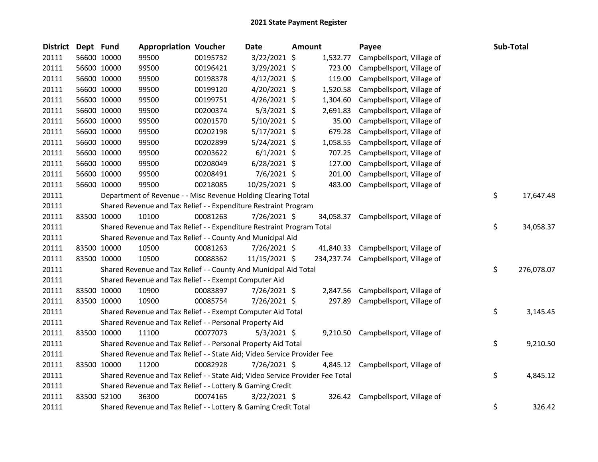| <b>District</b> | Dept Fund |             | <b>Appropriation Voucher</b>                                                  |          | <b>Date</b>    | <b>Amount</b> |           | Payee                                | Sub-Total        |
|-----------------|-----------|-------------|-------------------------------------------------------------------------------|----------|----------------|---------------|-----------|--------------------------------------|------------------|
| 20111           |           | 56600 10000 | 99500                                                                         | 00195732 | 3/22/2021 \$   |               | 1,532.77  | Campbellsport, Village of            |                  |
| 20111           |           | 56600 10000 | 99500                                                                         | 00196421 | 3/29/2021 \$   |               | 723.00    | Campbellsport, Village of            |                  |
| 20111           |           | 56600 10000 | 99500                                                                         | 00198378 | $4/12/2021$ \$ |               | 119.00    | Campbellsport, Village of            |                  |
| 20111           |           | 56600 10000 | 99500                                                                         | 00199120 | 4/20/2021 \$   |               | 1,520.58  | Campbellsport, Village of            |                  |
| 20111           |           | 56600 10000 | 99500                                                                         | 00199751 | $4/26/2021$ \$ |               | 1,304.60  | Campbellsport, Village of            |                  |
| 20111           |           | 56600 10000 | 99500                                                                         | 00200374 | $5/3/2021$ \$  |               | 2,691.83  | Campbellsport, Village of            |                  |
| 20111           |           | 56600 10000 | 99500                                                                         | 00201570 | $5/10/2021$ \$ |               | 35.00     | Campbellsport, Village of            |                  |
| 20111           |           | 56600 10000 | 99500                                                                         | 00202198 | $5/17/2021$ \$ |               | 679.28    | Campbellsport, Village of            |                  |
| 20111           |           | 56600 10000 | 99500                                                                         | 00202899 | $5/24/2021$ \$ |               | 1,058.55  | Campbellsport, Village of            |                  |
| 20111           |           | 56600 10000 | 99500                                                                         | 00203622 | $6/1/2021$ \$  |               | 707.25    | Campbellsport, Village of            |                  |
| 20111           |           | 56600 10000 | 99500                                                                         | 00208049 | $6/28/2021$ \$ |               | 127.00    | Campbellsport, Village of            |                  |
| 20111           |           | 56600 10000 | 99500                                                                         | 00208491 | $7/6/2021$ \$  |               | 201.00    | Campbellsport, Village of            |                  |
| 20111           |           | 56600 10000 | 99500                                                                         | 00218085 | 10/25/2021 \$  |               | 483.00    | Campbellsport, Village of            |                  |
| 20111           |           |             | Department of Revenue - - Misc Revenue Holding Clearing Total                 |          |                |               |           |                                      | \$<br>17,647.48  |
| 20111           |           |             | Shared Revenue and Tax Relief - - Expenditure Restraint Program               |          |                |               |           |                                      |                  |
| 20111           |           | 83500 10000 | 10100                                                                         | 00081263 | 7/26/2021 \$   |               | 34,058.37 | Campbellsport, Village of            |                  |
| 20111           |           |             | Shared Revenue and Tax Relief - - Expenditure Restraint Program Total         |          |                |               |           |                                      | \$<br>34,058.37  |
| 20111           |           |             | Shared Revenue and Tax Relief - - County And Municipal Aid                    |          |                |               |           |                                      |                  |
| 20111           |           | 83500 10000 | 10500                                                                         | 00081263 | 7/26/2021 \$   |               |           | 41,840.33 Campbellsport, Village of  |                  |
| 20111           |           | 83500 10000 | 10500                                                                         | 00088362 | 11/15/2021 \$  |               |           | 234,237.74 Campbellsport, Village of |                  |
| 20111           |           |             | Shared Revenue and Tax Relief - - County And Municipal Aid Total              |          |                |               |           |                                      | \$<br>276,078.07 |
| 20111           |           |             | Shared Revenue and Tax Relief - - Exempt Computer Aid                         |          |                |               |           |                                      |                  |
| 20111           |           | 83500 10000 | 10900                                                                         | 00083897 | 7/26/2021 \$   |               | 2,847.56  | Campbellsport, Village of            |                  |
| 20111           |           | 83500 10000 | 10900                                                                         | 00085754 | 7/26/2021 \$   |               | 297.89    | Campbellsport, Village of            |                  |
| 20111           |           |             | Shared Revenue and Tax Relief - - Exempt Computer Aid Total                   |          |                |               |           |                                      | \$<br>3,145.45   |
| 20111           |           |             | Shared Revenue and Tax Relief - - Personal Property Aid                       |          |                |               |           |                                      |                  |
| 20111           |           | 83500 10000 | 11100                                                                         | 00077073 | $5/3/2021$ \$  |               |           | 9,210.50 Campbellsport, Village of   |                  |
| 20111           |           |             | Shared Revenue and Tax Relief - - Personal Property Aid Total                 |          |                |               |           |                                      | \$<br>9,210.50   |
| 20111           |           |             | Shared Revenue and Tax Relief - - State Aid; Video Service Provider Fee       |          |                |               |           |                                      |                  |
| 20111           |           | 83500 10000 | 11200                                                                         | 00082928 | 7/26/2021 \$   |               | 4,845.12  | Campbellsport, Village of            |                  |
| 20111           |           |             | Shared Revenue and Tax Relief - - State Aid; Video Service Provider Fee Total |          |                |               |           |                                      | \$<br>4,845.12   |
| 20111           |           |             | Shared Revenue and Tax Relief - - Lottery & Gaming Credit                     |          |                |               |           |                                      |                  |
| 20111           |           | 83500 52100 | 36300                                                                         | 00074165 | $3/22/2021$ \$ |               |           | 326.42 Campbellsport, Village of     |                  |
| 20111           |           |             | Shared Revenue and Tax Relief - - Lottery & Gaming Credit Total               |          |                |               |           |                                      | \$<br>326.42     |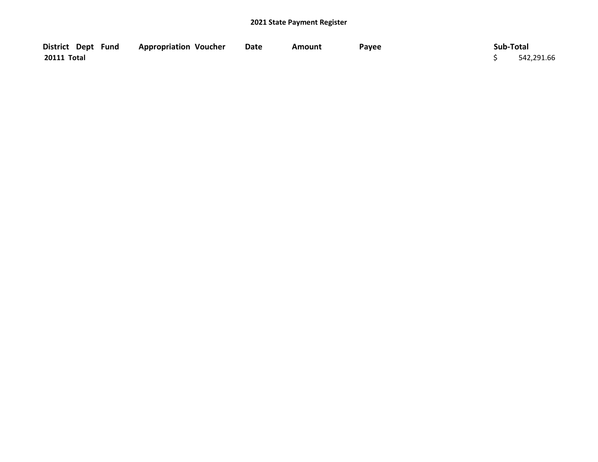| District Dept Fund | <b>Appropriation Voucher</b> | Date | Amount | Payee | Sub-Total  |
|--------------------|------------------------------|------|--------|-------|------------|
| 20111 Total        |                              |      |        |       | 542,291.66 |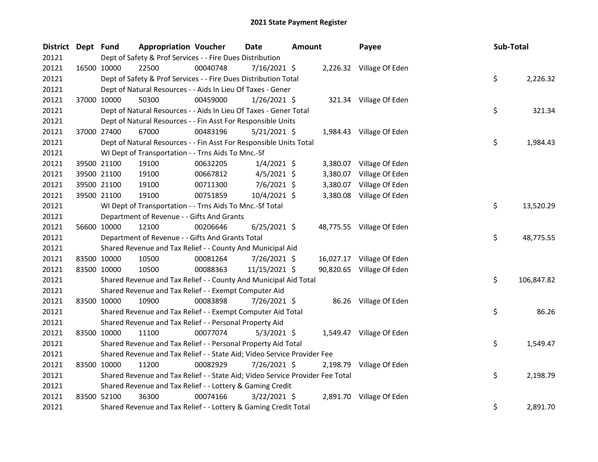| <b>District</b> | Dept Fund   |             | <b>Appropriation Voucher</b>                                                  |          | <b>Date</b>    | <b>Amount</b> |          | Payee                     | Sub-Total |            |
|-----------------|-------------|-------------|-------------------------------------------------------------------------------|----------|----------------|---------------|----------|---------------------------|-----------|------------|
| 20121           |             |             | Dept of Safety & Prof Services - - Fire Dues Distribution                     |          |                |               |          |                           |           |            |
| 20121           |             | 16500 10000 | 22500                                                                         | 00040748 | $7/16/2021$ \$ |               |          | 2,226.32 Village Of Eden  |           |            |
| 20121           |             |             | Dept of Safety & Prof Services - - Fire Dues Distribution Total               |          |                |               |          |                           | \$        | 2,226.32   |
| 20121           |             |             | Dept of Natural Resources - - Aids In Lieu Of Taxes - Gener                   |          |                |               |          |                           |           |            |
| 20121           |             | 37000 10000 | 50300                                                                         | 00459000 | 1/26/2021 \$   |               |          | 321.34 Village Of Eden    |           |            |
| 20121           |             |             | Dept of Natural Resources - - Aids In Lieu Of Taxes - Gener Total             |          |                |               |          |                           | \$        | 321.34     |
| 20121           |             |             | Dept of Natural Resources - - Fin Asst For Responsible Units                  |          |                |               |          |                           |           |            |
| 20121           |             | 37000 27400 | 67000                                                                         | 00483196 | $5/21/2021$ \$ |               |          | 1,984.43 Village Of Eden  |           |            |
| 20121           |             |             | Dept of Natural Resources - - Fin Asst For Responsible Units Total            |          |                |               |          |                           | \$        | 1,984.43   |
| 20121           |             |             | WI Dept of Transportation - - Trns Aids To Mnc.-Sf                            |          |                |               |          |                           |           |            |
| 20121           |             | 39500 21100 | 19100                                                                         | 00632205 | $1/4/2021$ \$  |               |          | 3,380.07 Village Of Eden  |           |            |
| 20121           |             | 39500 21100 | 19100                                                                         | 00667812 | $4/5/2021$ \$  |               | 3,380.07 | Village Of Eden           |           |            |
| 20121           |             | 39500 21100 | 19100                                                                         | 00711300 | 7/6/2021 \$    |               | 3,380.07 | Village Of Eden           |           |            |
| 20121           |             | 39500 21100 | 19100                                                                         | 00751859 | $10/4/2021$ \$ |               | 3,380.08 | Village Of Eden           |           |            |
| 20121           |             |             | WI Dept of Transportation - - Trns Aids To Mnc.-Sf Total                      |          |                |               |          |                           | \$        | 13,520.29  |
| 20121           |             |             | Department of Revenue - - Gifts And Grants                                    |          |                |               |          |                           |           |            |
| 20121           |             | 56600 10000 | 12100                                                                         | 00206646 | $6/25/2021$ \$ |               |          | 48,775.55 Village Of Eden |           |            |
| 20121           |             |             | Department of Revenue - - Gifts And Grants Total                              |          |                |               |          |                           | \$        | 48,775.55  |
| 20121           |             |             | Shared Revenue and Tax Relief - - County And Municipal Aid                    |          |                |               |          |                           |           |            |
| 20121           |             | 83500 10000 | 10500                                                                         | 00081264 | 7/26/2021 \$   |               |          | 16,027.17 Village Of Eden |           |            |
| 20121           | 83500 10000 |             | 10500                                                                         | 00088363 | 11/15/2021 \$  |               |          | 90,820.65 Village Of Eden |           |            |
| 20121           |             |             | Shared Revenue and Tax Relief - - County And Municipal Aid Total              |          |                |               |          |                           | \$        | 106,847.82 |
| 20121           |             |             | Shared Revenue and Tax Relief - - Exempt Computer Aid                         |          |                |               |          |                           |           |            |
| 20121           |             | 83500 10000 | 10900                                                                         | 00083898 | 7/26/2021 \$   |               |          | 86.26 Village Of Eden     |           |            |
| 20121           |             |             | Shared Revenue and Tax Relief - - Exempt Computer Aid Total                   |          |                |               |          |                           | \$        | 86.26      |
| 20121           |             |             | Shared Revenue and Tax Relief - - Personal Property Aid                       |          |                |               |          |                           |           |            |
| 20121           | 83500 10000 |             | 11100                                                                         | 00077074 | $5/3/2021$ \$  |               |          | 1,549.47 Village Of Eden  |           |            |
| 20121           |             |             | Shared Revenue and Tax Relief - - Personal Property Aid Total                 |          |                |               |          |                           | \$        | 1,549.47   |
| 20121           |             |             | Shared Revenue and Tax Relief - - State Aid; Video Service Provider Fee       |          |                |               |          |                           |           |            |
| 20121           | 83500 10000 |             | 11200                                                                         | 00082929 | 7/26/2021 \$   |               | 2,198.79 | Village Of Eden           |           |            |
| 20121           |             |             | Shared Revenue and Tax Relief - - State Aid; Video Service Provider Fee Total |          |                |               |          |                           | \$        | 2,198.79   |
| 20121           |             |             | Shared Revenue and Tax Relief - - Lottery & Gaming Credit                     |          |                |               |          |                           |           |            |
| 20121           | 83500 52100 |             | 36300                                                                         | 00074166 | $3/22/2021$ \$ |               |          | 2,891.70 Village Of Eden  |           |            |
| 20121           |             |             | Shared Revenue and Tax Relief - - Lottery & Gaming Credit Total               |          |                |               |          |                           | \$        | 2,891.70   |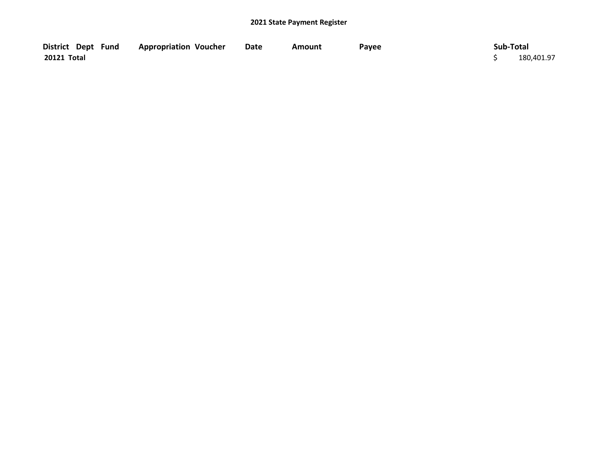| District Dept Fund | <b>Appropriation Voucher</b> | <b>Date</b> | Amount | Payee | Sub-Total  |
|--------------------|------------------------------|-------------|--------|-------|------------|
| 20121 Total        |                              |             |        |       | 180,401.97 |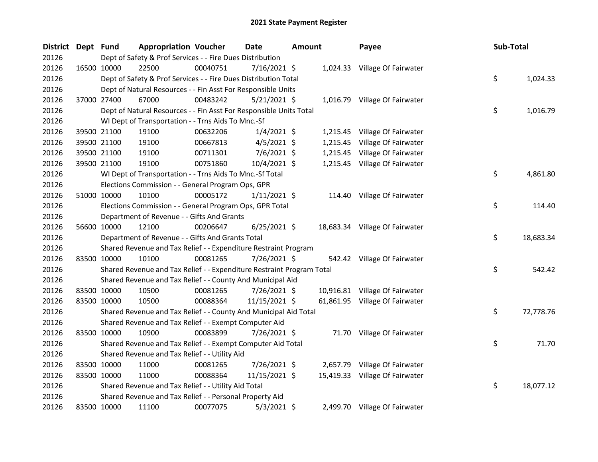| <b>District</b> | Dept Fund   |                                                                       | <b>Appropriation Voucher</b> |          | <b>Date</b>    | <b>Amount</b> |          | Payee                          | Sub-Total |           |
|-----------------|-------------|-----------------------------------------------------------------------|------------------------------|----------|----------------|---------------|----------|--------------------------------|-----------|-----------|
| 20126           |             | Dept of Safety & Prof Services - - Fire Dues Distribution             |                              |          |                |               |          |                                |           |           |
| 20126           |             | 16500 10000<br>22500                                                  |                              | 00040751 | 7/16/2021 \$   |               |          | 1,024.33 Village Of Fairwater  |           |           |
| 20126           |             | Dept of Safety & Prof Services - - Fire Dues Distribution Total       |                              |          |                |               |          |                                | \$        | 1,024.33  |
| 20126           |             | Dept of Natural Resources - - Fin Asst For Responsible Units          |                              |          |                |               |          |                                |           |           |
| 20126           |             | 37000 27400<br>67000                                                  |                              | 00483242 | $5/21/2021$ \$ |               |          | 1,016.79 Village Of Fairwater  |           |           |
| 20126           |             | Dept of Natural Resources - - Fin Asst For Responsible Units Total    |                              |          |                |               |          |                                | \$        | 1,016.79  |
| 20126           |             | WI Dept of Transportation - - Trns Aids To Mnc.-Sf                    |                              |          |                |               |          |                                |           |           |
| 20126           |             | 39500 21100<br>19100                                                  |                              | 00632206 | $1/4/2021$ \$  |               |          | 1,215.45 Village Of Fairwater  |           |           |
| 20126           |             | 39500 21100<br>19100                                                  |                              | 00667813 | $4/5/2021$ \$  |               | 1,215.45 | Village Of Fairwater           |           |           |
| 20126           |             | 39500 21100<br>19100                                                  |                              | 00711301 | 7/6/2021 \$    |               |          | 1,215.45 Village Of Fairwater  |           |           |
| 20126           |             | 39500 21100<br>19100                                                  |                              | 00751860 | 10/4/2021 \$   |               |          | 1,215.45 Village Of Fairwater  |           |           |
| 20126           |             | WI Dept of Transportation - - Trns Aids To Mnc.-Sf Total              |                              |          |                |               |          |                                | \$        | 4,861.80  |
| 20126           |             | Elections Commission - - General Program Ops, GPR                     |                              |          |                |               |          |                                |           |           |
| 20126           |             | 51000 10000<br>10100                                                  |                              | 00005172 | $1/11/2021$ \$ |               |          | 114.40 Village Of Fairwater    |           |           |
| 20126           |             | Elections Commission - - General Program Ops, GPR Total               |                              |          |                |               |          |                                | \$        | 114.40    |
| 20126           |             | Department of Revenue - - Gifts And Grants                            |                              |          |                |               |          |                                |           |           |
| 20126           |             | 56600 10000<br>12100                                                  |                              | 00206647 | $6/25/2021$ \$ |               |          | 18,683.34 Village Of Fairwater |           |           |
| 20126           |             | Department of Revenue - - Gifts And Grants Total                      |                              |          |                |               |          |                                | \$        | 18,683.34 |
| 20126           |             | Shared Revenue and Tax Relief - - Expenditure Restraint Program       |                              |          |                |               |          |                                |           |           |
| 20126           |             | 83500 10000<br>10100                                                  |                              | 00081265 | 7/26/2021 \$   |               |          | 542.42 Village Of Fairwater    |           |           |
| 20126           |             | Shared Revenue and Tax Relief - - Expenditure Restraint Program Total |                              |          |                |               |          |                                | \$        | 542.42    |
| 20126           |             | Shared Revenue and Tax Relief - - County And Municipal Aid            |                              |          |                |               |          |                                |           |           |
| 20126           |             | 83500 10000<br>10500                                                  |                              | 00081265 | 7/26/2021 \$   |               |          | 10,916.81 Village Of Fairwater |           |           |
| 20126           |             | 83500 10000<br>10500                                                  |                              | 00088364 | 11/15/2021 \$  |               |          | 61,861.95 Village Of Fairwater |           |           |
| 20126           |             | Shared Revenue and Tax Relief - - County And Municipal Aid Total      |                              |          |                |               |          |                                | \$        | 72,778.76 |
| 20126           |             | Shared Revenue and Tax Relief - - Exempt Computer Aid                 |                              |          |                |               |          |                                |           |           |
| 20126           | 83500 10000 | 10900                                                                 |                              | 00083899 | 7/26/2021 \$   |               |          | 71.70 Village Of Fairwater     |           |           |
| 20126           |             | Shared Revenue and Tax Relief - - Exempt Computer Aid Total           |                              |          |                |               |          |                                | \$        | 71.70     |
| 20126           |             | Shared Revenue and Tax Relief - - Utility Aid                         |                              |          |                |               |          |                                |           |           |
| 20126           |             | 83500 10000<br>11000                                                  |                              | 00081265 | 7/26/2021 \$   |               |          | 2,657.79 Village Of Fairwater  |           |           |
| 20126           | 83500 10000 | 11000                                                                 |                              | 00088364 | 11/15/2021 \$  |               |          | 15,419.33 Village Of Fairwater |           |           |
| 20126           |             | Shared Revenue and Tax Relief - - Utility Aid Total                   |                              |          |                |               |          |                                | \$        | 18,077.12 |
| 20126           |             | Shared Revenue and Tax Relief - - Personal Property Aid               |                              |          |                |               |          |                                |           |           |
| 20126           | 83500 10000 | 11100                                                                 |                              | 00077075 | $5/3/2021$ \$  |               |          | 2,499.70 Village Of Fairwater  |           |           |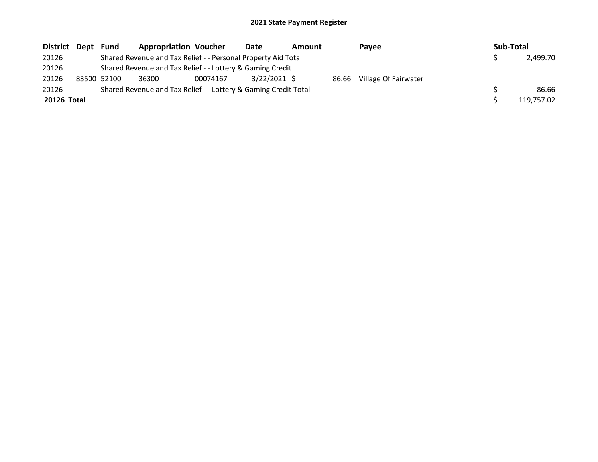| District Dept | Fund        | <b>Appropriation Voucher</b>                                    |          | Date           | Amount |       | Payee                |  | Sub-Total |            |  |
|---------------|-------------|-----------------------------------------------------------------|----------|----------------|--------|-------|----------------------|--|-----------|------------|--|
| 20126         |             | Shared Revenue and Tax Relief - - Personal Property Aid Total   |          |                |        |       |                      |  |           | 2,499.70   |  |
| 20126         |             | Shared Revenue and Tax Relief - - Lottery & Gaming Credit       |          |                |        |       |                      |  |           |            |  |
| 20126         | 83500 52100 | 36300                                                           | 00074167 | $3/22/2021$ \$ |        | 86.66 | Village Of Fairwater |  |           |            |  |
| 20126         |             | Shared Revenue and Tax Relief - - Lottery & Gaming Credit Total |          |                |        |       |                      |  |           | 86.66      |  |
| 20126 Total   |             |                                                                 |          |                |        |       |                      |  |           | 119,757.02 |  |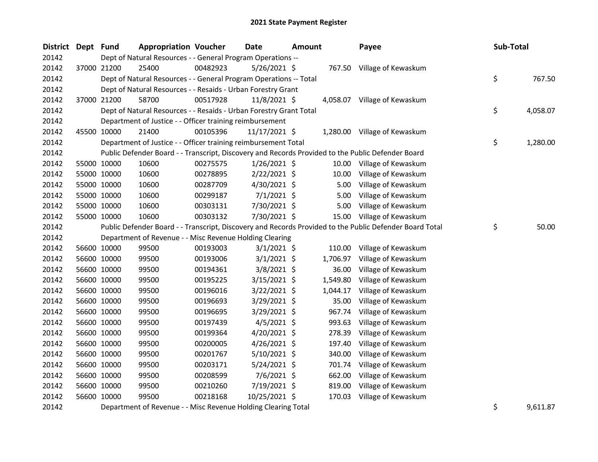| District Dept Fund |             | <b>Appropriation Voucher</b>                                       |          | Date           | <b>Amount</b> |          | Payee                                                                                                   | Sub-Total |          |
|--------------------|-------------|--------------------------------------------------------------------|----------|----------------|---------------|----------|---------------------------------------------------------------------------------------------------------|-----------|----------|
| 20142              |             | Dept of Natural Resources - - General Program Operations --        |          |                |               |          |                                                                                                         |           |          |
| 20142              | 37000 21200 | 25400                                                              | 00482923 | 5/26/2021 \$   |               |          | 767.50 Village of Kewaskum                                                                              |           |          |
| 20142              |             | Dept of Natural Resources - - General Program Operations -- Total  |          |                |               |          |                                                                                                         | \$        | 767.50   |
| 20142              |             | Dept of Natural Resources - - Resaids - Urban Forestry Grant       |          |                |               |          |                                                                                                         |           |          |
| 20142              | 37000 21200 | 58700                                                              | 00517928 | 11/8/2021 \$   |               |          | 4,058.07 Village of Kewaskum                                                                            |           |          |
| 20142              |             | Dept of Natural Resources - - Resaids - Urban Forestry Grant Total |          |                |               |          |                                                                                                         | \$        | 4,058.07 |
| 20142              |             | Department of Justice - - Officer training reimbursement           |          |                |               |          |                                                                                                         |           |          |
| 20142              | 45500 10000 | 21400                                                              | 00105396 | 11/17/2021 \$  |               |          | 1,280.00 Village of Kewaskum                                                                            |           |          |
| 20142              |             | Department of Justice - - Officer training reimbursement Total     |          |                |               |          |                                                                                                         | \$        | 1,280.00 |
| 20142              |             |                                                                    |          |                |               |          | Public Defender Board - - Transcript, Discovery and Records Provided to the Public Defender Board       |           |          |
| 20142              | 55000 10000 | 10600                                                              | 00275575 | $1/26/2021$ \$ |               |          | 10.00 Village of Kewaskum                                                                               |           |          |
| 20142              | 55000 10000 | 10600                                                              | 00278895 | $2/22/2021$ \$ |               | 10.00    | Village of Kewaskum                                                                                     |           |          |
| 20142              | 55000 10000 | 10600                                                              | 00287709 | $4/30/2021$ \$ |               | 5.00     | Village of Kewaskum                                                                                     |           |          |
| 20142              | 55000 10000 | 10600                                                              | 00299187 | $7/1/2021$ \$  |               | 5.00     | Village of Kewaskum                                                                                     |           |          |
| 20142              | 55000 10000 | 10600                                                              | 00303131 | 7/30/2021 \$   |               | 5.00     | Village of Kewaskum                                                                                     |           |          |
| 20142              | 55000 10000 | 10600                                                              | 00303132 | 7/30/2021 \$   |               | 15.00    | Village of Kewaskum                                                                                     |           |          |
| 20142              |             |                                                                    |          |                |               |          | Public Defender Board - - Transcript, Discovery and Records Provided to the Public Defender Board Total | \$        | 50.00    |
| 20142              |             | Department of Revenue - - Misc Revenue Holding Clearing            |          |                |               |          |                                                                                                         |           |          |
| 20142              | 56600 10000 | 99500                                                              | 00193003 | $3/1/2021$ \$  |               | 110.00   | Village of Kewaskum                                                                                     |           |          |
| 20142              | 56600 10000 | 99500                                                              | 00193006 | $3/1/2021$ \$  |               | 1,706.97 | Village of Kewaskum                                                                                     |           |          |
| 20142              | 56600 10000 | 99500                                                              | 00194361 | $3/8/2021$ \$  |               | 36.00    | Village of Kewaskum                                                                                     |           |          |
| 20142              | 56600 10000 | 99500                                                              | 00195225 | $3/15/2021$ \$ |               | 1,549.80 | Village of Kewaskum                                                                                     |           |          |
| 20142              | 56600 10000 | 99500                                                              | 00196016 | $3/22/2021$ \$ |               | 1,044.17 | Village of Kewaskum                                                                                     |           |          |
| 20142              | 56600 10000 | 99500                                                              | 00196693 | 3/29/2021 \$   |               | 35.00    | Village of Kewaskum                                                                                     |           |          |
| 20142              | 56600 10000 | 99500                                                              | 00196695 | 3/29/2021 \$   |               | 967.74   | Village of Kewaskum                                                                                     |           |          |
| 20142              | 56600 10000 | 99500                                                              | 00197439 | $4/5/2021$ \$  |               | 993.63   | Village of Kewaskum                                                                                     |           |          |
| 20142              | 56600 10000 | 99500                                                              | 00199364 | 4/20/2021 \$   |               | 278.39   | Village of Kewaskum                                                                                     |           |          |
| 20142              | 56600 10000 | 99500                                                              | 00200005 | $4/26/2021$ \$ |               | 197.40   | Village of Kewaskum                                                                                     |           |          |
| 20142              | 56600 10000 | 99500                                                              | 00201767 | 5/10/2021 \$   |               | 340.00   | Village of Kewaskum                                                                                     |           |          |
| 20142              | 56600 10000 | 99500                                                              | 00203171 | $5/24/2021$ \$ |               | 701.74   | Village of Kewaskum                                                                                     |           |          |
| 20142              | 56600 10000 | 99500                                                              | 00208599 | $7/6/2021$ \$  |               | 662.00   | Village of Kewaskum                                                                                     |           |          |
| 20142              | 56600 10000 | 99500                                                              | 00210260 | 7/19/2021 \$   |               | 819.00   | Village of Kewaskum                                                                                     |           |          |
| 20142              | 56600 10000 | 99500                                                              | 00218168 | 10/25/2021 \$  |               | 170.03   | Village of Kewaskum                                                                                     |           |          |
| 20142              |             | Department of Revenue - - Misc Revenue Holding Clearing Total      |          |                |               |          |                                                                                                         | \$        | 9,611.87 |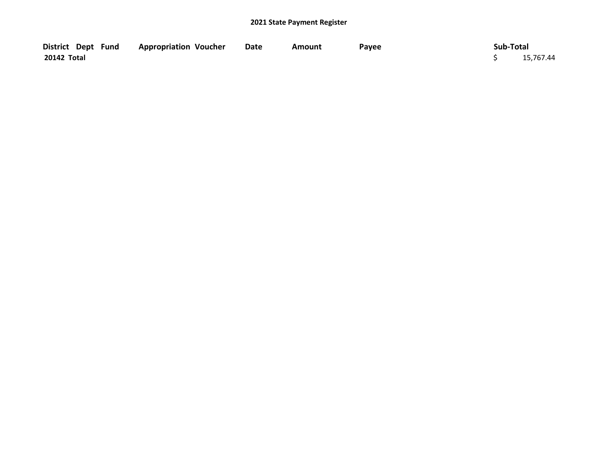|             | District Dept Fund Appropriation Voucher |  | Date | Amount | Payee | Sub-Total |           |
|-------------|------------------------------------------|--|------|--------|-------|-----------|-----------|
| 20142 Total |                                          |  |      |        |       |           | 15,767.44 |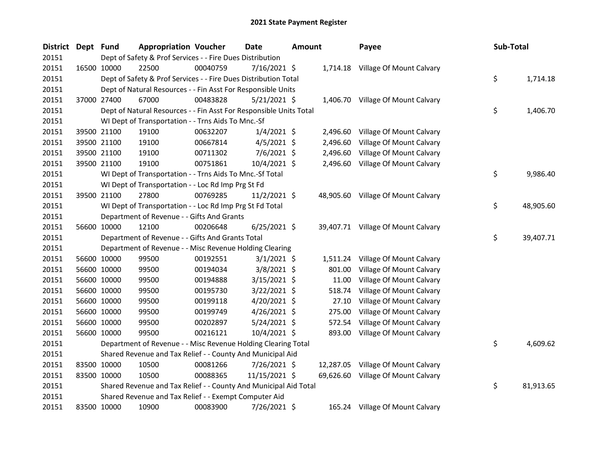| <b>District</b> | Dept Fund |             | <b>Appropriation Voucher</b>                                       |          | Date           | <b>Amount</b> |           | Payee                              | Sub-Total |           |
|-----------------|-----------|-------------|--------------------------------------------------------------------|----------|----------------|---------------|-----------|------------------------------------|-----------|-----------|
| 20151           |           |             | Dept of Safety & Prof Services - - Fire Dues Distribution          |          |                |               |           |                                    |           |           |
| 20151           |           | 16500 10000 | 22500                                                              | 00040759 | $7/16/2021$ \$ |               |           | 1,714.18 Village Of Mount Calvary  |           |           |
| 20151           |           |             | Dept of Safety & Prof Services - - Fire Dues Distribution Total    |          |                |               |           |                                    | \$        | 1,714.18  |
| 20151           |           |             | Dept of Natural Resources - - Fin Asst For Responsible Units       |          |                |               |           |                                    |           |           |
| 20151           |           | 37000 27400 | 67000                                                              | 00483828 | $5/21/2021$ \$ |               |           | 1,406.70 Village Of Mount Calvary  |           |           |
| 20151           |           |             | Dept of Natural Resources - - Fin Asst For Responsible Units Total |          |                |               |           |                                    | \$        | 1,406.70  |
| 20151           |           |             | WI Dept of Transportation - - Trns Aids To Mnc.-Sf                 |          |                |               |           |                                    |           |           |
| 20151           |           | 39500 21100 | 19100                                                              | 00632207 | $1/4/2021$ \$  |               | 2,496.60  | Village Of Mount Calvary           |           |           |
| 20151           |           | 39500 21100 | 19100                                                              | 00667814 | $4/5/2021$ \$  |               | 2,496.60  | Village Of Mount Calvary           |           |           |
| 20151           |           | 39500 21100 | 19100                                                              | 00711302 | $7/6/2021$ \$  |               | 2,496.60  | Village Of Mount Calvary           |           |           |
| 20151           |           | 39500 21100 | 19100                                                              | 00751861 | 10/4/2021 \$   |               |           | 2,496.60 Village Of Mount Calvary  |           |           |
| 20151           |           |             | WI Dept of Transportation - - Trns Aids To Mnc.-Sf Total           |          |                |               |           |                                    | \$        | 9,986.40  |
| 20151           |           |             | WI Dept of Transportation - - Loc Rd Imp Prg St Fd                 |          |                |               |           |                                    |           |           |
| 20151           |           | 39500 21100 | 27800                                                              | 00769285 | $11/2/2021$ \$ |               |           | 48,905.60 Village Of Mount Calvary |           |           |
| 20151           |           |             | WI Dept of Transportation - - Loc Rd Imp Prg St Fd Total           |          |                |               |           |                                    | \$        | 48,905.60 |
| 20151           |           |             | Department of Revenue - - Gifts And Grants                         |          |                |               |           |                                    |           |           |
| 20151           |           | 56600 10000 | 12100                                                              | 00206648 | $6/25/2021$ \$ |               |           | 39,407.71 Village Of Mount Calvary |           |           |
| 20151           |           |             | Department of Revenue - - Gifts And Grants Total                   |          |                |               |           |                                    | \$        | 39,407.71 |
| 20151           |           |             | Department of Revenue - - Misc Revenue Holding Clearing            |          |                |               |           |                                    |           |           |
| 20151           |           | 56600 10000 | 99500                                                              | 00192551 | $3/1/2021$ \$  |               | 1,511.24  | Village Of Mount Calvary           |           |           |
| 20151           |           | 56600 10000 | 99500                                                              | 00194034 | $3/8/2021$ \$  |               | 801.00    | Village Of Mount Calvary           |           |           |
| 20151           |           | 56600 10000 | 99500                                                              | 00194888 | $3/15/2021$ \$ |               | 11.00     | Village Of Mount Calvary           |           |           |
| 20151           |           | 56600 10000 | 99500                                                              | 00195730 | $3/22/2021$ \$ |               | 518.74    | Village Of Mount Calvary           |           |           |
| 20151           |           | 56600 10000 | 99500                                                              | 00199118 | $4/20/2021$ \$ |               | 27.10     | Village Of Mount Calvary           |           |           |
| 20151           |           | 56600 10000 | 99500                                                              | 00199749 | 4/26/2021 \$   |               | 275.00    | Village Of Mount Calvary           |           |           |
| 20151           |           | 56600 10000 | 99500                                                              | 00202897 | $5/24/2021$ \$ |               | 572.54    | Village Of Mount Calvary           |           |           |
| 20151           |           | 56600 10000 | 99500                                                              | 00216121 | 10/4/2021 \$   |               | 893.00    | Village Of Mount Calvary           |           |           |
| 20151           |           |             | Department of Revenue - - Misc Revenue Holding Clearing Total      |          |                |               |           |                                    | \$        | 4,609.62  |
| 20151           |           |             | Shared Revenue and Tax Relief - - County And Municipal Aid         |          |                |               |           |                                    |           |           |
| 20151           |           | 83500 10000 | 10500                                                              | 00081266 | 7/26/2021 \$   |               | 12,287.05 | Village Of Mount Calvary           |           |           |
| 20151           |           | 83500 10000 | 10500                                                              | 00088365 | 11/15/2021 \$  |               | 69,626.60 | Village Of Mount Calvary           |           |           |
| 20151           |           |             | Shared Revenue and Tax Relief - - County And Municipal Aid Total   |          |                |               |           |                                    | \$        | 81,913.65 |
| 20151           |           |             | Shared Revenue and Tax Relief - - Exempt Computer Aid              |          |                |               |           |                                    |           |           |
| 20151           |           | 83500 10000 | 10900                                                              | 00083900 | 7/26/2021 \$   |               |           | 165.24 Village Of Mount Calvary    |           |           |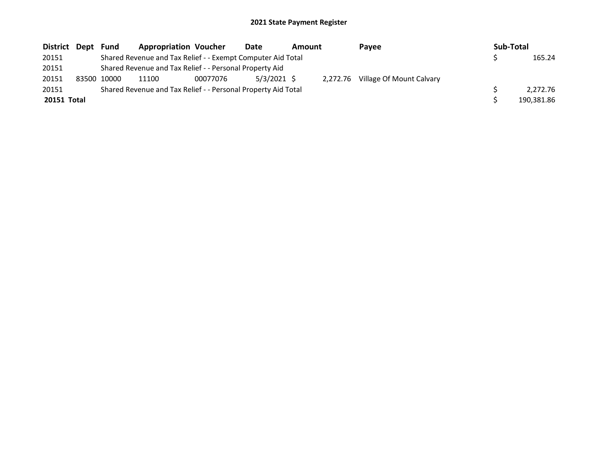| District Dept | Fund        | <b>Appropriation Voucher</b>                                  |          | Date          | Amount |          | Payee                    | Sub-Total |            |
|---------------|-------------|---------------------------------------------------------------|----------|---------------|--------|----------|--------------------------|-----------|------------|
| 20151         |             | Shared Revenue and Tax Relief - - Exempt Computer Aid Total   |          |               |        |          |                          |           | 165.24     |
| 20151         |             | Shared Revenue and Tax Relief - - Personal Property Aid       |          |               |        |          |                          |           |            |
| 20151         | 83500 10000 | 11100                                                         | 00077076 | $5/3/2021$ \$ |        | 2.272.76 | Village Of Mount Calvary |           |            |
| 20151         |             | Shared Revenue and Tax Relief - - Personal Property Aid Total |          |               |        |          |                          |           | 2.272.76   |
| 20151 Total   |             |                                                               |          |               |        |          |                          |           | 190,381.86 |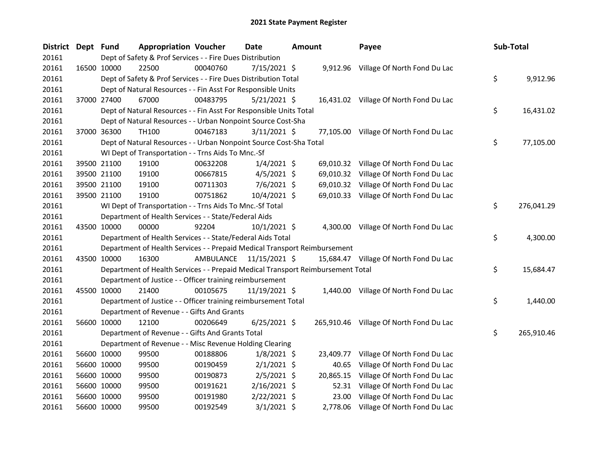| <b>District</b> | Dept Fund   |             | <b>Appropriation Voucher</b>                                                    |                         | <b>Date</b>    | <b>Amount</b> |           | Payee                                   | Sub-Total        |
|-----------------|-------------|-------------|---------------------------------------------------------------------------------|-------------------------|----------------|---------------|-----------|-----------------------------------------|------------------|
| 20161           |             |             | Dept of Safety & Prof Services - - Fire Dues Distribution                       |                         |                |               |           |                                         |                  |
| 20161           | 16500 10000 |             | 22500                                                                           | 00040760                | $7/15/2021$ \$ |               |           | 9,912.96 Village Of North Fond Du Lac   |                  |
| 20161           |             |             | Dept of Safety & Prof Services - - Fire Dues Distribution Total                 |                         |                |               |           |                                         | \$<br>9,912.96   |
| 20161           |             |             | Dept of Natural Resources - - Fin Asst For Responsible Units                    |                         |                |               |           |                                         |                  |
| 20161           |             | 37000 27400 | 67000                                                                           | 00483795                | $5/21/2021$ \$ |               |           | 16,431.02 Village Of North Fond Du Lac  |                  |
| 20161           |             |             | Dept of Natural Resources - - Fin Asst For Responsible Units Total              |                         |                |               |           |                                         | \$<br>16,431.02  |
| 20161           |             |             | Dept of Natural Resources - - Urban Nonpoint Source Cost-Sha                    |                         |                |               |           |                                         |                  |
| 20161           | 37000 36300 |             | TH100                                                                           | 00467183                | $3/11/2021$ \$ |               |           | 77,105.00 Village Of North Fond Du Lac  |                  |
| 20161           |             |             | Dept of Natural Resources - - Urban Nonpoint Source Cost-Sha Total              |                         |                |               |           |                                         | \$<br>77,105.00  |
| 20161           |             |             | WI Dept of Transportation - - Trns Aids To Mnc.-Sf                              |                         |                |               |           |                                         |                  |
| 20161           |             | 39500 21100 | 19100                                                                           | 00632208                | $1/4/2021$ \$  |               | 69,010.32 | Village Of North Fond Du Lac            |                  |
| 20161           |             | 39500 21100 | 19100                                                                           | 00667815                | $4/5/2021$ \$  |               |           | 69,010.32 Village Of North Fond Du Lac  |                  |
| 20161           |             | 39500 21100 | 19100                                                                           | 00711303                | $7/6/2021$ \$  |               |           | 69,010.32 Village Of North Fond Du Lac  |                  |
| 20161           | 39500 21100 |             | 19100                                                                           | 00751862                | 10/4/2021 \$   |               |           | 69,010.33 Village Of North Fond Du Lac  |                  |
| 20161           |             |             | WI Dept of Transportation - - Trns Aids To Mnc.-Sf Total                        |                         |                |               |           |                                         | \$<br>276,041.29 |
| 20161           |             |             | Department of Health Services - - State/Federal Aids                            |                         |                |               |           |                                         |                  |
| 20161           | 43500 10000 |             | 00000                                                                           | 92204                   | $10/1/2021$ \$ |               |           | 4,300.00 Village Of North Fond Du Lac   |                  |
| 20161           |             |             | Department of Health Services - - State/Federal Aids Total                      |                         |                |               |           |                                         | \$<br>4,300.00   |
| 20161           |             |             | Department of Health Services - - Prepaid Medical Transport Reimbursement       |                         |                |               |           |                                         |                  |
| 20161           |             | 43500 10000 | 16300                                                                           | AMBULANCE 11/15/2021 \$ |                |               |           | 15,684.47 Village Of North Fond Du Lac  |                  |
| 20161           |             |             | Department of Health Services - - Prepaid Medical Transport Reimbursement Total |                         |                |               |           |                                         | \$<br>15,684.47  |
| 20161           |             |             | Department of Justice - - Officer training reimbursement                        |                         |                |               |           |                                         |                  |
| 20161           | 45500 10000 |             | 21400                                                                           | 00105675                | 11/19/2021 \$  |               |           | 1,440.00 Village Of North Fond Du Lac   |                  |
| 20161           |             |             | Department of Justice - - Officer training reimbursement Total                  |                         |                |               |           |                                         | \$<br>1,440.00   |
| 20161           |             |             | Department of Revenue - - Gifts And Grants                                      |                         |                |               |           |                                         |                  |
| 20161           | 56600 10000 |             | 12100                                                                           | 00206649                | $6/25/2021$ \$ |               |           | 265,910.46 Village Of North Fond Du Lac |                  |
| 20161           |             |             | Department of Revenue - - Gifts And Grants Total                                |                         |                |               |           |                                         | \$<br>265,910.46 |
| 20161           |             |             | Department of Revenue - - Misc Revenue Holding Clearing                         |                         |                |               |           |                                         |                  |
| 20161           | 56600 10000 |             | 99500                                                                           | 00188806                | $1/8/2021$ \$  |               | 23,409.77 | Village Of North Fond Du Lac            |                  |
| 20161           | 56600 10000 |             | 99500                                                                           | 00190459                | $2/1/2021$ \$  |               | 40.65     | Village Of North Fond Du Lac            |                  |
| 20161           | 56600 10000 |             | 99500                                                                           | 00190873                | $2/5/2021$ \$  |               | 20,865.15 | Village Of North Fond Du Lac            |                  |
| 20161           | 56600 10000 |             | 99500                                                                           | 00191621                | $2/16/2021$ \$ |               | 52.31     | Village Of North Fond Du Lac            |                  |
| 20161           | 56600 10000 |             | 99500                                                                           | 00191980                | $2/22/2021$ \$ |               | 23.00     | Village Of North Fond Du Lac            |                  |
| 20161           | 56600 10000 |             | 99500                                                                           | 00192549                | $3/1/2021$ \$  |               | 2,778.06  | Village Of North Fond Du Lac            |                  |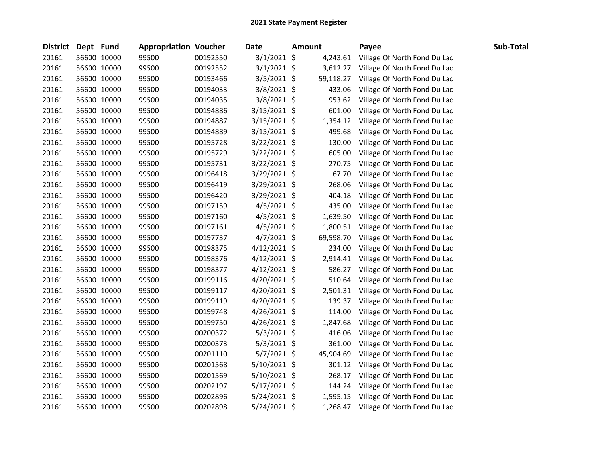| <b>District</b> | Dept Fund |             | <b>Appropriation Voucher</b> |          | <b>Date</b>    | <b>Amount</b> | Payee                        | Sub-Total |
|-----------------|-----------|-------------|------------------------------|----------|----------------|---------------|------------------------------|-----------|
| 20161           |           | 56600 10000 | 99500                        | 00192550 | 3/1/2021 \$    | 4,243.61      | Village Of North Fond Du Lac |           |
| 20161           |           | 56600 10000 | 99500                        | 00192552 | $3/1/2021$ \$  | 3,612.27      | Village Of North Fond Du Lac |           |
| 20161           |           | 56600 10000 | 99500                        | 00193466 | 3/5/2021 \$    | 59,118.27     | Village Of North Fond Du Lac |           |
| 20161           |           | 56600 10000 | 99500                        | 00194033 | 3/8/2021 \$    | 433.06        | Village Of North Fond Du Lac |           |
| 20161           |           | 56600 10000 | 99500                        | 00194035 | 3/8/2021 \$    | 953.62        | Village Of North Fond Du Lac |           |
| 20161           |           | 56600 10000 | 99500                        | 00194886 | 3/15/2021 \$   | 601.00        | Village Of North Fond Du Lac |           |
| 20161           |           | 56600 10000 | 99500                        | 00194887 | 3/15/2021 \$   | 1,354.12      | Village Of North Fond Du Lac |           |
| 20161           |           | 56600 10000 | 99500                        | 00194889 | $3/15/2021$ \$ | 499.68        | Village Of North Fond Du Lac |           |
| 20161           |           | 56600 10000 | 99500                        | 00195728 | $3/22/2021$ \$ | 130.00        | Village Of North Fond Du Lac |           |
| 20161           |           | 56600 10000 | 99500                        | 00195729 | 3/22/2021 \$   | 605.00        | Village Of North Fond Du Lac |           |
| 20161           |           | 56600 10000 | 99500                        | 00195731 | $3/22/2021$ \$ | 270.75        | Village Of North Fond Du Lac |           |
| 20161           |           | 56600 10000 | 99500                        | 00196418 | 3/29/2021 \$   | 67.70         | Village Of North Fond Du Lac |           |
| 20161           |           | 56600 10000 | 99500                        | 00196419 | 3/29/2021 \$   | 268.06        | Village Of North Fond Du Lac |           |
| 20161           |           | 56600 10000 | 99500                        | 00196420 | 3/29/2021 \$   | 404.18        | Village Of North Fond Du Lac |           |
| 20161           |           | 56600 10000 | 99500                        | 00197159 | 4/5/2021 \$    | 435.00        | Village Of North Fond Du Lac |           |
| 20161           |           | 56600 10000 | 99500                        | 00197160 | $4/5/2021$ \$  | 1,639.50      | Village Of North Fond Du Lac |           |
| 20161           |           | 56600 10000 | 99500                        | 00197161 | $4/5/2021$ \$  | 1,800.51      | Village Of North Fond Du Lac |           |
| 20161           |           | 56600 10000 | 99500                        | 00197737 | $4/7/2021$ \$  | 69,598.70     | Village Of North Fond Du Lac |           |
| 20161           |           | 56600 10000 | 99500                        | 00198375 | $4/12/2021$ \$ | 234.00        | Village Of North Fond Du Lac |           |
| 20161           |           | 56600 10000 | 99500                        | 00198376 | $4/12/2021$ \$ | 2,914.41      | Village Of North Fond Du Lac |           |
| 20161           |           | 56600 10000 | 99500                        | 00198377 | $4/12/2021$ \$ | 586.27        | Village Of North Fond Du Lac |           |
| 20161           |           | 56600 10000 | 99500                        | 00199116 | 4/20/2021 \$   | 510.64        | Village Of North Fond Du Lac |           |
| 20161           |           | 56600 10000 | 99500                        | 00199117 | 4/20/2021 \$   | 2,501.31      | Village Of North Fond Du Lac |           |
| 20161           |           | 56600 10000 | 99500                        | 00199119 | 4/20/2021 \$   | 139.37        | Village Of North Fond Du Lac |           |
| 20161           |           | 56600 10000 | 99500                        | 00199748 | 4/26/2021 \$   | 114.00        | Village Of North Fond Du Lac |           |
| 20161           |           | 56600 10000 | 99500                        | 00199750 | $4/26/2021$ \$ | 1,847.68      | Village Of North Fond Du Lac |           |
| 20161           |           | 56600 10000 | 99500                        | 00200372 | $5/3/2021$ \$  | 416.06        | Village Of North Fond Du Lac |           |
| 20161           |           | 56600 10000 | 99500                        | 00200373 | $5/3/2021$ \$  | 361.00        | Village Of North Fond Du Lac |           |
| 20161           |           | 56600 10000 | 99500                        | 00201110 | 5/7/2021 \$    | 45,904.69     | Village Of North Fond Du Lac |           |
| 20161           |           | 56600 10000 | 99500                        | 00201568 | $5/10/2021$ \$ | 301.12        | Village Of North Fond Du Lac |           |
| 20161           |           | 56600 10000 | 99500                        | 00201569 | 5/10/2021 \$   | 268.17        | Village Of North Fond Du Lac |           |
| 20161           |           | 56600 10000 | 99500                        | 00202197 | $5/17/2021$ \$ | 144.24        | Village Of North Fond Du Lac |           |
| 20161           |           | 56600 10000 | 99500                        | 00202896 | $5/24/2021$ \$ | 1,595.15      | Village Of North Fond Du Lac |           |
| 20161           |           | 56600 10000 | 99500                        | 00202898 | 5/24/2021 \$   | 1,268.47      | Village Of North Fond Du Lac |           |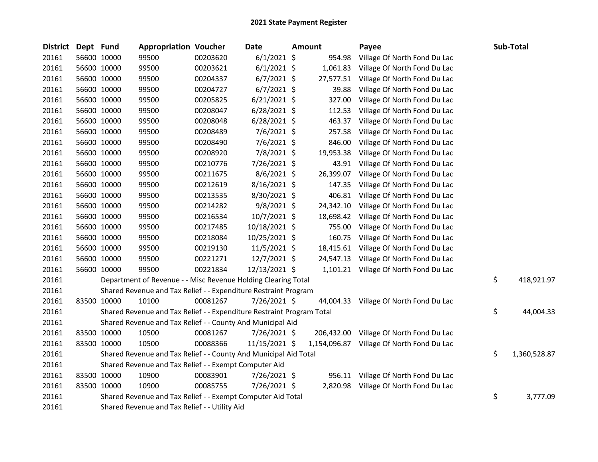| <b>District</b> | Dept Fund |             | <b>Appropriation Voucher</b>                                          |          | Date           | <b>Amount</b> | Payee                                 | Sub-Total          |
|-----------------|-----------|-------------|-----------------------------------------------------------------------|----------|----------------|---------------|---------------------------------------|--------------------|
| 20161           |           | 56600 10000 | 99500                                                                 | 00203620 | $6/1/2021$ \$  | 954.98        | Village Of North Fond Du Lac          |                    |
| 20161           |           | 56600 10000 | 99500                                                                 | 00203621 | $6/1/2021$ \$  | 1,061.83      | Village Of North Fond Du Lac          |                    |
| 20161           |           | 56600 10000 | 99500                                                                 | 00204337 | $6/7/2021$ \$  | 27,577.51     | Village Of North Fond Du Lac          |                    |
| 20161           |           | 56600 10000 | 99500                                                                 | 00204727 | $6/7/2021$ \$  | 39.88         | Village Of North Fond Du Lac          |                    |
| 20161           |           | 56600 10000 | 99500                                                                 | 00205825 | $6/21/2021$ \$ | 327.00        | Village Of North Fond Du Lac          |                    |
| 20161           |           | 56600 10000 | 99500                                                                 | 00208047 | $6/28/2021$ \$ | 112.53        | Village Of North Fond Du Lac          |                    |
| 20161           |           | 56600 10000 | 99500                                                                 | 00208048 | $6/28/2021$ \$ | 463.37        | Village Of North Fond Du Lac          |                    |
| 20161           |           | 56600 10000 | 99500                                                                 | 00208489 | 7/6/2021 \$    | 257.58        | Village Of North Fond Du Lac          |                    |
| 20161           |           | 56600 10000 | 99500                                                                 | 00208490 | $7/6/2021$ \$  | 846.00        | Village Of North Fond Du Lac          |                    |
| 20161           |           | 56600 10000 | 99500                                                                 | 00208920 | 7/8/2021 \$    | 19,953.38     | Village Of North Fond Du Lac          |                    |
| 20161           |           | 56600 10000 | 99500                                                                 | 00210776 | 7/26/2021 \$   | 43.91         | Village Of North Fond Du Lac          |                    |
| 20161           |           | 56600 10000 | 99500                                                                 | 00211675 | 8/6/2021 \$    | 26,399.07     | Village Of North Fond Du Lac          |                    |
| 20161           |           | 56600 10000 | 99500                                                                 | 00212619 | $8/16/2021$ \$ | 147.35        | Village Of North Fond Du Lac          |                    |
| 20161           |           | 56600 10000 | 99500                                                                 | 00213535 | 8/30/2021 \$   | 406.81        | Village Of North Fond Du Lac          |                    |
| 20161           |           | 56600 10000 | 99500                                                                 | 00214282 | $9/8/2021$ \$  | 24,342.10     | Village Of North Fond Du Lac          |                    |
| 20161           |           | 56600 10000 | 99500                                                                 | 00216534 | 10/7/2021 \$   | 18,698.42     | Village Of North Fond Du Lac          |                    |
| 20161           |           | 56600 10000 | 99500                                                                 | 00217485 | 10/18/2021 \$  | 755.00        | Village Of North Fond Du Lac          |                    |
| 20161           |           | 56600 10000 | 99500                                                                 | 00218084 | 10/25/2021 \$  | 160.75        | Village Of North Fond Du Lac          |                    |
| 20161           |           | 56600 10000 | 99500                                                                 | 00219130 | 11/5/2021 \$   | 18,415.61     | Village Of North Fond Du Lac          |                    |
| 20161           |           | 56600 10000 | 99500                                                                 | 00221271 | 12/7/2021 \$   | 24,547.13     | Village Of North Fond Du Lac          |                    |
| 20161           |           | 56600 10000 | 99500                                                                 | 00221834 | 12/13/2021 \$  | 1,101.21      | Village Of North Fond Du Lac          |                    |
| 20161           |           |             | Department of Revenue - - Misc Revenue Holding Clearing Total         |          |                |               |                                       | \$<br>418,921.97   |
| 20161           |           |             | Shared Revenue and Tax Relief - - Expenditure Restraint Program       |          |                |               |                                       |                    |
| 20161           |           | 83500 10000 | 10100                                                                 | 00081267 | 7/26/2021 \$   | 44,004.33     | Village Of North Fond Du Lac          |                    |
| 20161           |           |             | Shared Revenue and Tax Relief - - Expenditure Restraint Program Total |          |                |               |                                       | \$<br>44,004.33    |
| 20161           |           |             | Shared Revenue and Tax Relief - - County And Municipal Aid            |          |                |               |                                       |                    |
| 20161           |           | 83500 10000 | 10500                                                                 | 00081267 | 7/26/2021 \$   | 206,432.00    | Village Of North Fond Du Lac          |                    |
| 20161           |           | 83500 10000 | 10500                                                                 | 00088366 | 11/15/2021 \$  | 1,154,096.87  | Village Of North Fond Du Lac          |                    |
| 20161           |           |             | Shared Revenue and Tax Relief - - County And Municipal Aid Total      |          |                |               |                                       | \$<br>1,360,528.87 |
| 20161           |           |             | Shared Revenue and Tax Relief - - Exempt Computer Aid                 |          |                |               |                                       |                    |
| 20161           |           | 83500 10000 | 10900                                                                 | 00083901 | 7/26/2021 \$   | 956.11        | Village Of North Fond Du Lac          |                    |
| 20161           |           | 83500 10000 | 10900                                                                 | 00085755 | 7/26/2021 \$   |               | 2,820.98 Village Of North Fond Du Lac |                    |
| 20161           |           |             | Shared Revenue and Tax Relief - - Exempt Computer Aid Total           |          |                |               |                                       | \$<br>3,777.09     |
| 20161           |           |             | Shared Revenue and Tax Relief - - Utility Aid                         |          |                |               |                                       |                    |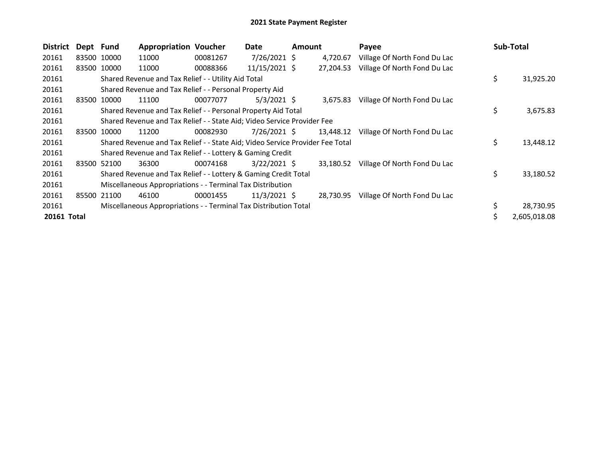| <b>District</b> | Dept Fund |             | <b>Appropriation Voucher</b>                                                  |          | Date           | <b>Amount</b> |           | Payee                        | Sub-Total       |
|-----------------|-----------|-------------|-------------------------------------------------------------------------------|----------|----------------|---------------|-----------|------------------------------|-----------------|
| 20161           |           | 83500 10000 | 11000                                                                         | 00081267 | $7/26/2021$ \$ |               | 4,720.67  | Village Of North Fond Du Lac |                 |
| 20161           |           | 83500 10000 | 11000                                                                         | 00088366 | 11/15/2021 \$  |               | 27,204.53 | Village Of North Fond Du Lac |                 |
| 20161           |           |             | Shared Revenue and Tax Relief - - Utility Aid Total                           |          |                |               |           |                              | \$<br>31,925.20 |
| 20161           |           |             | Shared Revenue and Tax Relief - - Personal Property Aid                       |          |                |               |           |                              |                 |
| 20161           | 83500     | 10000       | 11100                                                                         | 00077077 | $5/3/2021$ \$  |               | 3,675.83  | Village Of North Fond Du Lac |                 |
| 20161           |           |             | Shared Revenue and Tax Relief - - Personal Property Aid Total                 |          |                |               |           |                              | \$<br>3,675.83  |
| 20161           |           |             | Shared Revenue and Tax Relief - - State Aid; Video Service Provider Fee       |          |                |               |           |                              |                 |
| 20161           |           | 83500 10000 | 11200                                                                         | 00082930 | 7/26/2021 \$   |               | 13,448.12 | Village Of North Fond Du Lac |                 |
| 20161           |           |             | Shared Revenue and Tax Relief - - State Aid; Video Service Provider Fee Total |          |                |               |           |                              | \$<br>13,448.12 |
| 20161           |           |             | Shared Revenue and Tax Relief - - Lottery & Gaming Credit                     |          |                |               |           |                              |                 |
| 20161           |           | 83500 52100 | 36300                                                                         | 00074168 | $3/22/2021$ \$ |               | 33.180.52 | Village Of North Fond Du Lac |                 |
| 20161           |           |             | Shared Revenue and Tax Relief - - Lottery & Gaming Credit Total               |          |                |               |           |                              | \$<br>33,180.52 |
| 20161           |           |             | Miscellaneous Appropriations - - Terminal Tax Distribution                    |          |                |               |           |                              |                 |
| 20161           | 85500     | 21100       | 46100                                                                         | 00001455 | $11/3/2021$ \$ |               | 28,730.95 | Village Of North Fond Du Lac |                 |
| 20161           |           |             | Miscellaneous Appropriations - - Terminal Tax Distribution Total              |          |                |               |           |                              | \$<br>28,730.95 |
| 20161 Total     |           |             |                                                                               |          |                |               |           |                              | 2,605,018.08    |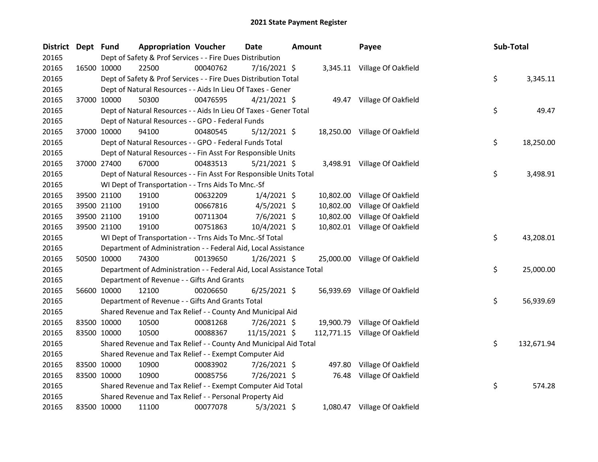| <b>District</b> | Dept Fund |             | <b>Appropriation Voucher</b>                                         |          | <b>Date</b>    | Amount |           | Payee                          | Sub-Total |            |
|-----------------|-----------|-------------|----------------------------------------------------------------------|----------|----------------|--------|-----------|--------------------------------|-----------|------------|
| 20165           |           |             | Dept of Safety & Prof Services - - Fire Dues Distribution            |          |                |        |           |                                |           |            |
| 20165           |           | 16500 10000 | 22500                                                                | 00040762 | 7/16/2021 \$   |        |           | 3,345.11 Village Of Oakfield   |           |            |
| 20165           |           |             | Dept of Safety & Prof Services - - Fire Dues Distribution Total      |          |                |        |           |                                | \$        | 3,345.11   |
| 20165           |           |             | Dept of Natural Resources - - Aids In Lieu Of Taxes - Gener          |          |                |        |           |                                |           |            |
| 20165           |           | 37000 10000 | 50300                                                                | 00476595 | $4/21/2021$ \$ |        |           | 49.47 Village Of Oakfield      |           |            |
| 20165           |           |             | Dept of Natural Resources - - Aids In Lieu Of Taxes - Gener Total    |          |                |        |           |                                | \$        | 49.47      |
| 20165           |           |             | Dept of Natural Resources - - GPO - Federal Funds                    |          |                |        |           |                                |           |            |
| 20165           |           | 37000 10000 | 94100                                                                | 00480545 | $5/12/2021$ \$ |        |           | 18,250.00 Village Of Oakfield  |           |            |
| 20165           |           |             | Dept of Natural Resources - - GPO - Federal Funds Total              |          |                |        |           |                                | \$        | 18,250.00  |
| 20165           |           |             | Dept of Natural Resources - - Fin Asst For Responsible Units         |          |                |        |           |                                |           |            |
| 20165           |           | 37000 27400 | 67000                                                                | 00483513 | $5/21/2021$ \$ |        |           | 3,498.91 Village Of Oakfield   |           |            |
| 20165           |           |             | Dept of Natural Resources - - Fin Asst For Responsible Units Total   |          |                |        |           |                                | \$        | 3,498.91   |
| 20165           |           |             | WI Dept of Transportation - - Trns Aids To Mnc.-Sf                   |          |                |        |           |                                |           |            |
| 20165           |           | 39500 21100 | 19100                                                                | 00632209 | $1/4/2021$ \$  |        | 10,802.00 | Village Of Oakfield            |           |            |
| 20165           |           | 39500 21100 | 19100                                                                | 00667816 | $4/5/2021$ \$  |        | 10,802.00 | Village Of Oakfield            |           |            |
| 20165           |           | 39500 21100 | 19100                                                                | 00711304 | 7/6/2021 \$    |        | 10,802.00 | Village Of Oakfield            |           |            |
| 20165           |           | 39500 21100 | 19100                                                                | 00751863 | 10/4/2021 \$   |        |           | 10,802.01 Village Of Oakfield  |           |            |
| 20165           |           |             | WI Dept of Transportation - - Trns Aids To Mnc.-Sf Total             |          |                |        |           |                                | \$        | 43,208.01  |
| 20165           |           |             | Department of Administration - - Federal Aid, Local Assistance       |          |                |        |           |                                |           |            |
| 20165           |           | 50500 10000 | 74300                                                                | 00139650 | $1/26/2021$ \$ |        |           | 25,000.00 Village Of Oakfield  |           |            |
| 20165           |           |             | Department of Administration - - Federal Aid, Local Assistance Total |          |                |        |           |                                | \$        | 25,000.00  |
| 20165           |           |             | Department of Revenue - - Gifts And Grants                           |          |                |        |           |                                |           |            |
| 20165           |           | 56600 10000 | 12100                                                                | 00206650 | $6/25/2021$ \$ |        |           | 56,939.69 Village Of Oakfield  |           |            |
| 20165           |           |             | Department of Revenue - - Gifts And Grants Total                     |          |                |        |           |                                | \$        | 56,939.69  |
| 20165           |           |             | Shared Revenue and Tax Relief - - County And Municipal Aid           |          |                |        |           |                                |           |            |
| 20165           |           | 83500 10000 | 10500                                                                | 00081268 | 7/26/2021 \$   |        |           | 19,900.79 Village Of Oakfield  |           |            |
| 20165           |           | 83500 10000 | 10500                                                                | 00088367 | 11/15/2021 \$  |        |           | 112,771.15 Village Of Oakfield |           |            |
| 20165           |           |             | Shared Revenue and Tax Relief - - County And Municipal Aid Total     |          |                |        |           |                                | \$        | 132,671.94 |
| 20165           |           |             | Shared Revenue and Tax Relief - - Exempt Computer Aid                |          |                |        |           |                                |           |            |
| 20165           |           | 83500 10000 | 10900                                                                | 00083902 | 7/26/2021 \$   |        | 497.80    | Village Of Oakfield            |           |            |
| 20165           |           | 83500 10000 | 10900                                                                | 00085756 | 7/26/2021 \$   |        | 76.48     | Village Of Oakfield            |           |            |
| 20165           |           |             | Shared Revenue and Tax Relief - - Exempt Computer Aid Total          |          |                |        |           |                                | \$        | 574.28     |
| 20165           |           |             | Shared Revenue and Tax Relief - - Personal Property Aid              |          |                |        |           |                                |           |            |
| 20165           |           | 83500 10000 | 11100                                                                | 00077078 | $5/3/2021$ \$  |        |           | 1,080.47 Village Of Oakfield   |           |            |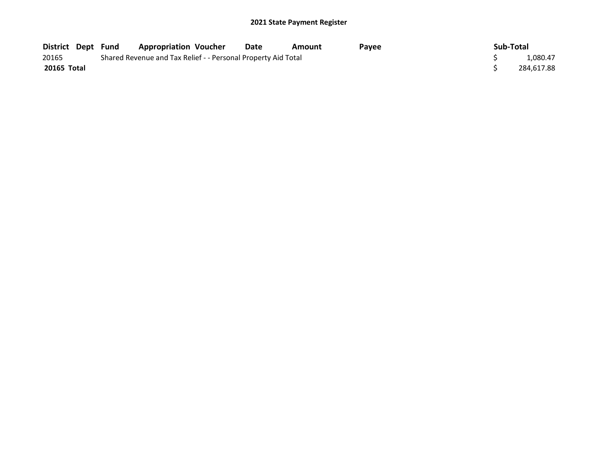| District Dept Fund |  | <b>Appropriation Voucher</b>                                  | Date | Amount | Pavee | Sub-Total  |
|--------------------|--|---------------------------------------------------------------|------|--------|-------|------------|
| 20165              |  | Shared Revenue and Tax Relief - - Personal Property Aid Total |      |        |       | 1,080.47   |
| 20165 Total        |  |                                                               |      |        |       | 284.617.88 |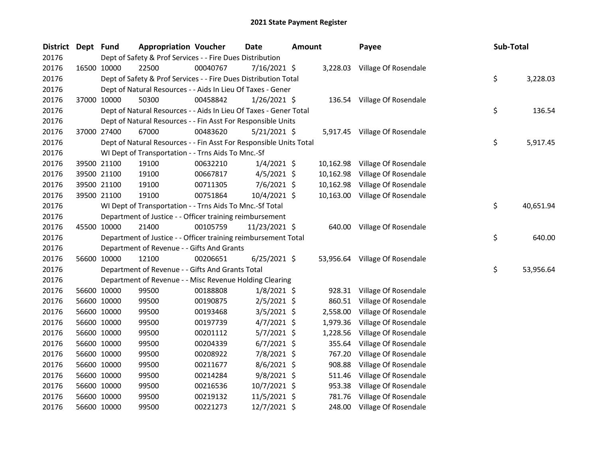| <b>District</b> | Dept Fund |             | <b>Appropriation Voucher</b>                                       |          | Date           | <b>Amount</b> |           | Payee                          | Sub-Total |           |
|-----------------|-----------|-------------|--------------------------------------------------------------------|----------|----------------|---------------|-----------|--------------------------------|-----------|-----------|
| 20176           |           |             | Dept of Safety & Prof Services - - Fire Dues Distribution          |          |                |               |           |                                |           |           |
| 20176           |           | 16500 10000 | 22500                                                              | 00040767 | 7/16/2021 \$   |               |           | 3,228.03 Village Of Rosendale  |           |           |
| 20176           |           |             | Dept of Safety & Prof Services - - Fire Dues Distribution Total    |          |                |               |           |                                | \$        | 3,228.03  |
| 20176           |           |             | Dept of Natural Resources - - Aids In Lieu Of Taxes - Gener        |          |                |               |           |                                |           |           |
| 20176           |           | 37000 10000 | 50300                                                              | 00458842 | 1/26/2021 \$   |               |           | 136.54 Village Of Rosendale    |           |           |
| 20176           |           |             | Dept of Natural Resources - - Aids In Lieu Of Taxes - Gener Total  |          |                |               |           |                                | \$        | 136.54    |
| 20176           |           |             | Dept of Natural Resources - - Fin Asst For Responsible Units       |          |                |               |           |                                |           |           |
| 20176           |           | 37000 27400 | 67000                                                              | 00483620 | $5/21/2021$ \$ |               |           | 5,917.45 Village Of Rosendale  |           |           |
| 20176           |           |             | Dept of Natural Resources - - Fin Asst For Responsible Units Total |          |                |               |           |                                | \$        | 5,917.45  |
| 20176           |           |             | WI Dept of Transportation - - Trns Aids To Mnc.-Sf                 |          |                |               |           |                                |           |           |
| 20176           |           | 39500 21100 | 19100                                                              | 00632210 | $1/4/2021$ \$  |               | 10,162.98 | Village Of Rosendale           |           |           |
| 20176           |           | 39500 21100 | 19100                                                              | 00667817 | 4/5/2021 \$    |               | 10,162.98 | Village Of Rosendale           |           |           |
| 20176           |           | 39500 21100 | 19100                                                              | 00711305 | 7/6/2021 \$    |               | 10,162.98 | Village Of Rosendale           |           |           |
| 20176           |           | 39500 21100 | 19100                                                              | 00751864 | 10/4/2021 \$   |               | 10,163.00 | Village Of Rosendale           |           |           |
| 20176           |           |             | WI Dept of Transportation - - Trns Aids To Mnc.-Sf Total           |          |                |               |           |                                | \$        | 40,651.94 |
| 20176           |           |             | Department of Justice - - Officer training reimbursement           |          |                |               |           |                                |           |           |
| 20176           |           | 45500 10000 | 21400                                                              | 00105759 | 11/23/2021 \$  |               |           | 640.00 Village Of Rosendale    |           |           |
| 20176           |           |             | Department of Justice - - Officer training reimbursement Total     |          |                |               |           |                                | \$        | 640.00    |
| 20176           |           |             | Department of Revenue - - Gifts And Grants                         |          |                |               |           |                                |           |           |
| 20176           |           | 56600 10000 | 12100                                                              | 00206651 | $6/25/2021$ \$ |               |           | 53,956.64 Village Of Rosendale |           |           |
| 20176           |           |             | Department of Revenue - - Gifts And Grants Total                   |          |                |               |           |                                | \$        | 53,956.64 |
| 20176           |           |             | Department of Revenue - - Misc Revenue Holding Clearing            |          |                |               |           |                                |           |           |
| 20176           |           | 56600 10000 | 99500                                                              | 00188808 | $1/8/2021$ \$  |               | 928.31    | Village Of Rosendale           |           |           |
| 20176           |           | 56600 10000 | 99500                                                              | 00190875 | $2/5/2021$ \$  |               | 860.51    | Village Of Rosendale           |           |           |
| 20176           |           | 56600 10000 | 99500                                                              | 00193468 | $3/5/2021$ \$  |               | 2,558.00  | Village Of Rosendale           |           |           |
| 20176           |           | 56600 10000 | 99500                                                              | 00197739 | $4/7/2021$ \$  |               | 1,979.36  | Village Of Rosendale           |           |           |
| 20176           |           | 56600 10000 | 99500                                                              | 00201112 | 5/7/2021 \$    |               | 1,228.56  | Village Of Rosendale           |           |           |
| 20176           |           | 56600 10000 | 99500                                                              | 00204339 | $6/7/2021$ \$  |               | 355.64    | Village Of Rosendale           |           |           |
| 20176           |           | 56600 10000 | 99500                                                              | 00208922 | 7/8/2021 \$    |               | 767.20    | Village Of Rosendale           |           |           |
| 20176           |           | 56600 10000 | 99500                                                              | 00211677 | 8/6/2021 \$    |               | 908.88    | Village Of Rosendale           |           |           |
| 20176           |           | 56600 10000 | 99500                                                              | 00214284 | 9/8/2021 \$    |               | 511.46    | Village Of Rosendale           |           |           |
| 20176           |           | 56600 10000 | 99500                                                              | 00216536 | $10/7/2021$ \$ |               | 953.38    | Village Of Rosendale           |           |           |
| 20176           |           | 56600 10000 | 99500                                                              | 00219132 | 11/5/2021 \$   |               | 781.76    | Village Of Rosendale           |           |           |
| 20176           |           | 56600 10000 | 99500                                                              | 00221273 | 12/7/2021 \$   |               | 248.00    | Village Of Rosendale           |           |           |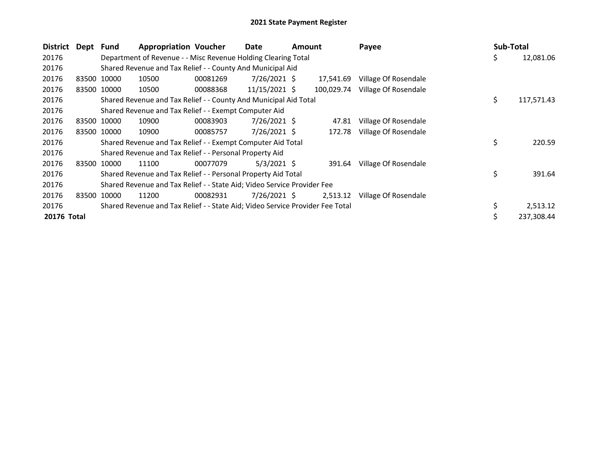| District    | Dept  | <b>Fund</b> | <b>Appropriation Voucher</b>                                                  |          | Date            | Amount |            | Payee                | <b>Sub-Total</b> |            |
|-------------|-------|-------------|-------------------------------------------------------------------------------|----------|-----------------|--------|------------|----------------------|------------------|------------|
| 20176       |       |             | Department of Revenue - - Misc Revenue Holding Clearing Total                 |          |                 |        |            |                      | \$.              | 12,081.06  |
| 20176       |       |             | Shared Revenue and Tax Relief - - County And Municipal Aid                    |          |                 |        |            |                      |                  |            |
| 20176       |       | 83500 10000 | 10500                                                                         | 00081269 | $7/26/2021$ \$  |        | 17,541.69  | Village Of Rosendale |                  |            |
| 20176       |       | 83500 10000 | 10500                                                                         | 00088368 | $11/15/2021$ \$ |        | 100,029.74 | Village Of Rosendale |                  |            |
| 20176       |       |             | Shared Revenue and Tax Relief - - County And Municipal Aid Total              |          |                 |        |            |                      | \$               | 117,571.43 |
| 20176       |       |             | Shared Revenue and Tax Relief - - Exempt Computer Aid                         |          |                 |        |            |                      |                  |            |
| 20176       |       | 83500 10000 | 10900                                                                         | 00083903 | 7/26/2021 \$    |        | 47.81      | Village Of Rosendale |                  |            |
| 20176       |       | 83500 10000 | 10900                                                                         | 00085757 | 7/26/2021 \$    |        | 172.78     | Village Of Rosendale |                  |            |
| 20176       |       |             | Shared Revenue and Tax Relief - - Exempt Computer Aid Total                   |          |                 |        |            |                      | \$               | 220.59     |
| 20176       |       |             | Shared Revenue and Tax Relief - - Personal Property Aid                       |          |                 |        |            |                      |                  |            |
| 20176       |       | 83500 10000 | 11100                                                                         | 00077079 | $5/3/2021$ \$   |        | 391.64     | Village Of Rosendale |                  |            |
| 20176       |       |             | Shared Revenue and Tax Relief - - Personal Property Aid Total                 |          |                 |        |            |                      | \$               | 391.64     |
| 20176       |       |             | Shared Revenue and Tax Relief - - State Aid; Video Service Provider Fee       |          |                 |        |            |                      |                  |            |
| 20176       | 83500 | 10000       | 11200                                                                         | 00082931 | $7/26/2021$ \$  |        | 2,513.12   | Village Of Rosendale |                  |            |
| 20176       |       |             | Shared Revenue and Tax Relief - - State Aid; Video Service Provider Fee Total |          |                 |        |            |                      |                  | 2,513.12   |
| 20176 Total |       |             |                                                                               |          |                 |        |            |                      |                  | 237,308.44 |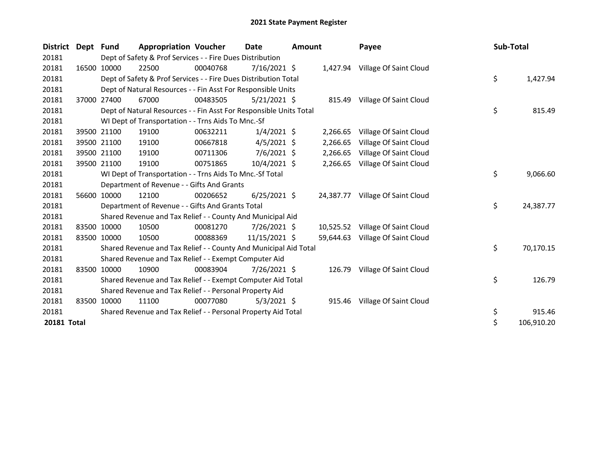| <b>District</b> | Dept Fund |             | <b>Appropriation Voucher</b>                                       |          | Date           | <b>Amount</b> |           | Payee                            | Sub-Total |            |
|-----------------|-----------|-------------|--------------------------------------------------------------------|----------|----------------|---------------|-----------|----------------------------------|-----------|------------|
| 20181           |           |             | Dept of Safety & Prof Services - - Fire Dues Distribution          |          |                |               |           |                                  |           |            |
| 20181           |           | 16500 10000 | 22500                                                              | 00040768 | $7/16/2021$ \$ |               |           | 1,427.94 Village Of Saint Cloud  |           |            |
| 20181           |           |             | Dept of Safety & Prof Services - - Fire Dues Distribution Total    |          |                |               |           |                                  | \$        | 1,427.94   |
| 20181           |           |             | Dept of Natural Resources - - Fin Asst For Responsible Units       |          |                |               |           |                                  |           |            |
| 20181           |           | 37000 27400 | 67000                                                              | 00483505 | $5/21/2021$ \$ |               |           | 815.49 Village Of Saint Cloud    |           |            |
| 20181           |           |             | Dept of Natural Resources - - Fin Asst For Responsible Units Total |          |                |               |           |                                  | \$        | 815.49     |
| 20181           |           |             | WI Dept of Transportation - - Trns Aids To Mnc.-Sf                 |          |                |               |           |                                  |           |            |
| 20181           |           | 39500 21100 | 19100                                                              | 00632211 | $1/4/2021$ \$  |               | 2,266.65  | Village Of Saint Cloud           |           |            |
| 20181           |           | 39500 21100 | 19100                                                              | 00667818 | $4/5/2021$ \$  |               | 2,266.65  | Village Of Saint Cloud           |           |            |
| 20181           |           | 39500 21100 | 19100                                                              | 00711306 | $7/6/2021$ \$  |               | 2,266.65  | Village Of Saint Cloud           |           |            |
| 20181           |           | 39500 21100 | 19100                                                              | 00751865 | 10/4/2021 \$   |               | 2,266.65  | Village Of Saint Cloud           |           |            |
| 20181           |           |             | WI Dept of Transportation - - Trns Aids To Mnc.-Sf Total           |          |                |               |           |                                  | \$        | 9,066.60   |
| 20181           |           |             | Department of Revenue - - Gifts And Grants                         |          |                |               |           |                                  |           |            |
| 20181           |           | 56600 10000 | 12100                                                              | 00206652 | $6/25/2021$ \$ |               | 24,387.77 | Village Of Saint Cloud           |           |            |
| 20181           |           |             | Department of Revenue - - Gifts And Grants Total                   |          |                |               |           |                                  | \$        | 24,387.77  |
| 20181           |           |             | Shared Revenue and Tax Relief - - County And Municipal Aid         |          |                |               |           |                                  |           |            |
| 20181           |           | 83500 10000 | 10500                                                              | 00081270 | 7/26/2021 \$   |               |           | 10,525.52 Village Of Saint Cloud |           |            |
| 20181           |           | 83500 10000 | 10500                                                              | 00088369 | 11/15/2021 \$  |               | 59,644.63 | Village Of Saint Cloud           |           |            |
| 20181           |           |             | Shared Revenue and Tax Relief - - County And Municipal Aid Total   |          |                |               |           |                                  | \$        | 70,170.15  |
| 20181           |           |             | Shared Revenue and Tax Relief - - Exempt Computer Aid              |          |                |               |           |                                  |           |            |
| 20181           |           | 83500 10000 | 10900                                                              | 00083904 | 7/26/2021 \$   |               | 126.79    | Village Of Saint Cloud           |           |            |
| 20181           |           |             | Shared Revenue and Tax Relief - - Exempt Computer Aid Total        |          |                |               |           |                                  | \$        | 126.79     |
| 20181           |           |             | Shared Revenue and Tax Relief - - Personal Property Aid            |          |                |               |           |                                  |           |            |
| 20181           | 83500     | 10000       | 11100                                                              | 00077080 | $5/3/2021$ \$  |               | 915.46    | Village Of Saint Cloud           |           |            |
| 20181           |           |             | Shared Revenue and Tax Relief - - Personal Property Aid Total      |          |                |               |           |                                  | \$        | 915.46     |
| 20181 Total     |           |             |                                                                    |          |                |               |           |                                  | \$        | 106,910.20 |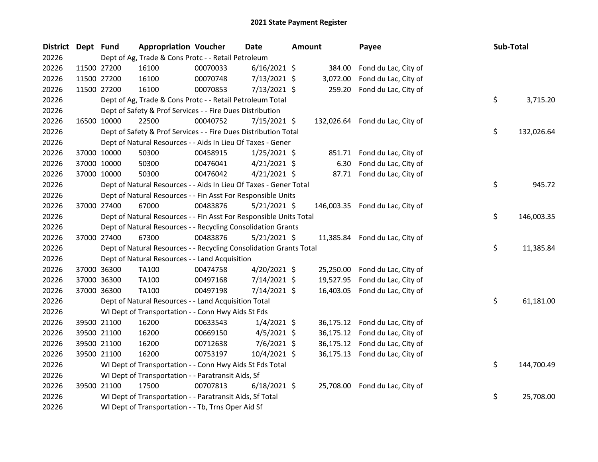| District Dept Fund |             | <b>Appropriation Voucher</b>                                       |          | <b>Date</b>    | <b>Amount</b> |           | Payee                           | Sub-Total |            |
|--------------------|-------------|--------------------------------------------------------------------|----------|----------------|---------------|-----------|---------------------------------|-----------|------------|
| 20226              |             | Dept of Ag, Trade & Cons Protc - - Retail Petroleum                |          |                |               |           |                                 |           |            |
| 20226              | 11500 27200 | 16100                                                              | 00070033 | $6/16/2021$ \$ |               | 384.00    | Fond du Lac, City of            |           |            |
| 20226              | 11500 27200 | 16100                                                              | 00070748 | 7/13/2021 \$   |               | 3,072.00  | Fond du Lac, City of            |           |            |
| 20226              | 11500 27200 | 16100                                                              | 00070853 | $7/13/2021$ \$ |               | 259.20    | Fond du Lac, City of            |           |            |
| 20226              |             | Dept of Ag, Trade & Cons Protc - - Retail Petroleum Total          |          |                |               |           |                                 | \$        | 3,715.20   |
| 20226              |             | Dept of Safety & Prof Services - - Fire Dues Distribution          |          |                |               |           |                                 |           |            |
| 20226              | 16500 10000 | 22500                                                              | 00040752 | $7/15/2021$ \$ |               |           | 132,026.64 Fond du Lac, City of |           |            |
| 20226              |             | Dept of Safety & Prof Services - - Fire Dues Distribution Total    |          |                |               |           |                                 | \$        | 132,026.64 |
| 20226              |             | Dept of Natural Resources - - Aids In Lieu Of Taxes - Gener        |          |                |               |           |                                 |           |            |
| 20226              | 37000 10000 | 50300                                                              | 00458915 | 1/25/2021 \$   |               |           | 851.71 Fond du Lac, City of     |           |            |
| 20226              | 37000 10000 | 50300                                                              | 00476041 | $4/21/2021$ \$ |               | 6.30      | Fond du Lac, City of            |           |            |
| 20226              | 37000 10000 | 50300                                                              | 00476042 | $4/21/2021$ \$ |               |           | 87.71 Fond du Lac, City of      |           |            |
| 20226              |             | Dept of Natural Resources - - Aids In Lieu Of Taxes - Gener Total  |          |                |               |           |                                 | \$        | 945.72     |
| 20226              |             | Dept of Natural Resources - - Fin Asst For Responsible Units       |          |                |               |           |                                 |           |            |
| 20226              | 37000 27400 | 67000                                                              | 00483876 | $5/21/2021$ \$ |               |           | 146,003.35 Fond du Lac, City of |           |            |
| 20226              |             | Dept of Natural Resources - - Fin Asst For Responsible Units Total |          |                |               |           |                                 | \$        | 146,003.35 |
| 20226              |             | Dept of Natural Resources - - Recycling Consolidation Grants       |          |                |               |           |                                 |           |            |
| 20226              | 37000 27400 | 67300                                                              | 00483876 | $5/21/2021$ \$ |               |           | 11,385.84 Fond du Lac, City of  |           |            |
| 20226              |             | Dept of Natural Resources - - Recycling Consolidation Grants Total |          |                |               |           |                                 | \$        | 11,385.84  |
| 20226              |             | Dept of Natural Resources - - Land Acquisition                     |          |                |               |           |                                 |           |            |
| 20226              | 37000 36300 | TA100                                                              | 00474758 | 4/20/2021 \$   |               | 25,250.00 | Fond du Lac, City of            |           |            |
| 20226              | 37000 36300 | TA100                                                              | 00497168 | 7/14/2021 \$   |               | 19,527.95 | Fond du Lac, City of            |           |            |
| 20226              | 37000 36300 | TA100                                                              | 00497198 | 7/14/2021 \$   |               |           | 16,403.05 Fond du Lac, City of  |           |            |
| 20226              |             | Dept of Natural Resources - - Land Acquisition Total               |          |                |               |           |                                 | \$        | 61,181.00  |
| 20226              |             | WI Dept of Transportation - - Conn Hwy Aids St Fds                 |          |                |               |           |                                 |           |            |
| 20226              | 39500 21100 | 16200                                                              | 00633543 | $1/4/2021$ \$  |               |           | 36,175.12 Fond du Lac, City of  |           |            |
| 20226              | 39500 21100 | 16200                                                              | 00669150 | $4/5/2021$ \$  |               | 36,175.12 | Fond du Lac, City of            |           |            |
| 20226              | 39500 21100 | 16200                                                              | 00712638 | 7/6/2021 \$    |               | 36,175.12 | Fond du Lac, City of            |           |            |
| 20226              | 39500 21100 | 16200                                                              | 00753197 | 10/4/2021 \$   |               |           | 36,175.13 Fond du Lac, City of  |           |            |
| 20226              |             | WI Dept of Transportation - - Conn Hwy Aids St Fds Total           |          |                |               |           |                                 | \$        | 144,700.49 |
| 20226              |             | WI Dept of Transportation - - Paratransit Aids, Sf                 |          |                |               |           |                                 |           |            |
| 20226              | 39500 21100 | 17500                                                              | 00707813 | $6/18/2021$ \$ |               |           | 25,708.00 Fond du Lac, City of  |           |            |
| 20226              |             | WI Dept of Transportation - - Paratransit Aids, Sf Total           |          |                |               |           |                                 | \$        | 25,708.00  |
| 20226              |             | WI Dept of Transportation - - Tb, Trns Oper Aid Sf                 |          |                |               |           |                                 |           |            |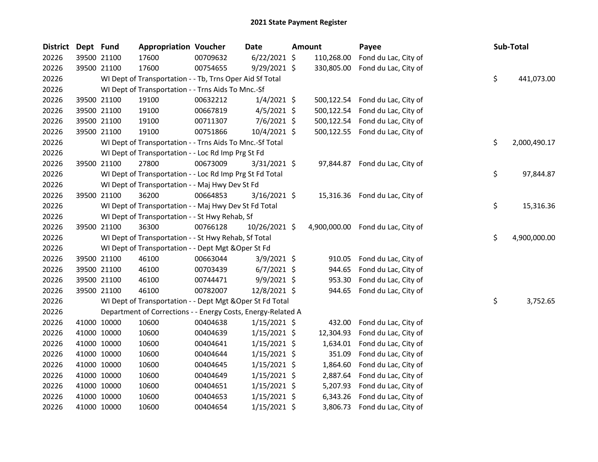| <b>District</b> | Dept Fund   |             | <b>Appropriation Voucher</b>                                 |          | <b>Date</b>    | <b>Amount</b> | Payee                             | Sub-Total          |
|-----------------|-------------|-------------|--------------------------------------------------------------|----------|----------------|---------------|-----------------------------------|--------------------|
| 20226           |             | 39500 21100 | 17600                                                        | 00709632 | $6/22/2021$ \$ | 110,268.00    | Fond du Lac, City of              |                    |
| 20226           |             | 39500 21100 | 17600                                                        | 00754655 | 9/29/2021 \$   | 330,805.00    | Fond du Lac, City of              |                    |
| 20226           |             |             | WI Dept of Transportation - - Tb, Trns Oper Aid Sf Total     |          |                |               |                                   | \$<br>441,073.00   |
| 20226           |             |             | WI Dept of Transportation - - Trns Aids To Mnc.-Sf           |          |                |               |                                   |                    |
| 20226           |             | 39500 21100 | 19100                                                        | 00632212 | $1/4/2021$ \$  |               | 500,122.54 Fond du Lac, City of   |                    |
| 20226           |             | 39500 21100 | 19100                                                        | 00667819 | $4/5/2021$ \$  |               | 500,122.54 Fond du Lac, City of   |                    |
| 20226           |             | 39500 21100 | 19100                                                        | 00711307 | $7/6/2021$ \$  |               | 500,122.54 Fond du Lac, City of   |                    |
| 20226           |             | 39500 21100 | 19100                                                        | 00751866 | 10/4/2021 \$   |               | 500,122.55 Fond du Lac, City of   |                    |
| 20226           |             |             | WI Dept of Transportation - - Trns Aids To Mnc.-Sf Total     |          |                |               |                                   | \$<br>2,000,490.17 |
| 20226           |             |             | WI Dept of Transportation - - Loc Rd Imp Prg St Fd           |          |                |               |                                   |                    |
| 20226           |             | 39500 21100 | 27800                                                        | 00673009 | $3/31/2021$ \$ |               | 97,844.87 Fond du Lac, City of    |                    |
| 20226           |             |             | WI Dept of Transportation - - Loc Rd Imp Prg St Fd Total     |          |                |               |                                   | \$<br>97,844.87    |
| 20226           |             |             | WI Dept of Transportation - - Maj Hwy Dev St Fd              |          |                |               |                                   |                    |
| 20226           |             | 39500 21100 | 36200                                                        | 00664853 | $3/16/2021$ \$ |               | 15,316.36 Fond du Lac, City of    |                    |
| 20226           |             |             | WI Dept of Transportation - - Maj Hwy Dev St Fd Total        |          |                |               |                                   | \$<br>15,316.36    |
| 20226           |             |             | WI Dept of Transportation - - St Hwy Rehab, Sf               |          |                |               |                                   |                    |
| 20226           |             | 39500 21100 | 36300                                                        | 00766128 | 10/26/2021 \$  |               | 4,900,000.00 Fond du Lac, City of |                    |
| 20226           |             |             | WI Dept of Transportation - - St Hwy Rehab, Sf Total         |          |                |               |                                   | \$<br>4,900,000.00 |
| 20226           |             |             | WI Dept of Transportation - - Dept Mgt & Oper St Fd          |          |                |               |                                   |                    |
| 20226           |             | 39500 21100 | 46100                                                        | 00663044 | $3/9/2021$ \$  | 910.05        | Fond du Lac, City of              |                    |
| 20226           |             | 39500 21100 | 46100                                                        | 00703439 | $6/7/2021$ \$  | 944.65        | Fond du Lac, City of              |                    |
| 20226           |             | 39500 21100 | 46100                                                        | 00744471 | $9/9/2021$ \$  | 953.30        | Fond du Lac, City of              |                    |
| 20226           |             | 39500 21100 | 46100                                                        | 00782007 | 12/8/2021 \$   | 944.65        | Fond du Lac, City of              |                    |
| 20226           |             |             | WI Dept of Transportation - - Dept Mgt & Oper St Fd Total    |          |                |               |                                   | \$<br>3,752.65     |
| 20226           |             |             | Department of Corrections - - Energy Costs, Energy-Related A |          |                |               |                                   |                    |
| 20226           |             | 41000 10000 | 10600                                                        | 00404638 | $1/15/2021$ \$ | 432.00        | Fond du Lac, City of              |                    |
| 20226           |             | 41000 10000 | 10600                                                        | 00404639 | $1/15/2021$ \$ | 12,304.93     | Fond du Lac, City of              |                    |
| 20226           |             | 41000 10000 | 10600                                                        | 00404641 | $1/15/2021$ \$ | 1,634.01      | Fond du Lac, City of              |                    |
| 20226           |             | 41000 10000 | 10600                                                        | 00404644 | $1/15/2021$ \$ | 351.09        | Fond du Lac, City of              |                    |
| 20226           |             | 41000 10000 | 10600                                                        | 00404645 | $1/15/2021$ \$ | 1,864.60      | Fond du Lac, City of              |                    |
| 20226           |             | 41000 10000 | 10600                                                        | 00404649 | $1/15/2021$ \$ | 2,887.64      | Fond du Lac, City of              |                    |
| 20226           |             | 41000 10000 | 10600                                                        | 00404651 | $1/15/2021$ \$ | 5,207.93      | Fond du Lac, City of              |                    |
| 20226           |             | 41000 10000 | 10600                                                        | 00404653 | $1/15/2021$ \$ | 6,343.26      | Fond du Lac, City of              |                    |
| 20226           | 41000 10000 |             | 10600                                                        | 00404654 | 1/15/2021 \$   |               | 3,806.73 Fond du Lac, City of     |                    |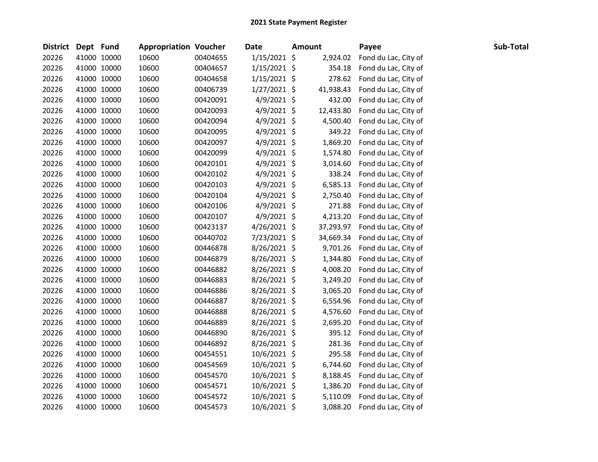| District Dept Fund |             | <b>Appropriation Voucher</b> |          | Date           | <b>Amount</b> | Payee                | Sub-Total |
|--------------------|-------------|------------------------------|----------|----------------|---------------|----------------------|-----------|
| 20226              | 41000 10000 | 10600                        | 00404655 | $1/15/2021$ \$ | 2,924.02      | Fond du Lac, City of |           |
| 20226              | 41000 10000 | 10600                        | 00404657 | 1/15/2021 \$   | 354.18        | Fond du Lac, City of |           |
| 20226              | 41000 10000 | 10600                        | 00404658 | $1/15/2021$ \$ | 278.62        | Fond du Lac, City of |           |
| 20226              | 41000 10000 | 10600                        | 00406739 | $1/27/2021$ \$ | 41,938.43     | Fond du Lac, City of |           |
| 20226              | 41000 10000 | 10600                        | 00420091 | $4/9/2021$ \$  | 432.00        | Fond du Lac, City of |           |
| 20226              | 41000 10000 | 10600                        | 00420093 | $4/9/2021$ \$  | 12,433.80     | Fond du Lac, City of |           |
| 20226              | 41000 10000 | 10600                        | 00420094 | $4/9/2021$ \$  | 4,500.40      | Fond du Lac, City of |           |
| 20226              | 41000 10000 | 10600                        | 00420095 | $4/9/2021$ \$  | 349.22        | Fond du Lac, City of |           |
| 20226              | 41000 10000 | 10600                        | 00420097 | $4/9/2021$ \$  | 1,869.20      | Fond du Lac, City of |           |
| 20226              | 41000 10000 | 10600                        | 00420099 | $4/9/2021$ \$  | 1,574.80      | Fond du Lac, City of |           |
| 20226              | 41000 10000 | 10600                        | 00420101 | $4/9/2021$ \$  | 3,014.60      | Fond du Lac, City of |           |
| 20226              | 41000 10000 | 10600                        | 00420102 | $4/9/2021$ \$  | 338.24        | Fond du Lac, City of |           |
| 20226              | 41000 10000 | 10600                        | 00420103 | $4/9/2021$ \$  | 6,585.13      | Fond du Lac, City of |           |
| 20226              | 41000 10000 | 10600                        | 00420104 | $4/9/2021$ \$  | 2,750.40      | Fond du Lac, City of |           |
| 20226              | 41000 10000 | 10600                        | 00420106 | 4/9/2021 \$    | 271.88        | Fond du Lac, City of |           |
| 20226              | 41000 10000 | 10600                        | 00420107 | $4/9/2021$ \$  | 4,213.20      | Fond du Lac, City of |           |
| 20226              | 41000 10000 | 10600                        | 00423137 | $4/26/2021$ \$ | 37,293.97     | Fond du Lac, City of |           |
| 20226              | 41000 10000 | 10600                        | 00440702 | 7/23/2021 \$   | 34,669.34     | Fond du Lac, City of |           |
| 20226              | 41000 10000 | 10600                        | 00446878 | 8/26/2021 \$   | 9,701.26      | Fond du Lac, City of |           |
| 20226              | 41000 10000 | 10600                        | 00446879 | 8/26/2021 \$   | 1,344.80      | Fond du Lac, City of |           |
| 20226              | 41000 10000 | 10600                        | 00446882 | 8/26/2021 \$   | 4,008.20      | Fond du Lac, City of |           |
| 20226              | 41000 10000 | 10600                        | 00446883 | 8/26/2021 \$   | 3,249.20      | Fond du Lac, City of |           |
| 20226              | 41000 10000 | 10600                        | 00446886 | 8/26/2021 \$   | 3,065.20      | Fond du Lac, City of |           |
| 20226              | 41000 10000 | 10600                        | 00446887 | $8/26/2021$ \$ | 6,554.96      | Fond du Lac, City of |           |
| 20226              | 41000 10000 | 10600                        | 00446888 | 8/26/2021 \$   | 4,576.60      | Fond du Lac, City of |           |
| 20226              | 41000 10000 | 10600                        | 00446889 | 8/26/2021 \$   | 2,695.20      | Fond du Lac, City of |           |
| 20226              | 41000 10000 | 10600                        | 00446890 | 8/26/2021 \$   | 395.12        | Fond du Lac, City of |           |
| 20226              | 41000 10000 | 10600                        | 00446892 | 8/26/2021 \$   | 281.36        | Fond du Lac, City of |           |
| 20226              | 41000 10000 | 10600                        | 00454551 | 10/6/2021 \$   | 295.58        | Fond du Lac, City of |           |
| 20226              | 41000 10000 | 10600                        | 00454569 | 10/6/2021 \$   | 6,744.60      | Fond du Lac, City of |           |
| 20226              | 41000 10000 | 10600                        | 00454570 | 10/6/2021 \$   | 8,188.45      | Fond du Lac, City of |           |
| 20226              | 41000 10000 | 10600                        | 00454571 | 10/6/2021 \$   | 1,386.20      | Fond du Lac, City of |           |
| 20226              | 41000 10000 | 10600                        | 00454572 | 10/6/2021 \$   | 5,110.09      | Fond du Lac, City of |           |
| 20226              | 41000 10000 | 10600                        | 00454573 | 10/6/2021 \$   | 3,088.20      | Fond du Lac, City of |           |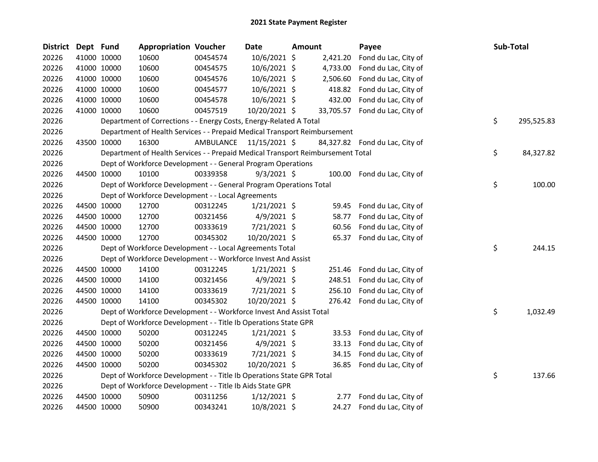| <b>District</b> | Dept Fund |             | <b>Appropriation Voucher</b>                                                    |           | <b>Date</b>    | <b>Amount</b> |          | Payee                          | Sub-Total |            |
|-----------------|-----------|-------------|---------------------------------------------------------------------------------|-----------|----------------|---------------|----------|--------------------------------|-----------|------------|
| 20226           |           | 41000 10000 | 10600                                                                           | 00454574  | 10/6/2021 \$   |               | 2,421.20 | Fond du Lac, City of           |           |            |
| 20226           |           | 41000 10000 | 10600                                                                           | 00454575  | 10/6/2021 \$   |               | 4,733.00 | Fond du Lac, City of           |           |            |
| 20226           |           | 41000 10000 | 10600                                                                           | 00454576  | 10/6/2021 \$   |               | 2,506.60 | Fond du Lac, City of           |           |            |
| 20226           |           | 41000 10000 | 10600                                                                           | 00454577  | 10/6/2021 \$   |               | 418.82   | Fond du Lac, City of           |           |            |
| 20226           |           | 41000 10000 | 10600                                                                           | 00454578  | 10/6/2021 \$   |               | 432.00   | Fond du Lac, City of           |           |            |
| 20226           |           | 41000 10000 | 10600                                                                           | 00457519  | 10/20/2021 \$  |               |          | 33,705.57 Fond du Lac, City of |           |            |
| 20226           |           |             | Department of Corrections - - Energy Costs, Energy-Related A Total              |           |                |               |          |                                | \$        | 295,525.83 |
| 20226           |           |             | Department of Health Services - - Prepaid Medical Transport Reimbursement       |           |                |               |          |                                |           |            |
| 20226           |           | 43500 10000 | 16300                                                                           | AMBULANCE | 11/15/2021 \$  |               |          | 84,327.82 Fond du Lac, City of |           |            |
| 20226           |           |             | Department of Health Services - - Prepaid Medical Transport Reimbursement Total |           |                |               |          |                                | \$        | 84,327.82  |
| 20226           |           |             | Dept of Workforce Development - - General Program Operations                    |           |                |               |          |                                |           |            |
| 20226           |           | 44500 10000 | 10100                                                                           | 00339358  | $9/3/2021$ \$  |               |          | 100.00 Fond du Lac, City of    |           |            |
| 20226           |           |             | Dept of Workforce Development - - General Program Operations Total              |           |                |               |          |                                | \$        | 100.00     |
| 20226           |           |             | Dept of Workforce Development - - Local Agreements                              |           |                |               |          |                                |           |            |
| 20226           |           | 44500 10000 | 12700                                                                           | 00312245  | $1/21/2021$ \$ |               | 59.45    | Fond du Lac, City of           |           |            |
| 20226           |           | 44500 10000 | 12700                                                                           | 00321456  | $4/9/2021$ \$  |               | 58.77    | Fond du Lac, City of           |           |            |
| 20226           |           | 44500 10000 | 12700                                                                           | 00333619  | 7/21/2021 \$   |               | 60.56    | Fond du Lac, City of           |           |            |
| 20226           |           | 44500 10000 | 12700                                                                           | 00345302  | 10/20/2021 \$  |               |          | 65.37 Fond du Lac, City of     |           |            |
| 20226           |           |             | Dept of Workforce Development - - Local Agreements Total                        |           |                |               |          |                                | \$        | 244.15     |
| 20226           |           |             | Dept of Workforce Development - - Workforce Invest And Assist                   |           |                |               |          |                                |           |            |
| 20226           |           | 44500 10000 | 14100                                                                           | 00312245  | $1/21/2021$ \$ |               | 251.46   | Fond du Lac, City of           |           |            |
| 20226           |           | 44500 10000 | 14100                                                                           | 00321456  | $4/9/2021$ \$  |               | 248.51   | Fond du Lac, City of           |           |            |
| 20226           |           | 44500 10000 | 14100                                                                           | 00333619  | 7/21/2021 \$   |               | 256.10   | Fond du Lac, City of           |           |            |
| 20226           |           | 44500 10000 | 14100                                                                           | 00345302  | 10/20/2021 \$  |               |          | 276.42 Fond du Lac, City of    |           |            |
| 20226           |           |             | Dept of Workforce Development - - Workforce Invest And Assist Total             |           |                |               |          |                                | \$        | 1,032.49   |
| 20226           |           |             | Dept of Workforce Development - - Title Ib Operations State GPR                 |           |                |               |          |                                |           |            |
| 20226           |           | 44500 10000 | 50200                                                                           | 00312245  | $1/21/2021$ \$ |               | 33.53    | Fond du Lac, City of           |           |            |
| 20226           |           | 44500 10000 | 50200                                                                           | 00321456  | $4/9/2021$ \$  |               | 33.13    | Fond du Lac, City of           |           |            |
| 20226           |           | 44500 10000 | 50200                                                                           | 00333619  | 7/21/2021 \$   |               | 34.15    | Fond du Lac, City of           |           |            |
| 20226           |           | 44500 10000 | 50200                                                                           | 00345302  | 10/20/2021 \$  |               | 36.85    | Fond du Lac, City of           |           |            |
| 20226           |           |             | Dept of Workforce Development - - Title Ib Operations State GPR Total           |           |                |               |          |                                | \$        | 137.66     |
| 20226           |           |             | Dept of Workforce Development - - Title Ib Aids State GPR                       |           |                |               |          |                                |           |            |
| 20226           |           | 44500 10000 | 50900                                                                           | 00311256  | $1/12/2021$ \$ |               | 2.77     | Fond du Lac, City of           |           |            |
| 20226           |           | 44500 10000 | 50900                                                                           | 00343241  | 10/8/2021 \$   |               | 24.27    | Fond du Lac, City of           |           |            |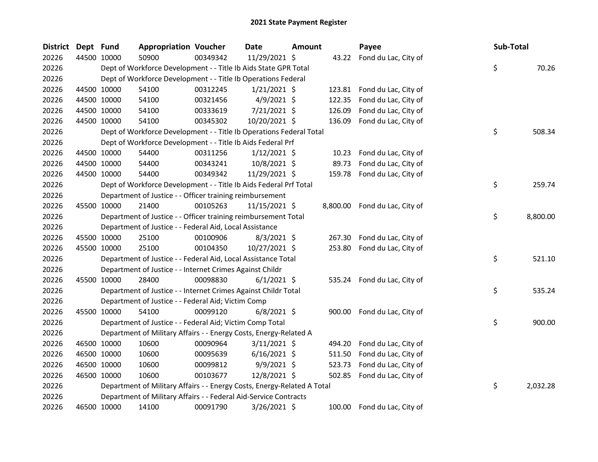| <b>District</b> | Dept Fund |             | <b>Appropriation Voucher</b>                                            |          | <b>Date</b>     | Amount |        | Payee                         | Sub-Total |          |
|-----------------|-----------|-------------|-------------------------------------------------------------------------|----------|-----------------|--------|--------|-------------------------------|-----------|----------|
| 20226           |           | 44500 10000 | 50900                                                                   | 00349342 | 11/29/2021 \$   |        |        | 43.22 Fond du Lac, City of    |           |          |
| 20226           |           |             | Dept of Workforce Development - - Title Ib Aids State GPR Total         |          |                 |        |        |                               | \$        | 70.26    |
| 20226           |           |             | Dept of Workforce Development - - Title Ib Operations Federal           |          |                 |        |        |                               |           |          |
| 20226           |           | 44500 10000 | 54100                                                                   | 00312245 | $1/21/2021$ \$  |        |        | 123.81 Fond du Lac, City of   |           |          |
| 20226           |           | 44500 10000 | 54100                                                                   | 00321456 | $4/9/2021$ \$   |        | 122.35 | Fond du Lac, City of          |           |          |
| 20226           |           | 44500 10000 | 54100                                                                   | 00333619 | 7/21/2021 \$    |        | 126.09 | Fond du Lac, City of          |           |          |
| 20226           |           | 44500 10000 | 54100                                                                   | 00345302 | 10/20/2021 \$   |        | 136.09 | Fond du Lac, City of          |           |          |
| 20226           |           |             | Dept of Workforce Development - - Title Ib Operations Federal Total     |          |                 |        |        |                               | \$        | 508.34   |
| 20226           |           |             | Dept of Workforce Development - - Title Ib Aids Federal Prf             |          |                 |        |        |                               |           |          |
| 20226           |           | 44500 10000 | 54400                                                                   | 00311256 | $1/12/2021$ \$  |        | 10.23  | Fond du Lac, City of          |           |          |
| 20226           |           | 44500 10000 | 54400                                                                   | 00343241 | 10/8/2021 \$    |        | 89.73  | Fond du Lac, City of          |           |          |
| 20226           |           | 44500 10000 | 54400                                                                   | 00349342 | 11/29/2021 \$   |        | 159.78 | Fond du Lac, City of          |           |          |
| 20226           |           |             | Dept of Workforce Development - - Title Ib Aids Federal Prf Total       |          |                 |        |        |                               | \$        | 259.74   |
| 20226           |           |             | Department of Justice - - Officer training reimbursement                |          |                 |        |        |                               |           |          |
| 20226           |           | 45500 10000 | 21400                                                                   | 00105263 | $11/15/2021$ \$ |        |        | 8,800.00 Fond du Lac, City of |           |          |
| 20226           |           |             | Department of Justice - - Officer training reimbursement Total          |          |                 |        |        |                               | \$        | 8,800.00 |
| 20226           |           |             | Department of Justice - - Federal Aid, Local Assistance                 |          |                 |        |        |                               |           |          |
| 20226           |           | 45500 10000 | 25100                                                                   | 00100906 | $8/3/2021$ \$   |        | 267.30 | Fond du Lac, City of          |           |          |
| 20226           |           | 45500 10000 | 25100                                                                   | 00104350 | 10/27/2021 \$   |        | 253.80 | Fond du Lac, City of          |           |          |
| 20226           |           |             | Department of Justice - - Federal Aid, Local Assistance Total           |          |                 |        |        |                               | \$        | 521.10   |
| 20226           |           |             | Department of Justice - - Internet Crimes Against Childr                |          |                 |        |        |                               |           |          |
| 20226           |           | 45500 10000 | 28400                                                                   | 00098830 | $6/1/2021$ \$   |        | 535.24 | Fond du Lac, City of          |           |          |
| 20226           |           |             | Department of Justice - - Internet Crimes Against Childr Total          |          |                 |        |        |                               | \$        | 535.24   |
| 20226           |           |             | Department of Justice - - Federal Aid; Victim Comp                      |          |                 |        |        |                               |           |          |
| 20226           |           | 45500 10000 | 54100                                                                   | 00099120 | $6/8/2021$ \$   |        |        | 900.00 Fond du Lac, City of   |           |          |
| 20226           |           |             | Department of Justice - - Federal Aid; Victim Comp Total                |          |                 |        |        |                               | \$        | 900.00   |
| 20226           |           |             | Department of Military Affairs - - Energy Costs, Energy-Related A       |          |                 |        |        |                               |           |          |
| 20226           |           | 46500 10000 | 10600                                                                   | 00090964 | $3/11/2021$ \$  |        | 494.20 | Fond du Lac, City of          |           |          |
| 20226           |           | 46500 10000 | 10600                                                                   | 00095639 | $6/16/2021$ \$  |        | 511.50 | Fond du Lac, City of          |           |          |
| 20226           |           | 46500 10000 | 10600                                                                   | 00099812 | $9/9/2021$ \$   |        | 523.73 | Fond du Lac, City of          |           |          |
| 20226           |           | 46500 10000 | 10600                                                                   | 00103677 | 12/8/2021 \$    |        | 502.85 | Fond du Lac, City of          |           |          |
| 20226           |           |             | Department of Military Affairs - - Energy Costs, Energy-Related A Total |          |                 |        |        |                               | \$        | 2,032.28 |
| 20226           |           |             | Department of Military Affairs - - Federal Aid-Service Contracts        |          |                 |        |        |                               |           |          |
| 20226           |           | 46500 10000 | 14100                                                                   | 00091790 | 3/26/2021 \$    |        | 100.00 | Fond du Lac, City of          |           |          |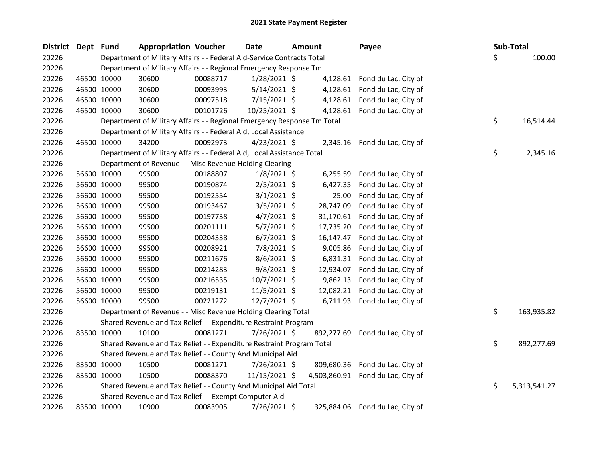| <b>District</b> | Dept Fund |             | <b>Appropriation Voucher</b>                                            |          | <b>Date</b>    | <b>Amount</b> | Payee                             |    | Sub-Total |              |
|-----------------|-----------|-------------|-------------------------------------------------------------------------|----------|----------------|---------------|-----------------------------------|----|-----------|--------------|
| 20226           |           |             | Department of Military Affairs - - Federal Aid-Service Contracts Total  |          |                |               |                                   | \$ |           | 100.00       |
| 20226           |           |             | Department of Military Affairs - - Regional Emergency Response Tm       |          |                |               |                                   |    |           |              |
| 20226           |           | 46500 10000 | 30600                                                                   | 00088717 | $1/28/2021$ \$ | 4,128.61      | Fond du Lac, City of              |    |           |              |
| 20226           |           | 46500 10000 | 30600                                                                   | 00093993 | $5/14/2021$ \$ |               | 4,128.61 Fond du Lac, City of     |    |           |              |
| 20226           |           | 46500 10000 | 30600                                                                   | 00097518 | 7/15/2021 \$   |               | 4,128.61 Fond du Lac, City of     |    |           |              |
| 20226           |           | 46500 10000 | 30600                                                                   | 00101726 | 10/25/2021 \$  |               | 4,128.61 Fond du Lac, City of     |    |           |              |
| 20226           |           |             | Department of Military Affairs - - Regional Emergency Response Tm Total |          |                |               |                                   | \$ |           | 16,514.44    |
| 20226           |           |             | Department of Military Affairs - - Federal Aid, Local Assistance        |          |                |               |                                   |    |           |              |
| 20226           |           | 46500 10000 | 34200                                                                   | 00092973 | $4/23/2021$ \$ |               | 2,345.16 Fond du Lac, City of     |    |           |              |
| 20226           |           |             | Department of Military Affairs - - Federal Aid, Local Assistance Total  |          |                |               |                                   | \$ |           | 2,345.16     |
| 20226           |           |             | Department of Revenue - - Misc Revenue Holding Clearing                 |          |                |               |                                   |    |           |              |
| 20226           |           | 56600 10000 | 99500                                                                   | 00188807 | $1/8/2021$ \$  | 6,255.59      | Fond du Lac, City of              |    |           |              |
| 20226           |           | 56600 10000 | 99500                                                                   | 00190874 | $2/5/2021$ \$  | 6,427.35      | Fond du Lac, City of              |    |           |              |
| 20226           |           | 56600 10000 | 99500                                                                   | 00192554 | $3/1/2021$ \$  | 25.00         | Fond du Lac, City of              |    |           |              |
| 20226           |           | 56600 10000 | 99500                                                                   | 00193467 | $3/5/2021$ \$  | 28,747.09     | Fond du Lac, City of              |    |           |              |
| 20226           |           | 56600 10000 | 99500                                                                   | 00197738 | $4/7/2021$ \$  | 31,170.61     | Fond du Lac, City of              |    |           |              |
| 20226           |           | 56600 10000 | 99500                                                                   | 00201111 | $5/7/2021$ \$  | 17,735.20     | Fond du Lac, City of              |    |           |              |
| 20226           |           | 56600 10000 | 99500                                                                   | 00204338 | $6/7/2021$ \$  | 16,147.47     | Fond du Lac, City of              |    |           |              |
| 20226           |           | 56600 10000 | 99500                                                                   | 00208921 | 7/8/2021 \$    | 9,005.86      | Fond du Lac, City of              |    |           |              |
| 20226           |           | 56600 10000 | 99500                                                                   | 00211676 | $8/6/2021$ \$  |               | 6,831.31 Fond du Lac, City of     |    |           |              |
| 20226           |           | 56600 10000 | 99500                                                                   | 00214283 | $9/8/2021$ \$  | 12,934.07     | Fond du Lac, City of              |    |           |              |
| 20226           |           | 56600 10000 | 99500                                                                   | 00216535 | $10/7/2021$ \$ | 9,862.13      | Fond du Lac, City of              |    |           |              |
| 20226           |           | 56600 10000 | 99500                                                                   | 00219131 | 11/5/2021 \$   | 12,082.21     | Fond du Lac, City of              |    |           |              |
| 20226           |           | 56600 10000 | 99500                                                                   | 00221272 | 12/7/2021 \$   | 6,711.93      | Fond du Lac, City of              |    |           |              |
| 20226           |           |             | Department of Revenue - - Misc Revenue Holding Clearing Total           |          |                |               |                                   | \$ |           | 163,935.82   |
| 20226           |           |             | Shared Revenue and Tax Relief - - Expenditure Restraint Program         |          |                |               |                                   |    |           |              |
| 20226           |           | 83500 10000 | 10100                                                                   | 00081271 | 7/26/2021 \$   | 892,277.69    | Fond du Lac, City of              |    |           |              |
| 20226           |           |             | Shared Revenue and Tax Relief - - Expenditure Restraint Program Total   |          |                |               |                                   | \$ |           | 892,277.69   |
| 20226           |           |             | Shared Revenue and Tax Relief - - County And Municipal Aid              |          |                |               |                                   |    |           |              |
| 20226           |           | 83500 10000 | 10500                                                                   | 00081271 | 7/26/2021 \$   |               | 809,680.36 Fond du Lac, City of   |    |           |              |
| 20226           |           | 83500 10000 | 10500                                                                   | 00088370 | 11/15/2021 \$  |               | 4,503,860.91 Fond du Lac, City of |    |           |              |
| 20226           |           |             | Shared Revenue and Tax Relief - - County And Municipal Aid Total        |          |                |               |                                   | \$ |           | 5,313,541.27 |
| 20226           |           |             | Shared Revenue and Tax Relief - - Exempt Computer Aid                   |          |                |               |                                   |    |           |              |
| 20226           |           | 83500 10000 | 10900                                                                   | 00083905 | 7/26/2021 \$   | 325,884.06    | Fond du Lac, City of              |    |           |              |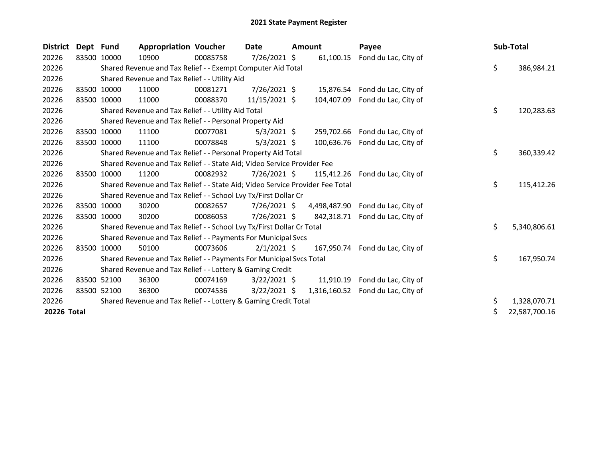| <b>District</b> | Dept Fund   |             | <b>Appropriation Voucher</b>                                                  |          | Date           | Amount |            | Payee                             |    | Sub-Total     |
|-----------------|-------------|-------------|-------------------------------------------------------------------------------|----------|----------------|--------|------------|-----------------------------------|----|---------------|
| 20226           | 83500 10000 |             | 10900                                                                         | 00085758 | 7/26/2021 \$   |        | 61,100.15  | Fond du Lac, City of              |    |               |
| 20226           |             |             | Shared Revenue and Tax Relief - - Exempt Computer Aid Total                   |          |                |        |            |                                   | \$ | 386,984.21    |
| 20226           |             |             | Shared Revenue and Tax Relief - - Utility Aid                                 |          |                |        |            |                                   |    |               |
| 20226           |             | 83500 10000 | 11000                                                                         | 00081271 | $7/26/2021$ \$ |        | 15,876.54  | Fond du Lac, City of              |    |               |
| 20226           |             | 83500 10000 | 11000                                                                         | 00088370 | 11/15/2021 \$  |        | 104,407.09 | Fond du Lac, City of              |    |               |
| 20226           |             |             | Shared Revenue and Tax Relief - - Utility Aid Total                           |          |                |        |            |                                   | \$ | 120,283.63    |
| 20226           |             |             | Shared Revenue and Tax Relief - - Personal Property Aid                       |          |                |        |            |                                   |    |               |
| 20226           | 83500       | 10000       | 11100                                                                         | 00077081 | $5/3/2021$ \$  |        | 259,702.66 | Fond du Lac, City of              |    |               |
| 20226           |             | 83500 10000 | 11100                                                                         | 00078848 | $5/3/2021$ \$  |        | 100,636.76 | Fond du Lac, City of              |    |               |
| 20226           |             |             | Shared Revenue and Tax Relief - - Personal Property Aid Total                 |          |                |        |            |                                   | \$ | 360,339.42    |
| 20226           |             |             | Shared Revenue and Tax Relief - - State Aid; Video Service Provider Fee       |          |                |        |            |                                   |    |               |
| 20226           | 83500       | 10000       | 11200                                                                         | 00082932 | 7/26/2021 \$   |        | 115,412.26 | Fond du Lac, City of              |    |               |
| 20226           |             |             | Shared Revenue and Tax Relief - - State Aid; Video Service Provider Fee Total |          |                |        |            |                                   | \$ | 115,412.26    |
| 20226           |             |             | Shared Revenue and Tax Relief - - School Lvy Tx/First Dollar Cr               |          |                |        |            |                                   |    |               |
| 20226           | 83500       | 10000       | 30200                                                                         | 00082657 | $7/26/2021$ \$ |        |            | 4,498,487.90 Fond du Lac, City of |    |               |
| 20226           | 83500       | 10000       | 30200                                                                         | 00086053 | $7/26/2021$ \$ |        | 842,318.71 | Fond du Lac, City of              |    |               |
| 20226           |             |             | Shared Revenue and Tax Relief - - School Lvy Tx/First Dollar Cr Total         |          |                |        |            |                                   | \$ | 5,340,806.61  |
| 20226           |             |             | Shared Revenue and Tax Relief - - Payments For Municipal Svcs                 |          |                |        |            |                                   |    |               |
| 20226           |             | 83500 10000 | 50100                                                                         | 00073606 | $2/1/2021$ \$  |        | 167.950.74 | Fond du Lac, City of              |    |               |
| 20226           |             |             | Shared Revenue and Tax Relief - - Payments For Municipal Svcs Total           |          |                |        |            |                                   | \$ | 167,950.74    |
| 20226           |             |             | Shared Revenue and Tax Relief - - Lottery & Gaming Credit                     |          |                |        |            |                                   |    |               |
| 20226           | 83500 52100 |             | 36300                                                                         | 00074169 | $3/22/2021$ \$ |        |            | 11,910.19 Fond du Lac, City of    |    |               |
| 20226           |             | 83500 52100 | 36300                                                                         | 00074536 | $3/22/2021$ \$ |        |            | 1,316,160.52 Fond du Lac, City of |    |               |
| 20226           |             |             | Shared Revenue and Tax Relief - - Lottery & Gaming Credit Total               |          |                |        |            |                                   | \$ | 1,328,070.71  |
| 20226 Total     |             |             |                                                                               |          |                |        |            |                                   | \$ | 22,587,700.16 |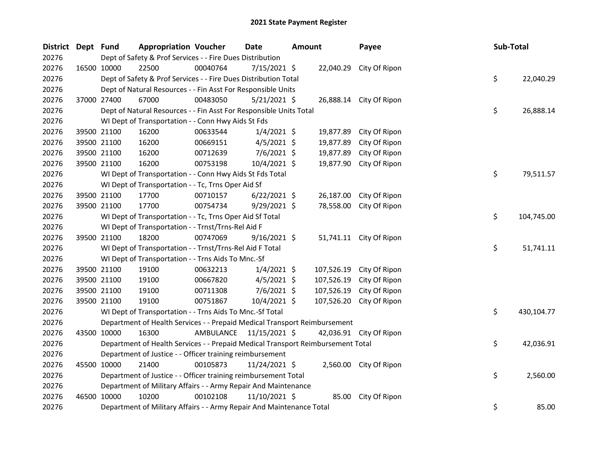| District Dept Fund |             | <b>Appropriation Voucher</b>                                                     |                                                                                 | <b>Date</b>    | <b>Amount</b> |            | Payee                   |  | Sub-Total |            |  |
|--------------------|-------------|----------------------------------------------------------------------------------|---------------------------------------------------------------------------------|----------------|---------------|------------|-------------------------|--|-----------|------------|--|
| 20276              |             |                                                                                  | Dept of Safety & Prof Services - - Fire Dues Distribution                       |                |               |            |                         |  |           |            |  |
| 20276              | 16500 10000 | 22500                                                                            | 00040764                                                                        | 7/15/2021 \$   |               |            | 22,040.29 City Of Ripon |  |           |            |  |
| 20276              |             |                                                                                  | Dept of Safety & Prof Services - - Fire Dues Distribution Total                 |                |               |            |                         |  | \$        | 22,040.29  |  |
| 20276              |             |                                                                                  | Dept of Natural Resources - - Fin Asst For Responsible Units                    |                |               |            |                         |  |           |            |  |
| 20276              | 37000 27400 | 67000                                                                            | 00483050                                                                        | $5/21/2021$ \$ |               |            | 26,888.14 City Of Ripon |  |           |            |  |
| 20276              |             |                                                                                  | Dept of Natural Resources - - Fin Asst For Responsible Units Total              |                |               |            |                         |  | \$        | 26,888.14  |  |
| 20276              |             |                                                                                  | WI Dept of Transportation - - Conn Hwy Aids St Fds                              |                |               |            |                         |  |           |            |  |
| 20276              | 39500 21100 | 16200                                                                            | 00633544                                                                        | $1/4/2021$ \$  |               | 19,877.89  | City Of Ripon           |  |           |            |  |
| 20276              | 39500 21100 | 16200                                                                            | 00669151                                                                        | $4/5/2021$ \$  |               | 19,877.89  | City Of Ripon           |  |           |            |  |
| 20276              | 39500 21100 | 16200                                                                            | 00712639                                                                        | $7/6/2021$ \$  |               | 19,877.89  | City Of Ripon           |  |           |            |  |
| 20276              | 39500 21100 | 16200                                                                            | 00753198                                                                        | 10/4/2021 \$   |               | 19,877.90  | City Of Ripon           |  |           |            |  |
| 20276              |             |                                                                                  | WI Dept of Transportation - - Conn Hwy Aids St Fds Total                        |                |               |            |                         |  | \$        | 79,511.57  |  |
| 20276              |             |                                                                                  | WI Dept of Transportation - - Tc, Trns Oper Aid Sf                              |                |               |            |                         |  |           |            |  |
| 20276              | 39500 21100 | 17700                                                                            | 00710157                                                                        | $6/22/2021$ \$ |               | 26,187.00  | City Of Ripon           |  |           |            |  |
| 20276              | 39500 21100 | 17700                                                                            | 00754734                                                                        | $9/29/2021$ \$ |               | 78,558.00  | City Of Ripon           |  |           |            |  |
| 20276              |             |                                                                                  | WI Dept of Transportation - - Tc, Trns Oper Aid Sf Total                        |                |               |            |                         |  | \$        | 104,745.00 |  |
| 20276              |             |                                                                                  | WI Dept of Transportation - - Trnst/Trns-Rel Aid F                              |                |               |            |                         |  |           |            |  |
| 20276              | 39500 21100 | 18200                                                                            | 00747069                                                                        | $9/16/2021$ \$ |               |            | 51,741.11 City Of Ripon |  |           |            |  |
| 20276              |             |                                                                                  | WI Dept of Transportation - - Trnst/Trns-Rel Aid F Total                        |                |               |            |                         |  | \$        | 51,741.11  |  |
| 20276              |             |                                                                                  | WI Dept of Transportation - - Trns Aids To Mnc.-Sf                              |                |               |            |                         |  |           |            |  |
| 20276              | 39500 21100 | 19100                                                                            | 00632213                                                                        | $1/4/2021$ \$  |               | 107,526.19 | City Of Ripon           |  |           |            |  |
| 20276              | 39500 21100 | 19100                                                                            | 00667820                                                                        | $4/5/2021$ \$  |               | 107,526.19 | City Of Ripon           |  |           |            |  |
| 20276              | 39500 21100 | 19100                                                                            | 00711308                                                                        | $7/6/2021$ \$  |               | 107,526.19 | City Of Ripon           |  |           |            |  |
| 20276              | 39500 21100 | 19100                                                                            | 00751867                                                                        | 10/4/2021 \$   |               | 107,526.20 | City Of Ripon           |  |           |            |  |
| 20276              |             |                                                                                  | WI Dept of Transportation - - Trns Aids To Mnc.-Sf Total                        |                |               |            |                         |  | \$        | 430,104.77 |  |
| 20276              |             |                                                                                  | Department of Health Services - - Prepaid Medical Transport Reimbursement       |                |               |            |                         |  |           |            |  |
| 20276              | 43500 10000 | 16300                                                                            | AMBULANCE 11/15/2021 \$                                                         |                |               |            | 42,036.91 City Of Ripon |  |           |            |  |
| 20276              |             |                                                                                  | Department of Health Services - - Prepaid Medical Transport Reimbursement Total |                |               |            |                         |  | \$        | 42,036.91  |  |
| 20276              |             |                                                                                  | Department of Justice - - Officer training reimbursement                        |                |               |            |                         |  |           |            |  |
| 20276              | 45500 10000 | 21400                                                                            | 00105873                                                                        | 11/24/2021 \$  |               |            | 2,560.00 City Of Ripon  |  |           |            |  |
| 20276              |             | \$<br>2,560.00<br>Department of Justice - - Officer training reimbursement Total |                                                                                 |                |               |            |                         |  |           |            |  |
| 20276              |             |                                                                                  | Department of Military Affairs - - Army Repair And Maintenance                  |                |               |            |                         |  |           |            |  |
| 20276              | 46500 10000 | 10200                                                                            | 00102108                                                                        | 11/10/2021 \$  |               | 85.00      | City Of Ripon           |  |           |            |  |
| 20276              |             |                                                                                  | Department of Military Affairs - - Army Repair And Maintenance Total            |                |               |            |                         |  | \$        | 85.00      |  |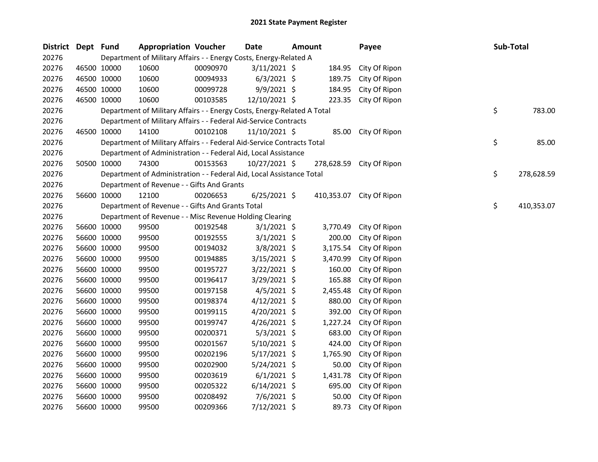| District Dept Fund |             |             | <b>Appropriation Voucher</b>                                            |          | Date            | <b>Amount</b> |          | Payee                    | Sub-Total |            |
|--------------------|-------------|-------------|-------------------------------------------------------------------------|----------|-----------------|---------------|----------|--------------------------|-----------|------------|
| 20276              |             |             | Department of Military Affairs - - Energy Costs, Energy-Related A       |          |                 |               |          |                          |           |            |
| 20276              |             | 46500 10000 | 10600                                                                   | 00090970 | $3/11/2021$ \$  |               | 184.95   | City Of Ripon            |           |            |
| 20276              |             | 46500 10000 | 10600                                                                   | 00094933 | $6/3/2021$ \$   |               | 189.75   | City Of Ripon            |           |            |
| 20276              |             | 46500 10000 | 10600                                                                   | 00099728 | $9/9/2021$ \$   |               | 184.95   | City Of Ripon            |           |            |
| 20276              |             | 46500 10000 | 10600                                                                   | 00103585 | 12/10/2021 \$   |               | 223.35   | City Of Ripon            |           |            |
| 20276              |             |             | Department of Military Affairs - - Energy Costs, Energy-Related A Total |          |                 |               |          |                          | \$        | 783.00     |
| 20276              |             |             | Department of Military Affairs - - Federal Aid-Service Contracts        |          |                 |               |          |                          |           |            |
| 20276              |             | 46500 10000 | 14100                                                                   | 00102108 | $11/10/2021$ \$ |               | 85.00    | City Of Ripon            |           |            |
| 20276              |             |             | Department of Military Affairs - - Federal Aid-Service Contracts Total  |          |                 |               |          |                          | \$        | 85.00      |
| 20276              |             |             | Department of Administration - - Federal Aid, Local Assistance          |          |                 |               |          |                          |           |            |
| 20276              |             | 50500 10000 | 74300                                                                   | 00153563 | 10/27/2021 \$   |               |          | 278,628.59 City Of Ripon |           |            |
| 20276              |             |             | Department of Administration - - Federal Aid, Local Assistance Total    |          |                 |               |          |                          | \$        | 278,628.59 |
| 20276              |             |             | Department of Revenue - - Gifts And Grants                              |          |                 |               |          |                          |           |            |
| 20276              |             | 56600 10000 | 12100                                                                   | 00206653 | $6/25/2021$ \$  |               |          | 410,353.07 City Of Ripon |           |            |
| 20276              |             |             | Department of Revenue - - Gifts And Grants Total                        |          |                 |               |          |                          | \$        | 410,353.07 |
| 20276              |             |             | Department of Revenue - - Misc Revenue Holding Clearing                 |          |                 |               |          |                          |           |            |
| 20276              |             | 56600 10000 | 99500                                                                   | 00192548 | $3/1/2021$ \$   |               | 3,770.49 | City Of Ripon            |           |            |
| 20276              |             | 56600 10000 | 99500                                                                   | 00192555 | $3/1/2021$ \$   |               | 200.00   | City Of Ripon            |           |            |
| 20276              |             | 56600 10000 | 99500                                                                   | 00194032 | $3/8/2021$ \$   |               | 3,175.54 | City Of Ripon            |           |            |
| 20276              |             | 56600 10000 | 99500                                                                   | 00194885 | 3/15/2021 \$    |               | 3,470.99 | City Of Ripon            |           |            |
| 20276              |             | 56600 10000 | 99500                                                                   | 00195727 | $3/22/2021$ \$  |               | 160.00   | City Of Ripon            |           |            |
| 20276              |             | 56600 10000 | 99500                                                                   | 00196417 | $3/29/2021$ \$  |               | 165.88   | City Of Ripon            |           |            |
| 20276              |             | 56600 10000 | 99500                                                                   | 00197158 | $4/5/2021$ \$   |               | 2,455.48 | City Of Ripon            |           |            |
| 20276              |             | 56600 10000 | 99500                                                                   | 00198374 | $4/12/2021$ \$  |               | 880.00   | City Of Ripon            |           |            |
| 20276              |             | 56600 10000 | 99500                                                                   | 00199115 | $4/20/2021$ \$  |               | 392.00   | City Of Ripon            |           |            |
| 20276              |             | 56600 10000 | 99500                                                                   | 00199747 | $4/26/2021$ \$  |               | 1,227.24 | City Of Ripon            |           |            |
| 20276              |             | 56600 10000 | 99500                                                                   | 00200371 | $5/3/2021$ \$   |               | 683.00   | City Of Ripon            |           |            |
| 20276              |             | 56600 10000 | 99500                                                                   | 00201567 | $5/10/2021$ \$  |               | 424.00   | City Of Ripon            |           |            |
| 20276              |             | 56600 10000 | 99500                                                                   | 00202196 | $5/17/2021$ \$  |               | 1,765.90 | City Of Ripon            |           |            |
| 20276              |             | 56600 10000 | 99500                                                                   | 00202900 | 5/24/2021 \$    |               | 50.00    | City Of Ripon            |           |            |
| 20276              |             | 56600 10000 | 99500                                                                   | 00203619 | $6/1/2021$ \$   |               | 1,431.78 | City Of Ripon            |           |            |
| 20276              | 56600 10000 |             | 99500                                                                   | 00205322 | $6/14/2021$ \$  |               | 695.00   | City Of Ripon            |           |            |
| 20276              |             | 56600 10000 | 99500                                                                   | 00208492 | $7/6/2021$ \$   |               | 50.00    | City Of Ripon            |           |            |
| 20276              |             | 56600 10000 | 99500                                                                   | 00209366 | 7/12/2021 \$    |               | 89.73    | City Of Ripon            |           |            |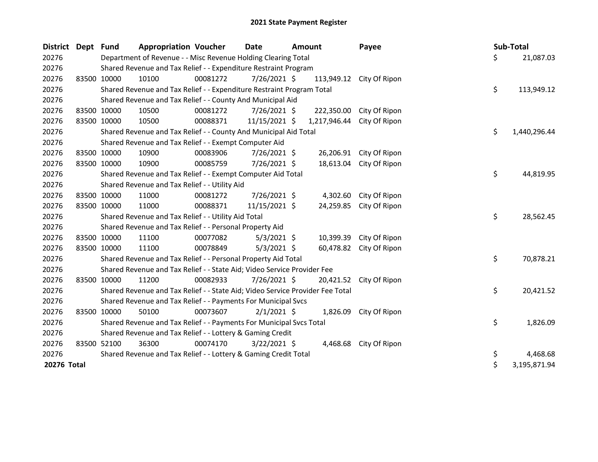| District Dept | <b>Fund</b>                                               | <b>Appropriation Voucher</b>                                                  |          | <b>Date</b>    | <b>Amount</b>                                                 |              | Payee         |    | Sub-Total |              |
|---------------|-----------------------------------------------------------|-------------------------------------------------------------------------------|----------|----------------|---------------------------------------------------------------|--------------|---------------|----|-----------|--------------|
| 20276         |                                                           |                                                                               |          |                | Department of Revenue - - Misc Revenue Holding Clearing Total |              |               | \$ |           | 21,087.03    |
| 20276         |                                                           | Shared Revenue and Tax Relief - - Expenditure Restraint Program               |          |                |                                                               |              |               |    |           |              |
| 20276         | 83500 10000                                               | 10100                                                                         | 00081272 | 7/26/2021 \$   |                                                               | 113,949.12   | City Of Ripon |    |           |              |
| 20276         |                                                           | Shared Revenue and Tax Relief - - Expenditure Restraint Program Total         |          |                |                                                               |              |               | \$ |           | 113,949.12   |
| 20276         |                                                           | Shared Revenue and Tax Relief - - County And Municipal Aid                    |          |                |                                                               |              |               |    |           |              |
| 20276         | 83500 10000                                               | 10500                                                                         | 00081272 | $7/26/2021$ \$ |                                                               | 222,350.00   | City Of Ripon |    |           |              |
| 20276         | 83500 10000                                               | 10500                                                                         | 00088371 | 11/15/2021 \$  |                                                               | 1,217,946.44 | City Of Ripon |    |           |              |
| 20276         |                                                           | Shared Revenue and Tax Relief - - County And Municipal Aid Total              |          |                |                                                               |              |               | \$ |           | 1,440,296.44 |
| 20276         |                                                           | Shared Revenue and Tax Relief - - Exempt Computer Aid                         |          |                |                                                               |              |               |    |           |              |
| 20276         | 83500 10000                                               | 10900                                                                         | 00083906 | 7/26/2021 \$   |                                                               | 26,206.91    | City Of Ripon |    |           |              |
| 20276         | 83500 10000                                               | 10900                                                                         | 00085759 | 7/26/2021 \$   |                                                               | 18,613.04    | City Of Ripon |    |           |              |
| 20276         |                                                           | Shared Revenue and Tax Relief - - Exempt Computer Aid Total                   |          |                |                                                               |              |               |    | \$        | 44,819.95    |
| 20276         |                                                           | Shared Revenue and Tax Relief - - Utility Aid                                 |          |                |                                                               |              |               |    |           |              |
| 20276         | 83500 10000                                               | 11000                                                                         | 00081272 | 7/26/2021 \$   |                                                               | 4,302.60     | City Of Ripon |    |           |              |
| 20276         | 83500 10000                                               | 11000                                                                         | 00088371 | 11/15/2021 \$  |                                                               | 24,259.85    | City Of Ripon |    |           |              |
| 20276         |                                                           | Shared Revenue and Tax Relief - - Utility Aid Total                           |          |                |                                                               |              |               | \$ |           | 28,562.45    |
| 20276         |                                                           | Shared Revenue and Tax Relief - - Personal Property Aid                       |          |                |                                                               |              |               |    |           |              |
| 20276         | 83500 10000                                               | 11100                                                                         | 00077082 | $5/3/2021$ \$  |                                                               | 10,399.39    | City Of Ripon |    |           |              |
| 20276         | 83500 10000                                               | 11100                                                                         | 00078849 | $5/3/2021$ \$  |                                                               | 60,478.82    | City Of Ripon |    |           |              |
| 20276         |                                                           | Shared Revenue and Tax Relief - - Personal Property Aid Total                 |          |                |                                                               |              |               | \$ |           | 70,878.21    |
| 20276         |                                                           | Shared Revenue and Tax Relief - - State Aid; Video Service Provider Fee       |          |                |                                                               |              |               |    |           |              |
| 20276         | 83500 10000                                               | 11200                                                                         | 00082933 | 7/26/2021 \$   |                                                               | 20,421.52    | City Of Ripon |    |           |              |
| 20276         |                                                           | Shared Revenue and Tax Relief - - State Aid; Video Service Provider Fee Total |          |                |                                                               |              |               | \$ |           | 20,421.52    |
| 20276         |                                                           | Shared Revenue and Tax Relief - - Payments For Municipal Svcs                 |          |                |                                                               |              |               |    |           |              |
| 20276         | 83500 10000                                               | 50100                                                                         | 00073607 | $2/1/2021$ \$  |                                                               | 1,826.09     | City Of Ripon |    |           |              |
| 20276         |                                                           | Shared Revenue and Tax Relief - - Payments For Municipal Svcs Total           |          |                |                                                               |              |               | \$ |           | 1,826.09     |
| 20276         | Shared Revenue and Tax Relief - - Lottery & Gaming Credit |                                                                               |          |                |                                                               |              |               |    |           |              |
| 20276         | 83500 52100                                               | 36300                                                                         | 00074170 | $3/22/2021$ \$ |                                                               | 4,468.68     | City Of Ripon |    |           |              |
| 20276         |                                                           | Shared Revenue and Tax Relief - - Lottery & Gaming Credit Total               |          |                |                                                               |              |               | \$ |           | 4,468.68     |
| 20276 Total   |                                                           |                                                                               |          |                |                                                               |              |               | \$ |           | 3,195,871.94 |